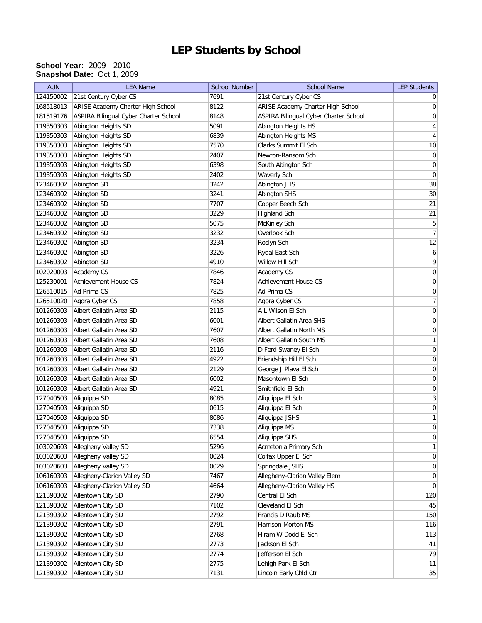## **LEP Students by School**

## **School Year:** 2009 - 2010 **Snapshot Date:** Oct 1, 2009

| <b>AUN</b> | <b>LEA Name</b>                       | <b>School Number</b> | <b>School Name</b>                    | <b>LEP Students</b> |
|------------|---------------------------------------|----------------------|---------------------------------------|---------------------|
| 124150002  | 21st Century Cyber CS                 | 7691                 | 21st Century Cyber CS                 | 0                   |
| 168518013  | ARISE Academy Charter High School     | 8122                 | ARISE Academy Charter High School     | 0                   |
| 181519176  | ASPIRA Bilingual Cyber Charter School | 8148                 | ASPIRA Bilingual Cyber Charter School | 0                   |
| 119350303  | Abington Heights SD                   | 5091                 | Abington Heights HS                   | 4                   |
| 119350303  | Abington Heights SD                   | 6839                 | Abington Heights MS                   | $\overline{4}$      |
| 119350303  | Abington Heights SD                   | 7570                 | Clarks Summit El Sch                  | 10                  |
| 119350303  | Abington Heights SD                   | 2407                 | Newton-Ransom Sch                     | 0                   |
| 119350303  | Abington Heights SD                   | 6398                 | South Abington Sch                    | $\boldsymbol{0}$    |
| 119350303  | Abington Heights SD                   | 2402                 | Waverly Sch                           | $\boldsymbol{0}$    |
| 123460302  | Abington SD                           | 3242                 | Abington JHS                          | $38\,$              |
| 123460302  | Abington SD                           | 3241                 | Abington SHS                          | 30 <sup>°</sup>     |
| 123460302  | Abington SD                           | 7707                 | Copper Beech Sch                      | 21                  |
| 123460302  | Abington SD                           | 3229                 | Highland Sch                          | 21                  |
| 123460302  | Abington SD                           | 5075                 | McKinley Sch                          | 5                   |
| 123460302  | Abington SD                           | 3232                 | Overlook Sch                          | $\overline{7}$      |
| 123460302  | Abington SD                           | 3234                 | Roslyn Sch                            | 12                  |
| 123460302  | Abington SD                           | 3226                 | Rydal East Sch                        | 6                   |
| 123460302  | Abington SD                           | 4910                 | Willow Hill Sch                       | 9                   |
| 102020003  | Academy CS                            | 7846                 | Academy CS                            | $\boldsymbol{0}$    |
| 125230001  | Achievement House CS                  | 7824                 | Achievement House CS                  | $\boldsymbol{0}$    |
| 126510015  | Ad Prima CS                           | 7825                 | Ad Prima CS                           | $\boldsymbol{0}$    |
| 126510020  | Agora Cyber CS                        | 7858                 | Agora Cyber CS                        | $\overline{7}$      |
| 101260303  | Albert Gallatin Area SD               | 2115                 | A L Wilson El Sch                     | 0                   |
| 101260303  | Albert Gallatin Area SD               | 6001                 | Albert Gallatin Area SHS              | 0                   |
| 101260303  | Albert Gallatin Area SD               | 7607                 | Albert Gallatin North MS              | 0                   |
| 101260303  | Albert Gallatin Area SD               | 7608                 | Albert Gallatin South MS              | 1                   |
| 101260303  | Albert Gallatin Area SD               | 2116                 | D Ferd Swaney El Sch                  | $\boldsymbol{0}$    |
| 101260303  | Albert Gallatin Area SD               | 4922                 | Friendship Hill El Sch                | $\boldsymbol{0}$    |
| 101260303  | Albert Gallatin Area SD               | 2129                 | George J Plava El Sch                 | $\boldsymbol{0}$    |
| 101260303  | Albert Gallatin Area SD               | 6002                 | Masontown El Sch                      | $\boldsymbol{0}$    |
| 101260303  | Albert Gallatin Area SD               | 4921                 | Smithfield El Sch                     | $\boldsymbol{0}$    |
| 127040503  | Aliquippa SD                          | 8085                 | Aliquippa El Sch                      | $\overline{3}$      |
| 127040503  | Aliquippa SD                          | 0615                 | Aliquippa El Sch                      | $\boldsymbol{0}$    |
| 127040503  | Aliquippa SD                          | 8086                 | Aliquippa JSHS                        | 1                   |
| 127040503  | Aliquippa SD                          | 7338                 | Aliquippa MS                          | 0                   |
| 127040503  | Aliquippa SD                          | 6554                 | Aliquippa SHS                         | $\overline{0}$      |
| 103020603  | Allegheny Valley SD                   | 5296                 | Acmetonia Primary Sch                 | 1                   |
| 103020603  | Allegheny Valley SD                   | 0024                 | Colfax Upper El Sch                   | $\overline{0}$      |
| 103020603  | Allegheny Valley SD                   | 0029                 | Springdale JSHS                       | 0                   |
| 106160303  | Allegheny-Clarion Valley SD           | 7467                 | Allegheny-Clarion Valley Elem         | 0                   |
| 106160303  | Allegheny-Clarion Valley SD           | 4664                 | Allegheny-Clarion Valley HS           | $\overline{0}$      |
| 121390302  | Allentown City SD                     | 2790                 | Central El Sch                        | 120                 |
| 121390302  | Allentown City SD                     | 7102                 | Cleveland El Sch                      | 45                  |
| 121390302  | Allentown City SD                     | 2792                 | Francis D Raub MS                     | 150                 |
| 121390302  | Allentown City SD                     | 2791                 | Harrison-Morton MS                    | 116                 |
| 121390302  | Allentown City SD                     | 2768                 | Hiram W Dodd El Sch                   | 113                 |
| 121390302  | Allentown City SD                     | 2773                 | Jackson El Sch                        | 41                  |
| 121390302  | Allentown City SD                     | 2774                 | Jefferson El Sch                      | 79                  |
| 121390302  | Allentown City SD                     | 2775                 | Lehigh Park El Sch                    | 11                  |
| 121390302  | Allentown City SD                     | 7131                 | Lincoln Early Chld Ctr                | 35                  |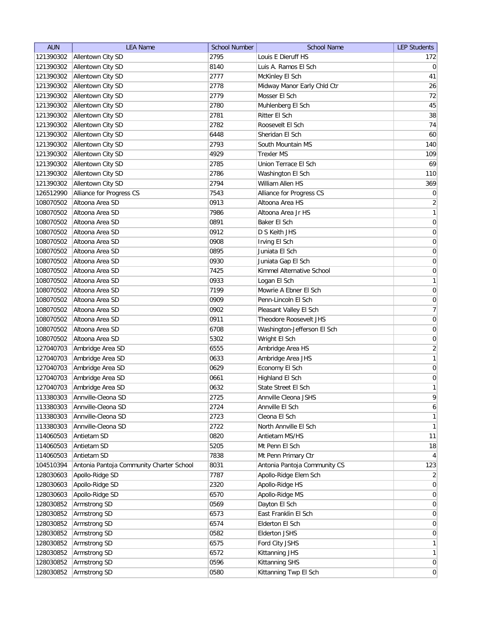| <b>AUN</b> | <b>LEA Name</b>                          | <b>School Number</b> | <b>School Name</b>               | <b>LEP Students</b> |
|------------|------------------------------------------|----------------------|----------------------------------|---------------------|
| 121390302  | Allentown City SD                        | 2795                 | Louis E Dieruff HS               | 172                 |
| 121390302  | Allentown City SD                        | 8140                 | Luis A. Ramos El Sch             | $\overline{0}$      |
| 121390302  | Allentown City SD                        | 2777                 | McKinley El Sch                  | 41                  |
| 121390302  | Allentown City SD                        | 2778                 | Midway Manor Early Chld Ctr      | 26                  |
| 121390302  | Allentown City SD                        | 2779                 | Mosser El Sch                    | 72                  |
| 121390302  | Allentown City SD                        | 2780                 | Muhlenberg El Sch                | 45                  |
| 121390302  | Allentown City SD                        | 2781                 | Ritter El Sch                    | 38                  |
| 121390302  | Allentown City SD                        | 2782                 | Roosevelt El Sch                 | 74                  |
| 121390302  | Allentown City SD                        | 6448                 | Sheridan El Sch                  | 60                  |
| 121390302  | Allentown City SD                        | 2793                 | South Mountain MS                | 140                 |
|            | 121390302 Allentown City SD              | 4929                 | <b>Trexler MS</b>                | 109                 |
| 121390302  | Allentown City SD                        | 2785                 | Union Terrace El Sch             | 69                  |
| 121390302  | Allentown City SD                        | 2786                 | Washington El Sch                | 110                 |
| 121390302  | Allentown City SD                        | 2794                 | William Allen HS                 | 369                 |
| 126512990  | Alliance for Progress CS                 | 7543                 | Alliance for Progress CS         | $\overline{0}$      |
| 108070502  | Altoona Area SD                          | 0913                 | Altoona Area HS                  | $\overline{2}$      |
| 108070502  | Altoona Area SD                          | 7986                 | Altoona Area Jr HS               | 1                   |
| 108070502  | Altoona Area SD                          | 0891                 | Baker El Sch                     | $\vert 0 \vert$     |
| 108070502  | Altoona Area SD                          | 0912                 | D S Keith JHS                    | 0                   |
| 108070502  | Altoona Area SD                          | 0908                 | Irving El Sch                    | $\vert 0 \vert$     |
| 108070502  | Altoona Area SD                          | 0895                 | Juniata El Sch                   | $\boldsymbol{0}$    |
| 108070502  | Altoona Area SD                          | 0930                 | Juniata Gap El Sch               | 0                   |
| 108070502  | Altoona Area SD                          | 7425                 | Kimmel Alternative School        | 0                   |
| 108070502  | Altoona Area SD                          | 0933                 | Logan El Sch                     | 1                   |
| 108070502  | Altoona Area SD                          | 7199                 | Mowrie A Ebner El Sch            | $\boldsymbol{0}$    |
| 108070502  | Altoona Area SD                          | 0909                 | Penn-Lincoln El Sch              | 0                   |
| 108070502  | Altoona Area SD                          | 0902                 | Pleasant Valley El Sch           | 7                   |
| 108070502  | Altoona Area SD                          | 0911                 | Theodore Roosevelt JHS           | 0                   |
| 108070502  | Altoona Area SD                          | 6708                 | Washington-Jefferson El Sch      | 0                   |
| 108070502  | Altoona Area SD                          | 5302                 | Wright El Sch                    | 0                   |
| 127040703  | Ambridge Area SD                         | 6555                 | Ambridge Area HS                 | $\overline{2}$      |
| 127040703  | Ambridge Area SD                         | 0633                 | Ambridge Area JHS                | $\mathbf{1}$        |
| 127040703  | Ambridge Area SD                         | 0629                 | Economy El Sch                   | $\overline{0}$      |
| 127040703  | Ambridge Area SD                         | 0661                 | Highland El Sch                  | $\overline{0}$      |
| 127040703  | Ambridge Area SD                         | 0632                 | State Street El Sch              | 1                   |
| 113380303  | Annville-Cleona SD                       | 2725                 | Annville Cleona JSHS             | 9                   |
| 113380303  | Annville-Cleona SD                       | 2724                 | Annville El Sch                  | 6                   |
| 113380303  | Annville-Cleona SD                       | 2723                 | Cleona El Sch                    | $\mathbf{1}$        |
| 113380303  | Annville-Cleona SD                       | 2722                 | North Annville El Sch            | $\mathbf{1}$        |
| 114060503  | Antietam SD                              | 0820                 | Antietam MS/HS                   | 11                  |
| 114060503  | Antietam SD                              | 5205                 | Mt Penn El Sch                   | 18                  |
| 114060503  | Antietam SD                              | 7838                 | Mt Penn Primary Ctr              | $\vert 4 \vert$     |
| 104510394  | Antonia Pantoja Community Charter School | 8031                 | Antonia Pantoja Community CS     | 123                 |
| 128030603  | Apollo-Ridge SD                          | 7787                 | Apollo-Ridge Elem Sch            | $\overline{2}$      |
| 128030603  | Apollo-Ridge SD                          | 2320                 | Apollo-Ridge HS                  | $\overline{0}$      |
| 128030603  | Apollo-Ridge SD                          | 6570                 | Apollo-Ridge MS                  | $\overline{0}$      |
| 128030852  | Armstrong SD                             | 0569                 | Dayton El Sch                    | $\overline{0}$      |
| 128030852  | Armstrong SD                             | 6573                 | East Franklin El Sch             | $\overline{0}$      |
| 128030852  | Armstrong SD                             | 6574                 | Elderton El Sch                  | 0                   |
| 128030852  | Armstrong SD                             | 0582                 | <b>Elderton JSHS</b>             | $\overline{0}$      |
| 128030852  | Armstrong SD                             | 6575                 | Ford City JSHS                   | 1                   |
| 128030852  |                                          | 6572                 |                                  |                     |
| 128030852  | Armstrong SD                             | 0596                 | Kittanning JHS<br>Kittanning SHS | 1<br>$\overline{0}$ |
|            | Armstrong SD                             |                      | Kittanning Twp El Sch            | 0                   |
| 128030852  | Armstrong SD                             | 0580                 |                                  |                     |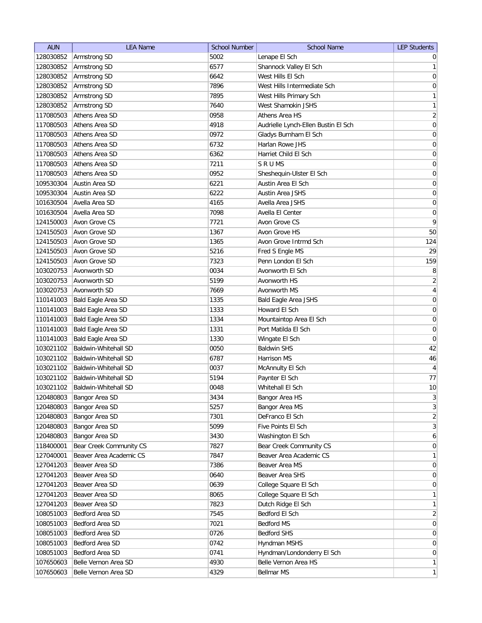| <b>AUN</b> | <b>LEA Name</b>         | <b>School Number</b> | <b>School Name</b>                  | <b>LEP Students</b>          |
|------------|-------------------------|----------------------|-------------------------------------|------------------------------|
| 128030852  | Armstrong SD            | 5002                 | Lenape El Sch                       | $\overline{0}$               |
| 128030852  | Armstrong SD            | 6577                 | Shannock Valley El Sch              | 1                            |
| 128030852  | Armstrong SD            | 6642                 | West Hills El Sch                   | $\vert 0 \vert$              |
| 128030852  | Armstrong SD            | 7896                 | West Hills Intermediate Sch         | 0                            |
| 128030852  | Armstrong SD            | 7895                 | West Hills Primary Sch              | $\mathbf{1}$                 |
| 128030852  | Armstrong SD            | 7640                 | West Shamokin JSHS                  | $\mathbf{1}$                 |
| 117080503  | Athens Area SD          | 0958                 | Athens Area HS                      | $\overline{2}$               |
| 117080503  | Athens Area SD          | 4918                 | Audrielle Lynch-Ellen Bustin El Sch | $\boldsymbol{0}$             |
| 117080503  | Athens Area SD          | 0972                 | Gladys Burnham El Sch               | $\overline{0}$               |
| 117080503  | Athens Area SD          | 6732                 | Harlan Rowe JHS                     | 0                            |
| 117080503  | Athens Area SD          | 6362                 | Harriet Child El Sch                | 0                            |
| 117080503  | Athens Area SD          | 7211                 | SRUMS                               | 0                            |
| 117080503  | Athens Area SD          | 0952                 | Sheshequin-Ulster El Sch            | 0                            |
| 109530304  | Austin Area SD          | 6221                 | Austin Area El Sch                  | 0                            |
| 109530304  | Austin Area SD          | 6222                 | Austin Area JSHS                    | 0                            |
| 101630504  | Avella Area SD          | 4165                 | Avella Area JSHS                    | 0                            |
| 101630504  | Avella Area SD          | 7098                 | Avella El Center                    | $\boldsymbol{0}$             |
| 124150003  | Avon Grove CS           | 7721                 | Avon Grove CS                       | 9                            |
| 124150503  | Avon Grove SD           | 1367                 | Avon Grove HS                       | 50                           |
| 124150503  | Avon Grove SD           | 1365                 | Avon Grove Intrmd Sch               | 124                          |
| 124150503  | Avon Grove SD           | 5216                 | Fred S Engle MS                     | 29                           |
| 124150503  | Avon Grove SD           | 7323                 | Penn London El Sch                  | 159                          |
| 103020753  | Avonworth SD            | 0034                 | Avonworth El Sch                    | 8                            |
| 103020753  | Avonworth SD            | 5199                 | Avonworth HS                        | $\overline{2}$               |
|            |                         |                      |                                     |                              |
| 103020753  | Avonworth SD            | 7669                 | Avonworth MS                        | $\overline{4}$               |
| 110141003  | Bald Eagle Area SD      | 1335                 | <b>Bald Eagle Area JSHS</b>         | $\overline{0}$               |
| 110141003  | Bald Eagle Area SD      | 1333                 | Howard El Sch                       | 0                            |
| 110141003  | Bald Eagle Area SD      | 1334                 | Mountaintop Area El Sch             | 0                            |
| 110141003  | Bald Eagle Area SD      | 1331                 | Port Matilda El Sch                 | 0                            |
| 110141003  | Bald Eagle Area SD      | 1330                 | Wingate El Sch                      | $\overline{0}$               |
| 103021102  | Baldwin-Whitehall SD    | 0050                 | <b>Baldwin SHS</b>                  | 42                           |
| 103021102  | Baldwin-Whitehall SD    | 6787                 | Harrison MS                         | 46                           |
| 103021102  | Baldwin-Whitehall SD    | 0037                 | McAnnulty El Sch                    | $\overline{4}$               |
| 103021102  | Baldwin-Whitehall SD    | 5194                 | Paynter El Sch                      | 77                           |
| 103021102  | Baldwin-Whitehall SD    | 0048                 | Whitehall El Sch                    | 10                           |
| 120480803  | Bangor Area SD          | 3434                 | Bangor Area HS                      | $\left  \frac{3}{2} \right $ |
| 120480803  | Bangor Area SD          | 5257                 | Bangor Area MS                      | $\overline{3}$               |
| 120480803  | Bangor Area SD          | 7301                 | DeFranco El Sch                     | $\overline{2}$               |
| 120480803  | Bangor Area SD          | 5099                 | Five Points El Sch                  | 3                            |
| 120480803  | Bangor Area SD          | 3430                 | Washington El Sch                   | 6                            |
| 118400001  | Bear Creek Community CS | 7827                 | Bear Creek Community CS             | 0                            |
| 127040001  | Beaver Area Academic CS | 7847                 | Beaver Area Academic CS             | $\mathbf{1}$                 |
| 127041203  | Beaver Area SD          | 7386                 | Beaver Area MS                      | $\overline{0}$               |
| 127041203  | Beaver Area SD          | 0640                 | Beaver Area SHS                     | 0                            |
| 127041203  | Beaver Area SD          | 0639                 | College Square El Sch               | 0                            |
| 127041203  | Beaver Area SD          | 8065                 | College Square El Sch               | 1                            |
| 127041203  | Beaver Area SD          | 7823                 | Dutch Ridge El Sch                  | $\mathbf{1}$                 |
| 108051003  | Bedford Area SD         | 7545                 | Bedford El Sch                      | $\overline{2}$               |
| 108051003  | Bedford Area SD         | 7021                 | Bedford MS                          | $\overline{0}$               |
| 108051003  | Bedford Area SD         | 0726                 | <b>Bedford SHS</b>                  | $\overline{0}$               |
| 108051003  | Bedford Area SD         | 0742                 | Hyndman MSHS                        | $\overline{0}$               |
| 108051003  | Bedford Area SD         | 0741                 | Hyndman/Londonderry El Sch          | $\overline{0}$               |
| 107650603  | Belle Vernon Area SD    | 4930                 | Belle Vernon Area HS                | 1                            |
| 107650603  | Belle Vernon Area SD    | 4329                 | Bellmar MS                          | $\mathbf{1}$                 |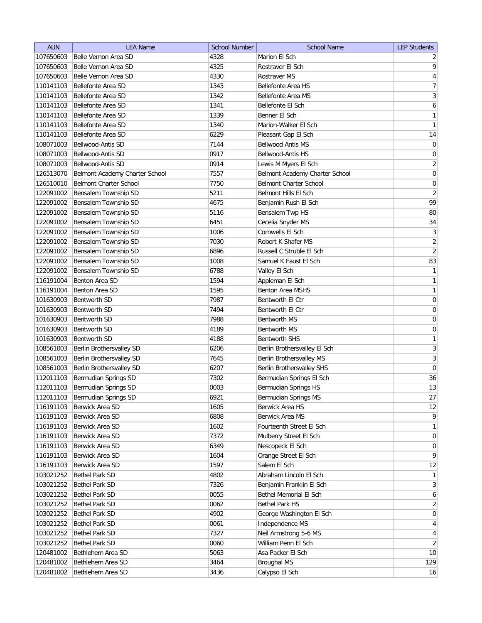| <b>AUN</b> | <b>LEA Name</b>                | <b>School Number</b> | <b>School Name</b>             | <b>LEP Students</b>     |
|------------|--------------------------------|----------------------|--------------------------------|-------------------------|
| 107650603  | Belle Vernon Area SD           | 4328                 | Marion El Sch                  | $\overline{2}$          |
| 107650603  | Belle Vernon Area SD           | 4325                 | Rostraver El Sch               | $\overline{9}$          |
| 107650603  | Belle Vernon Area SD           | 4330                 | Rostraver MS                   | $\overline{4}$          |
| 110141103  | Bellefonte Area SD             | 1343                 | Bellefonte Area HS             | $\overline{7}$          |
| 110141103  | Bellefonte Area SD             | 1342                 | Bellefonte Area MS             | $\overline{\mathbf{3}}$ |
| 110141103  | Bellefonte Area SD             | 1341                 | Bellefonte El Sch              | $\boldsymbol{6}$        |
| 110141103  | Bellefonte Area SD             | 1339                 | Benner El Sch                  | $\mathbf{1}$            |
| 110141103  | Bellefonte Area SD             | 1340                 | Marion-Walker El Sch           | 1                       |
| 110141103  | Bellefonte Area SD             | 6229                 | Pleasant Gap El Sch            | 14                      |
| 108071003  | Bellwood-Antis SD              | 7144                 | <b>Bellwood Antis MS</b>       | $\boldsymbol{0}$        |
| 108071003  | Bellwood-Antis SD              | 0917                 | Bellwood-Antis HS              | $\boldsymbol{0}$        |
| 108071003  | Bellwood-Antis SD              | 0914                 | Lewis M Myers El Sch           | $\overline{2}$          |
| 126513070  | Belmont Academy Charter School | 7557                 | Belmont Academy Charter School | $\boldsymbol{0}$        |
| 126510010  | <b>Belmont Charter School</b>  | 7750                 | Belmont Charter School         | 0                       |
| 122091002  | Bensalem Township SD           | 5211                 | Belmont Hills El Sch           | $\overline{2}$          |
| 122091002  | Bensalem Township SD           | 4675                 | Benjamin Rush El Sch           | 99                      |
| 122091002  | Bensalem Township SD           | 5116                 | Bensalem Twp HS                | 80                      |
| 122091002  | Bensalem Township SD           | 6451                 | Cecelia Snyder MS              | 34                      |
| 122091002  | Bensalem Township SD           | 1006                 | Cornwells El Sch               | 3                       |
| 122091002  | Bensalem Township SD           | 7030                 | Robert K Shafer MS             | $\overline{2}$          |
| 122091002  | Bensalem Township SD           | 6896                 | Russell C Struble El Sch       | $\overline{2}$          |
| 122091002  | Bensalem Township SD           | 1008                 | Samuel K Faust El Sch          | 83                      |
| 122091002  | Bensalem Township SD           | 6788                 | Valley El Sch                  | 1                       |
| 116191004  | Benton Area SD                 | 1594                 | Appleman El Sch                | 1                       |
| 116191004  | Benton Area SD                 | 1595                 | <b>Benton Area MSHS</b>        | 1                       |
| 101630903  | <b>Bentworth SD</b>            | 7987                 | Bentworth El Ctr               | $\boldsymbol{0}$        |
| 101630903  | <b>Bentworth SD</b>            | 7494                 | Bentworth El Ctr               | $\boldsymbol{0}$        |
| 101630903  | <b>Bentworth SD</b>            | 7988                 | Bentworth MS                   | $\boldsymbol{0}$        |
| 101630903  | <b>Bentworth SD</b>            | 4189                 | Bentworth MS                   | 0                       |
| 101630903  | <b>Bentworth SD</b>            | 4188                 | <b>Bentworth SHS</b>           | $\mathbf{1}$            |
| 108561003  | Berlin Brothersvalley SD       | 6206                 | Berlin Brothersvalley El Sch   | 3                       |
| 108561003  | Berlin Brothersvalley SD       | 7645                 | Berlin Brothersvalley MS       | $\overline{3}$          |
| 108561003  | Berlin Brothersvalley SD       | 6207                 | Berlin Brothersvalley SHS      | $\pmb{0}$               |
| 112011103  | Bermudian Springs SD           | 7302                 | Bermudian Springs El Sch       | 36                      |
| 112011103  | Bermudian Springs SD           | 0003                 | Bermudian Springs HS           | 13                      |
| 112011103  | Bermudian Springs SD           | 6921                 | Bermudian Springs MS           | 27                      |
| 116191103  | Berwick Area SD                | 1605                 | Berwick Area HS                | 12                      |
| 116191103  | Berwick Area SD                | 6808                 | Berwick Area MS                | $\overline{9}$          |
| 116191103  | Berwick Area SD                | 1602                 | Fourteenth Street El Sch       | 1                       |
| 116191103  | Berwick Area SD                | 7372                 | Mulberry Street El Sch         | $\overline{0}$          |
| 116191103  | Berwick Area SD                | 6349                 | Nescopeck El Sch               | 0                       |
| 116191103  | Berwick Area SD                | 1604                 | Orange Street El Sch           | $\overline{9}$          |
| 116191103  | Berwick Area SD                | 1597                 | Salem El Sch                   | 12                      |
| 103021252  | Bethel Park SD                 | 4802                 | Abraham Lincoln El Sch         | 1                       |
| 103021252  | Bethel Park SD                 | 7326                 | Benjamin Franklin El Sch       | 3                       |
| 103021252  | Bethel Park SD                 | 0055                 | Bethel Memorial El Sch         | $\mathbf{6}$            |
| 103021252  | Bethel Park SD                 | 0062                 | <b>Bethel Park HS</b>          | $\overline{2}$          |
| 103021252  | Bethel Park SD                 | 4902                 | George Washington El Sch       | $\overline{0}$          |
| 103021252  | Bethel Park SD                 | 0061                 | Independence MS                | $\vert 4 \vert$         |
| 103021252  | Bethel Park SD                 | 7327                 | Neil Armstrong 5-6 MS          | $\vert 4 \vert$         |
| 103021252  | <b>Bethel Park SD</b>          | 0060                 | William Penn El Sch            | $\overline{2}$          |
| 120481002  | Bethlehem Area SD              | 5063                 | Asa Packer El Sch              | 10                      |
| 120481002  | Bethlehem Area SD              | 3464                 | Broughal MS                    | 129                     |
| 120481002  | Bethlehem Area SD              | 3436                 | Calypso El Sch                 | 16                      |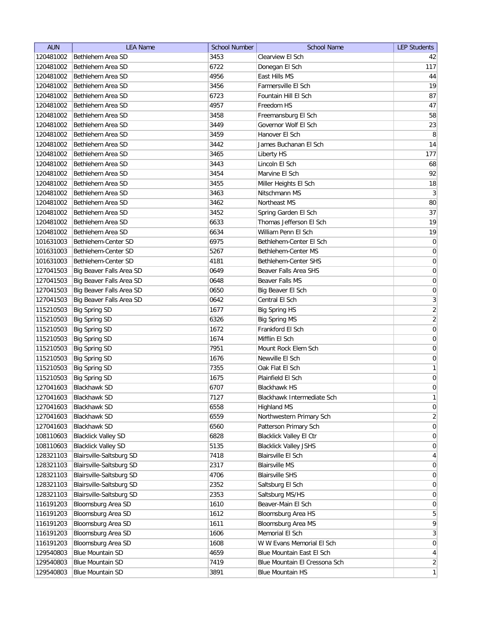| <b>AUN</b> | <b>LEA Name</b>            | <b>School Number</b> | <b>School Name</b>             | <b>LEP Students</b> |
|------------|----------------------------|----------------------|--------------------------------|---------------------|
| 120481002  | Bethlehem Area SD          | 3453                 | Clearview El Sch               | 42                  |
| 120481002  | Bethlehem Area SD          | 6722                 | Donegan El Sch                 | 117                 |
| 120481002  | Bethlehem Area SD          | 4956                 | East Hills MS                  | 44                  |
| 120481002  | Bethlehem Area SD          | 3456                 | Farmersville El Sch            | 19                  |
| 120481002  | Bethlehem Area SD          | 6723                 | Fountain Hill El Sch           | 87                  |
| 120481002  | Bethlehem Area SD          | 4957                 | Freedom HS                     | 47                  |
| 120481002  | Bethlehem Area SD          | 3458                 | Freemansburg El Sch            | 58                  |
| 120481002  | Bethlehem Area SD          | 3449                 | Governor Wolf El Sch           | 23                  |
| 120481002  | Bethlehem Area SD          | 3459                 | Hanover El Sch                 | 8                   |
| 120481002  | Bethlehem Area SD          | 3442                 | James Buchanan El Sch          | 14                  |
| 120481002  | Bethlehem Area SD          | 3465                 | Liberty HS                     | 177                 |
| 120481002  | Bethlehem Area SD          | 3443                 | Lincoln El Sch                 | 68                  |
| 120481002  | Bethlehem Area SD          | 3454                 | Marvine El Sch                 | 92                  |
| 120481002  | Bethlehem Area SD          | 3455                 | Miller Heights El Sch          | 18                  |
| 120481002  | Bethlehem Area SD          | 3463                 | Nitschmann MS                  | $\mathbf{3}$        |
| 120481002  | Bethlehem Area SD          | 3462                 | Northeast MS                   | 80                  |
| 120481002  | Bethlehem Area SD          | 3452                 | Spring Garden El Sch           | 37                  |
| 120481002  | Bethlehem Area SD          | 6633                 | Thomas Jefferson El Sch        | 19                  |
| 120481002  | Bethlehem Area SD          | 6634                 | William Penn El Sch            | 19                  |
| 101631003  | Bethlehem-Center SD        | 6975                 | Bethlehem-Center El Sch        | $\boldsymbol{0}$    |
| 101631003  | Bethlehem-Center SD        | 5267                 | Bethlehem-Center MS            | $\mathsf{O}\xspace$ |
| 101631003  | Bethlehem-Center SD        | 4181                 | Bethlehem-Center SHS           | $\boldsymbol{0}$    |
| 127041503  | Big Beaver Falls Area SD   | 0649                 | Beaver Falls Area SHS          | $\boldsymbol{0}$    |
| 127041503  | Big Beaver Falls Area SD   | 0648                 | Beaver Falls MS                | $\boldsymbol{0}$    |
| 127041503  | Big Beaver Falls Area SD   | 0650                 | Big Beaver El Sch              | 0                   |
| 127041503  | Big Beaver Falls Area SD   | 0642                 | Central El Sch                 | $\mathbf{3}$        |
| 115210503  | <b>Big Spring SD</b>       | 1677                 | <b>Big Spring HS</b>           | $\overline{2}$      |
| 115210503  | <b>Big Spring SD</b>       | 6326                 | <b>Big Spring MS</b>           | $\overline{2}$      |
| 115210503  | <b>Big Spring SD</b>       | 1672                 | Frankford El Sch               | $\boldsymbol{0}$    |
| 115210503  | <b>Big Spring SD</b>       | 1674                 | Mifflin El Sch                 | 0                   |
| 115210503  | <b>Big Spring SD</b>       | 7951                 | Mount Rock Elem Sch            | 0                   |
| 115210503  | <b>Big Spring SD</b>       | 1676                 | Newville El Sch                | 0                   |
| 115210503  | <b>Big Spring SD</b>       | 7355                 | Oak Flat El Sch                | $\mathbf{1}$        |
| 115210503  | <b>Big Spring SD</b>       | 1675                 | Plainfield El Sch              | $\boldsymbol{0}$    |
| 127041603  | <b>Blackhawk SD</b>        | 6707                 | <b>Blackhawk HS</b>            | 0                   |
| 127041603  | Blackhawk SD               | 7127                 | Blackhawk Intermediate Sch     | $\mathbf{1}$        |
| 127041603  | Blackhawk SD               | 6558                 | <b>Highland MS</b>             | $\boldsymbol{0}$    |
| 127041603  | <b>Blackhawk SD</b>        | 6559                 | Northwestern Primary Sch       | $\mathbf{2}$        |
| 127041603  | <b>Blackhawk SD</b>        | 6560                 | Patterson Primary Sch          | $\boldsymbol{0}$    |
| 108110603  | <b>Blacklick Valley SD</b> | 6828                 | <b>Blacklick Valley El Ctr</b> | $\boldsymbol{0}$    |
| 108110603  | <b>Blacklick Valley SD</b> | 5135                 | <b>Blacklick Valley JSHS</b>   | $\boldsymbol{0}$    |
| 128321103  | Blairsville-Saltsburg SD   | 7418                 | Blairsville El Sch             | $\overline{4}$      |
| 128321103  | Blairsville-Saltsburg SD   | 2317                 | <b>Blairsville MS</b>          | $\overline{0}$      |
| 128321103  | Blairsville-Saltsburg SD   | 4706                 | <b>Blairsville SHS</b>         | $\overline{0}$      |
| 128321103  | Blairsville-Saltsburg SD   | 2352                 | Saltsburg El Sch               | $\overline{0}$      |
| 128321103  | Blairsville-Saltsburg SD   | 2353                 | Saltsburg MS/HS                | 0                   |
| 116191203  | Bloomsburg Area SD         | 1610                 | Beaver-Main El Sch             | 0                   |
| 116191203  | Bloomsburg Area SD         | 1612                 | Bloomsburg Area HS             | $\overline{5}$      |
| 116191203  | Bloomsburg Area SD         | 1611                 | Bloomsburg Area MS             | $\mathsf q$         |
| 116191203  | Bloomsburg Area SD         | 1606                 | Memorial El Sch                | $\mathbf{3}$        |
| 116191203  | Bloomsburg Area SD         | 1608                 | W W Evans Memorial El Sch      | $\boldsymbol{0}$    |
| 129540803  | <b>Blue Mountain SD</b>    | 4659                 | Blue Mountain East El Sch      | $\overline{4}$      |
| 129540803  | <b>Blue Mountain SD</b>    | 7419                 | Blue Mountain El Cressona Sch  | $\overline{2}$      |
| 129540803  | <b>Blue Mountain SD</b>    | 3891                 | <b>Blue Mountain HS</b>        | $\mathbf{1}$        |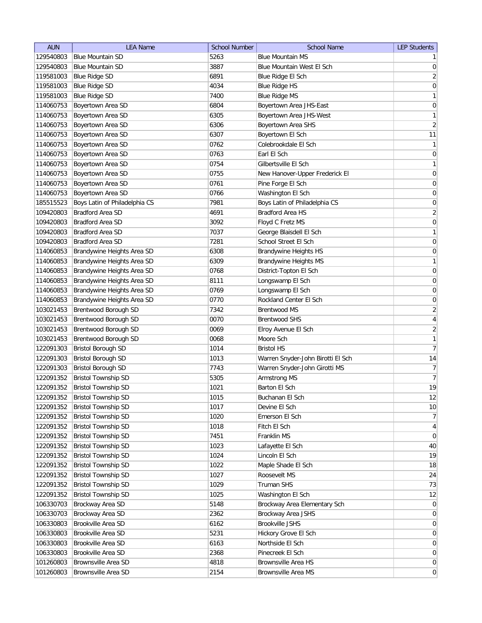| <b>AUN</b> | <b>LEA Name</b>               | <b>School Number</b> | <b>School Name</b>                                                 | <b>LEP Students</b>              |
|------------|-------------------------------|----------------------|--------------------------------------------------------------------|----------------------------------|
| 129540803  | <b>Blue Mountain SD</b>       | 5263                 | <b>Blue Mountain MS</b>                                            | $\mathbf{1}$                     |
| 129540803  | <b>Blue Mountain SD</b>       | 3887                 | Blue Mountain West El Sch                                          | $\boldsymbol{0}$                 |
| 119581003  | <b>Blue Ridge SD</b>          | 6891                 | Blue Ridge El Sch                                                  | $\sqrt{2}$                       |
| 119581003  | <b>Blue Ridge SD</b>          | 4034                 | <b>Blue Ridge HS</b>                                               | $\mathsf{O}\xspace$              |
| 119581003  | <b>Blue Ridge SD</b>          | 7400                 | <b>Blue Ridge MS</b>                                               | $\mathbf{1}$                     |
| 114060753  | Boyertown Area SD             | 6804                 | Boyertown Area JHS-East                                            | $\pmb{0}$                        |
| 114060753  | Boyertown Area SD             | 6305                 | Boyertown Area JHS-West                                            | $\mathbf{1}$                     |
| 114060753  | Boyertown Area SD             | 6306                 | Boyertown Area SHS                                                 | $\overline{2}$                   |
| 114060753  | Boyertown Area SD             | 6307                 | Boyertown El Sch                                                   | 11                               |
| 114060753  | Boyertown Area SD             | 0762                 | Colebrookdale El Sch                                               | $\mathbf{1}$                     |
| 114060753  | Boyertown Area SD             | 0763                 | Earl El Sch                                                        | 0                                |
| 114060753  | Boyertown Area SD             | 0754                 | Gilbertsville El Sch                                               | $\mathbf{1}$                     |
| 114060753  | Boyertown Area SD             | 0755                 | New Hanover-Upper Frederick El                                     | 0                                |
| 114060753  | Boyertown Area SD             | 0761                 | Pine Forge El Sch                                                  | 0                                |
| 114060753  | Boyertown Area SD             | 0766                 | Washington El Sch                                                  | $\overline{0}$                   |
| 185515523  | Boys Latin of Philadelphia CS | 7981                 | Boys Latin of Philadelphia CS                                      | $\overline{0}$                   |
| 109420803  | <b>Bradford Area SD</b>       | 4691                 | <b>Bradford Area HS</b>                                            | $\overline{2}$                   |
| 109420803  | <b>Bradford Area SD</b>       | 3092                 | Floyd C Fretz MS                                                   | $\mathsf{O}\xspace$              |
| 109420803  | <b>Bradford Area SD</b>       | 7037                 | George Blaisdell El Sch                                            | $\mathbf{1}$                     |
| 109420803  | <b>Bradford Area SD</b>       | 7281                 | School Street El Sch                                               | $\mathsf{O}\xspace$              |
| 114060853  | Brandywine Heights Area SD    | 6308                 | <b>Brandywine Heights HS</b>                                       | $\boldsymbol{0}$                 |
| 114060853  | Brandywine Heights Area SD    | 6309                 | Brandywine Heights MS                                              | $\mathbf{1}$                     |
| 114060853  | Brandywine Heights Area SD    | 0768                 | District-Topton El Sch                                             | $\boldsymbol{0}$                 |
| 114060853  | Brandywine Heights Area SD    | 8111                 | Longswamp El Sch                                                   | $\boldsymbol{0}$                 |
| 114060853  |                               |                      |                                                                    | $\boldsymbol{0}$                 |
|            | Brandywine Heights Area SD    | 0769                 | Longswamp El Sch                                                   |                                  |
| 114060853  | Brandywine Heights Area SD    | 0770                 | Rockland Center El Sch                                             | $\overline{0}$                   |
| 103021453  | <b>Brentwood Borough SD</b>   | 7342                 | <b>Brentwood MS</b>                                                | $\overline{2}$                   |
| 103021453  | Brentwood Borough SD          | 0070                 | <b>Brentwood SHS</b>                                               | $\overline{4}$<br>$\overline{2}$ |
| 103021453  | Brentwood Borough SD          | 0069                 | Elroy Avenue El Sch                                                | $\mathbf{1}$                     |
| 103021453  | Brentwood Borough SD          | 0068                 | Moore Sch                                                          | $\overline{7}$                   |
| 122091303  | <b>Bristol Borough SD</b>     | 1014                 | <b>Bristol HS</b>                                                  |                                  |
| 122091303  | <b>Bristol Borough SD</b>     | 1013                 | Warren Snyder-John Birotti El Sch<br>Warren Snyder-John Girotti MS | 14<br>$\overline{7}$             |
| 122091303  | <b>Bristol Borough SD</b>     | 7743                 |                                                                    |                                  |
| 122091352  | <b>Bristol Township SD</b>    | 5305                 | Armstrong MS                                                       | $\overline{7}$                   |
| 122091352  | Bristol Township SD           | 1021                 | Barton El Sch                                                      | 19                               |
| 122091352  | <b>Bristol Township SD</b>    | 1015                 | Buchanan El Sch                                                    | 12                               |
| 122091352  | <b>Bristol Township SD</b>    | 1017                 | Devine El Sch                                                      | $10$                             |
| 122091352  | <b>Bristol Township SD</b>    | 1020                 | Emerson El Sch                                                     | $\overline{7}$                   |
| 122091352  | <b>Bristol Township SD</b>    | 1018                 | Fitch El Sch                                                       | $\overline{4}$                   |
| 122091352  | <b>Bristol Township SD</b>    | 7451                 | Franklin MS                                                        | $\pmb{0}$                        |
| 122091352  | <b>Bristol Township SD</b>    | 1023                 | Lafayette El Sch                                                   | 40                               |
| 122091352  | <b>Bristol Township SD</b>    | 1024                 | Lincoln El Sch                                                     | 19                               |
| 122091352  | <b>Bristol Township SD</b>    | 1022                 | Maple Shade El Sch                                                 | 18                               |
| 122091352  | <b>Bristol Township SD</b>    | 1027                 | Roosevelt MS                                                       | 24                               |
| 122091352  | <b>Bristol Township SD</b>    | 1029                 | Truman SHS                                                         | 73                               |
| 122091352  | <b>Bristol Township SD</b>    | 1025                 | Washington El Sch                                                  | 12                               |
| 106330703  | Brockway Area SD              | 5148                 | Brockway Area Elementary Sch                                       | $\mathbf 0$                      |
| 106330703  | Brockway Area SD              | 2362                 | Brockway Area JSHS                                                 | $\boldsymbol{0}$                 |
| 106330803  | Brookville Area SD            | 6162                 | Brookville JSHS                                                    | $\boldsymbol{0}$                 |
| 106330803  | Brookville Area SD            | 5231                 | Hickory Grove El Sch                                               | $\overline{0}$                   |
| 106330803  | Brookville Area SD            | 6163                 | Northside El Sch                                                   | $\overline{0}$                   |
| 106330803  | Brookville Area SD            | 2368                 | Pinecreek El Sch                                                   | $\boldsymbol{0}$                 |
| 101260803  | <b>Brownsville Area SD</b>    | 4818                 | <b>Brownsville Area HS</b>                                         | $\overline{0}$                   |
| 101260803  | Brownsville Area SD           | 2154                 | Brownsville Area MS                                                | $\boldsymbol{0}$                 |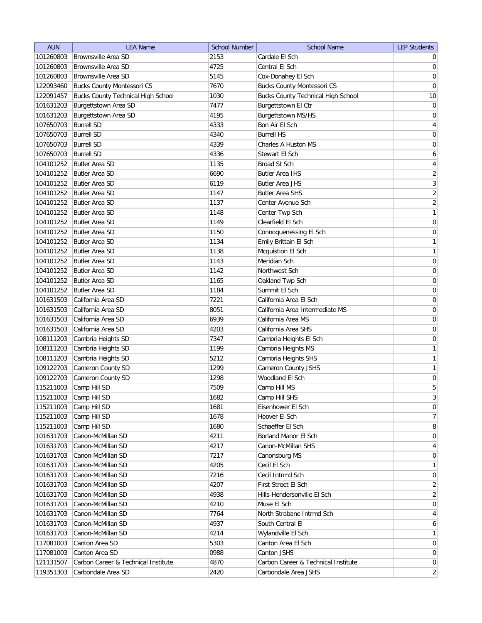| <b>AUN</b> | <b>LEA Name</b>                           | <b>School Number</b> | <b>School Name</b>                        | <b>LEP Students</b> |
|------------|-------------------------------------------|----------------------|-------------------------------------------|---------------------|
| 101260803  | <b>Brownsville Area SD</b>                | 2153                 | Cardale El Sch                            | $\overline{0}$      |
| 101260803  | Brownsville Area SD                       | 4725                 | Central El Sch                            | 0                   |
| 101260803  | <b>Brownsville Area SD</b>                | 5145                 | Cox-Donahey El Sch                        | $\overline{0}$      |
| 122093460  | <b>Bucks County Montessori CS</b>         | 7670                 | <b>Bucks County Montessori CS</b>         | $\overline{0}$      |
| 122091457  | <b>Bucks County Technical High School</b> | 1030                 | <b>Bucks County Technical High School</b> | 10                  |
| 101631203  | Burgettstown Area SD                      | 7477                 | Burgettstown El Ctr                       | 0                   |
| 101631203  | Burgettstown Area SD                      | 4195                 | Burgettstown MS/HS                        | 0                   |
| 107650703  | <b>Burrell SD</b>                         | 4333                 | Bon Air El Sch                            | $\overline{4}$      |
| 107650703  | <b>Burrell SD</b>                         | 4340                 | <b>Burrell HS</b>                         | $\boldsymbol{0}$    |
| 107650703  | <b>Burrell SD</b>                         | 4339                 | Charles A Huston MS                       | $\boldsymbol{0}$    |
| 107650703  | <b>Burrell SD</b>                         | 4336                 | Stewart El Sch                            | 6                   |
| 104101252  | <b>Butler Area SD</b>                     | 1135                 | Broad St Sch                              | 4                   |
| 104101252  | Butler Area SD                            | 6690                 | <b>Butler Area IHS</b>                    | $\overline{2}$      |
| 104101252  | Butler Area SD                            | 6119                 | <b>Butler Area JHS</b>                    | 3                   |
| 104101252  | <b>Butler Area SD</b>                     | 1147                 | <b>Butler Area SHS</b>                    | $\overline{2}$      |
| 104101252  | <b>Butler Area SD</b>                     | 1137                 | Center Avenue Sch                         | $\overline{2}$      |
| 104101252  | <b>Butler Area SD</b>                     | 1148                 | Center Twp Sch                            | 1                   |
| 104101252  | <b>Butler Area SD</b>                     | 1149                 | Clearfield El Sch                         | $\vert 0 \vert$     |
| 104101252  | <b>Butler Area SD</b>                     | 1150                 | Connoquenessing El Sch                    | 0                   |
| 104101252  | <b>Butler Area SD</b>                     | 1134                 | Emily Brittain El Sch                     | 1                   |
| 104101252  | Butler Area SD                            | 1138                 | Mcquistion El Sch                         | 1                   |
| 104101252  | <b>Butler Area SD</b>                     | 1143                 | Meridian Sch                              | $\vert 0 \vert$     |
| 104101252  | <b>Butler Area SD</b>                     | 1142                 | Northwest Sch                             | $\boldsymbol{0}$    |
| 104101252  | <b>Butler Area SD</b>                     | 1165                 | Oakland Twp Sch                           | $\boldsymbol{0}$    |
| 104101252  | <b>Butler Area SD</b>                     | 1184                 | Summit El Sch                             | $\boldsymbol{0}$    |
| 101631503  | California Area SD                        | 7221                 | California Area El Sch                    | $\boldsymbol{0}$    |
| 101631503  | California Area SD                        | 8051                 | California Area Intermediate MS           | $\boldsymbol{0}$    |
| 101631503  | California Area SD                        | 6939                 | California Area MS                        | 0                   |
| 101631503  | California Area SD                        | 4203                 | California Area SHS                       | 0                   |
| 108111203  | Cambria Heights SD                        | 7347                 | Cambria Heights El Sch                    | 0                   |
| 108111203  | Cambria Heights SD                        | 1199                 | Cambria Heights MS                        | 1                   |
| 108111203  | Cambria Heights SD                        | 5212                 | Cambria Heights SHS                       | 1                   |
| 109122703  | Cameron County SD                         | 1299                 | Cameron County JSHS                       | $\mathbf{1}$        |
| 109122703  | Cameron County SD                         | 1298                 | Woodland El Sch                           | $\boldsymbol{0}$    |
| 115211003  | Camp Hill SD                              | 7509                 | Camp Hill MS                              | 5                   |
| 115211003  | Camp Hill SD                              | 1682                 | Camp Hill SHS                             | $\frac{3}{2}$       |
| 115211003  | Camp Hill SD                              | 1681                 | Eisenhower El Sch                         | 0                   |
| 115211003  | Camp Hill SD                              | 1678                 | Hoover El Sch                             | $\overline{7}$      |
| 115211003  | Camp Hill SD                              | 1680                 | Schaeffer El Sch                          | 8                   |
| 101631703  | Canon-McMillan SD                         | 4211                 | Borland Manor El Sch                      | 0                   |
| 101631703  | Canon-McMillan SD                         | 4217                 | Canon-McMillan SHS                        | $\vert 4 \vert$     |
| 101631703  | Canon-McMillan SD                         | 7217                 | Canonsburg MS                             | 0                   |
| 101631703  | Canon-McMillan SD                         | 4205                 | Cecil El Sch                              | $\mathbf{1}$        |
| 101631703  | Canon-McMillan SD                         | 7216                 | Cecil Intrmd Sch                          | 0                   |
| 101631703  | Canon-McMillan SD                         | 4207                 | First Street El Sch                       | $\overline{2}$      |
| 101631703  | Canon-McMillan SD                         | 4938                 | Hills-Hendersonville El Sch               | $\overline{2}$      |
| 101631703  | Canon-McMillan SD                         | 4210                 | Muse El Sch                               | $\overline{0}$      |
| 101631703  | Canon-McMillan SD                         | 7764                 | North Strabane Intrmd Sch                 | $\overline{4}$      |
| 101631703  | Canon-McMillan SD                         | 4937                 | South Central El                          | $\mathbf{6}$        |
| 101631703  | Canon-McMillan SD                         | 4214                 | Wylandville El Sch                        | $\mathbf{1}$        |
| 117081003  | Canton Area SD                            | 5303                 | Canton Area El Sch                        | $\overline{0}$      |
| 117081003  | Canton Area SD                            | 0988                 | Canton JSHS                               | $\overline{0}$      |
| 121131507  | Carbon Career & Technical Institute       | 4870                 | Carbon Career & Technical Institute       | $\overline{0}$      |
| 119351303  | Carbondale Area SD                        | 2420                 | Carbondale Area JSHS                      | $\overline{2}$      |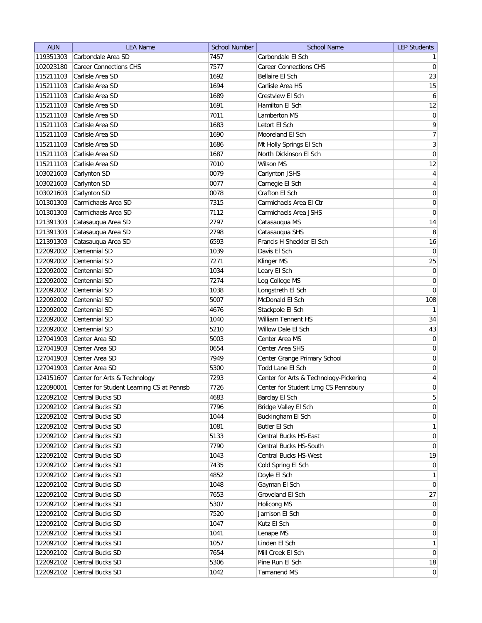| <b>AUN</b>             | <b>LEA Name</b>                          | <b>School Number</b> | <b>School Name</b>                     | <b>LEP Students</b> |
|------------------------|------------------------------------------|----------------------|----------------------------------------|---------------------|
| 119351303              | Carbondale Area SD                       | 7457                 | Carbondale El Sch                      | 1                   |
| 102023180              | <b>Career Connections CHS</b>            | 7577                 | <b>Career Connections CHS</b>          | 0                   |
| 115211103              | Carlisle Area SD                         | 1692                 | Bellaire El Sch                        | 23                  |
| 115211103              | Carlisle Area SD                         | 1694                 | Carlisle Area HS                       | 15                  |
| 115211103              | Carlisle Area SD                         | 1689                 | Crestview El Sch                       | $\boldsymbol{6}$    |
| 115211103              | Carlisle Area SD                         | 1691                 | Hamilton El Sch                        | 12                  |
| 115211103              | Carlisle Area SD                         | 7011                 | Lamberton MS                           | 0                   |
| 115211103              | Carlisle Area SD                         | 1683                 | Letort El Sch                          | 9                   |
| 115211103              | Carlisle Area SD                         | 1690                 | Mooreland El Sch                       | $\overline{7}$      |
| 115211103              | Carlisle Area SD                         | 1686                 | Mt Holly Springs El Sch                | $\overline{3}$      |
| 115211103              | Carlisle Area SD                         | 1687                 | North Dickinson El Sch                 | 0                   |
| 115211103              | Carlisle Area SD                         | 7010                 | Wilson MS                              | 12                  |
| 103021603              | Carlynton SD                             | 0079                 | Carlynton JSHS                         | 4                   |
| 103021603              | Carlynton SD                             | 0077                 | Carnegie El Sch                        | 4                   |
| 103021603              | Carlynton SD                             | 0078                 | Crafton El Sch                         | 0                   |
| 101301303              | Carmichaels Area SD                      | 7315                 | Carmichaels Area El Ctr                | 0                   |
| 101301303              | Carmichaels Area SD                      | 7112                 | Carmichaels Area JSHS                  | 0                   |
| 121391303              | Catasauqua Area SD                       | 2797                 | Catasauqua MS                          | 14                  |
| 121391303              | Catasauqua Area SD                       | 2798                 | Catasauqua SHS                         | 8                   |
| 121391303              | Catasauqua Area SD                       | 6593                 | Francis H Sheckler El Sch              | 16                  |
| 122092002              | Centennial SD                            | 1039                 | Davis El Sch                           | $\overline{0}$      |
| 122092002              | Centennial SD                            | 7271                 | Klinger MS                             | 25                  |
| 122092002              | Centennial SD                            | 1034                 | Leary El Sch                           | $\vert 0 \vert$     |
| 122092002              | Centennial SD                            | 7274                 | Log College MS                         | $\boldsymbol{0}$    |
| 122092002              | Centennial SD                            | 1038                 | Longstreth El Sch                      | $\vert 0 \vert$     |
| 122092002              | Centennial SD                            | 5007                 | McDonald El Sch                        | 108                 |
| 122092002              | Centennial SD                            | 4676                 | Stackpole El Sch                       | 1                   |
| 122092002              | Centennial SD                            | 1040                 | William Tennent HS                     | 34                  |
| 122092002              | Centennial SD                            | 5210                 | Willow Dale El Sch                     | 43                  |
| 127041903              | Center Area SD                           | 5003                 | Center Area MS                         | 0                   |
| 127041903              | Center Area SD                           | 0654                 | Center Area SHS                        | 0                   |
| 127041903              | Center Area SD                           | 7949                 | Center Grange Primary School           | 0                   |
| 127041903              | Center Area SD                           | 5300                 | Todd Lane El Sch                       | $\boldsymbol{0}$    |
| 124151607              | Center for Arts & Technology             | 7293                 | Center for Arts & Technology-Pickering | $\overline{4}$      |
| 122090001              | Center for Student Learning CS at Pennsb | 7726                 | Center for Student Lrng CS Pennsbury   | $\overline{0}$      |
| 122092102              | Central Bucks SD                         | 4683                 | Barclay El Sch                         | 5                   |
| 122092102              | Central Bucks SD                         | 7796                 | Bridge Valley El Sch                   | 0                   |
| 122092102              | Central Bucks SD                         | 1044                 | Buckingham El Sch                      | $\vert 0 \vert$     |
| 122092102              | Central Bucks SD                         | 1081                 | <b>Butler El Sch</b>                   | $\mathbf{1}$        |
| 122092102              | Central Bucks SD                         | 5133                 | Central Bucks HS-East                  | $\overline{0}$      |
| 122092102              | Central Bucks SD                         | 7790                 | Central Bucks HS-South                 | $\overline{0}$      |
| 122092102              | Central Bucks SD                         | 1043                 | Central Bucks HS-West                  | 19                  |
| 122092102              | Central Bucks SD                         | 7435                 | Cold Spring El Sch                     | $\overline{0}$      |
| 122092102              | Central Bucks SD                         | 4852                 | Doyle El Sch                           | $\mathbf{1}$        |
| 122092102              | Central Bucks SD                         | 1048                 | Gayman El Sch                          | $\overline{0}$      |
|                        | Central Bucks SD                         | 7653                 | Groveland El Sch                       | 27                  |
| 122092102<br>122092102 | Central Bucks SD                         | 5307                 | Holicong MS                            | $\overline{0}$      |
| 122092102              | Central Bucks SD                         | 7520                 | Jamison El Sch                         | $\overline{0}$      |
| 122092102              | Central Bucks SD                         | 1047                 | Kutz El Sch                            | $\overline{0}$      |
| 122092102              | Central Bucks SD                         | 1041                 | Lenape MS                              | $\overline{0}$      |
| 122092102              | Central Bucks SD                         | 1057                 | Linden El Sch                          | 1                   |
| 122092102              | Central Bucks SD                         | 7654                 | Mill Creek El Sch                      | $\overline{0}$      |
| 122092102              | Central Bucks SD                         | 5306                 | Pine Run El Sch                        | 18                  |
| 122092102              | Central Bucks SD                         | 1042                 | Tamanend MS                            | 0                   |
|                        |                                          |                      |                                        |                     |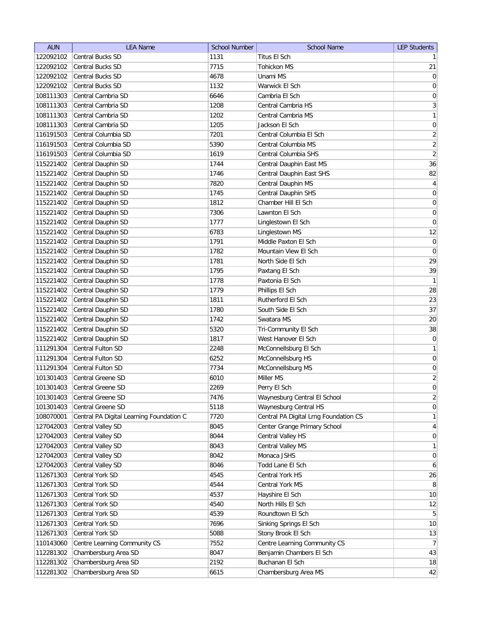| <b>AUN</b> | <b>LEA Name</b>                          | <b>School Number</b> | <b>School Name</b>                    | <b>LEP Students</b> |
|------------|------------------------------------------|----------------------|---------------------------------------|---------------------|
| 122092102  | Central Bucks SD                         | 1131                 | Titus El Sch                          | 1                   |
| 122092102  | <b>Central Bucks SD</b>                  | 7715                 | <b>Tohickon MS</b>                    | 21                  |
| 122092102  | Central Bucks SD                         | 4678                 | Unami MS                              | 0                   |
| 122092102  | <b>Central Bucks SD</b>                  | 1132                 | Warwick El Sch                        | 0                   |
| 108111303  | Central Cambria SD                       | 6646                 | Cambria El Sch                        | 0                   |
| 108111303  | Central Cambria SD                       | 1208                 | Central Cambria HS                    | $3\vert$            |
| 108111303  | Central Cambria SD                       | 1202                 | Central Cambria MS                    | 1                   |
| 108111303  | Central Cambria SD                       | 1205                 | Jackson El Sch                        | $\boldsymbol{0}$    |
| 116191503  | Central Columbia SD                      | 7201                 | Central Columbia El Sch               | $\overline{2}$      |
| 116191503  | Central Columbia SD                      | 5390                 | Central Columbia MS                   | $\overline{2}$      |
| 116191503  | Central Columbia SD                      | 1619                 | Central Columbia SHS                  | $\overline{2}$      |
| 115221402  | Central Dauphin SD                       | 1744                 | Central Dauphin East MS               | 36                  |
| 115221402  | Central Dauphin SD                       | 1746                 | Central Dauphin East SHS              | 82                  |
| 115221402  | Central Dauphin SD                       | 7820                 | Central Dauphin MS                    | $\overline{4}$      |
| 115221402  | Central Dauphin SD                       | 1745                 | Central Dauphin SHS                   | $\boldsymbol{0}$    |
| 115221402  | Central Dauphin SD                       | 1812                 | Chamber Hill El Sch                   | $\boldsymbol{0}$    |
| 115221402  | Central Dauphin SD                       | 7306                 | Lawnton El Sch                        | $\vert 0 \vert$     |
| 115221402  | Central Dauphin SD                       | 1777                 | Linglestown El Sch                    | $\vert 0 \vert$     |
| 115221402  | Central Dauphin SD                       | 6783                 | Linglestown MS                        | 12                  |
| 115221402  | Central Dauphin SD                       | 1791                 | Middle Paxton El Sch                  | $\vert 0 \vert$     |
| 115221402  | Central Dauphin SD                       | 1782                 | Mountain View El Sch                  | $\boldsymbol{0}$    |
| 115221402  | Central Dauphin SD                       | 1781                 | North Side El Sch                     | 29                  |
| 115221402  | Central Dauphin SD                       | 1795                 | Paxtang El Sch                        | 39                  |
| 115221402  | Central Dauphin SD                       | 1778                 | Paxtonia El Sch                       | $\mathbf{1}$        |
| 115221402  | Central Dauphin SD                       | 1779                 | Phillips El Sch                       | 28                  |
| 115221402  | Central Dauphin SD                       | 1811                 | Rutherford El Sch                     | 23                  |
| 115221402  | Central Dauphin SD                       | 1780                 | South Side El Sch                     | 37                  |
| 115221402  | Central Dauphin SD                       | 1742                 | Swatara MS                            | $20\,$              |
| 115221402  | Central Dauphin SD                       | 5320                 | Tri-Community El Sch                  | 38                  |
| 115221402  | Central Dauphin SD                       | 1817                 | West Hanover El Sch                   | $\pmb{0}$           |
| 111291304  | Central Fulton SD                        | 2248                 | McConnellsburg El Sch                 | $\mathbf{1}$        |
| 111291304  | Central Fulton SD                        | 6252                 | McConnellsburg HS                     | $\boldsymbol{0}$    |
| 111291304  | <b>Central Fulton SD</b>                 | 7734                 | McConnellsburg MS                     | $\boldsymbol{0}$    |
| 101301403  | Central Greene SD                        | 6010                 | Miller MS                             | $\overline{2}$      |
| 101301403  | Central Greene SD                        | 2269                 | Perry El Sch                          | $\overline{0}$      |
| 101301403  | Central Greene SD                        | 7476                 | Waynesburg Central El School          | $\overline{2}$      |
| 101301403  | <b>Central Greene SD</b>                 | 5118                 | Waynesburg Central HS                 | 0                   |
| 108070001  | Central PA Digital Learning Foundation C | 7720                 | Central PA Digital Lrng Foundation CS | $\mathbf{1}$        |
| 127042003  | Central Valley SD                        | 8045                 | Center Grange Primary School          | $\vert 4 \vert$     |
| 127042003  | Central Valley SD                        | 8044                 | Central Valley HS                     | $\overline{0}$      |
| 127042003  | Central Valley SD                        | 8043                 | Central Valley MS                     | $\mathbf{1}$        |
| 127042003  | Central Valley SD                        | 8042                 | Monaca JSHS                           | $\overline{0}$      |
| 127042003  | Central Valley SD                        | 8046                 | Todd Lane El Sch                      | $6 \mid$            |
| 112671303  | Central York SD                          | 4545                 | Central York HS                       | 26                  |
| 112671303  | Central York SD                          | 4544                 | Central York MS                       | 8                   |
| 112671303  | Central York SD                          | 4537                 | Hayshire El Sch                       | 10                  |
| 112671303  | Central York SD                          | 4540                 | North Hills El Sch                    | 12                  |
| 112671303  | Central York SD                          | 4539                 | Roundtown El Sch                      | 5 <sup>2</sup>      |
| 112671303  | Central York SD                          | 7696                 | Sinking Springs El Sch                | 10                  |
| 112671303  | Central York SD                          | 5088                 | Stony Brook El Sch                    | 13                  |
| 110143060  | Centre Learning Community CS             | 7552                 | Centre Learning Community CS          | 7                   |
| 112281302  | Chambersburg Area SD                     | 8047                 | Benjamin Chambers El Sch              | 43                  |
| 112281302  | Chambersburg Area SD                     | 2192                 | Buchanan El Sch                       | 18                  |
| 112281302  | Chambersburg Area SD                     | 6615                 | Chambersburg Area MS                  | 42                  |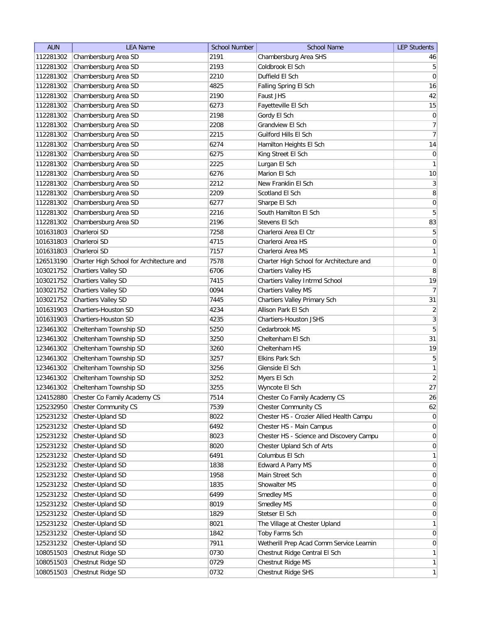| <b>AUN</b> | <b>LEA Name</b>                                  | <b>School Number</b> | <b>School Name</b>                                                      | <b>LEP Students</b>          |
|------------|--------------------------------------------------|----------------------|-------------------------------------------------------------------------|------------------------------|
| 112281302  | Chambersburg Area SD                             | 2191                 | Chambersburg Area SHS                                                   | 46                           |
| 112281302  | Chambersburg Area SD                             | 2193                 | Coldbrook El Sch                                                        | 5 <sup>2</sup>               |
| 112281302  | Chambersburg Area SD                             | 2210                 | Duffield El Sch                                                         | 0                            |
| 112281302  | Chambersburg Area SD                             | 4825                 | Falling Spring El Sch                                                   | 16                           |
| 112281302  | Chambersburg Area SD                             | 2190                 | Faust JHS                                                               | 42                           |
| 112281302  | Chambersburg Area SD                             | 6273                 | Fayetteville El Sch                                                     | 15                           |
| 112281302  | Chambersburg Area SD                             | 2198                 | Gordy El Sch                                                            | $\vert 0 \vert$              |
| 112281302  | Chambersburg Area SD                             | 2208                 | Grandview El Sch                                                        | 7                            |
| 112281302  | Chambersburg Area SD                             | 2215                 | Guilford Hills El Sch                                                   | $\overline{7}$               |
| 112281302  | Chambersburg Area SD                             | 6274                 | Hamilton Heights El Sch                                                 | 14                           |
| 112281302  | Chambersburg Area SD                             | 6275                 | King Street El Sch                                                      | $\overline{0}$               |
| 112281302  | Chambersburg Area SD                             | 2225                 | Lurgan El Sch                                                           | 1                            |
| 112281302  | Chambersburg Area SD                             | 6276                 | Marion El Sch                                                           | 10                           |
| 112281302  | Chambersburg Area SD                             | 2212                 | New Franklin El Sch                                                     | $\mathbf{3}$                 |
| 112281302  | Chambersburg Area SD                             | 2209                 | Scotland El Sch                                                         | 8                            |
| 112281302  | Chambersburg Area SD                             | 6277                 | Sharpe El Sch                                                           | $\overline{0}$               |
| 112281302  | Chambersburg Area SD                             | 2216                 | South Hamilton El Sch                                                   | 5                            |
| 112281302  | Chambersburg Area SD                             | 2196                 | Stevens El Sch                                                          | 83                           |
| 101631803  | Charleroi SD                                     | 7258                 | Charleroi Area El Ctr                                                   | $5\vert$                     |
| 101631803  | Charleroi SD                                     | 4715                 | Charleroi Area HS                                                       | 0                            |
| 101631803  | Charleroi SD                                     | 7157                 | Charleroi Area MS                                                       | 1                            |
| 126513190  | Charter High School for Architecture and         | 7578                 | Charter High School for Architecture and                                | 0                            |
| 103021752  | <b>Chartiers Valley SD</b>                       | 6706                 | Chartiers Valley HS                                                     | $\, 8$                       |
| 103021752  | <b>Chartiers Valley SD</b>                       | 7415                 | Chartiers Valley Intrmd School                                          | 19                           |
| 103021752  | <b>Chartiers Valley SD</b>                       | 0094                 | Chartiers Valley MS                                                     | 7                            |
| 103021752  | <b>Chartiers Valley SD</b>                       | 7445                 | Chartiers Valley Primary Sch                                            | 31                           |
| 101631903  | Chartiers-Houston SD                             | 4234                 | Allison Park El Sch                                                     | $\overline{2}$               |
| 101631903  | <b>Chartiers-Houston SD</b>                      | 4235                 | Chartiers-Houston JSHS                                                  | 3                            |
| 123461302  |                                                  | 5250                 | Cedarbrook MS                                                           | $\overline{5}$               |
| 123461302  | Cheltenham Township SD                           | 3250                 | Cheltenham El Sch                                                       | 31                           |
| 123461302  | Cheltenham Township SD<br>Cheltenham Township SD | 3260                 | Cheltenham HS                                                           | 19                           |
| 123461302  |                                                  | 3257                 | <b>Elkins Park Sch</b>                                                  |                              |
| 123461302  | Cheltenham Township SD                           | 3256                 | Glenside El Sch                                                         | 5<br>1                       |
| 123461302  | Cheltenham Township SD                           | 3252                 |                                                                         | $\left  \frac{2}{2} \right $ |
|            | Cheltenham Township SD                           |                      | Myers El Sch                                                            | 27                           |
| 123461302  | Cheltenham Township SD                           | 3255                 | Wyncote El Sch                                                          |                              |
| 124152880  | Chester Co Family Academy CS                     | 7514                 | Chester Co Family Academy CS                                            | 26                           |
| 125232950  | Chester Community CS                             | 7539                 | <b>Chester Community CS</b><br>Chester HS - Crozier Allied Health Campu | 62                           |
| 125231232  | Chester-Upland SD                                | 8022                 |                                                                         | 0 <br>$\overline{0}$         |
| 125231232  | Chester-Upland SD                                | 6492                 | Chester HS - Main Campus                                                |                              |
| 125231232  | Chester-Upland SD                                | 8023                 | Chester HS - Science and Discovery Campu                                | $\overline{0}$               |
| 125231232  | Chester-Upland SD                                | 8020                 | Chester Upland Sch of Arts                                              | $\overline{0}$               |
| 125231232  | Chester-Upland SD                                | 6491                 | Columbus El Sch                                                         | $\mathbf{1}$                 |
| 125231232  | Chester-Upland SD                                | 1838                 | Edward A Parry MS                                                       | $\overline{0}$               |
| 125231232  | Chester-Upland SD                                | 1958                 | Main Street Sch                                                         | $\overline{0}$               |
| 125231232  | Chester-Upland SD                                | 1835                 | Showalter MS                                                            | $\overline{0}$               |
| 125231232  | Chester-Upland SD                                | 6499                 | Smedley MS                                                              | $\overline{0}$               |
| 125231232  | Chester-Upland SD                                | 8019                 | Smedley MS                                                              | $\overline{0}$               |
| 125231232  | Chester-Upland SD                                | 1829                 | Stetser El Sch                                                          | $\overline{0}$               |
| 125231232  | Chester-Upland SD                                | 8021                 | The Village at Chester Upland                                           | $\mathbf{1}$                 |
| 125231232  | Chester-Upland SD                                | 1842                 | Toby Farms Sch                                                          | $\overline{0}$               |
| 125231232  | Chester-Upland SD                                | 7911                 | Wetherill Prep Acad Comm Service Learnin                                | $\overline{0}$               |
| 108051503  | Chestnut Ridge SD                                | 0730                 | Chestnut Ridge Central El Sch                                           | 1                            |
| 108051503  | Chestnut Ridge SD                                | 0729                 | Chestnut Ridge MS                                                       | 1                            |
| 108051503  | Chestnut Ridge SD                                | 0732                 | Chestnut Ridge SHS                                                      | 1                            |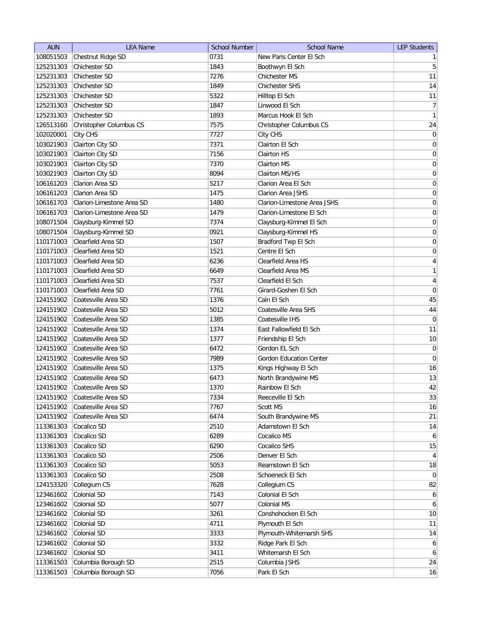| <b>AUN</b> | <b>LEA Name</b>           | <b>School Number</b> | <b>School Name</b>             | <b>LEP Students</b> |
|------------|---------------------------|----------------------|--------------------------------|---------------------|
| 108051503  | Chestnut Ridge SD         | 0731                 | New Paris Center El Sch        | 1                   |
| 125231303  | Chichester SD             | 1843                 | Boothwyn El Sch                | 5 <sup>1</sup>      |
| 125231303  | Chichester SD             | 7276                 | Chichester MS                  | 11                  |
| 125231303  | Chichester SD             | 1849                 | Chichester SHS                 | 14                  |
| 125231303  | Chichester SD             | 5322                 | Hilltop El Sch                 | 11                  |
| 125231303  | Chichester SD             | 1847                 | Linwood El Sch                 | 7                   |
| 125231303  | Chichester SD             | 1893                 | Marcus Hook El Sch             | $\mathbf{1}$        |
| 126513160  | Christopher Columbus CS   | 7575                 | Christopher Columbus CS        | 24                  |
| 102020001  | City CHS                  | 7727                 | City CHS                       | $\vert 0 \vert$     |
| 103021903  | Clairton City SD          | 7371                 | Clairton El Sch                | $\boldsymbol{0}$    |
| 103021903  | Clairton City SD          | 7156                 | <b>Clairton HS</b>             | 0                   |
| 103021903  | Clairton City SD          | 7370                 | Clairton MS                    | 0                   |
| 103021903  | Clairton City SD          | 8094                 | Clairton MS/HS                 | 0                   |
| 106161203  | Clarion Area SD           | 5217                 | Clarion Area El Sch            | 0                   |
| 106161203  | Clarion Area SD           | 1475                 | Clarion Area JSHS              | 0                   |
| 106161703  | Clarion-Limestone Area SD | 1480                 | Clarion-Limestone Area JSHS    | 0                   |
| 106161703  | Clarion-Limestone Area SD | 1479                 | Clarion-Limestone El Sch       | $\boldsymbol{0}$    |
| 108071504  | Claysburg-Kimmel SD       | 7374                 | Claysburg-Kimmel El Sch        | $\boldsymbol{0}$    |
| 108071504  | Claysburg-Kimmel SD       | 0921                 | Claysburg-Kimmel HS            | $\vert 0 \vert$     |
| 110171003  | Clearfield Area SD        | 1507                 | Bradford Twp El Sch            | 0                   |
| 110171003  | Clearfield Area SD        | 1521                 | Centre El Sch                  | $\boldsymbol{0}$    |
| 110171003  | Clearfield Area SD        | 6236                 | Clearfield Area HS             | $\overline{4}$      |
| 110171003  | Clearfield Area SD        | 6649                 | Clearfield Area MS             | 1                   |
| 110171003  | Clearfield Area SD        | 7537                 | Clearfield El Sch              | $\overline{4}$      |
| 110171003  | Clearfield Area SD        | 7761                 | Girard-Goshen El Sch           | $\boldsymbol{0}$    |
| 124151902  | Coatesville Area SD       | 1376                 | Caln El Sch                    | 45                  |
| 124151902  | Coatesville Area SD       | 5012                 | Coatesville Area SHS           | 44                  |
| 124151902  | Coatesville Area SD       | 1385                 | Coatesville IHS                | $\overline{0}$      |
| 124151902  | Coatesville Area SD       | 1374                 | East Fallowfield El Sch        | 11                  |
| 124151902  | Coatesville Area SD       | 1377                 | Friendship El Sch              | 10                  |
| 124151902  | Coatesville Area SD       | 6472                 | Gordon EL Sch                  | $\overline{0}$      |
| 124151902  | Coatesville Area SD       | 7989                 | <b>Gordon Education Center</b> | $\overline{0}$      |
| 124151902  | Coatesville Area SD       | 1375                 | Kings Highway El Sch           | 16                  |
| 124151902  | Coatesville Area SD       | 6473                 | North Brandywine MS            | 13                  |
| 124151902  | Coatesville Area SD       | 1370                 | Rainbow El Sch                 | 42                  |
| 124151902  | Coatesville Area SD       | 7334                 | Reeceville El Sch              | 33                  |
| 124151902  | Coatesville Area SD       | 7767                 | Scott MS                       | 16                  |
| 124151902  | Coatesville Area SD       | 6474                 | South Brandywine MS            | 21                  |
| 113361303  | Cocalico SD               | 2510                 | Adamstown El Sch               | 14                  |
| 113361303  | Cocalico SD               | 6289                 | Cocalico MS                    | 6                   |
| 113361303  | Cocalico SD               | 6290                 | Cocalico SHS                   | 15                  |
| 113361303  | Cocalico SD               | 2506                 | Denver El Sch                  | $\vert 4 \vert$     |
| 113361303  | Cocalico SD               | 5053                 | Reamstown El Sch               | 18                  |
| 113361303  | Cocalico SD               | 2508                 | Schoeneck El Sch               | $\overline{0}$      |
| 124153320  | Collegium CS              | 7628                 | Collegium CS                   | 82                  |
| 123461602  | Colonial SD               | 7143                 | Colonial El Sch                | $6 \mid$            |
| 123461602  | Colonial SD               | 5077                 | Colonial MS                    | 6                   |
| 123461602  | Colonial SD               | 3261                 | Conshohocken El Sch            | 10                  |
| 123461602  | Colonial SD               | 4711                 | Plymouth El Sch                | 11                  |
| 123461602  | Colonial SD               | 3333                 | Plymouth-Whitemarsh SHS        | 14                  |
| 123461602  | Colonial SD               | 3332                 | Ridge Park El Sch              | $6 \mid$            |
| 123461602  | Colonial SD               | 3411                 | Whitemarsh El Sch              | $6 \mid$            |
| 113361503  | Columbia Borough SD       | 2515                 | Columbia JSHS                  | 24                  |
| 113361503  | Columbia Borough SD       | 7056                 | Park El Sch                    | 16                  |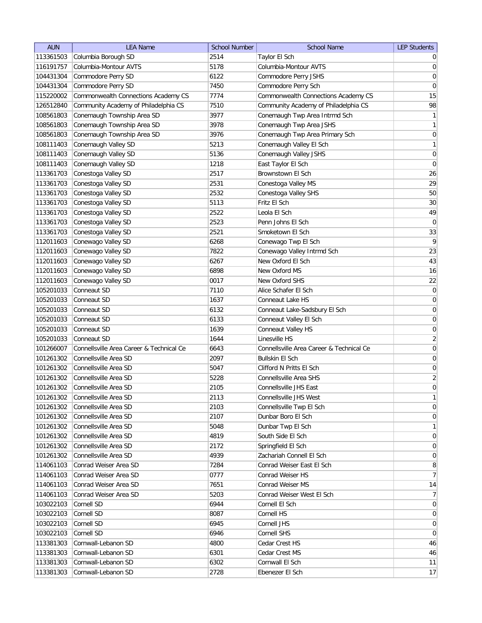| <b>AUN</b> | <b>LEA Name</b>                          | <b>School Number</b> | <b>School Name</b>                       | <b>LEP Students</b> |
|------------|------------------------------------------|----------------------|------------------------------------------|---------------------|
| 113361503  | Columbia Borough SD                      | 2514                 | Taylor El Sch                            | $\overline{0}$      |
| 116191757  | Columbia-Montour AVTS                    | 5178                 | Columbia-Montour AVTS                    | 0                   |
| 104431304  | Commodore Perry SD                       | 6122                 | Commodore Perry JSHS                     | 0                   |
| 104431304  | Commodore Perry SD                       | 7450                 | Commodore Perry Sch                      | $\boldsymbol{0}$    |
| 115220002  | Commonwealth Connections Academy CS      | 7774                 | Commonwealth Connections Academy CS      | 15                  |
| 126512840  | Community Academy of Philadelphia CS     | 7510                 | Community Academy of Philadelphia CS     | 98                  |
| 108561803  | Conemaugh Township Area SD               | 3977                 | Conemaugh Twp Area Intrmd Sch            | $\mathbf{1}$        |
| 108561803  | Conemaugh Township Area SD               | 3978                 | Conemaugh Twp Area JSHS                  | $\mathbf{1}$        |
| 108561803  | Conemaugh Township Area SD               | 3976                 | Conemaugh Twp Area Primary Sch           | 0                   |
| 108111403  | Conemaugh Valley SD                      | 5213                 | Conemaugh Valley El Sch                  | $\mathbf{1}$        |
| 108111403  | Conemaugh Valley SD                      | 5136                 | Conemaugh Valley JSHS                    | 0                   |
| 108111403  | Conemaugh Valley SD                      | 1218                 | East Taylor El Sch                       | $\overline{0}$      |
| 113361703  | Conestoga Valley SD                      | 2517                 | Brownstown El Sch                        | 26                  |
| 113361703  | Conestoga Valley SD                      | 2531                 | Conestoga Valley MS                      | 29                  |
| 113361703  | Conestoga Valley SD                      | 2532                 | Conestoga Valley SHS                     | 50                  |
| 113361703  | Conestoga Valley SD                      | 5113                 | Fritz El Sch                             | 30                  |
| 113361703  | Conestoga Valley SD                      | 2522                 | Leola El Sch                             | 49                  |
| 113361703  | Conestoga Valley SD                      | 2523                 | Penn Johns El Sch                        | 0                   |
| 113361703  | Conestoga Valley SD                      | 2521                 | Smoketown El Sch                         | 33                  |
| 112011603  | Conewago Valley SD                       | 6268                 | Conewago Twp El Sch                      | 9                   |
| 112011603  | Conewago Valley SD                       | 7822                 | Conewago Valley Intrmd Sch               | 23                  |
| 112011603  | Conewago Valley SD                       | 6267                 | New Oxford El Sch                        | 43                  |
| 112011603  | Conewago Valley SD                       | 6898                 | New Oxford MS                            | 16                  |
| 112011603  | Conewago Valley SD                       | 0017                 | New Oxford SHS                           | 22                  |
| 105201033  | Conneaut SD                              | 7110                 | Alice Schafer El Sch                     | $\vert 0 \vert$     |
| 105201033  | Conneaut SD                              | 1637                 | Conneaut Lake HS                         | $\overline{0}$      |
| 105201033  | Conneaut SD                              | 6132                 | Conneaut Lake-Sadsbury El Sch            | $\boldsymbol{0}$    |
| 105201033  | Conneaut SD                              | 6133                 | Conneaut Valley El Sch                   | 0                   |
| 105201033  | Conneaut SD                              | 1639                 | Conneaut Valley HS                       | 0                   |
| 105201033  | Conneaut SD                              | 1644                 | Linesville HS                            | $\overline{2}$      |
| 101266007  | Connellsville Area Career & Technical Ce | 6643                 | Connellsville Area Career & Technical Ce | $\overline{0}$      |
| 101261302  | Connellsville Area SD                    | 2097                 | <b>Bullskin El Sch</b>                   | $\overline{0}$      |
| 101261302  | Connellsville Area SD                    | 5047                 | Clifford N Pritts El Sch                 | $\boldsymbol{0}$    |
| 101261302  | Connellsville Area SD                    | 5228                 | Connellsville Area SHS                   | $\overline{2}$      |
| 101261302  | Connellsville Area SD                    | 2105                 | Connellsville JHS East                   | $\overline{0}$      |
| 101261302  | Connellsville Area SD                    | 2113                 | Connellsville JHS West                   | 1                   |
| 101261302  | Connellsville Area SD                    | 2103                 | Connellsville Twp El Sch                 | $\vert 0 \vert$     |
| 101261302  | Connellsville Area SD                    | 2107                 | Dunbar Boro El Sch                       | 0                   |
| 101261302  | Connellsville Area SD                    | 5048                 | Dunbar Twp El Sch                        | $\mathbf{1}$        |
| 101261302  | Connellsville Area SD                    | 4819                 | South Side El Sch                        | $\overline{0}$      |
| 101261302  | Connellsville Area SD                    | 2172                 | Springfield El Sch                       | 0                   |
| 101261302  | Connellsville Area SD                    | 4939                 | Zachariah Connell El Sch                 | 0                   |
| 114061103  | Conrad Weiser Area SD                    | 7284                 | Conrad Weiser East El Sch                | 8                   |
| 114061103  | Conrad Weiser Area SD                    | 0777                 | Conrad Weiser HS                         | 7                   |
| 114061103  | Conrad Weiser Area SD                    | 7651                 | Conrad Weiser MS                         | 14                  |
| 114061103  | Conrad Weiser Area SD                    | 5203                 | Conrad Weiser West El Sch                | 7 <sup>1</sup>      |
| 103022103  | Cornell SD                               | 6944                 | Cornell El Sch                           | $\overline{0}$      |
| 103022103  | Cornell SD                               | 8087                 | Cornell HS                               | $\overline{0}$      |
| 103022103  | Cornell SD                               | 6945                 | Cornell JHS                              | $\overline{0}$      |
| 103022103  | Cornell SD                               | 6946                 | Cornell SHS                              | $\overline{0}$      |
| 113381303  | Cornwall-Lebanon SD                      | 4800                 | Cedar Crest HS                           | 46                  |
| 113381303  | Cornwall-Lebanon SD                      | 6301                 | Cedar Crest MS                           | 46                  |
| 113381303  | Cornwall-Lebanon SD                      | 6302                 | Cornwall El Sch                          | 11                  |
| 113381303  | Cornwall-Lebanon SD                      | 2728                 | Ebenezer El Sch                          | 17                  |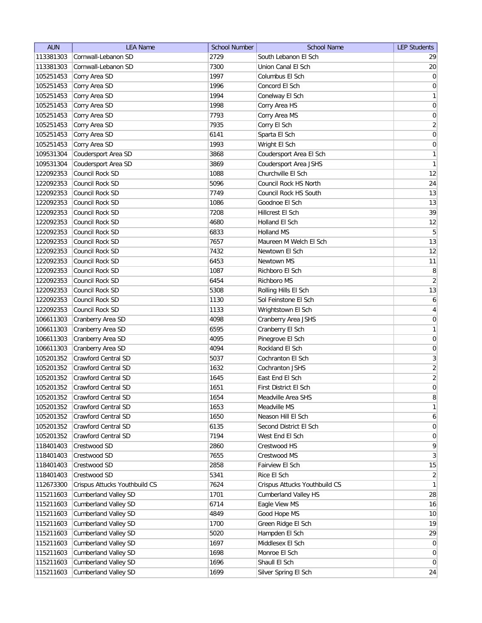| <b>AUN</b> | <b>LEA Name</b>               | <b>School Number</b> | <b>School Name</b>            | <b>LEP Students</b> |
|------------|-------------------------------|----------------------|-------------------------------|---------------------|
| 113381303  | Cornwall-Lebanon SD           | 2729                 | South Lebanon El Sch          | 29                  |
| 113381303  | Cornwall-Lebanon SD           | 7300                 | Union Canal El Sch            | 20                  |
| 105251453  | Corry Area SD                 | 1997                 | Columbus El Sch               | 0                   |
| 105251453  | Corry Area SD                 | 1996                 | Concord El Sch                | $\boldsymbol{0}$    |
| 105251453  | Corry Area SD                 | 1994                 | Conelway El Sch               | 1                   |
| 105251453  | Corry Area SD                 | 1998                 | Corry Area HS                 | 0                   |
| 105251453  | Corry Area SD                 | 7793                 | Corry Area MS                 | 0                   |
| 105251453  | Corry Area SD                 | 7935                 | Corry El Sch                  | $\overline{2}$      |
| 105251453  | Corry Area SD                 | 6141                 | Sparta El Sch                 | $\boldsymbol{0}$    |
| 105251453  | Corry Area SD                 | 1993                 | Wright El Sch                 | $\boldsymbol{0}$    |
| 109531304  | Coudersport Area SD           | 3868                 | Coudersport Area El Sch       | $\mathbf{1}$        |
| 109531304  | Coudersport Area SD           | 3869                 | Coudersport Area JSHS         | $\mathbf{1}$        |
| 122092353  | Council Rock SD               | 1088                 | Churchville El Sch            | 12                  |
| 122092353  | Council Rock SD               | 5096                 | Council Rock HS North         | 24                  |
| 122092353  | Council Rock SD               | 7749                 | Council Rock HS South         | 13                  |
| 122092353  | Council Rock SD               | 1086                 | Goodnoe El Sch                | 13                  |
| 122092353  | Council Rock SD               | 7208                 | Hillcrest El Sch              | 39                  |
| 122092353  | Council Rock SD               | 4680                 | Holland El Sch                | 12                  |
| 122092353  | Council Rock SD               | 6833                 | Holland MS                    | 5                   |
| 122092353  | Council Rock SD               | 7657                 | Maureen M Welch El Sch        | 13                  |
| 122092353  | Council Rock SD               | 7432                 | Newtown El Sch                | 12                  |
| 122092353  | Council Rock SD               | 6453                 | Newtown MS                    | 11                  |
| 122092353  | Council Rock SD               | 1087                 | Richboro El Sch               | 8                   |
| 122092353  | Council Rock SD               | 6454                 | Richboro MS                   | $\overline{2}$      |
| 122092353  | Council Rock SD               | 5308                 | Rolling Hills El Sch          | 13                  |
| 122092353  | Council Rock SD               | 1130                 | Sol Feinstone El Sch          | 6                   |
| 122092353  | Council Rock SD               | 1133                 | Wrightstown El Sch            | $\overline{4}$      |
| 106611303  | Cranberry Area SD             | 4098                 | Cranberry Area JSHS           | 0                   |
| 106611303  | Cranberry Area SD             | 6595                 | Cranberry El Sch              | 1                   |
| 106611303  | Cranberry Area SD             | 4095                 | Pinegrove El Sch              | $\boldsymbol{0}$    |
| 106611303  | Cranberry Area SD             | 4094                 | Rockland El Sch               | 0                   |
| 105201352  | Crawford Central SD           | 5037                 | Cochranton El Sch             | 3                   |
| 105201352  | Crawford Central SD           | 1632                 | Cochranton JSHS               | $\overline{2}$      |
| 105201352  | <b>Crawford Central SD</b>    | 1645                 | East End El Sch               | $\overline{2}$      |
| 105201352  | <b>Crawford Central SD</b>    | 1651                 | First District El Sch         | $\overline{0}$      |
| 105201352  | Crawford Central SD           | 1654                 | Meadville Area SHS            | 8 <sup>2</sup>      |
| 105201352  | Crawford Central SD           | 1653                 | Meadville MS                  | 1                   |
| 105201352  | Crawford Central SD           | 1650                 | Neason Hill El Sch            | $6 \mid$            |
| 105201352  | Crawford Central SD           | 6135                 | Second District El Sch        | 0                   |
| 105201352  | Crawford Central SD           | 7194                 | West End El Sch               | $\overline{0}$      |
| 118401403  | Crestwood SD                  | 2860                 | Crestwood HS                  | $\vert 9 \vert$     |
| 118401403  | Crestwood SD                  | 7655                 | Crestwood MS                  | 3                   |
| 118401403  | Crestwood SD                  | 2858                 | Fairview El Sch               | 15                  |
| 118401403  | Crestwood SD                  | 5341                 | Rice El Sch                   | $\overline{2}$      |
| 112673300  | Crispus Attucks Youthbuild CS | 7624                 | Crispus Attucks Youthbuild CS | 1                   |
| 115211603  | <b>Cumberland Valley SD</b>   | 1701                 | <b>Cumberland Valley HS</b>   | 28                  |
| 115211603  | Cumberland Valley SD          | 6714                 | Eagle View MS                 | 16                  |
| 115211603  | <b>Cumberland Valley SD</b>   | 4849                 | Good Hope MS                  | 10                  |
| 115211603  | <b>Cumberland Valley SD</b>   | 1700                 | Green Ridge El Sch            | 19                  |
| 115211603  | <b>Cumberland Valley SD</b>   | 5020                 | Hampden El Sch                | 29                  |
| 115211603  | <b>Cumberland Valley SD</b>   | 1697                 | Middlesex El Sch              | $\overline{0}$      |
| 115211603  | <b>Cumberland Valley SD</b>   | 1698                 | Monroe El Sch                 | 0                   |
| 115211603  | <b>Cumberland Valley SD</b>   | 1696                 | Shaull El Sch                 | $\overline{0}$      |
| 115211603  | <b>Cumberland Valley SD</b>   | 1699                 | Silver Spring El Sch          | 24                  |
|            |                               |                      |                               |                     |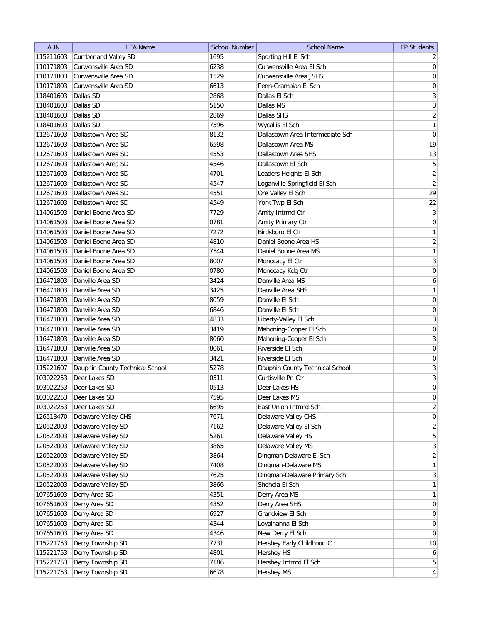| <b>AUN</b> | <b>LEA Name</b>                 | <b>School Number</b> | <b>School Name</b>               | <b>LEP Students</b> |
|------------|---------------------------------|----------------------|----------------------------------|---------------------|
| 115211603  | <b>Cumberland Valley SD</b>     | 1695                 | Sporting Hill El Sch             | $\overline{2}$      |
| 110171803  | Curwensville Area SD            | 6238                 | Curwensville Area El Sch         | $\overline{0}$      |
| 110171803  | Curwensville Area SD            | 1529                 | Curwensville Area JSHS           | $\boldsymbol{0}$    |
| 110171803  | Curwensville Area SD            | 6613                 | Penn-Grampian El Sch             | $\pmb{0}$           |
| 118401603  | Dallas SD                       | 2868                 | Dallas El Sch                    | 3                   |
| 118401603  | Dallas SD                       | 5150                 | Dallas MS                        | $\overline{3}$      |
| 118401603  | Dallas SD                       | 2869                 | Dallas SHS                       | $\overline{2}$      |
| 118401603  | Dallas SD                       | 7596                 | Wycallis El Sch                  | $\mathbf{1}$        |
| 112671603  | Dallastown Area SD              | 8132                 | Dallastown Area Intermediate Sch | $\boldsymbol{0}$    |
| 112671603  | Dallastown Area SD              | 6598                 | Dallastown Area MS               | 19                  |
| 112671603  | Dallastown Area SD              | 4553                 | Dallastown Area SHS              | 13                  |
| 112671603  | Dallastown Area SD              | 4546                 | Dallastown El Sch                | $\mathbf 5$         |
| 112671603  | Dallastown Area SD              | 4701                 | Leaders Heights El Sch           | $\overline{2}$      |
| 112671603  | Dallastown Area SD              | 4547                 | Loganville-Springfield El Sch    | $\overline{2}$      |
| 112671603  | Dallastown Area SD              | 4551                 | Ore Valley El Sch                | 29                  |
| 112671603  | Dallastown Area SD              | 4549                 | York Twp El Sch                  | 22                  |
| 114061503  | Daniel Boone Area SD            | 7729                 | Amity Intrmd Ctr                 | $\mathbf{3}$        |
| 114061503  | Daniel Boone Area SD            | 0781                 | Amity Primary Ctr                | $\mathsf{O}\xspace$ |
| 114061503  | Daniel Boone Area SD            | 7272                 | Birdsboro El Ctr                 | $\mathbf{1}$        |
| 114061503  | Daniel Boone Area SD            | 4810                 | Daniel Boone Area HS             | $\sqrt{2}$          |
| 114061503  | Daniel Boone Area SD            | 7544                 | Daniel Boone Area MS             | $\mathbf{1}$        |
| 114061503  | Daniel Boone Area SD            | 8007                 | Monocacy El Ctr                  | $\sqrt{3}$          |
| 114061503  | Daniel Boone Area SD            | 0780                 | Monocacy Kdg Ctr                 | $\boldsymbol{0}$    |
| 116471803  | Danville Area SD                | 3424                 | Danville Area MS                 | $\boldsymbol{6}$    |
|            | Danville Area SD                |                      | Danville Area SHS                | $\mathbf{1}$        |
| 116471803  |                                 | 3425                 |                                  |                     |
| 116471803  | Danville Area SD                | 8059                 | Danville El Sch                  | $\boldsymbol{0}$    |
| 116471803  | Danville Area SD                | 6846                 | Danville El Sch                  | 0                   |
| 116471803  | Danville Area SD                | 4833                 | Liberty-Valley El Sch            | $\overline{3}$      |
| 116471803  | Danville Area SD                | 3419                 | Mahoning-Cooper El Sch           | 0                   |
| 116471803  | Danville Area SD                | 8060                 | Mahoning-Cooper El Sch           | 3                   |
| 116471803  | Danville Area SD                | 8061                 | Riverside El Sch                 | 0                   |
| 116471803  | Danville Area SD                | 3421                 | Riverside El Sch                 | 0                   |
| 115221607  | Dauphin County Technical School | 5278                 | Dauphin County Technical School  | $\overline{3}$      |
| 103022253  | Deer Lakes SD                   | 0511                 | Curtisville Pri Ctr              | $\sqrt{3}$          |
| 103022253  | Deer Lakes SD                   | 0513                 | Deer Lakes HS                    | $\mathbf 0$         |
| 103022253  | Deer Lakes SD                   | 7595                 | Deer Lakes MS                    | $\pmb{0}$           |
| 103022253  | Deer Lakes SD                   | 6695                 | East Union Intrmd Sch            | $\mathbf{2}$        |
| 126513470  | Delaware Valley CHS             | 7671                 | Delaware Valley CHS              | $\boldsymbol{0}$    |
| 120522003  | Delaware Valley SD              | 7162                 | Delaware Valley El Sch           | $\mathbf{2}$        |
| 120522003  | Delaware Valley SD              | 5261                 | Delaware Valley HS               | $\sqrt{5}$          |
| 120522003  | Delaware Valley SD              | 3865                 | Delaware Valley MS               | $\mathbf{3}$        |
| 120522003  | Delaware Valley SD              | 3864                 | Dingman-Delaware El Sch          | $\overline{2}$      |
| 120522003  | Delaware Valley SD              | 7408                 | Dingman-Delaware MS              | $\mathbf{1}$        |
| 120522003  | Delaware Valley SD              | 7625                 | Dingman-Delaware Primary Sch     | $\mathbf{3}$        |
| 120522003  | Delaware Valley SD              | 3866                 | Shohola El Sch                   | $\mathbf{1}$        |
| 107651603  | Derry Area SD                   | 4351                 | Derry Area MS                    | $\mathbf{1}$        |
| 107651603  | Derry Area SD                   | 4352                 | Derry Area SHS                   | 0                   |
| 107651603  | Derry Area SD                   | 6927                 | Grandview El Sch                 | $\boldsymbol{0}$    |
| 107651603  | Derry Area SD                   | 4344                 | Loyalhanna El Sch                | $\pmb{0}$           |
| 107651603  | Derry Area SD                   | 4346                 | New Derry El Sch                 | $\pmb{0}$           |
| 115221753  | Derry Township SD               | 7731                 | Hershey Early Childhood Ctr      | 10                  |
| 115221753  | Derry Township SD               | 4801                 | Hershey HS                       | $\boldsymbol{6}$    |
| 115221753  | Derry Township SD               | 7186                 | Hershey Intrmd El Sch            | $\overline{5}$      |
| 115221753  | Derry Township SD               | 6678                 | Hershey MS                       | $\overline{4}$      |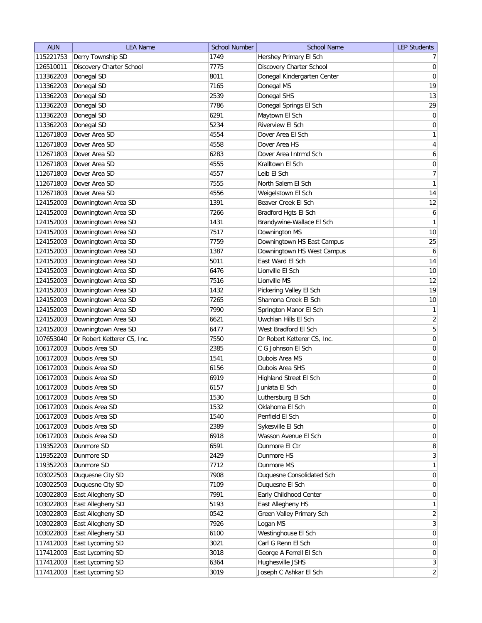| <b>AUN</b> | <b>LEA Name</b>             | <b>School Number</b> | <b>School Name</b>          | <b>LEP Students</b> |
|------------|-----------------------------|----------------------|-----------------------------|---------------------|
| 115221753  | Derry Township SD           | 1749                 | Hershey Primary El Sch      | 7 <sup>1</sup>      |
| 126510011  | Discovery Charter School    | 7775                 | Discovery Charter School    | 0                   |
| 113362203  | Donegal SD                  | 8011                 | Donegal Kindergarten Center | $\overline{0}$      |
| 113362203  | Donegal SD                  | 7165                 | Donegal MS                  | 19                  |
| 113362203  | Donegal SD                  | 2539                 | Donegal SHS                 | 13                  |
| 113362203  | Donegal SD                  | 7786                 | Donegal Springs El Sch      | 29                  |
| 113362203  | Donegal SD                  | 6291                 | Maytown El Sch              | 0                   |
| 113362203  | Donegal SD                  | 5234                 | Riverview El Sch            | $\boldsymbol{0}$    |
| 112671803  | Dover Area SD               | 4554                 | Dover Area El Sch           | $\mathbf{1}$        |
| 112671803  | Dover Area SD               | 4558                 | Dover Area HS               | $\vert 4 \vert$     |
| 112671803  | Dover Area SD               | 6283                 | Dover Area Intrmd Sch       | 6                   |
| 112671803  | Dover Area SD               | 4555                 | Kralltown El Sch            | 0                   |
| 112671803  | Dover Area SD               | 4557                 | Leib El Sch                 | 7                   |
| 112671803  | Dover Area SD               | 7555                 | North Salem El Sch          | 1                   |
| 112671803  | Dover Area SD               | 4556                 | Weigelstown El Sch          | 14                  |
| 124152003  | Downingtown Area SD         | 1391                 | Beaver Creek El Sch         | 12                  |
| 124152003  | Downingtown Area SD         | 7266                 | Bradford Hgts El Sch        | $\mathbf{6}$        |
| 124152003  | Downingtown Area SD         | 1431                 | Brandywine-Wallace El Sch   | 1                   |
| 124152003  | Downingtown Area SD         | 7517                 | Downington MS               | 10                  |
| 124152003  | Downingtown Area SD         | 7759                 | Downingtown HS East Campus  | 25                  |
| 124152003  | Downingtown Area SD         | 1387                 | Downingtown HS West Campus  | $\boldsymbol{6}$    |
| 124152003  | Downingtown Area SD         | 5011                 | East Ward El Sch            | 14                  |
| 124152003  | Downingtown Area SD         | 6476                 | Lionville El Sch            | 10                  |
| 124152003  | Downingtown Area SD         | 7516                 | Lionville MS                | 12                  |
| 124152003  | Downingtown Area SD         | 1432                 | Pickering Valley El Sch     | 19                  |
| 124152003  | Downingtown Area SD         | 7265                 | Shamona Creek El Sch        | 10                  |
| 124152003  | Downingtown Area SD         | 7990                 | Springton Manor El Sch      | $\mathbf{1}$        |
| 124152003  | Downingtown Area SD         | 6621                 | Uwchlan Hills El Sch        | $\overline{2}$      |
| 124152003  | Downingtown Area SD         | 6477                 | West Bradford El Sch        | 5                   |
| 107653040  | Dr Robert Ketterer CS, Inc. | 7550                 | Dr Robert Ketterer CS, Inc. | $\boldsymbol{0}$    |
| 106172003  | Dubois Area SD              | 2385                 | C G Johnson El Sch          | $\boldsymbol{0}$    |
| 106172003  | Dubois Area SD              | 1541                 | Dubois Area MS              | 0                   |
| 106172003  | Dubois Area SD              | 6156                 | Dubois Area SHS             | $\boldsymbol{0}$    |
| 106172003  | Dubois Area SD              | 6919                 | Highland Street El Sch      | $\boldsymbol{0}$    |
| 106172003  | Dubois Area SD              | 6157                 | Juniata El Sch              | $\overline{0}$      |
| 106172003  | Dubois Area SD              | 1530                 | Luthersburg El Sch          | $\overline{0}$      |
| 106172003  | Dubois Area SD              | 1532                 | Oklahoma El Sch             | 0                   |
| 106172003  | Dubois Area SD              | 1540                 | Penfield El Sch             | 0                   |
| 106172003  | Dubois Area SD              | 2389                 | Sykesville El Sch           | 0                   |
| 106172003  | Dubois Area SD              | 6918                 | Wasson Avenue El Sch        | $\overline{0}$      |
| 119352203  | Dunmore SD                  | 6591                 | Dunmore El Ctr              | 8                   |
| 119352203  | Dunmore SD                  | 2429                 | Dunmore HS                  | $\vert 3 \vert$     |
| 119352203  | Dunmore SD                  | 7712                 | Dunmore MS                  | $\mathbf{1}$        |
| 103022503  | Duquesne City SD            | 7908                 | Duquesne Consolidated Sch   | $\overline{0}$      |
| 103022503  | Duquesne City SD            | 7109                 | Duquesne El Sch             | 0                   |
| 103022803  | East Allegheny SD           | 7991                 | Early Childhood Center      | 0                   |
| 103022803  | East Allegheny SD           | 5193                 | East Allegheny HS           | 1                   |
| 103022803  | East Allegheny SD           | 0542                 | Green Valley Primary Sch    | $\overline{2}$      |
| 103022803  | East Allegheny SD           | 7926                 | Logan MS                    | 3                   |
| 103022803  | East Allegheny SD           | 6100                 | Westinghouse El Sch         | 0                   |
| 117412003  | East Lycoming SD            | 3021                 | Carl G Renn El Sch          | $\overline{0}$      |
| 117412003  | East Lycoming SD            | 3018                 | George A Ferrell El Sch     | 0                   |
| 117412003  | East Lycoming SD            | 6364                 | Hughesville JSHS            | 3                   |
| 117412003  | East Lycoming SD            | 3019                 | Joseph C Ashkar El Sch      | $\overline{2}$      |
|            |                             |                      |                             |                     |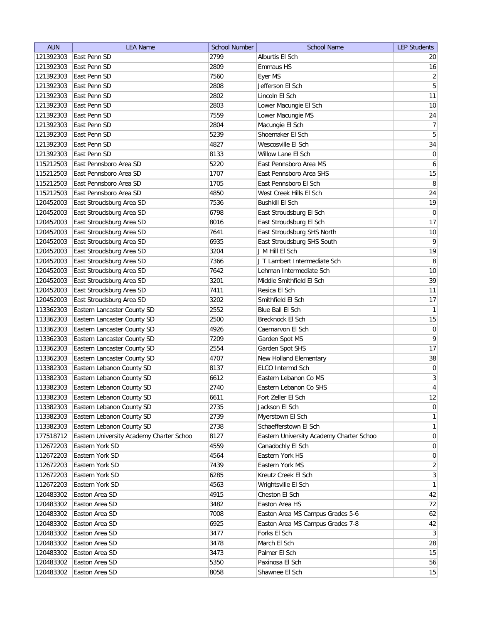| <b>AUN</b> | <b>LEA Name</b>                          | <b>School Number</b> | <b>School Name</b>                       | <b>LEP Students</b> |
|------------|------------------------------------------|----------------------|------------------------------------------|---------------------|
| 121392303  | East Penn SD                             | 2799                 | Alburtis El Sch                          | 20                  |
| 121392303  | East Penn SD                             | 2809                 | Emmaus HS                                | 16                  |
| 121392303  | East Penn SD                             | 7560                 | Eyer MS                                  | $\left  \right $    |
| 121392303  | East Penn SD                             | 2808                 | Jefferson El Sch                         | $\overline{5}$      |
| 121392303  | East Penn SD                             | 2802                 | Lincoln El Sch                           | 11                  |
| 121392303  | East Penn SD                             | 2803                 | Lower Macungie El Sch                    | 10                  |
| 121392303  | East Penn SD                             | 7559                 | Lower Macungie MS                        | 24                  |
| 121392303  | East Penn SD                             | 2804                 | Macungie El Sch                          | 7                   |
| 121392303  | East Penn SD                             | 5239                 | Shoemaker El Sch                         | $\overline{5}$      |
| 121392303  | East Penn SD                             | 4827                 | Wescosville El Sch                       | 34                  |
| 121392303  | East Penn SD                             | 8133                 | Willow Lane El Sch                       | $\overline{0}$      |
| 115212503  | East Pennsboro Area SD                   | 5220                 | East Pennsboro Area MS                   | 6                   |
| 115212503  | East Pennsboro Area SD                   | 1707                 | East Pennsboro Area SHS                  | 15                  |
| 115212503  | East Pennsboro Area SD                   | 1705                 | East Pennsboro El Sch                    | $\, 8$              |
| 115212503  | East Pennsboro Area SD                   | 4850                 | West Creek Hills El Sch                  | 24                  |
| 120452003  | East Stroudsburg Area SD                 | 7536                 | <b>Bushkill El Sch</b>                   | 19                  |
| 120452003  | East Stroudsburg Area SD                 | 6798                 | East Stroudsburg El Sch                  | $\pmb{0}$           |
| 120452003  | East Stroudsburg Area SD                 | 8016                 | East Stroudsburg El Sch                  | 17                  |
| 120452003  | East Stroudsburg Area SD                 | 7641                 | East Stroudsburg SHS North               | $10$                |
| 120452003  | East Stroudsburg Area SD                 | 6935                 | East Stroudsburg SHS South               | $\mathsf{q}$        |
| 120452003  | East Stroudsburg Area SD                 | 3204                 | J M Hill El Sch                          | 19                  |
| 120452003  | East Stroudsburg Area SD                 | 7366                 | J T Lambert Intermediate Sch             | 8                   |
| 120452003  | East Stroudsburg Area SD                 | 7642                 | Lehman Intermediate Sch                  | 10                  |
| 120452003  | East Stroudsburg Area SD                 | 3201                 | Middle Smithfield El Sch                 | 39                  |
| 120452003  | East Stroudsburg Area SD                 | 7411                 | Resica El Sch                            | 11                  |
| 120452003  | East Stroudsburg Area SD                 | 3202                 | Smithfield El Sch                        | 17                  |
| 113362303  | Eastern Lancaster County SD              | 2552                 | Blue Ball El Sch                         | $\mathbf{1}$        |
| 113362303  | Eastern Lancaster County SD              | 2500                 | Brecknock El Sch                         | 15                  |
| 113362303  | Eastern Lancaster County SD              | 4926                 | Caernarvon El Sch                        | $\pmb{0}$           |
| 113362303  | Eastern Lancaster County SD              | 7209                 | Garden Spot MS                           | 9                   |
| 113362303  | Eastern Lancaster County SD              | 2554                 | Garden Spot SHS                          | 17                  |
| 113362303  | Eastern Lancaster County SD              | 4707                 | New Holland Elementary                   | 38                  |
| 113382303  | Eastern Lebanon County SD                | 8137                 | ELCO Intermd Sch                         | $\pmb{0}$           |
| 113382303  | Eastern Lebanon County SD                | 6612                 | Eastern Lebanon Co MS                    | $\overline{3}$      |
| 113382303  | Eastern Lebanon County SD                | 2740                 | Eastern Lebanon Co SHS                   | $\vert 4 \vert$     |
| 113382303  | Eastern Lebanon County SD                | 6611                 | Fort Zeller El Sch                       | 12                  |
| 113382303  | Eastern Lebanon County SD                | 2735                 | Jackson El Sch                           | 0                   |
| 113382303  | Eastern Lebanon County SD                | 2739                 | Myerstown El Sch                         | 1                   |
| 113382303  | Eastern Lebanon County SD                | 2738                 | Schaefferstown El Sch                    | $\mathbf{1}$        |
| 177518712  | Eastern University Academy Charter Schoo | 8127                 | Eastern University Academy Charter Schoo | $\overline{0}$      |
| 112672203  | Eastern York SD                          | 4559                 | Canadochly El Sch                        | $\overline{0}$      |
| 112672203  | Eastern York SD                          | 4564                 | Eastern York HS                          | $\overline{0}$      |
| 112672203  | Eastern York SD                          | 7439                 | Eastern York MS                          | $\overline{2}$      |
| 112672203  | Eastern York SD                          | 6285                 | Kreutz Creek El Sch                      | 3                   |
| 112672203  | Eastern York SD                          | 4563                 | Wrightsville El Sch                      | 1                   |
| 120483302  | Easton Area SD                           | 4915                 | Cheston El Sch                           | 42                  |
| 120483302  | Easton Area SD                           | 3482                 | Easton Area HS                           | 72                  |
| 120483302  | Easton Area SD                           | 7008                 | Easton Area MS Campus Grades 5-6         | 62                  |
| 120483302  | Easton Area SD                           | 6925                 | Easton Area MS Campus Grades 7-8         | 42                  |
| 120483302  | Easton Area SD                           | 3477                 | Forks El Sch                             | 3                   |
| 120483302  | Easton Area SD                           | 3478                 | March El Sch                             | 28                  |
| 120483302  | Easton Area SD                           | 3473                 | Palmer El Sch                            | 15                  |
| 120483302  | Easton Area SD                           | 5350                 | Paxinosa El Sch                          | 56                  |
| 120483302  | Easton Area SD                           | 8058                 | Shawnee El Sch                           | 15                  |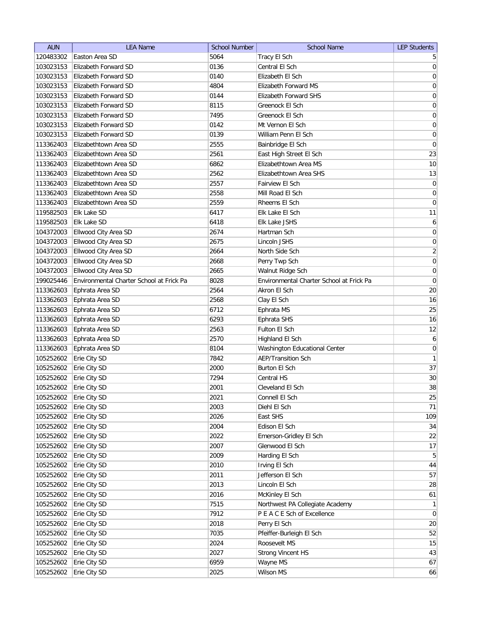| <b>AUN</b> | <b>LEA Name</b>                          | <b>School Number</b> | <b>School Name</b>                       | <b>LEP Students</b> |
|------------|------------------------------------------|----------------------|------------------------------------------|---------------------|
| 120483302  | Easton Area SD                           | 5064                 | Tracy El Sch                             | 5                   |
| 103023153  | Elizabeth Forward SD                     | 0136                 | Central El Sch                           | $\overline{0}$      |
| 103023153  | Elizabeth Forward SD                     | 0140                 | Elizabeth El Sch                         | $\boldsymbol{0}$    |
| 103023153  | Elizabeth Forward SD                     | 4804                 | <b>Elizabeth Forward MS</b>              | 0                   |
| 103023153  | Elizabeth Forward SD                     | 0144                 | <b>Elizabeth Forward SHS</b>             | 0                   |
| 103023153  | Elizabeth Forward SD                     | 8115                 | Greenock El Sch                          | $\boldsymbol{0}$    |
| 103023153  | Elizabeth Forward SD                     | 7495                 | Greenock El Sch                          | $\boldsymbol{0}$    |
| 103023153  | Elizabeth Forward SD                     | 0142                 | Mt Vernon El Sch                         | $\boldsymbol{0}$    |
| 103023153  | Elizabeth Forward SD                     | 0139                 | William Penn El Sch                      | $\boldsymbol{0}$    |
| 113362403  | Elizabethtown Area SD                    | 2555                 | Bainbridge El Sch                        | 0                   |
| 113362403  | Elizabethtown Area SD                    | 2561                 | East High Street El Sch                  | 23                  |
| 113362403  | Elizabethtown Area SD                    | 6862                 | Elizabethtown Area MS                    | 10                  |
| 113362403  | Elizabethtown Area SD                    | 2562                 | Elizabethtown Area SHS                   | 13                  |
| 113362403  | Elizabethtown Area SD                    | 2557                 | Fairview El Sch                          | 0                   |
| 113362403  | Elizabethtown Area SD                    | 2558                 | Mill Road El Sch                         | 0                   |
| 113362403  | Elizabethtown Area SD                    | 2559                 | Rheems El Sch                            | 0                   |
| 119582503  | Elk Lake SD                              | 6417                 | Elk Lake El Sch                          | 11                  |
| 119582503  | Elk Lake SD                              | 6418                 | Elk Lake JSHS                            | $6\vert$            |
| 104372003  | Ellwood City Area SD                     | 2674                 | Hartman Sch                              | $\vert 0 \vert$     |
| 104372003  | Ellwood City Area SD                     | 2675                 | Lincoln JSHS                             | $\mathsf{O}\xspace$ |
| 104372003  | Ellwood City Area SD                     | 2664                 | North Side Sch                           | $\overline{2}$      |
| 104372003  | Ellwood City Area SD                     | 2668                 | Perry Twp Sch                            | $\boldsymbol{0}$    |
| 104372003  | Ellwood City Area SD                     | 2665                 | Walnut Ridge Sch                         | $\boldsymbol{0}$    |
| 199025446  | Environmental Charter School at Frick Pa | 8028                 | Environmental Charter School at Frick Pa | $\boldsymbol{0}$    |
| 113362603  | Ephrata Area SD                          | 2564                 | Akron El Sch                             | 20                  |
| 113362603  | Ephrata Area SD                          | 2568                 | Clay El Sch                              | 16                  |
| 113362603  | Ephrata Area SD                          | 6712                 | Ephrata MS                               | 25                  |
| 113362603  | Ephrata Area SD                          | 6293                 | Ephrata SHS                              | 16                  |
| 113362603  | Ephrata Area SD                          | 2563                 | Fulton El Sch                            | 12                  |
| 113362603  | Ephrata Area SD                          | 2570                 | Highland El Sch                          | 6                   |
| 113362603  | Ephrata Area SD                          | 8104                 | <b>Washington Educational Center</b>     | 0                   |
| 105252602  | Erie City SD                             | 7842                 | <b>AEP/Transition Sch</b>                | $\mathbf{1}$        |
| 105252602  | Erie City SD                             | 2000                 | Burton El Sch                            | 37                  |
| 105252602  | Erie City SD                             | 7294                 | Central HS                               | 30                  |
| 105252602  | Erie City SD                             | 2001                 | Cleveland El Sch                         | 38                  |
| 105252602  | Erie City SD                             | 2021                 | Connell El Sch                           | 25                  |
| 105252602  | Erie City SD                             | 2003                 | Diehl El Sch                             | 71                  |
| 105252602  | Erie City SD                             | 2026                 | East SHS                                 | 109                 |
| 105252602  | Erie City SD                             | 2004                 | Edison El Sch                            | 34                  |
| 105252602  | Erie City SD                             | 2022                 | Emerson-Gridley El Sch                   | 22                  |
| 105252602  | Erie City SD                             | 2007                 | Glenwood El Sch                          | 17                  |
| 105252602  | Erie City SD                             | 2009                 | Harding El Sch                           | 5 <sup>1</sup>      |
| 105252602  | Erie City SD                             | 2010                 | Irving El Sch                            | 44                  |
| 105252602  | Erie City SD                             | 2011                 | Jefferson El Sch                         | 57                  |
| 105252602  | Erie City SD                             | 2013                 | Lincoln El Sch                           | 28                  |
| 105252602  | Erie City SD                             | 2016                 | McKinley El Sch                          | 61                  |
| 105252602  | Erie City SD                             | 7515                 | Northwest PA Collegiate Academy          | 1                   |
| 105252602  | Erie City SD                             | 7912                 | P E A C E Sch of Excellence              | $\overline{0}$      |
| 105252602  | Erie City SD                             | 2018                 | Perry El Sch                             | $20\,$              |
| 105252602  | Erie City SD                             | 7035                 | Pfeiffer-Burleigh El Sch                 | 52                  |
| 105252602  | Erie City SD                             | 2024                 | Roosevelt MS                             | 15                  |
| 105252602  | Erie City SD                             | 2027                 | <b>Strong Vincent HS</b>                 | 43                  |
| 105252602  | Erie City SD                             | 6959                 | Wayne MS                                 | 67                  |
| 105252602  | Erie City SD                             | 2025                 | Wilson MS                                | 66                  |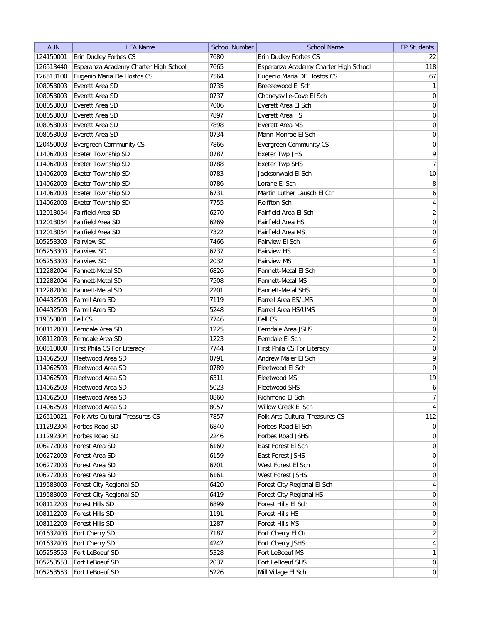| <b>AUN</b>             | <b>LEA Name</b>                       | <b>School Number</b> | <b>School Name</b>                    | <b>LEP Students</b> |
|------------------------|---------------------------------------|----------------------|---------------------------------------|---------------------|
| 124150001              | Erin Dudley Forbes CS                 | 7680                 | Erin Dudley Forbes CS                 | 22                  |
| 126513440              | Esperanza Academy Charter High School | 7665                 | Esperanza Academy Charter High School | 118                 |
| 126513100              | Eugenio Maria De Hostos CS            | 7564                 | Eugenio Maria DE Hostos CS            | 67                  |
| 108053003              | Everett Area SD                       | 0735                 | Breezewood El Sch                     | $\mathbf{1}$        |
| 108053003              | Everett Area SD                       | 0737                 | Chaneysville-Cove El Sch              | 0                   |
| 108053003              | Everett Area SD                       | 7006                 | Everett Area El Sch                   | 0                   |
| 108053003              | Everett Area SD                       | 7897                 | <b>Everett Area HS</b>                | 0                   |
| 108053003              | Everett Area SD                       | 7898                 | Everett Area MS                       | $\boldsymbol{0}$    |
| 108053003              | Everett Area SD                       | 0734                 | Mann-Monroe El Sch                    | $\boldsymbol{0}$    |
| 120450003              | Evergreen Community CS                | 7866                 | <b>Evergreen Community CS</b>         | $\boldsymbol{0}$    |
| 114062003              | <b>Exeter Township SD</b>             | 0787                 | Exeter Twp JHS                        | 9                   |
| 114062003              | Exeter Township SD                    | 0788                 | <b>Exeter Twp SHS</b>                 | 7                   |
| 114062003              | Exeter Township SD                    | 0783                 | Jacksonwald El Sch                    | 10                  |
| 114062003              | Exeter Township SD                    | 0786                 | Lorane El Sch                         | 8                   |
| 114062003              | Exeter Township SD                    | 6731                 | Martin Luther Lausch El Ctr           | 6                   |
| 114062003              | Exeter Township SD                    | 7755                 | Reiffton Sch                          | 4                   |
| 112013054              | Fairfield Area SD                     | 6270                 | Fairfield Area El Sch                 | $\overline{2}$      |
| 112013054              | Fairfield Area SD                     | 6269                 | Fairfield Area HS                     | 0                   |
| 112013054              | Fairfield Area SD                     | 7322                 | Fairfield Area MS                     | 0                   |
| 105253303              | <b>Fairview SD</b>                    | 7466                 | Fairview El Sch                       | $\boldsymbol{6}$    |
| 105253303              | <b>Fairview SD</b>                    | 6737                 | Fairview HS                           | $\vert 4 \vert$     |
| 105253303              | <b>Fairview SD</b>                    | 2032                 | <b>Fairview MS</b>                    | 1                   |
| 112282004              | <b>Fannett-Metal SD</b>               | 6826                 | Fannett-Metal El Sch                  | 0                   |
| 112282004              | <b>Fannett-Metal SD</b>               | 7508                 | <b>Fannett-Metal MS</b>               | $\boldsymbol{0}$    |
| 112282004              | <b>Fannett-Metal SD</b>               | 2201                 | <b>Fannett-Metal SHS</b>              | $\boldsymbol{0}$    |
| 104432503              | <b>Farrell Area SD</b>                | 7119                 | Farrell Area ES/LMS                   | $\boldsymbol{0}$    |
| 104432503              | Farrell Area SD                       | 5248                 | Farrell Area HS/UMS                   | $\boldsymbol{0}$    |
| 119350001              | <b>Fell CS</b>                        | 7746                 | Fell CS                               | 0                   |
| 108112003              | Ferndale Area SD                      | 1225                 | Ferndale Area JSHS                    | 0                   |
| 108112003              | Ferndale Area SD                      | 1223                 | Ferndale El Sch                       | $\overline{2}$      |
| 100510000              | First Phila CS For Literacy           | 7744                 | First Phila CS For Literacy           | $\boldsymbol{0}$    |
| 114062503              | Fleetwood Area SD                     | 0791                 | Andrew Maier El Sch                   | 9                   |
| 114062503              | Fleetwood Area SD                     | 0789                 | Fleetwood El Sch                      | 0                   |
| 114062503              | Fleetwood Area SD                     | 6311                 | Fleetwood MS                          | 19                  |
| 114062503              | Fleetwood Area SD                     | 5023                 | Fleetwood SHS                         | $\mathbf{6}$        |
| 114062503              | Fleetwood Area SD                     | 0860                 | Richmond El Sch                       | $7\vert$            |
| 114062503              | Fleetwood Area SD                     | 8057                 | Willow Creek El Sch                   | $\vert 4 \vert$     |
| 126510021              | Folk Arts-Cultural Treasures CS       | 7857                 | Folk Arts-Cultural Treasures CS       | 112                 |
| 111292304              | Forbes Road SD                        | 6840                 | Forbes Road El Sch                    | $\overline{0}$      |
| 111292304              | Forbes Road SD                        | 2246                 | Forbes Road JSHS                      | $\overline{0}$      |
| 106272003              | Forest Area SD                        | 6160                 | East Forest El Sch                    | $\overline{0}$      |
| 106272003              | Forest Area SD                        | 6159                 | East Forest JSHS                      | 0                   |
| 106272003              | Forest Area SD                        | 6701                 | West Forest El Sch                    | 0                   |
| 106272003              | Forest Area SD                        | 6161                 | West Forest JSHS                      | 0                   |
| 119583003              | Forest City Regional SD               | 6420                 | Forest City Regional El Sch           | 4                   |
|                        | Forest City Regional SD               | 6419                 | Forest City Regional HS               | $\overline{0}$      |
| 119583003<br>108112203 | Forest Hills SD                       | 6899                 | Forest Hills El Sch                   | $\overline{0}$      |
| 108112203              | Forest Hills SD                       | 1191                 | Forest Hills HS                       | $\overline{0}$      |
| 108112203              | Forest Hills SD                       | 1287                 | Forest Hills MS                       | 0                   |
| 101632403              | Fort Cherry SD                        | 7187                 | Fort Cherry El Ctr                    | $\overline{2}$      |
| 101632403              | Fort Cherry SD                        | 4242                 | Fort Cherry JSHS                      | $\vert 4 \vert$     |
| 105253553              | Fort LeBoeuf SD                       | 5328                 | Fort LeBoeuf MS                       | 1                   |
| 105253553              | Fort LeBoeuf SD                       | 2037                 | Fort LeBoeuf SHS                      | $\overline{0}$      |
| 105253553              | Fort LeBoeuf SD                       |                      |                                       | 0                   |
|                        |                                       | 5226                 | Mill Village El Sch                   |                     |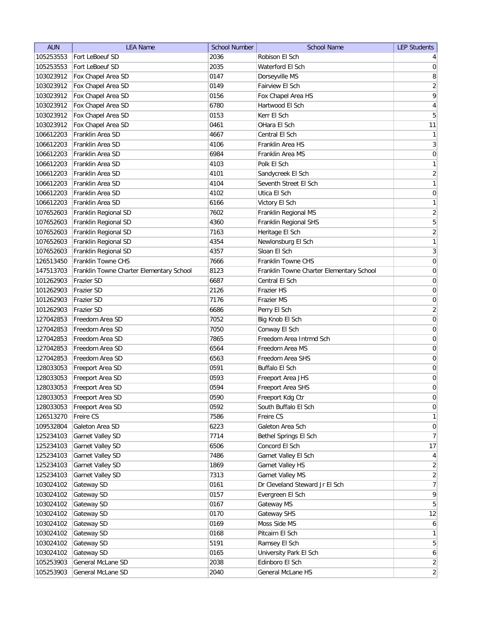| <b>AUN</b> | <b>LEA Name</b>                          | <b>School Number</b> | <b>School Name</b>                       | <b>LEP Students</b>     |
|------------|------------------------------------------|----------------------|------------------------------------------|-------------------------|
| 105253553  | Fort LeBoeuf SD                          | 2036                 | Robison El Sch                           | $\vert 4 \vert$         |
| 105253553  | Fort LeBoeuf SD                          | 2035                 | Waterford El Sch                         | $\pmb{0}$               |
| 103023912  | Fox Chapel Area SD                       | 0147                 | Dorseyville MS                           | 8                       |
| 103023912  | Fox Chapel Area SD                       | 0149                 | Fairview El Sch                          | $\overline{2}$          |
| 103023912  | Fox Chapel Area SD                       | 0156                 | Fox Chapel Area HS                       | 9                       |
| 103023912  | Fox Chapel Area SD                       | 6780                 | Hartwood El Sch                          | $\overline{4}$          |
| 103023912  | Fox Chapel Area SD                       | 0153                 | Kerr El Sch                              | $\sqrt{5}$              |
| 103023912  | Fox Chapel Area SD                       | 0461                 | OHara El Sch                             | 11                      |
| 106612203  | Franklin Area SD                         | 4667                 | Central El Sch                           | $\mathbf{1}$            |
| 106612203  | Franklin Area SD                         | 4106                 | Franklin Area HS                         | $\overline{3}$          |
| 106612203  | Franklin Area SD                         | 6984                 | Franklin Area MS                         | 0                       |
| 106612203  | Franklin Area SD                         | 4103                 | Polk El Sch                              | $\mathbf{1}$            |
| 106612203  | Franklin Area SD                         | 4101                 | Sandycreek El Sch                        | $\overline{2}$          |
| 106612203  | Franklin Area SD                         | 4104                 | Seventh Street El Sch                    | $\mathbf{1}$            |
| 106612203  | Franklin Area SD                         | 4102                 | Utica El Sch                             | 0                       |
| 106612203  | Franklin Area SD                         | 6166                 | Victory El Sch                           | $\mathbf{1}$            |
| 107652603  | Franklin Regional SD                     | 7602                 | Franklin Regional MS                     | $\sqrt{2}$              |
| 107652603  | Franklin Regional SD                     | 4360                 | Franklin Regional SHS                    | $\overline{5}$          |
| 107652603  | Franklin Regional SD                     | 7163                 | Heritage El Sch                          | $\overline{2}$          |
| 107652603  | Franklin Regional SD                     | 4354                 | Newlonsburg El Sch                       | $\mathbf{1}$            |
| 107652603  | Franklin Regional SD                     | 4357                 | Sloan El Sch                             | $\overline{\mathbf{3}}$ |
| 126513450  | Franklin Towne CHS                       | 7666                 | Franklin Towne CHS                       | $\boldsymbol{0}$        |
| 147513703  | Franklin Towne Charter Elementary School | 8123                 | Franklin Towne Charter Elementary School | $\boldsymbol{0}$        |
| 101262903  | Frazier SD                               | 6687                 | Central El Sch                           | $\boldsymbol{0}$        |
| 101262903  | Frazier SD                               | 2126                 | <b>Frazier HS</b>                        | $\boldsymbol{0}$        |
| 101262903  | <b>Frazier SD</b>                        | 7176                 | Frazier MS                               | 0                       |
| 101262903  | <b>Frazier SD</b>                        | 6686                 | Perry El Sch                             | $\sqrt{2}$              |
| 127042853  | Freedom Area SD                          | 7052                 | Big Knob El Sch                          | $\mathsf{O}\xspace$     |
| 127042853  | Freedom Area SD                          | 7050                 | Conway El Sch                            | 0                       |
| 127042853  | Freedom Area SD                          | 7865                 | Freedom Area Intrmd Sch                  | 0                       |
| 127042853  | Freedom Area SD                          | 6564                 | Freedom Area MS                          | 0                       |
| 127042853  | Freedom Area SD                          | 6563                 | Freedom Area SHS                         | 0                       |
| 128033053  | Freeport Area SD                         | 0591                 | Buffalo El Sch                           | $\boldsymbol{0}$        |
| 128033053  | Freeport Area SD                         | 0593                 | Freeport Area JHS                        | $\boldsymbol{0}$        |
| 128033053  | Freeport Area SD                         | 0594                 | Freeport Area SHS                        | 0                       |
| 128033053  | Freeport Area SD                         | 0590                 | Freeport Kdg Ctr                         | $\mathsf{O}\xspace$     |
| 128033053  | Freeport Area SD                         | 0592                 | South Buffalo El Sch                     | $\boldsymbol{0}$        |
| 126513270  | Freire CS                                | 7586                 | Freire CS                                | $\mathbf{1}$            |
| 109532804  | Galeton Area SD                          | 6223                 | Galeton Area Sch                         | $\boldsymbol{0}$        |
| 125234103  | Garnet Valley SD                         | 7714                 | Bethel Springs El Sch                    | $\overline{7}$          |
| 125234103  | Garnet Valley SD                         | 6506                 | Concord El Sch                           | 17                      |
| 125234103  | Garnet Valley SD                         | 7486                 | Garnet Valley El Sch                     | $\overline{4}$          |
| 125234103  | Garnet Valley SD                         | 1869                 | Garnet Valley HS                         | $\overline{2}$          |
| 125234103  | Garnet Valley SD                         | 7313                 | Garnet Valley MS                         | $\sqrt{2}$              |
| 103024102  | Gateway SD                               | 0161                 | Dr Cleveland Steward Jr El Sch           | $\overline{7}$          |
| 103024102  | Gateway SD                               | 0157                 | Evergreen El Sch                         | $\mathsf q$             |
| 103024102  | Gateway SD                               | 0167                 | Gateway MS                               | $\overline{5}$          |
| 103024102  | Gateway SD                               | 0170                 | Gateway SHS                              | 12                      |
| 103024102  | Gateway SD                               | 0169                 | Moss Side MS                             | $\overline{6}$          |
| 103024102  | Gateway SD                               | 0168                 | Pitcairn El Sch                          | $\mathbf{1}$            |
| 103024102  | Gateway SD                               | 5191                 | Ramsey El Sch                            | $\sqrt{5}$              |
| 103024102  | Gateway SD                               | 0165                 | University Park El Sch                   | $\boldsymbol{6}$        |
| 105253903  | General McLane SD                        | 2038                 | Edinboro El Sch                          | $\overline{2}$          |
| 105253903  | General McLane SD                        | 2040                 | General McLane HS                        | $\overline{2}$          |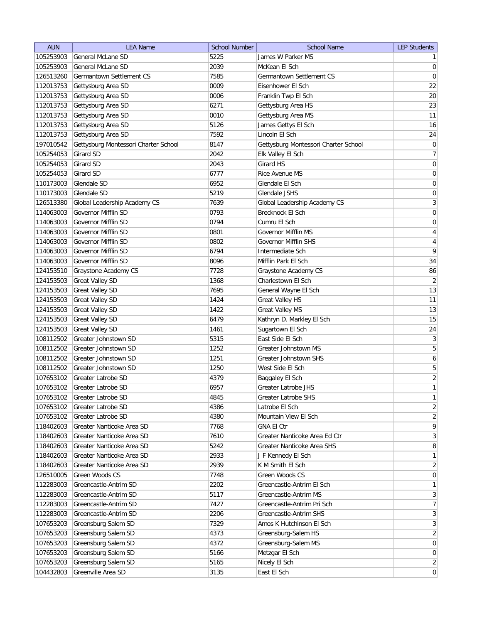| <b>AUN</b> | <b>LEA Name</b>                      | <b>School Number</b> | <b>School Name</b>                   | <b>LEP Students</b> |
|------------|--------------------------------------|----------------------|--------------------------------------|---------------------|
| 105253903  | General McLane SD                    | 5225                 | James W Parker MS                    | $\mathbf{1}$        |
| 105253903  | General McLane SD                    | 2039                 | McKean El Sch                        | $\overline{0}$      |
| 126513260  | Germantown Settlement CS             | 7585                 | Germantown Settlement CS             | $\pmb{0}$           |
| 112013753  | Gettysburg Area SD                   | 0009                 | Eisenhower El Sch                    | 22                  |
| 112013753  | Gettysburg Area SD                   | 0006                 | Franklin Twp El Sch                  | 20                  |
| 112013753  | Gettysburg Area SD                   | 6271                 | Gettysburg Area HS                   | 23                  |
| 112013753  | Gettysburg Area SD                   | 0010                 | Gettysburg Area MS                   | 11                  |
| 112013753  | Gettysburg Area SD                   | 5126                 | James Gettys El Sch                  | 16                  |
| 112013753  | Gettysburg Area SD                   | 7592                 | Lincoln El Sch                       | 24                  |
| 197010542  | Gettysburg Montessori Charter School | 8147                 | Gettysburg Montessori Charter School | 0                   |
| 105254053  | Girard SD                            | 2042                 | Elk Valley El Sch                    | $\overline{7}$      |
| 105254053  | Girard SD                            | 2043                 | Girard HS                            | 0                   |
| 105254053  | Girard SD                            | 6777                 | Rice Avenue MS                       | 0                   |
| 110173003  | Glendale SD                          | 6952                 | Glendale El Sch                      | 0                   |
| 110173003  | Glendale SD                          | 5219                 | Glendale JSHS                        | 0                   |
| 126513380  | Global Leadership Academy CS         | 7639                 | Global Leadership Academy CS         | $\mathbf{3}$        |
| 114063003  | Governor Mifflin SD                  | 0793                 | Brecknock El Sch                     | $\boldsymbol{0}$    |
| 114063003  | Governor Mifflin SD                  | 0794                 | Cumru El Sch                         | $\boldsymbol{0}$    |
| 114063003  | Governor Mifflin SD                  | 0801                 | <b>Governor Mifflin MS</b>           | $\overline{4}$      |
| 114063003  | Governor Mifflin SD                  | 0802                 | <b>Governor Mifflin SHS</b>          |                     |
| 114063003  |                                      |                      |                                      | $\overline{4}$<br>9 |
|            | Governor Mifflin SD                  | 6794                 | Intermediate Sch                     |                     |
| 114063003  | Governor Mifflin SD                  | 8096                 | Mifflin Park El Sch                  | 34                  |
| 124153510  | Graystone Academy CS                 | 7728                 | Graystone Academy CS                 | 86                  |
| 124153503  | <b>Great Valley SD</b>               | 1368                 | Charlestown El Sch                   | $\overline{2}$      |
| 124153503  | <b>Great Valley SD</b>               | 7695                 | General Wayne El Sch                 | 13                  |
| 124153503  | <b>Great Valley SD</b>               | 1424                 | <b>Great Valley HS</b>               | 11                  |
| 124153503  | <b>Great Valley SD</b>               | 1422                 | <b>Great Valley MS</b>               | 13                  |
| 124153503  | <b>Great Valley SD</b>               | 6479                 | Kathryn D. Markley El Sch            | 15                  |
| 124153503  | <b>Great Valley SD</b>               | 1461                 | Sugartown El Sch                     | 24                  |
| 108112502  | Greater Johnstown SD                 | 5315                 | East Side El Sch                     | 3                   |
| 108112502  | Greater Johnstown SD                 | 1252                 | Greater Johnstown MS                 | 5                   |
| 108112502  | Greater Johnstown SD                 | 1251                 | Greater Johnstown SHS                | $\boldsymbol{6}$    |
| 108112502  | Greater Johnstown SD                 | 1250                 | West Side El Sch                     | 5                   |
| 107653102  | <b>Greater Latrobe SD</b>            | 4379                 | Baggaley El Sch                      | $\overline{2}$      |
| 107653102  | Greater Latrobe SD                   | 6957                 | Greater Latrobe JHS                  | $\mathbf{1}$        |
| 107653102  | Greater Latrobe SD                   | 4845                 | Greater Latrobe SHS                  | $\mathbf{1}$        |
| 107653102  | Greater Latrobe SD                   | 4386                 | Latrobe El Sch                       | $\sqrt{2}$          |
| 107653102  | Greater Latrobe SD                   | 4380                 | Mountain View El Sch                 | $\overline{2}$      |
| 118402603  | Greater Nanticoke Area SD            | 7768                 | <b>GNA El Ctr</b>                    | $\mathsf q$         |
| 118402603  | Greater Nanticoke Area SD            | 7610                 | Greater Nanticoke Area Ed Ctr        | $\mathbf{3}$        |
| 118402603  | Greater Nanticoke Area SD            | 5242                 | Greater Nanticoke Area SHS           | $\,8\,$             |
| 118402603  | Greater Nanticoke Area SD            | 2933                 | J F Kennedy El Sch                   | $\mathbf{1}$        |
| 118402603  | Greater Nanticoke Area SD            | 2939                 | K M Smith El Sch                     | $\overline{2}$      |
| 126510005  | Green Woods CS                       | 7748                 | Green Woods CS                       | $\boldsymbol{0}$    |
| 112283003  | Greencastle-Antrim SD                | 2202                 | Greencastle-Antrim El Sch            | $\mathbf{1}$        |
| 112283003  | Greencastle-Antrim SD                | 5117                 | Greencastle-Antrim MS                | $\mathbf{3}$        |
| 112283003  | Greencastle-Antrim SD                | 7427                 | Greencastle-Antrim Pri Sch           | $\overline{7}$      |
| 112283003  | Greencastle-Antrim SD                | 2206                 | Greencastle-Antrim SHS               | $\mathbf{3}$        |
| 107653203  | Greensburg Salem SD                  | 7329                 | Amos K Hutchinson El Sch             | $\mathbf{3}$        |
| 107653203  | Greensburg Salem SD                  | 4373                 | Greensburg-Salem HS                  | $\overline{2}$      |
| 107653203  | Greensburg Salem SD                  | 4372                 | Greensburg-Salem MS                  | $\boldsymbol{0}$    |
| 107653203  | Greensburg Salem SD                  | 5166                 | Metzgar El Sch                       | $\boldsymbol{0}$    |
| 107653203  | Greensburg Salem SD                  | 5165                 | Nicely El Sch                        | $\overline{2}$      |
| 104432803  | Greenville Area SD                   | 3135                 | East El Sch                          | $\boldsymbol{0}$    |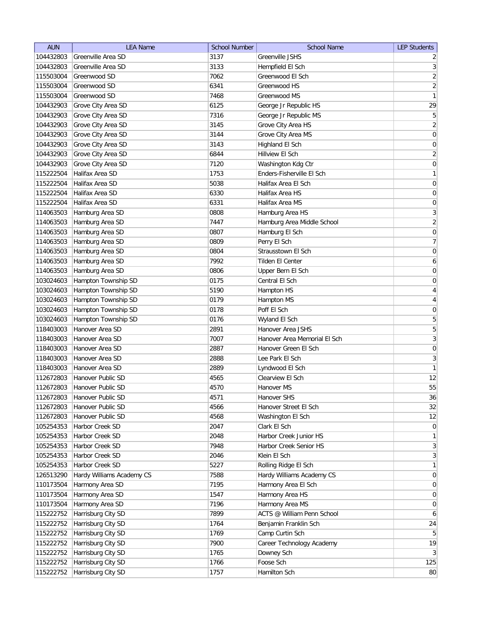| <b>AUN</b> | <b>LEA Name</b>           | <b>School Number</b> | <b>School Name</b>           | <b>LEP Students</b> |
|------------|---------------------------|----------------------|------------------------------|---------------------|
| 104432803  | Greenville Area SD        | 3137                 | <b>Greenville JSHS</b>       | $\overline{2}$      |
| 104432803  | Greenville Area SD        | 3133                 | Hempfield El Sch             | 3                   |
| 115503004  | Greenwood SD              | 7062                 | Greenwood El Sch             | $\overline{2}$      |
| 115503004  | Greenwood SD              | 6341                 | Greenwood HS                 | $\overline{2}$      |
| 115503004  | Greenwood SD              | 7468                 | Greenwood MS                 | 1                   |
| 104432903  | Grove City Area SD        | 6125                 | George Jr Republic HS        | 29                  |
| 104432903  | Grove City Area SD        | 7316                 | George Jr Republic MS        | 5                   |
| 104432903  | Grove City Area SD        | 3145                 | Grove City Area HS           | $\overline{2}$      |
| 104432903  | Grove City Area SD        | 3144                 | Grove City Area MS           | $\boldsymbol{0}$    |
| 104432903  | Grove City Area SD        | 3143                 | Highland El Sch              | $\boldsymbol{0}$    |
| 104432903  | Grove City Area SD        | 6844                 | Hillview El Sch              | $\overline{2}$      |
| 104432903  | Grove City Area SD        | 7120                 | Washington Kdg Ctr           | $\boldsymbol{0}$    |
| 115222504  | Halifax Area SD           | 1753                 | Enders-Fisherville El Sch    | $\mathbf{1}$        |
| 115222504  | Halifax Area SD           | 5038                 | Halifax Area El Sch          | $\boldsymbol{0}$    |
| 115222504  | Halifax Area SD           | 6330                 | Halifax Area HS              | 0                   |
| 115222504  | Halifax Area SD           | 6331                 | Halifax Area MS              | 0                   |
| 114063503  | Hamburg Area SD           | 0808                 | Hamburg Area HS              | $\overline{3}$      |
| 114063503  | Hamburg Area SD           | 7447                 | Hamburg Area Middle School   | $\overline{2}$      |
| 114063503  | Hamburg Area SD           | 0807                 | Hamburg El Sch               | $\vert 0 \vert$     |
| 114063503  | Hamburg Area SD           | 0809                 | Perry El Sch                 | $\overline{7}$      |
| 114063503  | Hamburg Area SD           | 0804                 | Strausstown El Sch           | 0                   |
| 114063503  | Hamburg Area SD           | 7992                 | Tilden El Center             | 6                   |
| 114063503  | Hamburg Area SD           | 0806                 | Upper Bern El Sch            | $\boldsymbol{0}$    |
| 103024603  | Hampton Township SD       | 0175                 | Central El Sch               | $\boldsymbol{0}$    |
| 103024603  | Hampton Township SD       | 5190                 | Hampton HS                   | $\overline{4}$      |
| 103024603  | Hampton Township SD       | 0179                 | Hampton MS                   | $\overline{4}$      |
| 103024603  | Hampton Township SD       | 0178                 | Poff El Sch                  | $\boldsymbol{0}$    |
| 103024603  | Hampton Township SD       | 0176                 | Wyland El Sch                | 5                   |
| 118403003  | Hanover Area SD           | 2891                 | Hanover Area JSHS            | 5                   |
| 118403003  | Hanover Area SD           | 7007                 | Hanover Area Memorial El Sch | 3                   |
| 118403003  | Hanover Area SD           | 2887                 | Hanover Green El Sch         | 0                   |
| 118403003  | Hanover Area SD           | 2888                 | Lee Park El Sch              | 3                   |
| 118403003  | Hanover Area SD           | 2889                 | Lyndwood El Sch              | $\mathbf{1}$        |
| 112672803  | Hanover Public SD         | 4565                 | Clearview El Sch             | 12                  |
| 112672803  | Hanover Public SD         | 4570                 | Hanover MS                   | 55                  |
| 112672803  | Hanover Public SD         | 4571                 | Hanover SHS                  | 36                  |
| 112672803  | Hanover Public SD         | 4566                 | Hanover Street El Sch        | 32                  |
| 112672803  | Hanover Public SD         | 4568                 | Washington El Sch            | 12                  |
| 105254353  | Harbor Creek SD           | 2047                 | Clark El Sch                 | 0                   |
| 105254353  | Harbor Creek SD           | 2048                 | Harbor Creek Junior HS       | $\mathbf{1}$        |
| 105254353  | Harbor Creek SD           | 7948                 | Harbor Creek Senior HS       | 3                   |
| 105254353  | Harbor Creek SD           | 2046                 | Klein El Sch                 | 3                   |
| 105254353  | Harbor Creek SD           | 5227                 | Rolling Ridge El Sch         | $\mathbf{1}$        |
| 126513290  | Hardy Williams Academy CS | 7588                 | Hardy Williams Academy CS    | $\overline{0}$      |
| 110173504  | Harmony Area SD           | 7195                 | Harmony Area El Sch          | 0                   |
| 110173504  | Harmony Area SD           | 1547                 | Harmony Area HS              | 0                   |
| 110173504  | Harmony Area SD           | 7196                 | Harmony Area MS              | $\overline{0}$      |
| 115222752  | Harrisburg City SD        | 7899                 | ACTS @ William Penn School   | 6                   |
| 115222752  | Harrisburg City SD        | 1764                 | Benjamin Franklin Sch        | 24                  |
| 115222752  | Harrisburg City SD        | 1769                 | Camp Curtin Sch              | 5 <sup>1</sup>      |
| 115222752  | Harrisburg City SD        | 7900                 | Career Technology Academy    | 19                  |
| 115222752  | Harrisburg City SD        | 1765                 | Downey Sch                   | 3                   |
| 115222752  | Harrisburg City SD        | 1766                 | Foose Sch                    | 125                 |
| 115222752  | Harrisburg City SD        | 1757                 | Hamilton Sch                 | 80                  |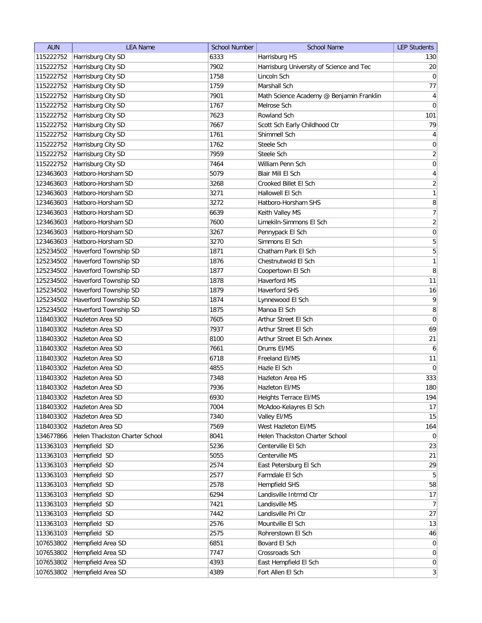| <b>AUN</b> | <b>LEA Name</b>                | <b>School Number</b> | <b>School Name</b>                       | <b>LEP Students</b> |
|------------|--------------------------------|----------------------|------------------------------------------|---------------------|
| 115222752  | Harrisburg City SD             | 6333                 | Harrisburg HS                            | 130                 |
| 115222752  | Harrisburg City SD             | 7902                 | Harrisburg University of Science and Tec | 20                  |
| 115222752  | Harrisburg City SD             | 1758                 | Lincoln Sch                              | 0                   |
| 115222752  | Harrisburg City SD             | 1759                 | Marshall Sch                             | 77                  |
| 115222752  | Harrisburg City SD             | 7901                 | Math Science Academy @ Benjamin Franklin | $\overline{4}$      |
| 115222752  | Harrisburg City SD             | 1767                 | Melrose Sch                              | $\overline{0}$      |
| 115222752  | Harrisburg City SD             | 7623                 | Rowland Sch                              | 101                 |
| 115222752  | Harrisburg City SD             | 7667                 | Scott Sch Early Childhood Ctr            | 79                  |
| 115222752  | Harrisburg City SD             | 1761                 | Shimmell Sch                             | $\overline{4}$      |
| 115222752  | Harrisburg City SD             | 1762                 | Steele Sch                               | $\pmb{0}$           |
|            | 115222752 Harrisburg City SD   | 7959                 | Steele Sch                               | $\overline{2}$      |
| 115222752  | Harrisburg City SD             | 7464                 | William Penn Sch                         | $\boldsymbol{0}$    |
| 123463603  | Hatboro-Horsham SD             | 5079                 | Blair Mill El Sch                        | $\overline{4}$      |
| 123463603  | Hatboro-Horsham SD             | 3268                 | Crooked Billet El Sch                    | $\overline{2}$      |
| 123463603  | Hatboro-Horsham SD             | 3271                 | Hallowell El Sch                         | $\mathbf{1}$        |
| 123463603  | Hatboro-Horsham SD             | 3272                 | Hatboro-Horsham SHS                      | 8                   |
| 123463603  | Hatboro-Horsham SD             | 6639                 | Keith Valley MS                          | 7                   |
| 123463603  | Hatboro-Horsham SD             | 7600                 | Limekiln-Simmons El Sch                  | $\overline{2}$      |
| 123463603  | Hatboro-Horsham SD             | 3267                 | Pennypack El Sch                         | 0                   |
| 123463603  | Hatboro-Horsham SD             | 3270                 | Simmons El Sch                           | $\overline{5}$      |
| 125234502  | Haverford Township SD          | 1871                 | Chatham Park El Sch                      | $\overline{5}$      |
| 125234502  | Haverford Township SD          | 1876                 | Chestnutwold El Sch                      | 1                   |
| 125234502  | Haverford Township SD          | 1877                 | Coopertown El Sch                        | 8                   |
| 125234502  | Haverford Township SD          | 1878                 | Haverford MS                             | 11                  |
| 125234502  | Haverford Township SD          | 1879                 | <b>Haverford SHS</b>                     | 16                  |
| 125234502  | Haverford Township SD          | 1874                 | Lynnewood El Sch                         | 9                   |
| 125234502  | Haverford Township SD          | 1875                 | Manoa El Sch                             | 8                   |
| 118403302  | Hazleton Area SD               | 7605                 | Arthur Street El Sch                     | $\overline{0}$      |
| 118403302  | Hazleton Area SD               | 7937                 | Arthur Street El Sch                     | 69                  |
| 118403302  | Hazleton Area SD               | 8100                 | Arthur Street El Sch Annex               | 21                  |
| 118403302  | Hazleton Area SD               | 7661                 | Drums EI/MS                              | 6                   |
| 118403302  | Hazleton Area SD               | 6718                 | Freeland EI/MS                           | 11                  |
| 118403302  | Hazleton Area SD               | 4855                 | Hazle El Sch                             | 0                   |
| 118403302  | Hazleton Area SD               | 7348                 | Hazleton Area HS                         | 333                 |
| 118403302  | <b>Hazleton Area SD</b>        | 7936                 | Hazleton El/MS                           | 180                 |
| 118403302  | Hazleton Area SD               | 6930                 | Heights Terrace EI/MS                    | 194                 |
| 118403302  | Hazleton Area SD               | 7004                 | McAdoo-Kelayres El Sch                   | 17                  |
| 118403302  | Hazleton Area SD               | 7340                 | Valley EI/MS                             | 15                  |
| 118403302  | Hazleton Area SD               | 7569                 | West Hazleton El/MS                      | 164                 |
| 134677866  | Helen Thackston Charter School | 8041                 | Helen Thackston Charter School           | $\overline{0}$      |
| 113363103  | Hempfield SD                   | 5236                 | Centerville El Sch                       | 23                  |
| 113363103  | Hempfield SD                   | 5055                 | Centerville MS                           | 21                  |
| 113363103  | Hempfield SD                   | 2574                 | East Petersburg El Sch                   | 29                  |
| 113363103  | Hempfield SD                   | 2577                 | Farmdale El Sch                          | 5 <sup>2</sup>      |
| 113363103  | Hempfield SD                   | 2578                 | Hempfield SHS                            | 58                  |
| 113363103  | Hempfield SD                   | 6294                 | Landisville Intrmd Ctr                   | 17                  |
| 113363103  | Hempfield SD                   | 7421                 | Landisville MS                           | 7                   |
| 113363103  | Hempfield SD                   | 7442                 | Landisville Pri Ctr                      | 27                  |
| 113363103  | Hempfield SD                   | 2576                 | Mountville El Sch                        | 13                  |
| 113363103  | Hempfield SD                   | 2575                 | Rohrerstown El Sch                       | 46                  |
| 107653802  | Hempfield Area SD              | 6851                 | Bovard El Sch                            | $\overline{0}$      |
| 107653802  | Hempfield Area SD              | 7747                 | Crossroads Sch                           | $\overline{0}$      |
| 107653802  | Hempfield Area SD              | 4393                 | East Hempfield El Sch                    | $\overline{0}$      |
| 107653802  | Hempfield Area SD              | 4389                 | Fort Allen El Sch                        | 3                   |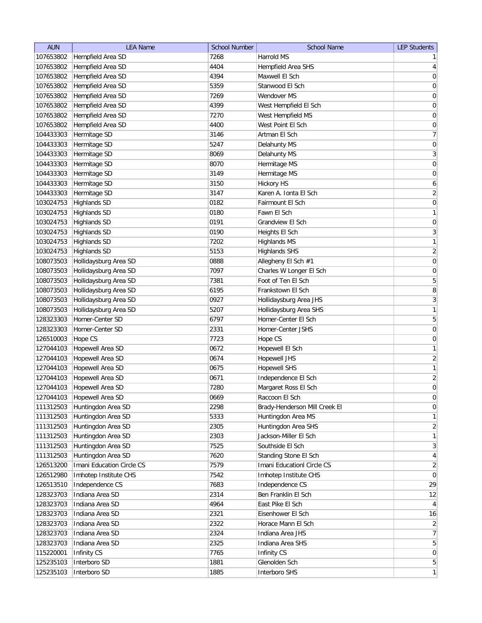| <b>AUN</b> | <b>LEA Name</b>           | <b>School Number</b> | <b>School Name</b>            | <b>LEP Students</b> |
|------------|---------------------------|----------------------|-------------------------------|---------------------|
| 107653802  | Hempfield Area SD         | 7268                 | Harrold MS                    | $\mathbf{1}$        |
| 107653802  | Hempfield Area SD         | 4404                 | Hempfield Area SHS            | $\overline{4}$      |
| 107653802  | Hempfield Area SD         | 4394                 | Maxwell El Sch                | $\boldsymbol{0}$    |
| 107653802  | Hempfield Area SD         | 5359                 | Stanwood El Sch               | $\boldsymbol{0}$    |
| 107653802  | Hempfield Area SD         | 7269                 | Wendover MS                   | $\boldsymbol{0}$    |
| 107653802  | Hempfield Area SD         | 4399                 | West Hempfield El Sch         | $\boldsymbol{0}$    |
| 107653802  | Hempfield Area SD         | 7270                 | West Hempfield MS             | $\boldsymbol{0}$    |
| 107653802  | Hempfield Area SD         | 4400                 | West Point El Sch             | $\boldsymbol{0}$    |
| 104433303  | Hermitage SD              | 3146                 | Artman El Sch                 | $\overline{7}$      |
| 104433303  | Hermitage SD              | 5247                 | Delahunty MS                  | 0                   |
| 104433303  | Hermitage SD              | 8069                 | Delahunty MS                  | 3                   |
| 104433303  | Hermitage SD              | 8070                 | Hermitage MS                  | 0                   |
| 104433303  | Hermitage SD              | 3149                 | Hermitage MS                  | 0                   |
| 104433303  | Hermitage SD              | 3150                 | <b>Hickory HS</b>             | 6                   |
| 104433303  | Hermitage SD              | 3147                 | Karen A. Ionta El Sch         | $\overline{2}$      |
| 103024753  | <b>Highlands SD</b>       | 0182                 | Fairmount El Sch              | $\mathsf{O}\xspace$ |
| 103024753  | <b>Highlands SD</b>       | 0180                 | Fawn El Sch                   | $\mathbf{1}$        |
| 103024753  | <b>Highlands SD</b>       | 0191                 | Grandview El Sch              | $\mathsf{O}\xspace$ |
| 103024753  | <b>Highlands SD</b>       | 0190                 | Heights El Sch                | $\overline{3}$      |
| 103024753  | <b>Highlands SD</b>       | 7202                 | <b>Highlands MS</b>           | $\mathbf{1}$        |
| 103024753  | <b>Highlands SD</b>       | 5153                 | <b>Highlands SHS</b>          | $\overline{2}$      |
| 108073503  | Hollidaysburg Area SD     | 0888                 | Allegheny El Sch #1           | $\boldsymbol{0}$    |
| 108073503  | Hollidaysburg Area SD     | 7097                 | Charles W Longer El Sch       | 0                   |
| 108073503  | Hollidaysburg Area SD     | 7381                 | Foot of Ten El Sch            | 5                   |
| 108073503  | Hollidaysburg Area SD     | 6195                 | Frankstown El Sch             | 8                   |
| 108073503  | Hollidaysburg Area SD     | 0927                 | Hollidaysburg Area JHS        | $\mathbf{3}$        |
| 108073503  | Hollidaysburg Area SD     | 5207                 | Hollidaysburg Area SHS        | $\mathbf{1}$        |
| 128323303  | Homer-Center SD           | 6797                 | Homer-Center El Sch           | 5                   |
| 128323303  | Homer-Center SD           | 2331                 | Homer-Center JSHS             | 0                   |
| 126510003  | Hope CS                   | 7723                 | Hope CS                       | 0                   |
| 127044103  | Hopewell Area SD          | 0672                 | Hopewell El Sch               | $\mathbf{1}$        |
| 127044103  | Hopewell Area SD          | 0674                 | <b>Hopewell JHS</b>           | $\overline{2}$      |
| 127044103  | Hopewell Area SD          | 0675                 | <b>Hopewell SHS</b>           | $\mathbf{1}$        |
| 127044103  | Hopewell Area SD          | 0671                 | Independence El Sch           | $\sqrt{2}$          |
| 127044103  | Hopewell Area SD          | 7280                 | Margaret Ross El Sch          | $\overline{0}$      |
| 127044103  | Hopewell Area SD          | 0669                 | Raccoon El Sch                | $\mathsf{O}\xspace$ |
| 111312503  | Huntingdon Area SD        | 2298                 | Brady-Henderson Mill Creek El | $\boldsymbol{0}$    |
| 111312503  | Huntingdon Area SD        | 5333                 | Huntingdon Area MS            | $\mathbf{1}$        |
| 111312503  | Huntingdon Area SD        | 2305                 | Huntingdon Area SHS           | $\overline{2}$      |
| 111312503  | Huntingdon Area SD        | 2303                 | Jackson-Miller El Sch         | $\mathbf{1}$        |
| 111312503  | Huntingdon Area SD        | 7525                 | Southside El Sch              | $\mathbf{3}$        |
| 111312503  | Huntingdon Area SD        | 7620                 | Standing Stone El Sch         | $\overline{4}$      |
| 126513200  | Imani Education Circle CS | 7579                 | Imani EducationI Circle CS    | $\overline{2}$      |
| 126512980  | Imhotep Institute CHS     | 7542                 | Imhotep Institute CHS         | $\pmb{0}$           |
| 126513510  | Independence CS           | 7683                 | Independence CS               | 29                  |
| 128323703  | Indiana Area SD           | 2314                 | Ben Franklin El Sch           | 12                  |
| 128323703  | Indiana Area SD           | 4964                 | East Pike El Sch              | $\overline{4}$      |
| 128323703  | Indiana Area SD           | 2321                 | Eisenhower El Sch             | 16                  |
| 128323703  | Indiana Area SD           | 2322                 | Horace Mann El Sch            | $\overline{2}$      |
| 128323703  | Indiana Area SD           | 2324                 | Indiana Area JHS              | $\overline{7}$      |
| 128323703  | Indiana Area SD           | 2325                 | Indiana Area SHS              | $\overline{5}$      |
| 115220001  | Infinity CS               | 7765                 | Infinity CS                   | $\boldsymbol{0}$    |
| 125235103  | Interboro SD              | 1881                 | Glenolden Sch                 | $5\overline{)}$     |
| 125235103  | Interboro SD              | 1885                 | Interboro SHS                 | $\mathbf{1}$        |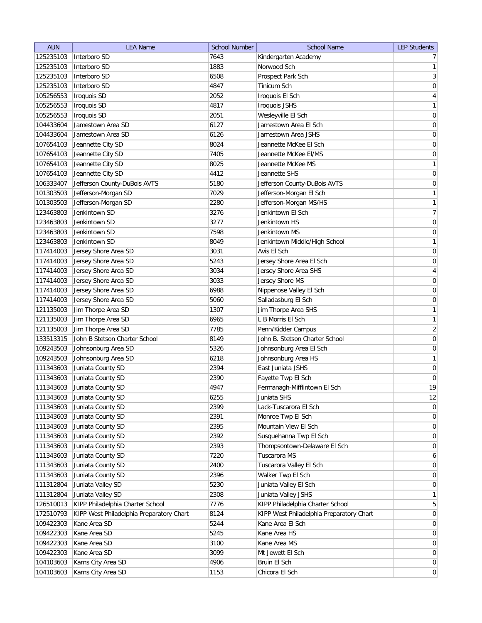| <b>AUN</b> | <b>LEA Name</b>                          | <b>School Number</b> | <b>School Name</b>                       | <b>LEP Students</b> |
|------------|------------------------------------------|----------------------|------------------------------------------|---------------------|
| 125235103  | Interboro SD                             | 7643                 | Kindergarten Academy                     | 7 <sup>1</sup>      |
| 125235103  | Interboro SD                             | 1883                 | Norwood Sch                              | 1                   |
| 125235103  | Interboro SD                             | 6508                 | Prospect Park Sch                        | 3                   |
| 125235103  | Interboro SD                             | 4847                 | Tinicum Sch                              | 0                   |
| 105256553  | <b>Iroquois SD</b>                       | 2052                 | Iroquois El Sch                          | $\overline{4}$      |
| 105256553  | Iroquois SD                              | 4817                 | <b>Iroquois JSHS</b>                     | $\mathbf{1}$        |
| 105256553  | Iroquois SD                              | 2051                 | Wesleyville El Sch                       | $\overline{0}$      |
| 104433604  | Jamestown Area SD                        | 6127                 | Jamestown Area El Sch                    | $\boldsymbol{0}$    |
| 104433604  | Jamestown Area SD                        | 6126                 | Jamestown Area JSHS                      | $\boldsymbol{0}$    |
| 107654103  | Jeannette City SD                        | 8024                 | Jeannette McKee El Sch                   | $\boldsymbol{0}$    |
| 107654103  | Jeannette City SD                        | 7405                 | Jeannette McKee El/MS                    | 0                   |
| 107654103  | Jeannette City SD                        | 8025                 | Jeannette McKee MS                       | $\mathbf{1}$        |
| 107654103  | Jeannette City SD                        | 4412                 | Jeannette SHS                            | $\boldsymbol{0}$    |
| 106333407  | Jefferson County-DuBois AVTS             | 5180                 | Jefferson County-DuBois AVTS             | 0                   |
| 101303503  | Jefferson-Morgan SD                      | 7029                 | Jefferson-Morgan El Sch                  | 1                   |
| 101303503  | Jefferson-Morgan SD                      | 2280                 | Jefferson-Morgan MS/HS                   | $\mathbf{1}$        |
| 123463803  | Jenkintown SD                            | 3276                 | Jenkintown El Sch                        | 7                   |
| 123463803  | Jenkintown SD                            | 3277                 | Jenkintown HS                            | 0                   |
| 123463803  | Jenkintown SD                            | 7598                 | Jenkintown MS                            | 0                   |
| 123463803  | Jenkintown SD                            | 8049                 | Jenkintown Middle/High School            | 1                   |
| 117414003  | Jersey Shore Area SD                     | 3031                 | Avis El Sch                              | 0                   |
| 117414003  | Jersey Shore Area SD                     | 5243                 | Jersey Shore Area El Sch                 | $\boldsymbol{0}$    |
| 117414003  | Jersey Shore Area SD                     | 3034                 | Jersey Shore Area SHS                    | $\overline{4}$      |
| 117414003  |                                          | 3033                 | Jersey Shore MS                          |                     |
|            | Jersey Shore Area SD                     |                      |                                          | $\boldsymbol{0}$    |
| 117414003  | Jersey Shore Area SD                     | 6988                 | Nippenose Valley El Sch                  | $\boldsymbol{0}$    |
| 117414003  | Jersey Shore Area SD                     | 5060                 | Salladasburg El Sch                      | $\boldsymbol{0}$    |
| 121135003  | Jim Thorpe Area SD                       | 1307                 | Jim Thorpe Area SHS                      | $\mathbf{1}$        |
| 121135003  | Jim Thorpe Area SD                       | 6965                 | L B Morris El Sch                        | 1                   |
| 121135003  | Jim Thorpe Area SD                       | 7785                 | Penn/Kidder Campus                       | $\overline{2}$      |
| 133513315  | John B Stetson Charter School            | 8149                 | John B. Stetson Charter School           | $\boldsymbol{0}$    |
| 109243503  | Johnsonburg Area SD                      | 5326                 | Johnsonburg Area El Sch                  | $\boldsymbol{0}$    |
| 109243503  | Johnsonburg Area SD                      | 6218                 | Johnsonburg Area HS                      | $\mathbf{1}$        |
| 111343603  | Juniata County SD                        | 2394                 | East Juniata JSHS                        | $\pmb{0}$           |
| 111343603  | Juniata County SD                        | 2390                 | Fayette Twp El Sch                       | $\overline{0}$      |
| 111343603  | Juniata County SD                        | 4947                 | Fermanagh-Mifflintown El Sch             | 19                  |
| 111343603  | Juniata County SD                        | 6255                 | Juniata SHS                              | 12                  |
| 111343603  | Juniata County SD                        | 2399                 | Lack-Tuscarora El Sch                    | 0                   |
| 111343603  | Juniata County SD                        | 2391                 | Monroe Twp El Sch                        | 0                   |
| 111343603  | Juniata County SD                        | 2395                 | Mountain View El Sch                     | 0                   |
| 111343603  | Juniata County SD                        | 2392                 | Susquehanna Twp El Sch                   | $\overline{0}$      |
| 111343603  | Juniata County SD                        | 2393                 | Thompsontown-Delaware El Sch             | $\overline{0}$      |
| 111343603  | Juniata County SD                        | 7220                 | Tuscarora MS                             | $\mathbf{6}$        |
| 111343603  | Juniata County SD                        | 2400                 | Tuscarora Valley El Sch                  | $\overline{0}$      |
| 111343603  | Juniata County SD                        | 2396                 | Walker Twp El Sch                        | $\overline{0}$      |
| 111312804  | Juniata Valley SD                        | 5230                 | Juniata Valley El Sch                    | 0                   |
| 111312804  | Juniata Valley SD                        | 2308                 | Juniata Valley JSHS                      | 1                   |
| 126510013  | KIPP Philadelphia Charter School         | 7776                 | KIPP Philadelphia Charter School         | 5                   |
| 172510793  | KIPP West Philadelphia Preparatory Chart | 8124                 | KIPP West Philadelphia Preparatory Chart | 0                   |
| 109422303  | Kane Area SD                             | 5244                 | Kane Area El Sch                         | 0                   |
| 109422303  | Kane Area SD                             | 5245                 | Kane Area HS                             | $\overline{0}$      |
| 109422303  | Kane Area SD                             | 3100                 | Kane Area MS                             | $\overline{0}$      |
| 109422303  | Kane Area SD                             | 3099                 | Mt Jewett El Sch                         | $\overline{0}$      |
| 104103603  | Karns City Area SD                       | 4906                 | Bruin El Sch                             | 0                   |
| 104103603  | Karns City Area SD                       | 1153                 | Chicora El Sch                           | 0                   |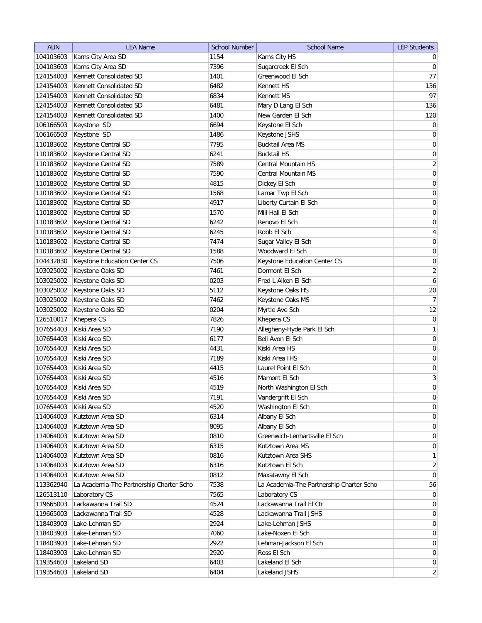| <b>AUN</b> | <b>LEA Name</b>                          | <b>School Number</b> | <b>School Name</b>                       | <b>LEP Students</b> |
|------------|------------------------------------------|----------------------|------------------------------------------|---------------------|
| 104103603  | Karns City Area SD                       | 1154                 | Karns City HS                            | $\overline{0}$      |
| 104103603  | Karns City Area SD                       | 7396                 | Sugarcreek El Sch                        | $\overline{0}$      |
| 124154003  | Kennett Consolidated SD                  | 1401                 | Greenwood El Sch                         | 77                  |
| 124154003  | Kennett Consolidated SD                  | 6482                 | Kennett HS                               | 136                 |
| 124154003  | Kennett Consolidated SD                  | 6834                 | Kennett MS                               | 97                  |
| 124154003  | Kennett Consolidated SD                  | 6481                 | Mary D Lang El Sch                       | 136                 |
| 124154003  | Kennett Consolidated SD                  | 1400                 | New Garden El Sch                        | 120                 |
| 106166503  | Keystone SD                              | 6694                 | Keystone El Sch                          | $\boldsymbol{0}$    |
| 106166503  | Keystone SD                              | 1486                 | Keystone JSHS                            | $\overline{0}$      |
| 110183602  | Keystone Central SD                      | 7795                 | <b>Bucktail Area MS</b>                  | 0                   |
| 110183602  | Keystone Central SD                      | 6241                 | <b>Bucktail HS</b>                       | 0                   |
| 110183602  | Keystone Central SD                      | 7589                 | Central Mountain HS                      | $\overline{2}$      |
| 110183602  | Keystone Central SD                      | 7590                 | Central Mountain MS                      | $\boldsymbol{0}$    |
| 110183602  | Keystone Central SD                      | 4815                 | Dickey El Sch                            | 0                   |
| 110183602  | Keystone Central SD                      | 1568                 | Lamar Twp El Sch                         | 0                   |
| 110183602  | Keystone Central SD                      | 4917                 | Liberty Curtain El Sch                   | $\overline{0}$      |
| 110183602  | Keystone Central SD                      | 1570                 | Mill Hall El Sch                         | $\boldsymbol{0}$    |
| 110183602  | Keystone Central SD                      | 6242                 | Renovo El Sch                            | 0                   |
| 110183602  | Keystone Central SD                      | 6245                 | Robb El Sch                              | $\vert 4 \vert$     |
| 110183602  | Keystone Central SD                      | 7474                 | Sugar Valley El Sch                      | $\boldsymbol{0}$    |
| 110183602  | Keystone Central SD                      | 1588                 | Woodward El Sch                          | $\boldsymbol{0}$    |
| 104432830  | Keystone Education Center CS             | 7506                 | Keystone Education Center CS             | $\boldsymbol{0}$    |
| 103025002  | Keystone Oaks SD                         | 7461                 | Dormont El Sch                           | $\mathbf{2}$        |
| 103025002  | Keystone Oaks SD                         | 0203                 | Fred L Aiken El Sch                      | $\boldsymbol{6}$    |
| 103025002  | Keystone Oaks SD                         | 5112                 | Keystone Oaks HS                         | 20                  |
| 103025002  | Keystone Oaks SD                         | 7462                 | Keystone Oaks MS                         | 7                   |
| 103025002  | Keystone Oaks SD                         | 0204                 | Myrtle Ave Sch                           | 12                  |
| 126510017  | Khepera CS                               | 7826                 | Khepera CS                               | $\boldsymbol{0}$    |
| 107654403  | Kiski Area SD                            | 7190                 | Allegheny-Hyde Park El Sch               | $\mathbf{1}$        |
| 107654403  | Kiski Area SD                            | 6177                 | Bell Avon El Sch                         | $\overline{0}$      |
| 107654403  | Kiski Area SD                            | 4431                 | Kiski Area HS                            | 0                   |
| 107654403  | Kiski Area SD                            | 7189                 | Kiski Area IHS                           | 0                   |
| 107654403  | Kiski Area SD                            | 4415                 | Laurel Point El Sch                      | $\overline{0}$      |
| 107654403  | Kiski Area SD                            | 4516                 | Mamont El Sch                            | $\overline{3}$      |
| 107654403  | Kiski Area SD                            | 4519                 | North Washington El Sch                  | $\overline{0}$      |
| 107654403  | Kiski Area SD                            | 7191                 | Vandergrift El Sch                       | 0                   |
| 107654403  | Kiski Area SD                            | 4520                 | Washington El Sch                        | 0                   |
| 114064003  | Kutztown Area SD                         | 6314                 | Albany El Sch                            | 0                   |
| 114064003  | Kutztown Area SD                         | 8095                 | Albany El Sch                            | 0                   |
| 114064003  | Kutztown Area SD                         | 0810                 | Greenwich-Lenhartsville El Sch           | $\overline{0}$      |
| 114064003  | Kutztown Area SD                         | 6315                 | Kutztown Area MS                         | 0                   |
| 114064003  | Kutztown Area SD                         | 0816                 | Kutztown Area SHS                        | $\mathbf{1}$        |
| 114064003  | Kutztown Area SD                         | 6316                 | Kutztown El Sch                          | $\overline{2}$      |
| 114064003  | Kutztown Area SD                         | 0812                 | Maxatawny El Sch                         | 0                   |
| 113362940  | La Academia-The Partnership Charter Scho | 7538                 | La Academia-The Partnership Charter Scho | 56                  |
| 126513110  | Laboratory CS                            | 7565                 | Laboratory CS                            | $\overline{0}$      |
| 119665003  | Lackawanna Trail SD                      | 4524                 | Lackawanna Trail El Ctr                  | $\overline{0}$      |
| 119665003  | Lackawanna Trail SD                      | 4528                 | Lackawanna Trail JSHS                    | $\overline{0}$      |
| 118403903  | Lake-Lehman SD                           | 2924                 | Lake-Lehman JSHS                         | $\overline{0}$      |
| 118403903  | Lake-Lehman SD                           | 7060                 | Lake-Noxen El Sch                        | $\overline{0}$      |
| 118403903  | Lake-Lehman SD                           | 2922                 | Lehman-Jackson El Sch                    | $\overline{0}$      |
| 118403903  | Lake-Lehman SD                           | 2920                 | Ross El Sch                              | $\overline{0}$      |
| 119354603  | Lakeland SD                              | 6403                 | Lakeland El Sch                          | $\overline{0}$      |
| 119354603  | Lakeland SD                              | 6404                 | Lakeland JSHS                            | 2 <sup>2</sup>      |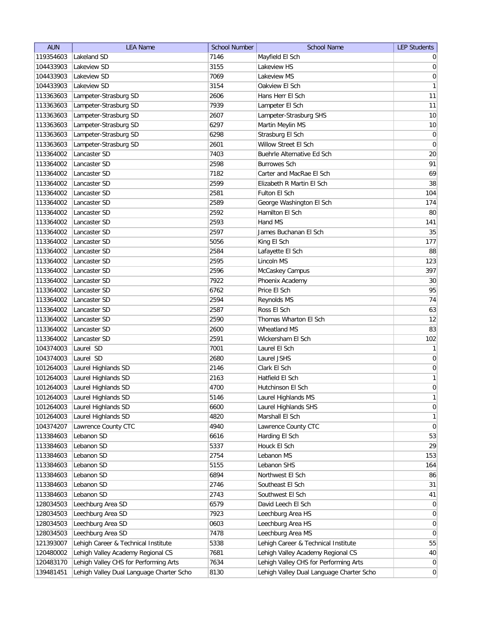| <b>AUN</b> | <b>LEA Name</b>                          | <b>School Number</b> | <b>School Name</b>                       | <b>LEP Students</b> |
|------------|------------------------------------------|----------------------|------------------------------------------|---------------------|
| 119354603  | Lakeland SD                              | 7146                 | Mayfield El Sch                          | $\overline{0}$      |
| 104433903  | Lakeview SD                              | 3155                 | Lakeview HS                              | 0                   |
| 104433903  | Lakeview SD                              | 7069                 | Lakeview MS                              | $\overline{0}$      |
| 104433903  | Lakeview SD                              | 3154                 | Oakview El Sch                           | 1                   |
| 113363603  | Lampeter-Strasburg SD                    | 2606                 | Hans Herr El Sch                         | 11                  |
| 113363603  | Lampeter-Strasburg SD                    | 7939                 | Lampeter El Sch                          | 11                  |
| 113363603  | Lampeter-Strasburg SD                    | 2607                 | Lampeter-Strasburg SHS                   | 10                  |
| 113363603  | Lampeter-Strasburg SD                    | 6297                 | Martin Meylin MS                         | $10$                |
| 113363603  | Lampeter-Strasburg SD                    | 6298                 | Strasburg El Sch                         | $\boldsymbol{0}$    |
| 113363603  | Lampeter-Strasburg SD                    | 2601                 | Willow Street El Sch                     | $\boldsymbol{0}$    |
| 113364002  | Lancaster SD                             | 7403                 | Buehrle Alternative Ed Sch               | 20                  |
| 113364002  | Lancaster SD                             | 2598                 | <b>Burrowes Sch</b>                      | 91                  |
| 113364002  | Lancaster SD                             | 7182                 | Carter and MacRae El Sch                 | 69                  |
| 113364002  | Lancaster SD                             | 2599                 | Elizabeth R Martin El Sch                | 38                  |
| 113364002  | Lancaster SD                             | 2581                 | Fulton El Sch                            | 104                 |
| 113364002  | Lancaster SD                             | 2589                 | George Washington El Sch                 | 174                 |
| 113364002  | Lancaster SD                             | 2592                 | Hamilton El Sch                          | 80                  |
| 113364002  | Lancaster SD                             | 2593                 | Hand MS                                  | 141                 |
| 113364002  | Lancaster SD                             | 2597                 | James Buchanan El Sch                    | 35                  |
| 113364002  | Lancaster SD                             | 5056                 | King El Sch                              | 177                 |
| 113364002  | Lancaster SD                             | 2584                 | Lafayette El Sch                         | 88                  |
| 113364002  | Lancaster SD                             | 2595                 | Lincoln MS                               | 123                 |
| 113364002  | Lancaster SD                             | 2596                 | McCaskey Campus                          | 397                 |
| 113364002  | Lancaster SD                             | 7922                 | Phoenix Academy                          | 30                  |
| 113364002  | Lancaster SD                             | 6762                 | Price El Sch                             | 95                  |
| 113364002  | Lancaster SD                             | 2594                 | Reynolds MS                              | 74                  |
| 113364002  | Lancaster SD                             | 2587                 | Ross El Sch                              | 63                  |
| 113364002  | Lancaster SD                             | 2590                 | Thomas Wharton El Sch                    | 12                  |
| 113364002  | Lancaster SD                             | 2600                 | Wheatland MS                             | 83                  |
| 113364002  | Lancaster SD                             | 2591                 | Wickersham El Sch                        | 102                 |
| 104374003  | Laurel SD                                | 7001                 | Laurel El Sch                            | 1                   |
| 104374003  | Laurel SD                                | 2680                 | Laurel JSHS                              | $\overline{0}$      |
| 101264003  | Laurel Highlands SD                      | 2146                 | Clark El Sch                             | $\overline{0}$      |
| 101264003  | Laurel Highlands SD                      | 2163                 | Hatfield El Sch                          | 1                   |
| 101264003  | Laurel Highlands SD                      | 4700                 | Hutchinson El Sch                        | $\overline{0}$      |
| 101264003  | Laurel Highlands SD                      | 5146                 | Laurel Highlands MS                      | $\mathbf{1}$        |
| 101264003  | Laurel Highlands SD                      | 6600                 | Laurel Highlands SHS                     | 0                   |
| 101264003  | Laurel Highlands SD                      | 4820                 | Marshall El Sch                          | 1                   |
| 104374207  | Lawrence County CTC                      | 4940                 | Lawrence County CTC                      | 0                   |
| 113384603  | Lebanon SD                               | 6616                 | Harding El Sch                           | 53                  |
| 113384603  | Lebanon SD                               | 5337                 | Houck El Sch                             | 29                  |
| 113384603  | Lebanon SD                               | 2754                 | Lebanon MS                               | 153                 |
| 113384603  | Lebanon SD                               | 5155                 | Lebanon SHS                              | 164                 |
| 113384603  | Lebanon SD                               | 6894                 | Northwest El Sch                         | 86                  |
| 113384603  | Lebanon SD                               | 2746                 | Southeast El Sch                         | 31                  |
| 113384603  | Lebanon SD                               | 2743                 | Southwest El Sch                         | 41                  |
| 128034503  | Leechburg Area SD                        | 6579                 | David Leech El Sch                       | $\overline{0}$      |
| 128034503  | Leechburg Area SD                        | 7923                 | Leechburg Area HS                        | 0                   |
| 128034503  | Leechburg Area SD                        | 0603                 | Leechburg Area HS                        | $\overline{0}$      |
| 128034503  | Leechburg Area SD                        | 7478                 | Leechburg Area MS                        | $\overline{0}$      |
| 121393007  | Lehigh Career & Technical Institute      | 5338                 | Lehigh Career & Technical Institute      | 55                  |
| 120480002  | Lehigh Valley Academy Regional CS        | 7681                 | Lehigh Valley Academy Regional CS        | 40                  |
| 120483170  | Lehigh Valley CHS for Performing Arts    | 7634                 | Lehigh Valley CHS for Performing Arts    | $\overline{0}$      |
| 139481451  | Lehigh Valley Dual Language Charter Scho | 8130                 | Lehigh Valley Dual Language Charter Scho | $\overline{0}$      |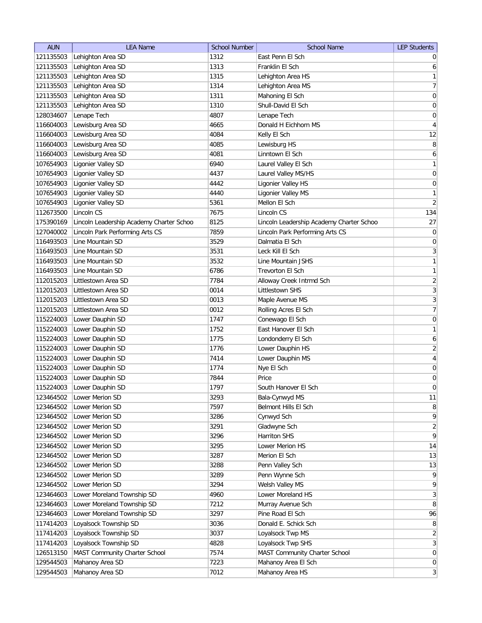| <b>AUN</b> | <b>LEA Name</b>                          | <b>School Number</b> | <b>School Name</b>                       | <b>LEP Students</b> |
|------------|------------------------------------------|----------------------|------------------------------------------|---------------------|
| 121135503  | Lehighton Area SD                        | 1312                 | East Penn El Sch                         | $\overline{0}$      |
| 121135503  | Lehighton Area SD                        | 1313                 | Franklin El Sch                          | $6 \mid$            |
| 121135503  | Lehighton Area SD                        | 1315                 | Lehighton Area HS                        | 1                   |
| 121135503  | Lehighton Area SD                        | 1314                 | Lehighton Area MS                        | 7                   |
| 121135503  | Lehighton Area SD                        | 1311                 | Mahoning El Sch                          | $\vert 0 \vert$     |
| 121135503  | Lehighton Area SD                        | 1310                 | Shull-David El Sch                       | 0                   |
| 128034607  | Lenape Tech                              | 4807                 | Lenape Tech                              | 0                   |
| 116604003  | Lewisburg Area SD                        | 4665                 | Donald H Eichhorn MS                     | $\vert 4 \vert$     |
| 116604003  | Lewisburg Area SD                        | 4084                 | Kelly El Sch                             | 12                  |
| 116604003  | Lewisburg Area SD                        | 4085                 | Lewisburg HS                             | 8                   |
| 116604003  | Lewisburg Area SD                        | 4081                 | Linntown El Sch                          | $\boldsymbol{6}$    |
| 107654903  | Ligonier Valley SD                       | 6940                 | Laurel Valley El Sch                     | $\mathbf{1}$        |
| 107654903  | Ligonier Valley SD                       | 4437                 | Laurel Valley MS/HS                      | $\overline{0}$      |
| 107654903  | Ligonier Valley SD                       | 4442                 | Ligonier Valley HS                       | $\overline{0}$      |
| 107654903  | Ligonier Valley SD                       | 4440                 | Ligonier Valley MS                       | $\mathbf{1}$        |
| 107654903  | Ligonier Valley SD                       | 5361                 | Mellon El Sch                            | $\overline{2}$      |
| 112673500  | Lincoln CS                               | 7675                 | Lincoln CS                               | 134                 |
| 175390169  | Lincoln Leadership Academy Charter Schoo | 8125                 | Lincoln Leadership Academy Charter Schoo | 27                  |
| 127040002  | Lincoln Park Performing Arts CS          | 7859                 | Lincoln Park Performing Arts CS          | 0                   |
| 116493503  | Line Mountain SD                         | 3529                 | Dalmatia El Sch                          | $\vert 0 \vert$     |
| 116493503  | Line Mountain SD                         | 3531                 | Leck Kill El Sch                         | 3                   |
| 116493503  | Line Mountain SD                         | 3532                 | Line Mountain JSHS                       | 1                   |
| 116493503  | Line Mountain SD                         | 6786                 | Trevorton El Sch                         | 1                   |
| 112015203  | Littlestown Area SD                      | 7784                 | Alloway Creek Intrmd Sch                 | $\overline{2}$      |
| 112015203  | Littlestown Area SD                      | 0014                 | Littlestown SHS                          | $\overline{3}$      |
| 112015203  | Littlestown Area SD                      | 0013                 | Maple Avenue MS                          | 3                   |
| 112015203  | Littlestown Area SD                      | 0012                 | Rolling Acres El Sch                     | 7                   |
| 115224003  | Lower Dauphin SD                         | 1747                 | Conewago El Sch                          | $\boldsymbol{0}$    |
| 115224003  | Lower Dauphin SD                         | 1752                 | East Hanover El Sch                      | 1                   |
| 115224003  | Lower Dauphin SD                         | 1775                 | Londonderry El Sch                       | 6                   |
| 115224003  | Lower Dauphin SD                         | 1776                 | Lower Dauphin HS                         | $\overline{2}$      |
| 115224003  | Lower Dauphin SD                         | 7414                 | Lower Dauphin MS                         | 4                   |
| 115224003  | Lower Dauphin SD                         | 1774                 | Nye El Sch                               | $\overline{0}$      |
| 115224003  | Lower Dauphin SD                         | 7844                 | Price                                    | $\boldsymbol{0}$    |
| 115224003  | Lower Dauphin SD                         | 1797                 | South Hanover El Sch                     | $\overline{0}$      |
| 123464502  | Lower Merion SD                          | 3293                 | Bala-Cynwyd MS                           | 11                  |
| 123464502  | Lower Merion SD                          | 7597                 | Belmont Hills El Sch                     | $\lvert 8 \rvert$   |
| 123464502  | Lower Merion SD                          | 3286                 | Cynwyd Sch                               | $\overline{9}$      |
| 123464502  | Lower Merion SD                          | 3291                 | Gladwyne Sch                             | $\overline{2}$      |
| 123464502  | Lower Merion SD                          | 3296                 | Harriton SHS                             | $\overline{9}$      |
| 123464502  | Lower Merion SD                          | 3295                 | Lower Merion HS                          | 14                  |
| 123464502  | Lower Merion SD                          | 3287                 | Merion El Sch                            | 13                  |
| 123464502  | Lower Merion SD                          | 3288                 | Penn Valley Sch                          | 13                  |
| 123464502  | Lower Merion SD                          | 3289                 | Penn Wynne Sch                           | $\mathsf{q}$        |
| 123464502  | Lower Merion SD                          | 3294                 | Welsh Valley MS                          | $\mathsf{q}$        |
| 123464603  | Lower Moreland Township SD               | 4960                 | Lower Moreland HS                        | $\vert 3 \vert$     |
| 123464603  | Lower Moreland Township SD               | 7212                 | Murray Avenue Sch                        | 8                   |
| 123464603  | Lower Moreland Township SD               | 3297                 | Pine Road El Sch                         | 96                  |
| 117414203  | Loyalsock Township SD                    | 3036                 | Donald E. Schick Sch                     | 8 <sup>1</sup>      |
| 117414203  | Loyalsock Township SD                    | 3037                 | Loyalsock Twp MS                         | $\overline{2}$      |
| 117414203  | Loyalsock Township SD                    | 4828                 | Loyalsock Twp SHS                        | $\overline{3}$      |
| 126513150  | MAST Community Charter School            | 7574                 | MAST Community Charter School            | 0                   |
| 129544503  | Mahanoy Area SD                          | 7223                 | Mahanoy Area El Sch                      | 0                   |
| 129544503  | Mahanoy Area SD                          | 7012                 | Mahanoy Area HS                          | $\vert 3 \vert$     |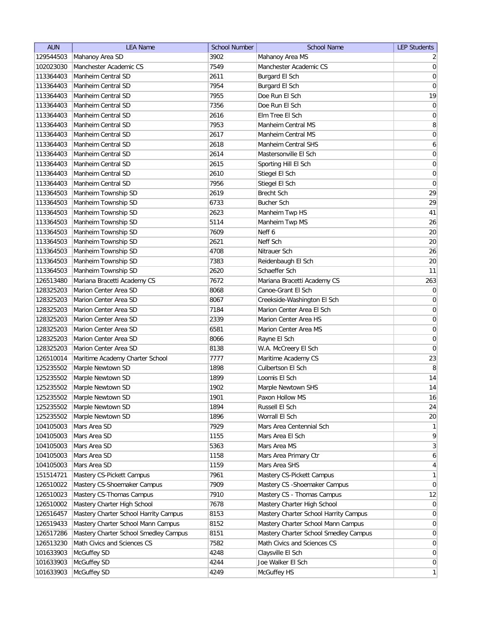| <b>AUN</b>             | <b>LEA Name</b>                            | <b>School Number</b> | <b>School Name</b>                    | <b>LEP Students</b> |
|------------------------|--------------------------------------------|----------------------|---------------------------------------|---------------------|
| 129544503              | Mahanoy Area SD                            | 3902                 | Mahanoy Area MS                       | $\overline{2}$      |
| 102023030              | Manchester Academic CS                     | 7549                 | Manchester Academic CS                | $\vert 0 \vert$     |
| 113364403              | Manheim Central SD                         | 2611                 | Burgard El Sch                        | 0                   |
| 113364403              | Manheim Central SD                         | 7954                 | Burgard El Sch                        | $\boldsymbol{0}$    |
| 113364403              | Manheim Central SD                         | 7955                 | Doe Run El Sch                        | 19                  |
| 113364403              | Manheim Central SD                         | 7356                 | Doe Run El Sch                        | 0                   |
| 113364403              | Manheim Central SD                         | 2616                 | Elm Tree El Sch                       | $\boldsymbol{0}$    |
| 113364403              | Manheim Central SD                         | 7953                 | <b>Manheim Central MS</b>             | 8                   |
| 113364403              | Manheim Central SD                         | 2617                 | Manheim Central MS                    | $\boldsymbol{0}$    |
| 113364403              | Manheim Central SD                         | 2618                 | Manheim Central SHS                   | $\boldsymbol{6}$    |
| 113364403              | Manheim Central SD                         | 2614                 | Mastersonville El Sch                 | 0                   |
| 113364403              | Manheim Central SD                         | 2615                 | Sporting Hill El Sch                  | 0                   |
| 113364403              | Manheim Central SD                         | 2610                 | Stiegel El Sch                        | $\overline{0}$      |
| 113364403              | Manheim Central SD                         | 7956                 | Stiegel El Sch                        | 0                   |
| 113364503              | Manheim Township SD                        | 2619                 | Brecht Sch                            | 29                  |
| 113364503              | Manheim Township SD                        | 6733                 | <b>Bucher Sch</b>                     | 29                  |
| 113364503              | Manheim Township SD                        | 2623                 | Manheim Twp HS                        | 41                  |
| 113364503              | Manheim Township SD                        | 5114                 | Manheim Twp MS                        | 26                  |
| 113364503              | Manheim Township SD                        | 7609                 | Neff 6                                | $20\,$              |
| 113364503              | Manheim Township SD                        | 2621                 | Neff Sch                              | 20                  |
| 113364503              | Manheim Township SD                        | 4708                 | Nitrauer Sch                          | 26                  |
|                        |                                            |                      |                                       |                     |
| 113364503<br>113364503 | Manheim Township SD<br>Manheim Township SD | 7383<br>2620         | Reidenbaugh El Sch<br>Schaeffer Sch   | 20<br>11            |
|                        |                                            | 7672                 | Mariana Bracetti Academy CS           |                     |
| 126513480              | Mariana Bracetti Academy CS                |                      | Canoe-Grant El Sch                    | 263                 |
| 128325203              | Marion Center Area SD                      | 8068                 |                                       | 0                   |
| 128325203              | Marion Center Area SD                      | 8067                 | Creekside-Washington El Sch           | 0                   |
| 128325203              | Marion Center Area SD                      | 7184                 | Marion Center Area El Sch             | $\overline{0}$      |
| 128325203              | Marion Center Area SD                      | 2339                 | Marion Center Area HS                 | $\boldsymbol{0}$    |
| 128325203              | Marion Center Area SD                      | 6581                 | Marion Center Area MS                 | $\overline{0}$      |
| 128325203              | Marion Center Area SD                      | 8066                 | Rayne El Sch                          | $\overline{0}$      |
| 128325203              | Marion Center Area SD                      | 8138                 | W.A. McCreery El Sch                  | $\overline{0}$      |
| 126510014              | Maritime Academy Charter School            | 7777                 | Maritime Academy CS                   | 23                  |
| 125235502              | Marple Newtown SD                          | 1898                 | Culbertson El Sch                     | $\, 8$              |
| 125235502              | Marple Newtown SD                          | 1899                 | Loomis El Sch                         | 14                  |
| 125235502              | Marple Newtown SD                          | 1902                 | Marple Newtown SHS                    | 14                  |
| 125235502              | Marple Newtown SD                          | 1901                 | Paxon Hollow MS                       | 16                  |
| 125235502              | Marple Newtown SD                          | 1894                 | Russell El Sch                        | 24                  |
| 125235502              | Marple Newtown SD                          | 1896                 | Worrall El Sch                        | 20                  |
| 104105003              | Mars Area SD                               | 7929                 | Mars Area Centennial Sch              | 1                   |
| 104105003              | Mars Area SD                               | 1155                 | Mars Area El Sch                      | $\vert 9 \vert$     |
| 104105003              | Mars Area SD                               | 5363                 | Mars Area MS                          | 3                   |
| 104105003              | Mars Area SD                               | 1158                 | Mars Area Primary Ctr                 | $\mathbf{6}$        |
| 104105003              | Mars Area SD                               | 1159                 | Mars Area SHS                         | $\overline{4}$      |
| 151514721              | Mastery CS-Pickett Campus                  | 7961                 | Mastery CS-Pickett Campus             | $\mathbf{1}$        |
| 126510022              | Mastery CS-Shoemaker Campus                | 7909                 | Mastery CS - Shoemaker Campus         | $\overline{0}$      |
| 126510023              | Mastery CS-Thomas Campus                   | 7910                 | Mastery CS - Thomas Campus            | 12                  |
| 126510002              | Mastery Charter High School                | 7678                 | Mastery Charter High School           | 0                   |
| 126516457              | Mastery Charter School Harrity Campus      | 8153                 | Mastery Charter School Harrity Campus | $\overline{0}$      |
| 126519433              | Mastery Charter School Mann Campus         | 8152                 | Mastery Charter School Mann Campus    | $\overline{0}$      |
| 126517286              | Mastery Charter School Smedley Campus      | 8151                 | Mastery Charter School Smedley Campus | $\overline{0}$      |
| 126513230              | Math Civics and Sciences CS                | 7582                 | Math Civics and Sciences CS           | $\overline{0}$      |
| 101633903              | McGuffey SD                                | 4248                 | Claysville El Sch                     | 0                   |
| 101633903              | McGuffey SD                                | 4244                 | Joe Walker El Sch                     | $\overline{0}$      |
| 101633903              | McGuffey SD                                | 4249                 | McGuffey HS                           | $\mathbf{1}$        |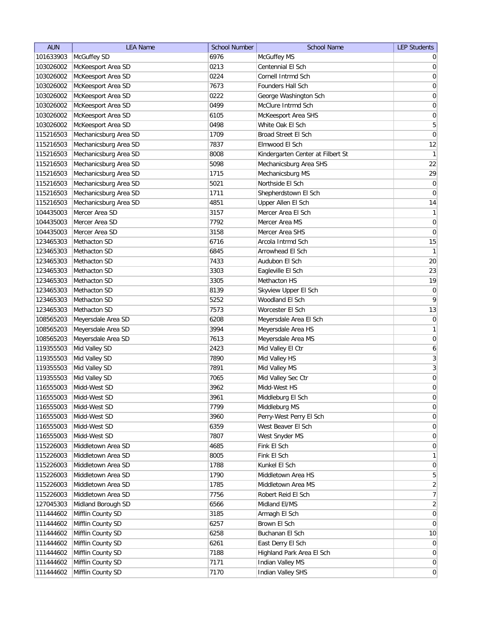| <b>AUN</b> | <b>LEA Name</b>       | <b>School Number</b> | <b>School Name</b>                | <b>LEP Students</b> |
|------------|-----------------------|----------------------|-----------------------------------|---------------------|
| 101633903  | McGuffey SD           | 6976                 | McGuffey MS                       | $\overline{0}$      |
| 103026002  | McKeesport Area SD    | 0213                 | Centennial El Sch                 | 0                   |
| 103026002  | McKeesport Area SD    | 0224                 | Cornell Intrmd Sch                | 0                   |
| 103026002  | McKeesport Area SD    | 7673                 | Founders Hall Sch                 | 0                   |
| 103026002  | McKeesport Area SD    | 0222                 | George Washington Sch             | 0                   |
| 103026002  | McKeesport Area SD    | 0499                 | McClure Intrmd Sch                | 0                   |
| 103026002  | McKeesport Area SD    | 6105                 | McKeesport Area SHS               | 0                   |
| 103026002  | McKeesport Area SD    | 0498                 | White Oak El Sch                  | 5                   |
| 115216503  | Mechanicsburg Area SD | 1709                 | Broad Street El Sch               | $\boldsymbol{0}$    |
| 115216503  | Mechanicsburg Area SD | 7837                 | Elmwood El Sch                    | 12                  |
| 115216503  | Mechanicsburg Area SD | 8008                 | Kindergarten Center at Filbert St | $\mathbf{1}$        |
| 115216503  | Mechanicsburg Area SD | 5098                 | Mechanicsburg Area SHS            | 22                  |
| 115216503  | Mechanicsburg Area SD | 1715                 | Mechanicsburg MS                  | 29                  |
| 115216503  | Mechanicsburg Area SD | 5021                 | Northside El Sch                  | $\boldsymbol{0}$    |
| 115216503  | Mechanicsburg Area SD | 1711                 | Shepherdstown El Sch              | 0                   |
| 115216503  | Mechanicsburg Area SD | 4851                 | Upper Allen El Sch                | 14                  |
| 104435003  | Mercer Area SD        | 3157                 | Mercer Area El Sch                | $\mathbf{1}$        |
| 104435003  | Mercer Area SD        | 7792                 | Mercer Area MS                    | $\vert 0 \vert$     |
| 104435003  | Mercer Area SD        | 3158                 | Mercer Area SHS                   | $\boldsymbol{0}$    |
| 123465303  | Methacton SD          | 6716                 | Arcola Intrmd Sch                 | 15                  |
| 123465303  | Methacton SD          | 6845                 | Arrowhead El Sch                  | $\mathbf{1}$        |
| 123465303  | Methacton SD          | 7433                 | Audubon El Sch                    | 20                  |
| 123465303  | Methacton SD          | 3303                 | Eagleville El Sch                 | 23                  |
| 123465303  | Methacton SD          | 3305                 | Methacton HS                      | 19                  |
| 123465303  | Methacton SD          | 8139                 | Skyview Upper El Sch              | $\boldsymbol{0}$    |
| 123465303  | Methacton SD          | 5252                 | Woodland El Sch                   | 9                   |
| 123465303  | Methacton SD          | 7573                 | Worcester El Sch                  | 13                  |
| 108565203  | Meyersdale Area SD    | 6208                 | Meyersdale Area El Sch            | 0                   |
| 108565203  | Meyersdale Area SD    | 3994                 | Meyersdale Area HS                | $\mathbf{1}$        |
| 108565203  | Meyersdale Area SD    | 7613                 | Meyersdale Area MS                | 0                   |
| 119355503  | Mid Valley SD         | 2423                 | Mid Valley El Ctr                 | 6                   |
| 119355503  | Mid Valley SD         | 7890                 | Mid Valley HS                     | 3                   |
| 119355503  | Mid Valley SD         | 7891                 | Mid Valley MS                     | $\overline{3}$      |
| 119355503  | Mid Valley SD         | 7065                 | Mid Valley Sec Ctr                | $\boldsymbol{0}$    |
| 116555003  | Midd-West SD          | 3962                 | Midd-West HS                      | $\overline{0}$      |
| 116555003  | Midd-West SD          | 3961                 | Middleburg El Sch                 | $\overline{0}$      |
| 116555003  | Midd-West SD          | 7799                 | Middleburg MS                     | 0                   |
| 116555003  | Midd-West SD          | 3960                 | Perry-West Perry El Sch           | $\vert 0 \vert$     |
| 116555003  | Midd-West SD          | 6359                 | West Beaver El Sch                | $\vert 0 \vert$     |
| 116555003  | Midd-West SD          | 7807                 | West Snyder MS                    | $\overline{0}$      |
| 115226003  | Middletown Area SD    | 4685                 | Fink El Sch                       | $\overline{0}$      |
| 115226003  | Middletown Area SD    | 8005                 | Fink El Sch                       | $\mathbf{1}$        |
| 115226003  | Middletown Area SD    | 1788                 | Kunkel El Sch                     | $\vert 0 \vert$     |
| 115226003  | Middletown Area SD    | 1790                 | Middletown Area HS                | $\overline{5}$      |
| 115226003  | Middletown Area SD    | 1785                 | Middletown Area MS                | $\overline{2}$      |
| 115226003  | Middletown Area SD    | 7756                 | Robert Reid El Sch                | $\overline{7}$      |
| 127045303  | Midland Borough SD    | 6566                 | Midland El/MS                     | $\overline{2}$      |
| 111444602  | Mifflin County SD     | 3185                 | Armagh El Sch                     | 0                   |
| 111444602  | Mifflin County SD     | 6257                 | Brown El Sch                      | 0                   |
| 111444602  | Mifflin County SD     | 6258                 | Buchanan El Sch                   | 10                  |
| 111444602  | Mifflin County SD     | 6261                 | East Derry El Sch                 | $\overline{0}$      |
| 111444602  | Mifflin County SD     | 7188                 | Highland Park Area El Sch         | $\overline{0}$      |
| 111444602  | Mifflin County SD     | 7171                 | Indian Valley MS                  | 0                   |
| 111444602  | Mifflin County SD     | 7170                 | Indian Valley SHS                 | 0                   |
|            |                       |                      |                                   |                     |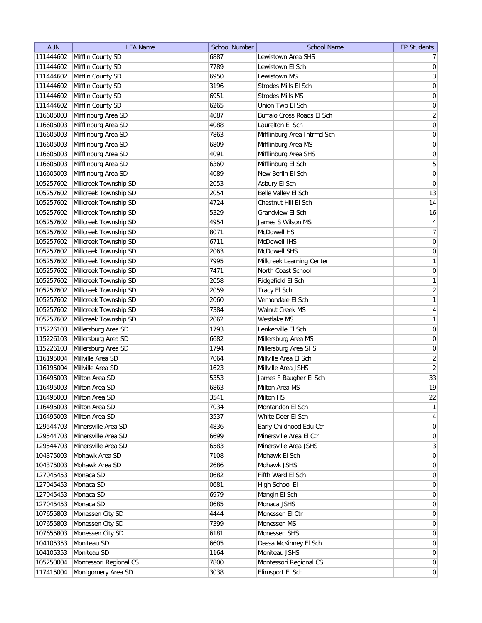| <b>AUN</b> | <b>LEA Name</b>        | <b>School Number</b> | <b>School Name</b>          | <b>LEP Students</b> |
|------------|------------------------|----------------------|-----------------------------|---------------------|
| 111444602  | Mifflin County SD      | 6887                 | Lewistown Area SHS          | 7 <sup>1</sup>      |
| 111444602  | Mifflin County SD      | 7789                 | Lewistown El Sch            | 0                   |
| 111444602  | Mifflin County SD      | 6950                 | Lewistown MS                | 3                   |
| 111444602  | Mifflin County SD      | 3196                 | Strodes Mills El Sch        | 0                   |
| 111444602  | Mifflin County SD      | 6951                 | Strodes Mills MS            | 0                   |
| 111444602  | Mifflin County SD      | 6265                 | Union Twp El Sch            | $\boldsymbol{0}$    |
| 116605003  | Mifflinburg Area SD    | 4087                 | Buffalo Cross Roads El Sch  | $\overline{2}$      |
| 116605003  | Mifflinburg Area SD    | 4088                 | Laurelton El Sch            | $\boldsymbol{0}$    |
| 116605003  | Mifflinburg Area SD    | 7863                 | Mifflinburg Area Intrmd Sch | $\boldsymbol{0}$    |
| 116605003  | Mifflinburg Area SD    | 6809                 | Mifflinburg Area MS         | $\boldsymbol{0}$    |
| 116605003  | Mifflinburg Area SD    | 4091                 | Mifflinburg Area SHS        | 0                   |
| 116605003  | Mifflinburg Area SD    | 6360                 | Mifflinburg El Sch          | 5                   |
| 116605003  | Mifflinburg Area SD    | 4089                 | New Berlin El Sch           | 0                   |
| 105257602  | Millcreek Township SD  | 2053                 | Asbury El Sch               | 0                   |
| 105257602  | Millcreek Township SD  | 2054                 | Belle Valley El Sch         | 13                  |
| 105257602  | Millcreek Township SD  | 4724                 | Chestnut Hill El Sch        | 14                  |
| 105257602  | Millcreek Township SD  | 5329                 | Grandview El Sch            | 16                  |
| 105257602  | Millcreek Township SD  | 4954                 | James S Wilson MS           | $\vert 4 \vert$     |
| 105257602  | Millcreek Township SD  | 8071                 | McDowell HS                 | $\overline{7}$      |
| 105257602  | Millcreek Township SD  | 6711                 | McDowell IHS                | 0                   |
| 105257602  | Millcreek Township SD  | 2063                 | McDowell SHS                | 0                   |
| 105257602  | Millcreek Township SD  | 7995                 | Millcreek Learning Center   | $\mathbf{1}$        |
| 105257602  | Millcreek Township SD  | 7471                 | North Coast School          | 0                   |
| 105257602  | Millcreek Township SD  | 2058                 | Ridgefield El Sch           | 1                   |
| 105257602  | Millcreek Township SD  | 2059                 | Tracy El Sch                | $\overline{2}$      |
| 105257602  | Millcreek Township SD  | 2060                 | Vernondale El Sch           | 1                   |
| 105257602  | Millcreek Township SD  | 7384                 | Walnut Creek MS             | $\vert 4 \vert$     |
| 105257602  | Millcreek Township SD  | 2062                 | Westlake MS                 | 1                   |
| 115226103  | Millersburg Area SD    | 1793                 | Lenkerville El Sch          | $\boldsymbol{0}$    |
| 115226103  | Millersburg Area SD    | 6682                 | Millersburg Area MS         | 0                   |
| 115226103  | Millersburg Area SD    | 1794                 | Millersburg Area SHS        | 0                   |
| 116195004  | Millville Area SD      | 7064                 | Millville Area El Sch       | $\overline{2}$      |
| 116195004  | Millville Area SD      | 1623                 | Millville Area JSHS         | $\left  \right $    |
| 116495003  | Milton Area SD         | 5353                 | James F Baugher El Sch      | 33                  |
| 116495003  | Milton Area SD         | 6863                 | Milton Area MS              | 19                  |
| 116495003  | Milton Area SD         | 3541                 | Milton HS                   | 22                  |
| 116495003  | Milton Area SD         | 7034                 | Montandon El Sch            | $\mathbf{1}$        |
| 116495003  | Milton Area SD         | 3537                 | White Deer El Sch           | $\vert 4 \vert$     |
| 129544703  | Minersville Area SD    | 4836                 | Early Childhood Edu Ctr     | 0                   |
| 129544703  | Minersville Area SD    | 6699                 | Minersville Area El Ctr     | 0                   |
| 129544703  | Minersville Area SD    | 6583                 | Minersville Area JSHS       | 3                   |
| 104375003  | Mohawk Area SD         | 7108                 | Mohawk El Sch               | $\vert 0 \vert$     |
| 104375003  | Mohawk Area SD         | 2686                 | Mohawk JSHS                 | $\overline{0}$      |
| 127045453  | Monaca SD              | 0682                 | Fifth Ward El Sch           | $\overline{0}$      |
| 127045453  | Monaca SD              | 0681                 | High School El              | $\overline{0}$      |
| 127045453  | Monaca SD              | 6979                 | Mangin El Sch               | $\overline{0}$      |
| 127045453  | Monaca SD              | 0685                 | Monaca JSHS                 | $\overline{0}$      |
| 107655803  | Monessen City SD       | 4444                 | Monessen El Ctr             | $\overline{0}$      |
| 107655803  | Monessen City SD       | 7399                 | Monessen MS                 | $\overline{0}$      |
| 107655803  | Monessen City SD       | 6181                 | Monessen SHS                | $\overline{0}$      |
| 104105353  | Moniteau SD            | 6605                 | Dassa McKinney El Sch       | $\overline{0}$      |
| 104105353  | Moniteau SD            | 1164                 | Moniteau JSHS               | $\overline{0}$      |
| 105250004  | Montessori Regional CS | 7800                 | Montessori Regional CS      | $\overline{0}$      |
| 117415004  | Montgomery Area SD     | 3038                 | Elimsport El Sch            | 0                   |
|            |                        |                      |                             |                     |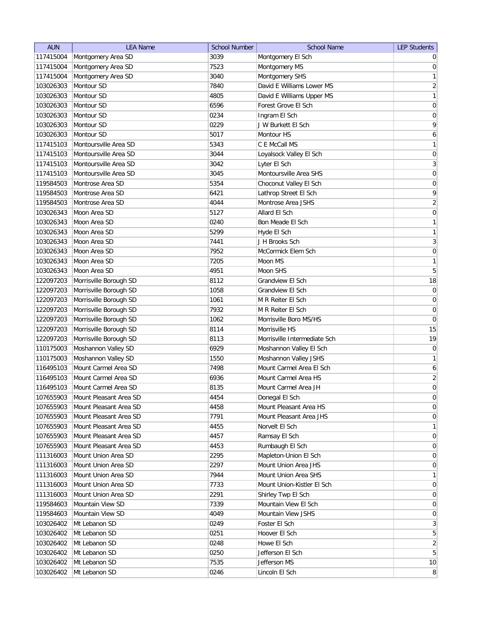| <b>AUN</b> | <b>LEA Name</b>        | <b>School Number</b> | <b>School Name</b>           | <b>LEP Students</b> |
|------------|------------------------|----------------------|------------------------------|---------------------|
| 117415004  | Montgomery Area SD     | 3039                 | Montgomery El Sch            | $\overline{0}$      |
| 117415004  | Montgomery Area SD     | 7523                 | Montgomery MS                | $\pmb{0}$           |
| 117415004  | Montgomery Area SD     | 3040                 | Montgomery SHS               | $\mathbf{1}$        |
| 103026303  | Montour SD             | 7840                 | David E Williams Lower MS    | $\sqrt{2}$          |
| 103026303  | Montour SD             | 4805                 | David E Williams Upper MS    | $\mathbf{1}$        |
| 103026303  | Montour SD             | 6596                 | Forest Grove El Sch          | $\boldsymbol{0}$    |
| 103026303  | Montour SD             | 0234                 | Ingram El Sch                | $\boldsymbol{0}$    |
| 103026303  | Montour SD             | 0229                 | J W Burkett El Sch           | $\mathsf q$         |
| 103026303  | Montour SD             | 5017                 | Montour HS                   | $\boldsymbol{6}$    |
| 117415103  | Montoursville Area SD  | 5343                 | C E McCall MS                | $\mathbf{1}$        |
| 117415103  | Montoursville Area SD  | 3044                 | Loyalsock Valley El Sch      | 0                   |
| 117415103  | Montoursville Area SD  | 3042                 | Lyter El Sch                 | 3                   |
| 117415103  | Montoursville Area SD  | 3045                 | Montoursville Area SHS       | 0                   |
| 119584503  | Montrose Area SD       | 5354                 | Choconut Valley El Sch       | 0                   |
| 119584503  | Montrose Area SD       | 6421                 | Lathrop Street El Sch        | $\mathsf q$         |
| 119584503  | Montrose Area SD       | 4044                 | Montrose Area JSHS           | $\overline{2}$      |
| 103026343  | Moon Area SD           | 5127                 | Allard El Sch                | $\mathsf{O}\xspace$ |
| 103026343  | Moon Area SD           | 0240                 | Bon Meade El Sch             | $\mathbf{1}$        |
| 103026343  | Moon Area SD           | 5299                 | Hyde El Sch                  | $\mathbf{1}$        |
| 103026343  | Moon Area SD           | 7441                 | J H Brooks Sch               | $\overline{3}$      |
| 103026343  | Moon Area SD           | 7952                 | McCormick Elem Sch           | $\mathsf{O}\xspace$ |
| 103026343  | Moon Area SD           | 7205                 | Moon MS                      | $\mathbf{1}$        |
| 103026343  | Moon Area SD           | 4951                 | Moon SHS                     | $\sqrt{5}$          |
| 122097203  | Morrisville Borough SD | 8112                 | Grandview El Sch             | 18                  |
| 122097203  | Morrisville Borough SD | 1058                 | Grandview El Sch             | $\boldsymbol{0}$    |
| 122097203  | Morrisville Borough SD | 1061                 | M R Reiter El Sch            | $\boldsymbol{0}$    |
| 122097203  | Morrisville Borough SD | 7932                 | M R Reiter El Sch            | $\boldsymbol{0}$    |
| 122097203  | Morrisville Borough SD | 1062                 | Morrisville Boro MS/HS       | $\pmb{0}$           |
| 122097203  | Morrisville Borough SD | 8114                 | Morrisville HS               | 15                  |
| 122097203  | Morrisville Borough SD | 8113                 | Morrisville Intermediate Sch | 19                  |
| 110175003  | Moshannon Valley SD    | 6929                 | Moshannon Valley El Sch      | 0                   |
| 110175003  | Moshannon Valley SD    | 1550                 | Moshannon Valley JSHS        | $\mathbf{1}$        |
| 116495103  | Mount Carmel Area SD   | 7498                 | Mount Carmel Area El Sch     | $\boldsymbol{6}$    |
| 116495103  | Mount Carmel Area SD   | 6936                 | Mount Carmel Area HS         | $\mathbf{2}$        |
| 116495103  | Mount Carmel Area SD   | 8135                 | Mount Carmel Area JH         | $\overline{0}$      |
| 107655903  | Mount Pleasant Area SD | 4454                 | Donegal El Sch               | $\pmb{0}$           |
| 107655903  | Mount Pleasant Area SD | 4458                 | Mount Pleasant Area HS       | $\boldsymbol{0}$    |
| 107655903  | Mount Pleasant Area SD | 7791                 | Mount Pleasant Area JHS      | $\boldsymbol{0}$    |
| 107655903  | Mount Pleasant Area SD | 4455                 | Norvelt El Sch               | $\mathbf{1}$        |
| 107655903  | Mount Pleasant Area SD | 4457                 | Ramsay El Sch                | $\boldsymbol{0}$    |
| 107655903  | Mount Pleasant Area SD | 4453                 | Rumbaugh El Sch              | $\boldsymbol{0}$    |
| 111316003  | Mount Union Area SD    | 2295                 | Mapleton-Union El Sch        | $\boldsymbol{0}$    |
| 111316003  | Mount Union Area SD    | 2297                 | Mount Union Area JHS         | $\boldsymbol{0}$    |
| 111316003  | Mount Union Area SD    | 7944                 | Mount Union Area SHS         | $\mathbf{1}$        |
| 111316003  | Mount Union Area SD    | 7733                 | Mount Union-Kistler El Sch   | $\overline{0}$      |
| 111316003  | Mount Union Area SD    | 2291                 | Shirley Twp El Sch           | 0                   |
| 119584603  | Mountain View SD       | 7339                 | Mountain View El Sch         | $\overline{0}$      |
| 119584603  | Mountain View SD       | 4049                 | Mountain View JSHS           | $\overline{0}$      |
| 103026402  | Mt Lebanon SD          | 0249                 | Foster El Sch                | $\mathbf{3}$        |
| 103026402  | Mt Lebanon SD          | 0251                 | Hoover El Sch                | $\overline{5}$      |
| 103026402  | Mt Lebanon SD          | 0248                 | Howe El Sch                  | $\overline{2}$      |
| 103026402  | Mt Lebanon SD          | 0250                 | Jefferson El Sch             | $5\overline{)}$     |
| 103026402  | Mt Lebanon SD          | 7535                 | Jefferson MS                 | 10                  |
| 103026402  | Mt Lebanon SD          | 0246                 | Lincoln El Sch               | $\,8$               |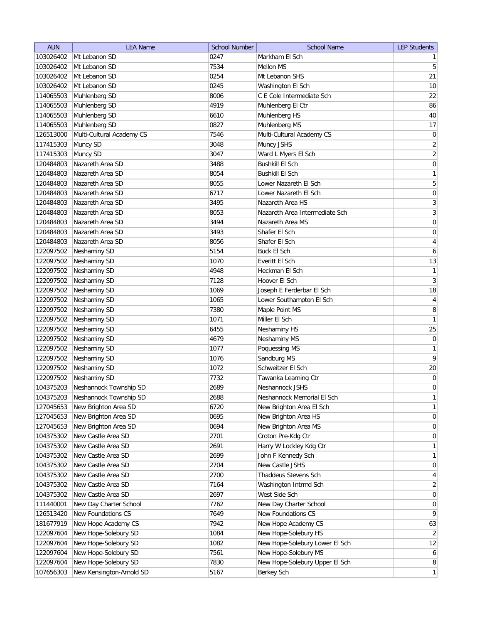| <b>AUN</b> | <b>LEA Name</b>           | <b>School Number</b> | <b>School Name</b>             | <b>LEP Students</b> |
|------------|---------------------------|----------------------|--------------------------------|---------------------|
| 103026402  | Mt Lebanon SD             | 0247                 | Markham El Sch                 | $\mathbf{1}$        |
| 103026402  | Mt Lebanon SD             | 7534                 | <b>Mellon MS</b>               | 5                   |
| 103026402  | Mt Lebanon SD             | 0254                 | Mt Lebanon SHS                 | 21                  |
| 103026402  | Mt Lebanon SD             | 0245                 | Washington El Sch              | 10                  |
| 114065503  | Muhlenberg SD             | 8006                 | C E Cole Intermediate Sch      | 22                  |
| 114065503  | Muhlenberg SD             | 4919                 | Muhlenberg El Ctr              | 86                  |
| 114065503  | Muhlenberg SD             | 6610                 | Muhlenberg HS                  | 40                  |
| 114065503  | Muhlenberg SD             | 0827                 | Muhlenberg MS                  | 17                  |
| 126513000  | Multi-Cultural Academy CS | 7546                 | Multi-Cultural Academy CS      | 0                   |
| 117415303  | Muncy SD                  | 3048                 | Muncy JSHS                     | $\overline{2}$      |
| 117415303  | Muncy SD                  | 3047                 | Ward L Myers El Sch            | $\overline{2}$      |
| 120484803  | Nazareth Area SD          | 3488                 | <b>Bushkill El Sch</b>         | 0                   |
| 120484803  | Nazareth Area SD          | 8054                 | <b>Bushkill El Sch</b>         | $\mathbf{1}$        |
| 120484803  | Nazareth Area SD          | 8055                 | Lower Nazareth El Sch          | 5                   |
| 120484803  | Nazareth Area SD          | 6717                 | Lower Nazareth El Sch          | 0                   |
| 120484803  | Nazareth Area SD          | 3495                 | Nazareth Area HS               | $\mathbf{3}$        |
| 120484803  | Nazareth Area SD          | 8053                 | Nazareth Area Intermediate Sch | $\sqrt{3}$          |
| 120484803  | Nazareth Area SD          | 3494                 | Nazareth Area MS               | $\boldsymbol{0}$    |
| 120484803  | Nazareth Area SD          | 3493                 | Shafer El Sch                  | $\boldsymbol{0}$    |
| 120484803  | Nazareth Area SD          | 8056                 | Shafer El Sch                  | $\overline{4}$      |
| 122097502  | Neshaminy SD              | 5154                 | <b>Buck El Sch</b>             | $\boldsymbol{6}$    |
| 122097502  | Neshaminy SD              | 1070                 | Everitt El Sch                 | 13                  |
| 122097502  | Neshaminy SD              | 4948                 | Heckman El Sch                 | $\mathbf{1}$        |
| 122097502  | Neshaminy SD              | 7128                 | Hoover El Sch                  | $\mathbf{3}$        |
| 122097502  | Neshaminy SD              | 1069                 | Joseph E Ferderbar El Sch      | 18                  |
| 122097502  | Neshaminy SD              | 1065                 | Lower Southampton El Sch       | $\overline{4}$      |
| 122097502  | Neshaminy SD              | 7380                 | Maple Point MS                 | 8                   |
| 122097502  | Neshaminy SD              | 1071                 | Miller El Sch                  | $\mathbf{1}$        |
| 122097502  | Neshaminy SD              | 6455                 | Neshaminy HS                   | 25                  |
| 122097502  | Neshaminy SD              | 4679                 | Neshaminy MS                   | 0                   |
| 122097502  | Neshaminy SD              | 1077                 | Poquessing MS                  | $\mathbf{1}$        |
| 122097502  | Neshaminy SD              | 1076                 | Sandburg MS                    | 9                   |
| 122097502  | Neshaminy SD              | 1072                 | Schweitzer El Sch              | 20                  |
| 122097502  | Neshaminy SD              | 7732                 | Tawanka Learning Ctr           | $\boldsymbol{0}$    |
| 104375203  | Neshannock Township SD    | 2689                 | Neshannock JSHS                | 0                   |
| 104375203  | Neshannock Township SD    | 2688                 | Neshannock Memorial El Sch     | $\mathbf{1}$        |
| 127045653  | New Brighton Area SD      | 6720                 | New Brighton Area El Sch       | $\mathbf{1}$        |
| 127045653  | New Brighton Area SD      | 0695                 | New Brighton Area HS           | $\boldsymbol{0}$    |
| 127045653  | New Brighton Area SD      | 0694                 | New Brighton Area MS           | $\boldsymbol{0}$    |
| 104375302  | New Castle Area SD        | 2701                 | Croton Pre-Kdg Ctr             | $\boldsymbol{0}$    |
| 104375302  | New Castle Area SD        | 2691                 | Harry W Lockley Kdg Ctr        | $\mathbf{1}$        |
| 104375302  | New Castle Area SD        | 2699                 | John F Kennedy Sch             | $\mathbf{1}$        |
| 104375302  | New Castle Area SD        | 2704                 | New Castle JSHS                | $\boldsymbol{0}$    |
| 104375302  | New Castle Area SD        | 2700                 | Thaddeus Stevens Sch           | $\overline{4}$      |
| 104375302  | New Castle Area SD        | 7164                 | Washington Intrmd Sch          | $\overline{2}$      |
| 104375302  | New Castle Area SD        | 2697                 | West Side Sch                  | 0                   |
| 111440001  | New Day Charter School    | 7762                 | New Day Charter School         | 0                   |
| 126513420  | New Foundations CS        | 7649                 | New Foundations CS             | 9                   |
| 181677919  | New Hope Academy CS       | 7942                 | New Hope Academy CS            | 63                  |
| 122097604  | New Hope-Solebury SD      | 1084                 | New Hope-Solebury HS           | $\overline{2}$      |
| 122097604  | New Hope-Solebury SD      | 1082                 | New Hope-Solebury Lower El Sch | 12                  |
| 122097604  | New Hope-Solebury SD      | 7561                 | New Hope-Solebury MS           | $\boldsymbol{6}$    |
| 122097604  | New Hope-Solebury SD      | 7830                 | New Hope-Solebury Upper El Sch | $\bf 8$             |
| 107656303  | New Kensington-Arnold SD  | 5167                 | Berkey Sch                     | $\mathbf{1}$        |
|            |                           |                      |                                |                     |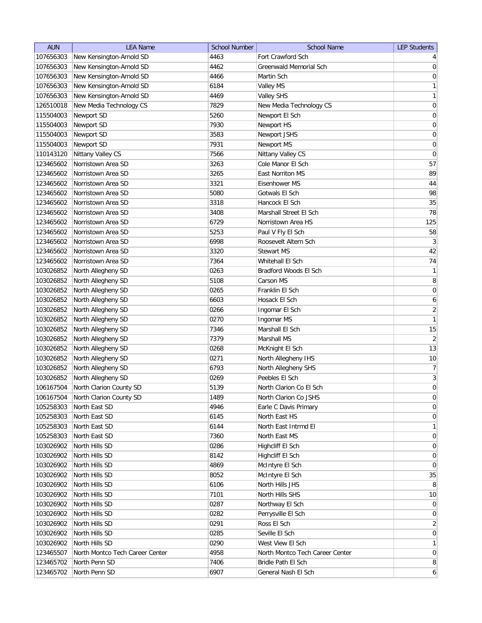| <b>AUN</b> | <b>LEA Name</b>                 | <b>School Number</b> | <b>School Name</b>              | <b>LEP Students</b> |
|------------|---------------------------------|----------------------|---------------------------------|---------------------|
| 107656303  | New Kensington-Arnold SD        | 4463                 | Fort Crawford Sch               | $\vert 4 \vert$     |
| 107656303  | New Kensington-Arnold SD        | 4462                 | Greenwald Memorial Sch          | $\overline{0}$      |
| 107656303  | New Kensington-Arnold SD        | 4466                 | Martin Sch                      | 0                   |
| 107656303  | New Kensington-Arnold SD        | 6184                 | Valley MS                       | $\mathbf{1}$        |
| 107656303  | New Kensington-Arnold SD        | 4469                 | <b>Valley SHS</b>               | $\mathbf{1}$        |
| 126510018  | New Media Technology CS         | 7829                 | New Media Technology CS         | $\vert 0 \vert$     |
| 115504003  | Newport SD                      | 5260                 | Newport El Sch                  | 0                   |
| 115504003  | Newport SD                      | 7930                 | Newport HS                      | $\boldsymbol{0}$    |
| 115504003  | Newport SD                      | 3583                 | Newport JSHS                    | $\boldsymbol{0}$    |
| 115504003  | Newport SD                      | 7931                 | Newport MS                      | $\boldsymbol{0}$    |
| 110143120  | Nittany Valley CS               | 7566                 | Nittany Valley CS               | 0                   |
| 123465602  | Norristown Area SD              | 3263                 | Cole Manor El Sch               | 57                  |
| 123465602  | Norristown Area SD              | 3265                 | East Norriton MS                | 89                  |
| 123465602  | Norristown Area SD              | 3321                 | Eisenhower MS                   | 44                  |
| 123465602  | Norristown Area SD              | 5080                 | Gotwals El Sch                  | 98                  |
| 123465602  | Norristown Area SD              | 3318                 | Hancock El Sch                  | 35                  |
| 123465602  | Norristown Area SD              | 3408                 | Marshall Street El Sch          | 78                  |
| 123465602  | Norristown Area SD              | 6729                 | Norristown Area HS              | 125                 |
| 123465602  | Norristown Area SD              | 5253                 | Paul V Fly El Sch               | 58                  |
| 123465602  | Norristown Area SD              | 6998                 | Roosevelt Altern Sch            | $\overline{3}$      |
| 123465602  | Norristown Area SD              | 3320                 | <b>Stewart MS</b>               | 42                  |
| 123465602  | Norristown Area SD              | 7364                 | Whitehall El Sch                | 74                  |
| 103026852  | North Allegheny SD              | 0263                 | Bradford Woods El Sch           | $\mathbf{1}$        |
| 103026852  | North Allegheny SD              | 5108                 | Carson MS                       | 8                   |
| 103026852  | North Allegheny SD              | 0265                 | Franklin El Sch                 | $\boldsymbol{0}$    |
| 103026852  | North Allegheny SD              | 6603                 | Hosack El Sch                   | 6                   |
| 103026852  | North Allegheny SD              | 0266                 | Ingomar El Sch                  | $\overline{2}$      |
| 103026852  | North Allegheny SD              | 0270                 | Ingomar MS                      | $\mathbf{1}$        |
| 103026852  | North Allegheny SD              | 7346                 | Marshall El Sch                 | 15                  |
| 103026852  | North Allegheny SD              | 7379                 | Marshall MS                     | $\overline{2}$      |
| 103026852  | North Allegheny SD              | 0268                 | McKnight El Sch                 | 13                  |
| 103026852  | North Allegheny SD              | 0271                 | North Allegheny IHS             | 10                  |
| 103026852  | North Allegheny SD              | 6793                 | North Allegheny SHS             | 7                   |
| 103026852  | North Allegheny SD              | 0269                 | Peebles El Sch                  | 3                   |
| 106167504  | North Clarion County SD         | 5139                 | North Clarion Co El Sch         | $\mathbf 0$         |
| 106167504  | North Clarion County SD         | 1489                 | North Clarion Co JSHS           | 0                   |
| 105258303  | North East SD                   | 4946                 | Earle C Davis Primary           | $\overline{0}$      |
| 105258303  | North East SD                   | 6145                 | North East HS                   | $\vert 0 \vert$     |
| 105258303  | North East SD                   | 6144                 | North East Intrmd El            | $\mathbf{1}$        |
| 105258303  | North East SD                   | 7360                 | North East MS                   | $\overline{0}$      |
| 103026902  | North Hills SD                  | 0286                 | Highcliff El Sch                | 0                   |
| 103026902  | North Hills SD                  | 8142                 | Highcliff El Sch                | $\boldsymbol{0}$    |
| 103026902  | North Hills SD                  | 4869                 | McIntyre El Sch                 | $\overline{0}$      |
| 103026902  | North Hills SD                  | 8052                 | McIntyre El Sch                 | 35                  |
| 103026902  | North Hills SD                  | 6106                 | North Hills JHS                 | 8                   |
| 103026902  | North Hills SD                  | 7101                 | North Hills SHS                 | 10                  |
| 103026902  | North Hills SD                  | 0287                 | Northway El Sch                 | $\overline{0}$      |
| 103026902  | North Hills SD                  | 0282                 | Perrysville El Sch              | 0                   |
| 103026902  | North Hills SD                  | 0291                 | Ross El Sch                     | $\overline{2}$      |
| 103026902  | North Hills SD                  | 0285                 | Seville El Sch                  | $\overline{0}$      |
| 103026902  | North Hills SD                  | 0290                 | West View El Sch                | 1                   |
| 123465507  | North Montco Tech Career Center | 4958                 | North Montco Tech Career Center | $\overline{0}$      |
| 123465702  | North Penn SD                   | 7406                 | Bridle Path El Sch              | 8 <sup>1</sup>      |
| 123465702  | North Penn SD                   | 6907                 | General Nash El Sch             | $6 \mid$            |
|            |                                 |                      |                                 |                     |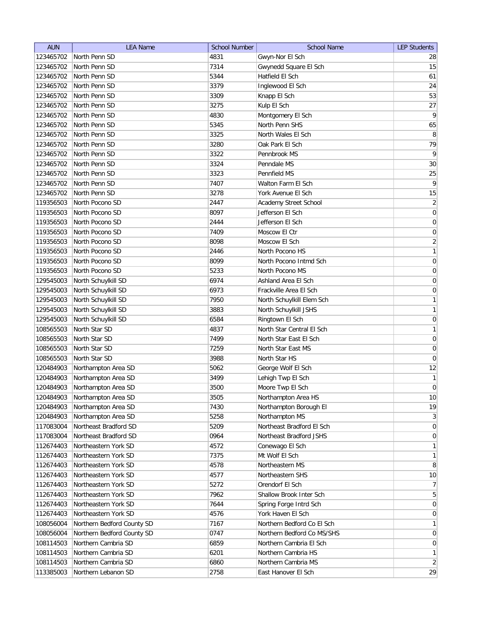| <b>AUN</b> | <b>LEA Name</b>            | <b>School Number</b> | <b>School Name</b>         | <b>LEP Students</b> |
|------------|----------------------------|----------------------|----------------------------|---------------------|
| 123465702  | North Penn SD              | 4831                 | Gwyn-Nor El Sch            | 28                  |
| 123465702  | North Penn SD              | 7314                 | Gwynedd Square El Sch      | 15                  |
| 123465702  | North Penn SD              | 5344                 | Hatfield El Sch            | 61                  |
| 123465702  | North Penn SD              | 3379                 | Inglewood El Sch           | 24                  |
| 123465702  | North Penn SD              | 3309                 | Knapp El Sch               | 53                  |
| 123465702  | North Penn SD              | 3275                 | Kulp El Sch                | 27                  |
| 123465702  | North Penn SD              | 4830                 | Montgomery El Sch          | $\vert 9 \vert$     |
| 123465702  | North Penn SD              | 5345                 | North Penn SHS             | 65                  |
| 123465702  | North Penn SD              | 3325                 | North Wales El Sch         | 8                   |
| 123465702  | North Penn SD              | 3280                 | Oak Park El Sch            | 79                  |
| 123465702  | North Penn SD              | 3322                 | Pennbrook MS               | $\overline{9}$      |
| 123465702  | North Penn SD              | 3324                 | Penndale MS                | 30                  |
| 123465702  | North Penn SD              | 3323                 | Pennfield MS               | 25                  |
| 123465702  | North Penn SD              | 7407                 | Walton Farm El Sch         | 9                   |
| 123465702  | North Penn SD              | 3278                 | York Avenue El Sch         | 15                  |
| 119356503  | North Pocono SD            | 2447                 | Academy Street School      | $\overline{2}$      |
| 119356503  | North Pocono SD            | 8097                 | Jefferson El Sch           | $\boldsymbol{0}$    |
| 119356503  | North Pocono SD            | 2444                 | Jefferson El Sch           | $\vert 0 \vert$     |
| 119356503  | North Pocono SD            | 7409                 | Moscow El Ctr              | 0                   |
| 119356503  | North Pocono SD            | 8098                 | Moscow El Sch              | $\mathbf{2}$        |
| 119356503  | North Pocono SD            | 2446                 | North Pocono HS            | 1                   |
| 119356503  | North Pocono SD            | 8099                 | North Pocono Intmd Sch     | 0                   |
| 119356503  | North Pocono SD            | 5233                 | North Pocono MS            | 0                   |
| 129545003  | North Schuylkill SD        | 6974                 | Ashland Area El Sch        | $\boldsymbol{0}$    |
| 129545003  | North Schuylkill SD        | 6973                 | Frackville Area El Sch     | $\boldsymbol{0}$    |
| 129545003  | North Schuylkill SD        | 7950                 | North Schuylkill Elem Sch  | 1                   |
| 129545003  | North Schuylkill SD        | 3883                 | North Schuylkill JSHS      | 1                   |
| 129545003  | North Schuylkill SD        | 6584                 | Ringtown El Sch            | $\boldsymbol{0}$    |
| 108565503  | North Star SD              | 4837                 | North Star Central El Sch  | 1                   |
| 108565503  | North Star SD              | 7499                 | North Star East El Sch     | $\boldsymbol{0}$    |
| 108565503  | North Star SD              | 7259                 | North Star East MS         | $\boldsymbol{0}$    |
| 108565503  | North Star SD              | 3988                 | North Star HS              | 0                   |
| 120484903  | Northampton Area SD        | 5062                 | George Wolf El Sch         | 12                  |
| 120484903  | Northampton Area SD        | 3499                 | Lehigh Twp El Sch          | 1                   |
| 120484903  | Northampton Area SD        | 3500                 | Moore Twp El Sch           | 0                   |
| 120484903  | Northampton Area SD        | 3505                 | Northampton Area HS        | 10                  |
| 120484903  | Northampton Area SD        | 7430                 | Northampton Borough El     | 19                  |
| 120484903  | Northampton Area SD        | 5258                 | Northampton MS             | 3                   |
| 117083004  | Northeast Bradford SD      | 5209                 | Northeast Bradford El Sch  | $\vert 0 \vert$     |
| 117083004  | Northeast Bradford SD      | 0964                 | Northeast Bradford JSHS    | 0                   |
| 112674403  | Northeastern York SD       | 4572                 | Conewago El Sch            | $\mathbf{1}$        |
| 112674403  | Northeastern York SD       | 7375                 | Mt Wolf El Sch             | $\mathbf{1}$        |
| 112674403  | Northeastern York SD       | 4578                 | Northeastern MS            | 8 <sup>1</sup>      |
| 112674403  | Northeastern York SD       | 4577                 | Northeastern SHS           | 10                  |
| 112674403  | Northeastern York SD       | 5272                 | Orendorf El Sch            | 7                   |
| 112674403  | Northeastern York SD       | 7962                 | Shallow Brook Inter Sch    | $\overline{5}$      |
| 112674403  | Northeastern York SD       | 7644                 | Spring Forge Intrd Sch     | $\overline{0}$      |
| 112674403  | Northeastern York SD       | 4576                 | York Haven El Sch          | $\overline{0}$      |
| 108056004  | Northern Bedford County SD | 7167                 | Northern Bedford Co El Sch | $\mathbf{1}$        |
| 108056004  | Northern Bedford County SD | 0747                 | Northern Bedford Co MS/SHS | $\overline{0}$      |
| 108114503  | Northern Cambria SD        | 6859                 | Northern Cambria El Sch    | $\overline{0}$      |
| 108114503  | Northern Cambria SD        | 6201                 | Northern Cambria HS        | 1                   |
| 108114503  | Northern Cambria SD        | 6860                 | Northern Cambria MS        | $\overline{2}$      |
| 113385003  | Northern Lebanon SD        | 2758                 | East Hanover El Sch        | 29                  |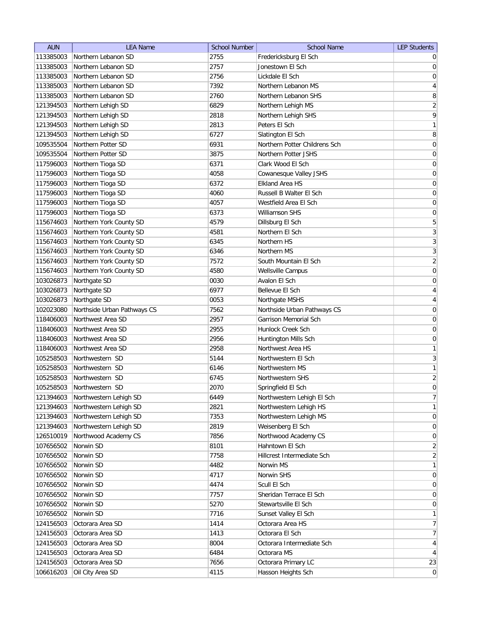| <b>AUN</b> | <b>LEA Name</b>             | <b>School Number</b> | <b>School Name</b>            | <b>LEP Students</b> |
|------------|-----------------------------|----------------------|-------------------------------|---------------------|
| 113385003  | Northern Lebanon SD         | 2755                 | Fredericksburg El Sch         | $\overline{0}$      |
| 113385003  | Northern Lebanon SD         | 2757                 | Jonestown El Sch              | 0                   |
| 113385003  | Northern Lebanon SD         | 2756                 | Lickdale El Sch               | $\boldsymbol{0}$    |
| 113385003  | Northern Lebanon SD         | 7392                 | Northern Lebanon MS           | 4                   |
| 113385003  | Northern Lebanon SD         | 2760                 | Northern Lebanon SHS          | 8                   |
| 121394503  | Northern Lehigh SD          | 6829                 | Northern Lehigh MS            | $\overline{2}$      |
| 121394503  | Northern Lehigh SD          | 2818                 | Northern Lehigh SHS           | $\overline{9}$      |
| 121394503  | Northern Lehigh SD          | 2813                 | Peters El Sch                 | 1                   |
| 121394503  | Northern Lehigh SD          | 6727                 | Slatington El Sch             | 8                   |
| 109535504  | Northern Potter SD          | 6931                 | Northern Potter Childrens Sch | $\boldsymbol{0}$    |
| 109535504  | Northern Potter SD          | 3875                 | Northern Potter JSHS          | 0                   |
| 117596003  | Northern Tioga SD           | 6371                 | Clark Wood El Sch             | 0                   |
| 117596003  | Northern Tioga SD           | 4058                 | Cowanesque Valley JSHS        | 0                   |
| 117596003  | Northern Tioga SD           | 6372                 | Elkland Area HS               | 0                   |
| 117596003  | Northern Tioga SD           | 4060                 | Russell B Walter El Sch       | 0                   |
| 117596003  | Northern Tioga SD           | 4057                 | Westfield Area El Sch         | $\boldsymbol{0}$    |
| 117596003  | Northern Tioga SD           | 6373                 | Williamson SHS                | $\boldsymbol{0}$    |
| 115674603  | Northern York County SD     | 4579                 | Dillsburg El Sch              | 5                   |
| 115674603  | Northern York County SD     | 4581                 | Northern El Sch               | $\overline{3}$      |
| 115674603  | Northern York County SD     | 6345                 | Northern HS                   | $\overline{3}$      |
| 115674603  | Northern York County SD     | 6346                 | Northern MS                   | $\overline{3}$      |
| 115674603  | Northern York County SD     | 7572                 | South Mountain El Sch         | $\overline{2}$      |
| 115674603  | Northern York County SD     | 4580                 | Wellsville Campus             | $\boldsymbol{0}$    |
| 103026873  | Northgate SD                | 0030                 | Avalon El Sch                 | $\boldsymbol{0}$    |
| 103026873  | Northgate SD                | 6977                 | Bellevue El Sch               | $\overline{4}$      |
| 103026873  | Northgate SD                | 0053                 | Northgate MSHS                | $\overline{4}$      |
| 102023080  | Northside Urban Pathways CS | 7562                 | Northside Urban Pathways CS   | 0                   |
| 118406003  | Northwest Area SD           | 2957                 | Garrison Memorial Sch         | 0                   |
| 118406003  | Northwest Area SD           | 2955                 | Hunlock Creek Sch             | 0                   |
| 118406003  | Northwest Area SD           | 2956                 | Huntington Mills Sch          | 0                   |
| 118406003  | Northwest Area SD           | 2958                 | Northwest Area HS             | 1                   |
| 105258503  | Northwestern SD             | 5144                 | Northwestern El Sch           | $\mathbf{3}$        |
| 105258503  | Northwestern SD             | 6146                 | Northwestern MS               | 1                   |
| 105258503  | Northwestern SD             | 6745                 | Northwestern SHS              | $\overline{2}$      |
| 105258503  | Northwestern SD             | 2070                 | Springfield El Sch            | $\overline{0}$      |
| 121394603  | Northwestern Lehigh SD      | 6449                 | Northwestern Lehigh El Sch    | $7\vert$            |
| 121394603  | Northwestern Lehigh SD      | 2821                 | Northwestern Lehigh HS        | 1                   |
| 121394603  | Northwestern Lehigh SD      | 7353                 | Northwestern Lehigh MS        | 0                   |
| 121394603  | Northwestern Lehigh SD      | 2819                 | Weisenberg El Sch             | 0                   |
| 126510019  | Northwood Academy CS        | 7856                 | Northwood Academy CS          | 0                   |
| 107656502  | Norwin SD                   | 8101                 | Hahntown El Sch               | $\overline{2}$      |
| 107656502  | Norwin SD                   | 7758                 | Hillcrest Intermediate Sch    | $\overline{2}$      |
| 107656502  | Norwin SD                   | 4482                 | Norwin MS                     | 1                   |
| 107656502  | Norwin SD                   | 4717                 | Norwin SHS                    | $\overline{0}$      |
| 107656502  | Norwin SD                   | 4474                 | Scull El Sch                  | $\overline{0}$      |
| 107656502  | Norwin SD                   | 7757                 | Sheridan Terrace El Sch       | $\overline{0}$      |
| 107656502  | Norwin SD                   | 5270                 | Stewartsville El Sch          | $\overline{0}$      |
| 107656502  | Norwin SD                   | 7716                 | Sunset Valley El Sch          | $\mathbf{1}$        |
| 124156503  | Octorara Area SD            | 1414                 | Octorara Area HS              | 7                   |
| 124156503  | Octorara Area SD            | 1413                 | Octorara El Sch               | 7 <sup>1</sup>      |
| 124156503  | Octorara Area SD            | 8004                 | Octorara Intermediate Sch     | $\vert 4 \vert$     |
| 124156503  | Octorara Area SD            | 6484                 | Octorara MS                   | $\vert 4 \vert$     |
| 124156503  | Octorara Area SD            | 7656                 | Octorara Primary LC           | 23                  |
| 106616203  | Oil City Area SD            | 4115                 | Hasson Heights Sch            | 0                   |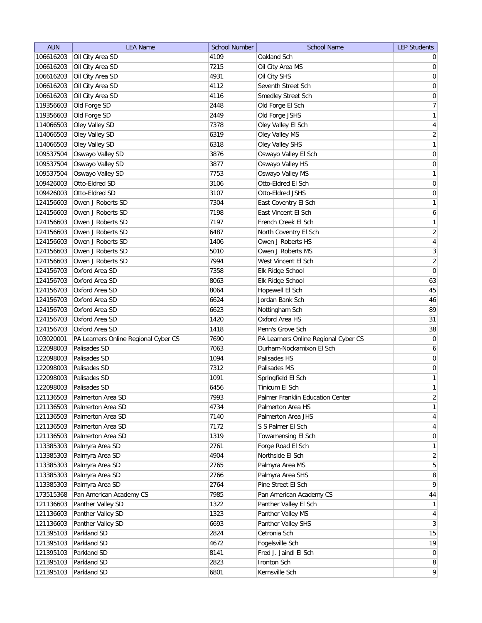| <b>AUN</b> | <b>LEA Name</b>                      | <b>School Number</b> | <b>School Name</b>                   | <b>LEP Students</b> |
|------------|--------------------------------------|----------------------|--------------------------------------|---------------------|
| 106616203  | Oil City Area SD                     | 4109                 | Oakland Sch                          | $\overline{0}$      |
| 106616203  | Oil City Area SD                     | 7215                 | Oil City Area MS                     | 0                   |
| 106616203  | Oil City Area SD                     | 4931                 | Oil City SHS                         | 0                   |
| 106616203  | Oil City Area SD                     | 4112                 | Seventh Street Sch                   | 0                   |
| 106616203  | Oil City Area SD                     | 4116                 | Smedley Street Sch                   | 0                   |
| 119356603  | Old Forge SD                         | 2448                 | Old Forge El Sch                     | 7                   |
| 119356603  | Old Forge SD                         | 2449                 | Old Forge JSHS                       | 1                   |
| 114066503  | Oley Valley SD                       | 7378                 | Oley Valley El Sch                   | $\vert 4 \vert$     |
| 114066503  | Oley Valley SD                       | 6319                 | Oley Valley MS                       | $\overline{2}$      |
| 114066503  | Oley Valley SD                       | 6318                 | Oley Valley SHS                      | $\mathbf{1}$        |
| 109537504  | Oswayo Valley SD                     | 3876                 | Oswayo Valley El Sch                 | 0                   |
| 109537504  | Oswayo Valley SD                     | 3877                 | Oswayo Valley HS                     | 0                   |
| 109537504  | Oswayo Valley SD                     | 7753                 | Oswayo Valley MS                     | $\mathbf{1}$        |
| 109426003  | Otto-Eldred SD                       | 3106                 | Otto-Eldred El Sch                   | $\overline{0}$      |
| 109426003  | Otto-Eldred SD                       | 3107                 | Otto-Eldred JSHS                     | 0                   |
| 124156603  | Owen J Roberts SD                    | 7304                 | East Coventry El Sch                 | $\mathbf{1}$        |
| 124156603  | Owen J Roberts SD                    | 7198                 | East Vincent El Sch                  | 6 <sup>1</sup>      |
| 124156603  | Owen J Roberts SD                    | 7197                 | French Creek El Sch                  | 1                   |
| 124156603  | Owen J Roberts SD                    | 6487                 | North Coventry El Sch                | $\overline{2}$      |
| 124156603  | Owen J Roberts SD                    | 1406                 | Owen J Roberts HS                    | $\overline{4}$      |
| 124156603  | Owen J Roberts SD                    | 5010                 | Owen J Roberts MS                    | $\overline{3}$      |
| 124156603  | Owen J Roberts SD                    | 7994                 | West Vincent El Sch                  | $\overline{2}$      |
| 124156703  | Oxford Area SD                       | 7358                 | Elk Ridge School                     | $\overline{0}$      |
| 124156703  | Oxford Area SD                       | 8063                 | Elk Ridge School                     | 63                  |
| 124156703  | Oxford Area SD                       | 8064                 | Hopewell El Sch                      | 45                  |
| 124156703  | Oxford Area SD                       | 6624                 | Jordan Bank Sch                      | 46                  |
| 124156703  | Oxford Area SD                       | 6623                 | Nottingham Sch                       | 89                  |
| 124156703  | Oxford Area SD                       | 1420                 | Oxford Area HS                       | 31                  |
| 124156703  | Oxford Area SD                       | 1418                 | Penn's Grove Sch                     | 38                  |
| 103020001  | PA Learners Online Regional Cyber CS | 7690                 | PA Learners Online Regional Cyber CS | 0                   |
| 122098003  | Palisades SD                         | 7063                 | Durham-Nockamixon El Sch             | 6                   |
| 122098003  | Palisades SD                         | 1094                 | Palisades HS                         | 0                   |
| 122098003  | Palisades SD                         | 7312                 | Palisades MS                         | 0                   |
| 122098003  | Palisades SD                         | 1091                 | Springfield El Sch                   | $\mathbf{1}$        |
| 122098003  | Palisades SD                         | 6456                 | Tinicum El Sch                       | 1                   |
| 121136503  | Palmerton Area SD                    | 7993                 | Palmer Franklin Education Center     | $\overline{2}$      |
| 121136503  | Palmerton Area SD                    | 4734                 | Palmerton Area HS                    | 1                   |
| 121136503  | Palmerton Area SD                    | 7140                 | Palmerton Area JHS                   | $\vert 4 \vert$     |
| 121136503  | Palmerton Area SD                    | 7172                 | S S Palmer El Sch                    | $\vert 4 \vert$     |
| 121136503  | Palmerton Area SD                    | 1319                 | Towamensing El Sch                   | $\overline{0}$      |
| 113385303  | Palmyra Area SD                      | 2761                 | Forge Road El Sch                    | $\mathbf{1}$        |
| 113385303  | Palmyra Area SD                      | 4904                 | Northside El Sch                     | $\overline{2}$      |
| 113385303  | Palmyra Area SD                      | 2765                 | Palmyra Area MS                      | 5 <sup>2</sup>      |
| 113385303  | Palmyra Area SD                      | 2766                 | Palmyra Area SHS                     | 8                   |
| 113385303  | Palmyra Area SD                      | 2764                 | Pine Street El Sch                   | $\vert 9 \vert$     |
| 173515368  | Pan American Academy CS              | 7985                 | Pan American Academy CS              | 44                  |
| 121136603  | Panther Valley SD                    | 1322                 | Panther Valley El Sch                | 1                   |
| 121136603  | Panther Valley SD                    | 1323                 | Panther Valley MS                    | $\overline{4}$      |
| 121136603  | Panther Valley SD                    | 6693                 | Panther Valley SHS                   | 3                   |
| 121395103  | Parkland SD                          | 2824                 | Cetronia Sch                         | 15                  |
| 121395103  | Parkland SD                          | 4672                 | Fogelsville Sch                      | 19                  |
| 121395103  | Parkland SD                          | 8141                 | Fred J. Jaindl El Sch                | 0                   |
| 121395103  | Parkland SD                          | 2823                 | Ironton Sch                          | 8 <sup>1</sup>      |
| 121395103  | Parkland SD                          | 6801                 | Kernsville Sch                       | $\overline{9}$      |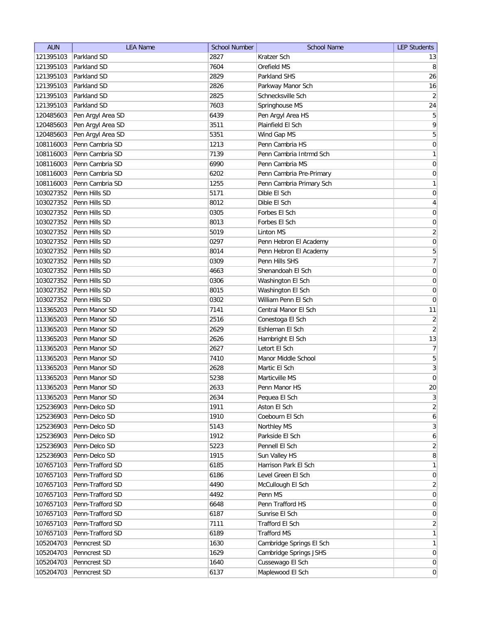| <b>AUN</b> | <b>LEA Name</b>   | <b>School Number</b> | <b>School Name</b>       | <b>LEP Students</b>          |
|------------|-------------------|----------------------|--------------------------|------------------------------|
| 121395103  | Parkland SD       | 2827                 | Kratzer Sch              | 13                           |
| 121395103  | Parkland SD       | 7604                 | Orefield MS              | 8                            |
| 121395103  | Parkland SD       | 2829                 | Parkland SHS             | 26                           |
| 121395103  | Parkland SD       | 2826                 | Parkway Manor Sch        | 16                           |
| 121395103  | Parkland SD       | 2825                 | Schnecksville Sch        | $\left  \frac{2}{2} \right $ |
| 121395103  | Parkland SD       | 7603                 | Springhouse MS           | 24                           |
| 120485603  | Pen Argyl Area SD | 6439                 | Pen Argyl Area HS        | 5                            |
| 120485603  | Pen Argyl Area SD | 3511                 | Plainfield El Sch        | 9                            |
| 120485603  | Pen Argyl Area SD | 5351                 | Wind Gap MS              | 5                            |
| 108116003  | Penn Cambria SD   | 1213                 | Penn Cambria HS          | $\boldsymbol{0}$             |
| 108116003  | Penn Cambria SD   | 7139                 | Penn Cambria Intrmd Sch  | $\mathbf{1}$                 |
| 108116003  | Penn Cambria SD   | 6990                 | Penn Cambria MS          | 0                            |
| 108116003  | Penn Cambria SD   | 6202                 | Penn Cambria Pre-Primary | 0                            |
| 108116003  | Penn Cambria SD   | 1255                 | Penn Cambria Primary Sch | $\mathbf{1}$                 |
| 103027352  | Penn Hills SD     | 5171                 | Dible El Sch             | 0                            |
| 103027352  | Penn Hills SD     | 8012                 | Dible El Sch             | 4                            |
| 103027352  | Penn Hills SD     | 0305                 | Forbes El Sch            | $\boldsymbol{0}$             |
| 103027352  | Penn Hills SD     | 8013                 | Forbes El Sch            | $\boldsymbol{0}$             |
| 103027352  | Penn Hills SD     | 5019                 | <b>Linton MS</b>         | $\overline{2}$               |
| 103027352  | Penn Hills SD     | 0297                 | Penn Hebron El Academy   | $\vert 0 \vert$              |
| 103027352  | Penn Hills SD     | 8014                 | Penn Hebron El Academy   | 5                            |
| 103027352  | Penn Hills SD     | 0309                 | Penn Hills SHS           | $\overline{7}$               |
| 103027352  | Penn Hills SD     | 4663                 | Shenandoah El Sch        | $\boldsymbol{0}$             |
| 103027352  | Penn Hills SD     | 0306                 | Washington El Sch        | $\boldsymbol{0}$             |
| 103027352  | Penn Hills SD     | 8015                 | Washington El Sch        | $\mathbf 0$                  |
| 103027352  | Penn Hills SD     | 0302                 | William Penn El Sch      | 0                            |
| 113365203  | Penn Manor SD     | 7141                 | Central Manor El Sch     | 11                           |
| 113365203  | Penn Manor SD     | 2516                 | Conestoga El Sch         | $\mathbf{2}$                 |
| 113365203  | Penn Manor SD     | 2629                 | Eshleman El Sch          | $\overline{2}$               |
| 113365203  | Penn Manor SD     | 2626                 | Hambright El Sch         | 13                           |
| 113365203  | Penn Manor SD     | 2627                 | Letort El Sch            | 7                            |
| 113365203  | Penn Manor SD     | 7410                 | Manor Middle School      | 5                            |
| 113365203  | Penn Manor SD     | 2628                 | Martic El Sch            | $\overline{3}$               |
| 113365203  | Penn Manor SD     | 5238                 | Marticville MS           | $\overline{0}$               |
| 113365203  | Penn Manor SD     | 2633                 | Penn Manor HS            | 20                           |
| 113365203  | Penn Manor SD     | 2634                 | Pequea El Sch            | $\frac{3}{2}$                |
| 125236903  | Penn-Delco SD     | 1911                 | Aston El Sch             | $\overline{2}$               |
| 125236903  | Penn-Delco SD     | 1910                 | Coebourn El Sch          | $6\vert$                     |
| 125236903  | Penn-Delco SD     | 5143                 | Northley MS              | 3                            |
| 125236903  | Penn-Delco SD     | 1912                 | Parkside El Sch          | $6\vert$                     |
| 125236903  | Penn-Delco SD     | 5223                 | Pennell El Sch           | $\overline{2}$               |
| 125236903  | Penn-Delco SD     | 1915                 | Sun Valley HS            | 8                            |
| 107657103  | Penn-Trafford SD  | 6185                 | Harrison Park El Sch     | 1                            |
| 107657103  | Penn-Trafford SD  | 6186                 | Level Green El Sch       | 0                            |
| 107657103  | Penn-Trafford SD  | 4490                 | McCullough El Sch        | $\overline{2}$               |
| 107657103  | Penn-Trafford SD  | 4492                 | Penn MS                  | $\overline{0}$               |
| 107657103  | Penn-Trafford SD  | 6648                 | Penn Trafford HS         | $\overline{0}$               |
| 107657103  | Penn-Trafford SD  | 6187                 | Sunrise El Sch           | 0                            |
| 107657103  | Penn-Trafford SD  | 7111                 | Trafford El Sch          | $\overline{2}$               |
| 107657103  | Penn-Trafford SD  | 6189                 | <b>Trafford MS</b>       | $\mathbf{1}$                 |
| 105204703  | Penncrest SD      | 1630                 | Cambridge Springs El Sch | $\mathbf{1}$                 |
| 105204703  | Penncrest SD      | 1629                 | Cambridge Springs JSHS   | $\overline{0}$               |
| 105204703  | Penncrest SD      | 1640                 | Cussewago El Sch         | 0                            |
| 105204703  | Penncrest SD      | 6137                 | Maplewood El Sch         | $\vert 0 \vert$              |
|            |                   |                      |                          |                              |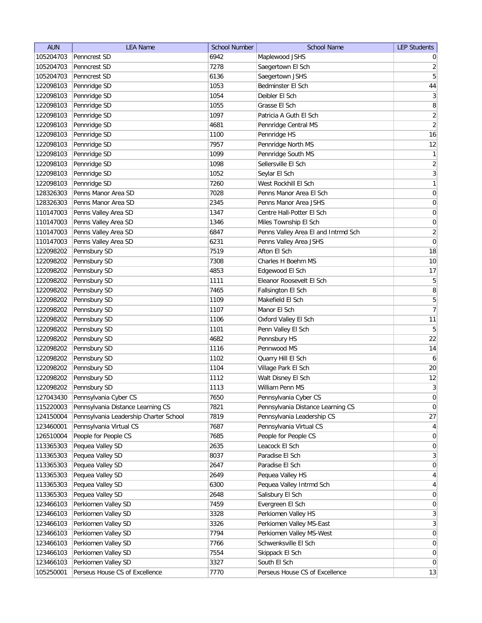| <b>AUN</b> | <b>LEA Name</b>                        | <b>School Number</b> | <b>School Name</b>                  | <b>LEP Students</b> |
|------------|----------------------------------------|----------------------|-------------------------------------|---------------------|
| 105204703  | Penncrest SD                           | 6942                 | Maplewood JSHS                      | $\overline{0}$      |
| 105204703  | Penncrest SD                           | 7278                 | Saegertown El Sch                   | $\overline{2}$      |
| 105204703  | Penncrest SD                           | 6136                 | Saegertown JSHS                     | $\overline{5}$      |
| 122098103  | Pennridge SD                           | 1053                 | Bedminster El Sch                   | $\bf 44$            |
| 122098103  | Pennridge SD                           | 1054                 | Deibler El Sch                      | $\mathbf{3}$        |
| 122098103  | Pennridge SD                           | 1055                 | Grasse El Sch                       | 8                   |
| 122098103  | Pennridge SD                           | 1097                 | Patricia A Guth El Sch              | $\overline{2}$      |
| 122098103  | Pennridge SD                           | 4681                 | Pennridge Central MS                | $\overline{2}$      |
| 122098103  | Pennridge SD                           | 1100                 | Pennridge HS                        | 16                  |
| 122098103  | Pennridge SD                           | 7957                 | Pennridge North MS                  | 12                  |
| 122098103  | Pennridge SD                           | 1099                 | Pennridge South MS                  | $\mathbf{1}$        |
| 122098103  | Pennridge SD                           | 1098                 | Sellersville El Sch                 | $\overline{2}$      |
| 122098103  | Pennridge SD                           | 1052                 | Seylar El Sch                       | $\mathbf{3}$        |
| 122098103  | Pennridge SD                           | 7260                 | West Rockhill El Sch                | $\mathbf{1}$        |
| 128326303  | Penns Manor Area SD                    | 7028                 | Penns Manor Area El Sch             | 0                   |
| 128326303  | Penns Manor Area SD                    | 2345                 | Penns Manor Area JSHS               | 0                   |
| 110147003  | Penns Valley Area SD                   | 1347                 | Centre Hall-Potter El Sch           | 0                   |
| 110147003  | Penns Valley Area SD                   | 1346                 | Miles Township El Sch               | $\overline{0}$      |
| 110147003  | Penns Valley Area SD                   | 6847                 | Penns Valley Area El and Intrmd Sch | $\overline{2}$      |
| 110147003  | Penns Valley Area SD                   | 6231                 | Penns Valley Area JSHS              | $\pmb{0}$           |
| 122098202  | Pennsbury SD                           | 7519                 | Afton El Sch                        | 18                  |
| 122098202  | Pennsbury SD                           | 7308                 | Charles H Boehm MS                  | 10                  |
| 122098202  | Pennsbury SD                           | 4853                 | Edgewood El Sch                     | 17                  |
| 122098202  | Pennsbury SD                           | 1111                 | Eleanor Roosevelt El Sch            | 5                   |
| 122098202  | Pennsbury SD                           | 7465                 | Fallsington El Sch                  | 8                   |
| 122098202  | Pennsbury SD                           | 1109                 | Makefield El Sch                    | $\overline{5}$      |
| 122098202  | Pennsbury SD                           | 1107                 | Manor El Sch                        | $\overline{7}$      |
| 122098202  | Pennsbury SD                           | 1106                 | Oxford Valley El Sch                | 11                  |
| 122098202  | Pennsbury SD                           | 1101                 | Penn Valley El Sch                  | $\overline{5}$      |
| 122098202  | Pennsbury SD                           | 4682                 | Pennsbury HS                        | 22                  |
| 122098202  | Pennsbury SD                           | 1116                 | Pennwood MS                         | 14                  |
| 122098202  | Pennsbury SD                           | 1102                 | Quarry Hill El Sch                  | 6                   |
| 122098202  | Pennsbury SD                           | 1104                 | Village Park El Sch                 | 20                  |
| 122098202  | Pennsbury SD                           | 1112                 | Walt Disney El Sch                  | 12                  |
| 122098202  | Pennsbury SD                           | 1113                 | William Penn MS                     | $\overline{3}$      |
| 127043430  | Pennsylvania Cyber CS                  | 7650                 | Pennsylvania Cyber CS               | $\pmb{0}$           |
| 115220003  | Pennsylvania Distance Learning CS      | 7821                 | Pennsylvania Distance Learning CS   | $\pmb{0}$           |
| 124150004  | Pennsylvania Leadership Charter School | 7819                 | Pennsylvania Leadership CS          | $27\,$              |
| 123460001  | Pennsylvania Virtual CS                | 7687                 | Pennsylvania Virtual CS             | $\overline{4}$      |
| 126510004  | People for People CS                   | 7685                 | People for People CS                | $\overline{0}$      |
| 113365303  | Pequea Valley SD                       | 2635                 | Leacock El Sch                      | $\mathsf{O}\xspace$ |
| 113365303  | Pequea Valley SD                       | 8037                 | Paradise El Sch                     | $\mathbf{3}$        |
| 113365303  | Pequea Valley SD                       | 2647                 | Paradise El Sch                     | $\overline{0}$      |
| 113365303  | Pequea Valley SD                       | 2649                 | Pequea Valley HS                    | $\overline{4}$      |
| 113365303  | Pequea Valley SD                       | 6300                 | Pequea Valley Intrmd Sch            | $\overline{4}$      |
| 113365303  | Pequea Valley SD                       | 2648                 | Salisbury El Sch                    | 0                   |
| 123466103  | Perkiomen Valley SD                    | 7459                 | Evergreen El Sch                    | 0                   |
| 123466103  | Perkiomen Valley SD                    | 3328                 | Perkiomen Valley HS                 | $\mathbf{3}$        |
| 123466103  | Perkiomen Valley SD                    | 3326                 | Perkiomen Valley MS-East            | $\mathbf{3}$        |
| 123466103  | Perkiomen Valley SD                    | 7794                 | Perkiomen Valley MS-West            | $\boldsymbol{0}$    |
| 123466103  | Perkiomen Valley SD                    | 7766                 | Schwenksville El Sch                | $\overline{0}$      |
| 123466103  | Perkiomen Valley SD                    | 7554                 | Skippack El Sch                     | $\boldsymbol{0}$    |
| 123466103  | Perkiomen Valley SD                    | 3327                 | South El Sch                        | $\overline{0}$      |
| 105250001  | Perseus House CS of Excellence         | 7770                 | Perseus House CS of Excellence      | 13                  |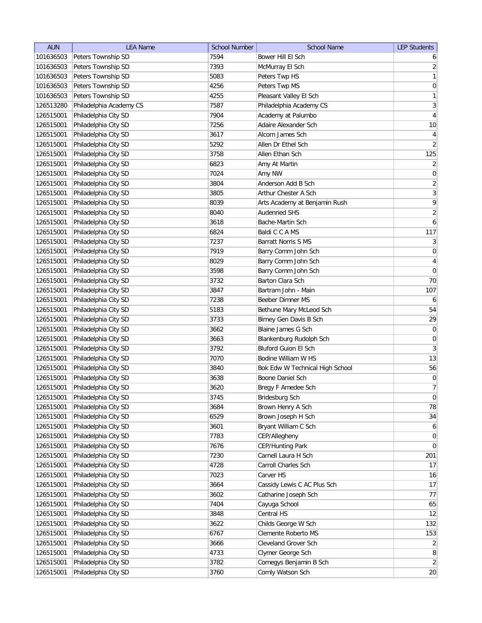| <b>AUN</b> | <b>LEA Name</b>         | <b>School Number</b> | <b>School Name</b>              | <b>LEP Students</b> |
|------------|-------------------------|----------------------|---------------------------------|---------------------|
| 101636503  | Peters Township SD      | 7594                 | Bower Hill El Sch               | $6 \mid$            |
| 101636503  | Peters Township SD      | 7393                 | McMurray El Sch                 | $\overline{2}$      |
| 101636503  | Peters Township SD      | 5083                 | Peters Twp HS                   | 1                   |
| 101636503  | Peters Township SD      | 4256                 | Peters Twp MS                   | $\vert 0 \vert$     |
| 101636503  | Peters Township SD      | 4255                 | Pleasant Valley El Sch          | 1                   |
| 126513280  | Philadelphia Academy CS | 7587                 | Philadelphia Academy CS         | $\overline{3}$      |
| 126515001  | Philadelphia City SD    | 7904                 | Academy at Palumbo              | $\overline{4}$      |
| 126515001  | Philadelphia City SD    | 7256                 | Adaire Alexander Sch            | $10$                |
| 126515001  | Philadelphia City SD    | 3617                 | Alcorn James Sch                | $\vert 4 \vert$     |
| 126515001  | Philadelphia City SD    | 5292                 | Allen Dr Ethel Sch              | $\overline{2}$      |
| 126515001  | Philadelphia City SD    | 3758                 | Allen Ethan Sch                 | 125                 |
| 126515001  | Philadelphia City SD    | 6823                 | Amy At Martin                   | $\overline{2}$      |
| 126515001  | Philadelphia City SD    | 7024                 | Amy NW                          | $\overline{0}$      |
| 126515001  | Philadelphia City SD    | 3804                 | Anderson Add B Sch              | $\overline{2}$      |
| 126515001  | Philadelphia City SD    | 3805                 | Arthur Chester A Sch            | $\mathbf{3}$        |
| 126515001  | Philadelphia City SD    | 8039                 | Arts Academy at Benjamin Rush   | 9                   |
| 126515001  | Philadelphia City SD    | 8040                 | <b>Audenried SHS</b>            | $\overline{2}$      |
| 126515001  | Philadelphia City SD    | 3618                 | Bache-Martin Sch                | $\boldsymbol{6}$    |
| 126515001  | Philadelphia City SD    | 6824                 | Baldi C C A MS                  | 117                 |
| 126515001  | Philadelphia City SD    | 7237                 | <b>Barratt Norris S MS</b>      | $\vert 3 \vert$     |
| 126515001  | Philadelphia City SD    | 7919                 | Barry Comm John Sch             | 0                   |
| 126515001  | Philadelphia City SD    | 8029                 | Barry Comm John Sch             | $\overline{4}$      |
| 126515001  | Philadelphia City SD    | 3598                 | Barry Comm John Sch             | $\boldsymbol{0}$    |
| 126515001  | Philadelphia City SD    | 3732                 | Barton Clara Sch                | 70                  |
| 126515001  | Philadelphia City SD    | 3847                 | Bartram John - Main             | 107                 |
| 126515001  | Philadelphia City SD    | 7238                 | Beeber Dimner MS                | 6                   |
| 126515001  | Philadelphia City SD    | 5183                 | Bethune Mary McLeod Sch         | 54                  |
| 126515001  | Philadelphia City SD    | 3733                 | Birney Gen Davis B Sch          | 29                  |
| 126515001  | Philadelphia City SD    | 3662                 | Blaine James G Sch              | $\overline{0}$      |
| 126515001  | Philadelphia City SD    | 3663                 | Blankenburg Rudolph Sch         | 0                   |
| 126515001  | Philadelphia City SD    | 3792                 | <b>Bluford Guion El Sch</b>     | $\mathbf{3}$        |
| 126515001  | Philadelphia City SD    | 7070                 | Bodine William W HS             | 13                  |
| 126515001  | Philadelphia City SD    | 3840                 | Bok Edw W Technical High School | 56                  |
| 126515001  | Philadelphia City SD    | 3638                 | Boone Daniel Sch                | 0                   |
| 126515001  | Philadelphia City SD    | 3620                 | Bregy F Amedee Sch              | 7                   |
| 126515001  | Philadelphia City SD    | 3745                 | Bridesburg Sch                  | $\overline{0}$      |
| 126515001  | Philadelphia City SD    | 3684                 | Brown Henry A Sch               | 78                  |
| 126515001  | Philadelphia City SD    | 6529                 | Brown Joseph H Sch              | 34                  |
| 126515001  | Philadelphia City SD    | 3601                 | Bryant William C Sch            | $6 \mid$            |
| 126515001  | Philadelphia City SD    | 7783                 | CEP/Allegheny                   | $\overline{0}$      |
| 126515001  | Philadelphia City SD    | 7676                 | CEP/Hunting Park                | 0                   |
| 126515001  | Philadelphia City SD    | 7230                 | Carnell Laura H Sch             | 201                 |
| 126515001  | Philadelphia City SD    | 4728                 | Carroll Charles Sch             | 17                  |
| 126515001  | Philadelphia City SD    | 7023                 | Carver HS                       | 16                  |
| 126515001  | Philadelphia City SD    | 3664                 | Cassidy Lewis C AC Plus Sch     | 17                  |
| 126515001  | Philadelphia City SD    | 3602                 | Catharine Joseph Sch            | 77                  |
| 126515001  | Philadelphia City SD    | 7404                 | Cayuga School                   | 65                  |
| 126515001  | Philadelphia City SD    | 3848                 | Central HS                      | 12                  |
| 126515001  | Philadelphia City SD    | 3622                 | Childs George W Sch             | 132                 |
| 126515001  | Philadelphia City SD    | 6767                 | Clemente Roberto MS             | 153                 |
| 126515001  | Philadelphia City SD    | 3666                 | Cleveland Grover Sch            | $\overline{2}$      |
| 126515001  | Philadelphia City SD    | 4733                 | Clymer George Sch               | $\lvert 8 \rvert$   |
| 126515001  | Philadelphia City SD    | 3782                 | Comegys Benjamin B Sch          | $\left  \right $    |
| 126515001  | Philadelphia City SD    | 3760                 | Comly Watson Sch                | 20                  |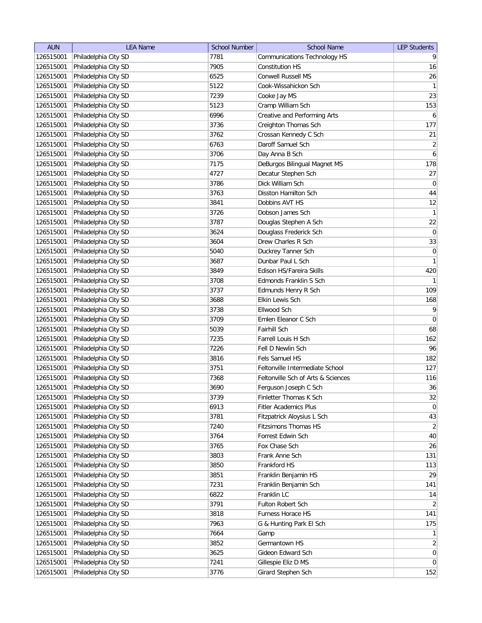| <b>AUN</b> | <b>LEA Name</b>      | <b>School Number</b> | <b>School Name</b>                 | <b>LEP Students</b> |
|------------|----------------------|----------------------|------------------------------------|---------------------|
| 126515001  | Philadelphia City SD | 7781                 | Communications Technology HS       | 9                   |
| 126515001  | Philadelphia City SD | 7905                 | <b>Constitution HS</b>             | 16                  |
| 126515001  | Philadelphia City SD | 6525                 | <b>Conwell Russell MS</b>          | 26                  |
| 126515001  | Philadelphia City SD | 5122                 | Cook-Wissahickon Sch               | $\left  \right $    |
| 126515001  | Philadelphia City SD | 7239                 | Cooke Jay MS                       | 23                  |
| 126515001  | Philadelphia City SD | 5123                 | Cramp William Sch                  | 153                 |
| 126515001  | Philadelphia City SD | 6996                 | Creative and Performing Arts       | $6 \mid$            |
| 126515001  | Philadelphia City SD | 3736                 | Creighton Thomas Sch               | 177                 |
| 126515001  | Philadelphia City SD | 3762                 | Crossan Kennedy C Sch              | 21                  |
| 126515001  | Philadelphia City SD | 6763                 | Daroff Samuel Sch                  | $\overline{2}$      |
| 126515001  | Philadelphia City SD | 3706                 | Day Anna B Sch                     | $\boldsymbol{6}$    |
| 126515001  | Philadelphia City SD | 7175                 | DeBurgos Bilingual Magnet MS       | 178                 |
| 126515001  | Philadelphia City SD | 4727                 | Decatur Stephen Sch                | 27                  |
| 126515001  | Philadelphia City SD | 3786                 | Dick William Sch                   | $\overline{0}$      |
| 126515001  | Philadelphia City SD | 3763                 | Disston Hamilton Sch               | 44                  |
| 126515001  | Philadelphia City SD | 3841                 | Dobbins AVT HS                     | 12                  |
| 126515001  | Philadelphia City SD | 3726                 | Dobson James Sch                   | $\left  \right $    |
| 126515001  | Philadelphia City SD | 3787                 | Douglas Stephen A Sch              | 22                  |
| 126515001  | Philadelphia City SD | 3624                 | Douglass Frederick Sch             | $\overline{0}$      |
| 126515001  | Philadelphia City SD | 3604                 | Drew Charles R Sch                 | 33                  |
| 126515001  | Philadelphia City SD | 5040                 | Duckrey Tanner Sch                 | $\vert 0 \vert$     |
| 126515001  | Philadelphia City SD | 3687                 | Dunbar Paul L Sch                  | 1                   |
| 126515001  | Philadelphia City SD | 3849                 | Edison HS/Fareira Skills           | 420                 |
| 126515001  | Philadelphia City SD | 3708                 | Edmonds Franklin S Sch             | 1                   |
| 126515001  | Philadelphia City SD | 3737                 | Edmunds Henry R Sch                | 109                 |
| 126515001  | Philadelphia City SD | 3688                 | Elkin Lewis Sch                    | 168                 |
| 126515001  | Philadelphia City SD | 3738                 | Ellwood Sch                        | 9                   |
| 126515001  | Philadelphia City SD | 3709                 | Emlen Eleanor C Sch                | 0                   |
| 126515001  | Philadelphia City SD | 5039                 | Fairhill Sch                       | 68                  |
| 126515001  | Philadelphia City SD | 7235                 | Farrell Louis H Sch                | 162                 |
| 126515001  | Philadelphia City SD | 7226                 | Fell D Newlin Sch                  | 96                  |
| 126515001  | Philadelphia City SD | 3816                 | Fels Samuel HS                     | 182                 |
| 126515001  | Philadelphia City SD | 3751                 | Feltonville Intermediate School    | 127                 |
| 126515001  | Philadelphia City SD | 7368                 | Feltonville Sch of Arts & Sciences | 116                 |
| 126515001  | Philadelphia City SD | 3690                 | Ferguson Joseph C Sch              | 36                  |
| 126515001  | Philadelphia City SD | 3739                 | Finletter Thomas K Sch             | 32                  |
| 126515001  | Philadelphia City SD | 6913                 | <b>Fitler Academics Plus</b>       | 0                   |
| 126515001  | Philadelphia City SD | 3781                 | Fitzpatrick Aloysius L Sch         | 43                  |
| 126515001  | Philadelphia City SD | 7240                 | Fitzsimons Thomas HS               | $\overline{2}$      |
| 126515001  | Philadelphia City SD | 3764                 | Forrest Edwin Sch                  | 40                  |
| 126515001  | Philadelphia City SD | 3765                 | Fox Chase Sch                      | 26                  |
| 126515001  | Philadelphia City SD | 3803                 | Frank Anne Sch                     | 131                 |
| 126515001  | Philadelphia City SD | 3850                 | Frankford HS                       | 113                 |
| 126515001  | Philadelphia City SD | 3851                 | Franklin Benjamin HS               | 29                  |
| 126515001  | Philadelphia City SD | 7231                 | Franklin Benjamin Sch              | 141                 |
| 126515001  | Philadelphia City SD | 6822                 | Franklin LC                        | 14                  |
| 126515001  | Philadelphia City SD | 3791                 | Fulton Robert Sch                  | $\overline{2}$      |
| 126515001  | Philadelphia City SD | 3818                 | Furness Horace HS                  | 141                 |
| 126515001  | Philadelphia City SD | 7963                 | G & Hunting Park El Sch            | 175                 |
| 126515001  | Philadelphia City SD | 7664                 | Gamp                               | $\left  \right $    |
| 126515001  | Philadelphia City SD | 3852                 | Germantown HS                      | $\overline{2}$      |
| 126515001  | Philadelphia City SD | 3625                 | Gideon Edward Sch                  | 0                   |
| 126515001  | Philadelphia City SD | 7241                 | Gillespie Eliz D MS                | 0                   |
| 126515001  | Philadelphia City SD | 3776                 | Girard Stephen Sch                 | 152                 |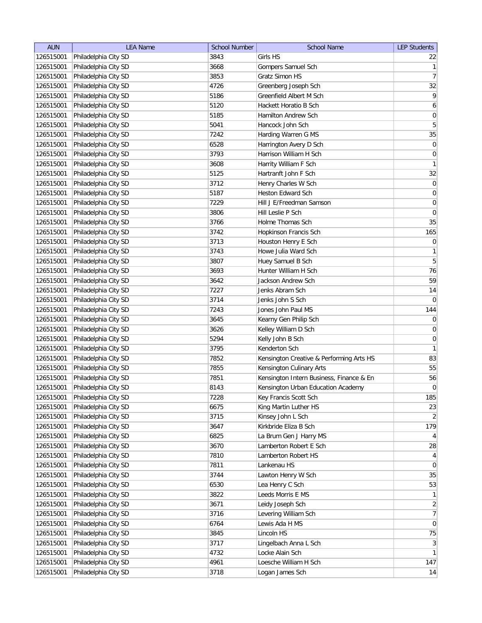| <b>AUN</b> | <b>LEA Name</b>      | <b>School Number</b> | <b>School Name</b>                       | <b>LEP Students</b> |
|------------|----------------------|----------------------|------------------------------------------|---------------------|
| 126515001  | Philadelphia City SD | 3843                 | Girls HS                                 | 22                  |
| 126515001  | Philadelphia City SD | 3668                 | Gompers Samuel Sch                       | $\mathbf{1}$        |
| 126515001  | Philadelphia City SD | 3853                 | Gratz Simon HS                           | 7                   |
| 126515001  | Philadelphia City SD | 4726                 | Greenberg Joseph Sch                     | 32                  |
| 126515001  | Philadelphia City SD | 5186                 | Greenfield Albert M Sch                  | $\overline{9}$      |
| 126515001  | Philadelphia City SD | 5120                 | Hackett Horatio B Sch                    | $\boldsymbol{6}$    |
| 126515001  | Philadelphia City SD | 5185                 | Hamilton Andrew Sch                      | $\pmb{0}$           |
| 126515001  | Philadelphia City SD | 5041                 | Hancock John Sch                         | $\sqrt{5}$          |
| 126515001  | Philadelphia City SD | 7242                 | Harding Warren G MS                      | 35                  |
| 126515001  | Philadelphia City SD | 6528                 | Harrington Avery D Sch                   | 0                   |
| 126515001  | Philadelphia City SD | 3793                 | Harrison William H Sch                   | 0                   |
| 126515001  | Philadelphia City SD | 3608                 | Harrity William F Sch                    | 1                   |
| 126515001  | Philadelphia City SD | 5125                 | Hartranft John F Sch                     | 32                  |
| 126515001  | Philadelphia City SD | 3712                 | Henry Charles W Sch                      | $\overline{0}$      |
| 126515001  | Philadelphia City SD | 5187                 | Heston Edward Sch                        | $\overline{0}$      |
| 126515001  | Philadelphia City SD | 7229                 | Hill J E/Freedman Samson                 | $\overline{0}$      |
| 126515001  | Philadelphia City SD | 3806                 | Hill Leslie P Sch                        | $\pmb{0}$           |
| 126515001  | Philadelphia City SD | 3766                 | Holme Thomas Sch                         | 35                  |
| 126515001  | Philadelphia City SD | 3742                 | Hopkinson Francis Sch                    | 165                 |
| 126515001  | Philadelphia City SD | 3713                 | Houston Henry E Sch                      | 0                   |
| 126515001  | Philadelphia City SD | 3743                 | Howe Julia Ward Sch                      | 1                   |
| 126515001  | Philadelphia City SD | 3807                 | Huey Samuel B Sch                        | $5\overline{)}$     |
| 126515001  | Philadelphia City SD | 3693                 | Hunter William H Sch                     | 76                  |
| 126515001  | Philadelphia City SD | 3642                 | Jackson Andrew Sch                       | 59                  |
| 126515001  | Philadelphia City SD | 7227                 | Jenks Abram Sch                          | 14                  |
| 126515001  | Philadelphia City SD | 3714                 | Jenks John S Sch                         | $\overline{0}$      |
| 126515001  | Philadelphia City SD | 7243                 | Jones John Paul MS                       | 144                 |
| 126515001  | Philadelphia City SD | 3645                 | Kearny Gen Philip Sch                    | $\overline{0}$      |
| 126515001  | Philadelphia City SD | 3626                 | Kelley William D Sch                     | $\pmb{0}$           |
| 126515001  | Philadelphia City SD | 5294                 | Kelly John B Sch                         | $\overline{0}$      |
| 126515001  | Philadelphia City SD | 3795                 | Kenderton Sch                            | 1                   |
| 126515001  | Philadelphia City SD | 7852                 | Kensington Creative & Performing Arts HS | 83                  |
| 126515001  | Philadelphia City SD | 7855                 | Kensington Culinary Arts                 | 55                  |
| 126515001  | Philadelphia City SD | 7851                 | Kensington Intern Business, Finance & En | 56                  |
| 126515001  | Philadelphia City SD | 8143                 | Kensington Urban Education Academy       | 0                   |
| 126515001  | Philadelphia City SD | 7228                 | Key Francis Scott Sch                    | 185                 |
| 126515001  | Philadelphia City SD | 6675                 | King Martin Luther HS                    | 23                  |
| 126515001  | Philadelphia City SD | 3715                 | Kinsey John L Sch                        | $\overline{2}$      |
| 126515001  | Philadelphia City SD | 3647                 | Kirkbride Eliza B Sch                    | 179                 |
| 126515001  | Philadelphia City SD | 6825                 | La Brum Gen J Harry MS                   | $\vert 4 \vert$     |
| 126515001  | Philadelphia City SD | 3670                 | Lamberton Robert E Sch                   | 28                  |
| 126515001  | Philadelphia City SD | 7810                 | Lamberton Robert HS                      | $\vert 4 \vert$     |
| 126515001  | Philadelphia City SD | 7811                 | Lankenau HS                              | 0                   |
| 126515001  | Philadelphia City SD | 3744                 | Lawton Henry W Sch                       | 35                  |
| 126515001  | Philadelphia City SD | 6530                 | Lea Henry C Sch                          | 53                  |
| 126515001  | Philadelphia City SD | 3822                 | Leeds Morris E MS                        | 1                   |
| 126515001  | Philadelphia City SD | 3671                 | Leidy Joseph Sch                         | $\overline{2}$      |
| 126515001  | Philadelphia City SD | 3716                 | Levering William Sch                     | 7                   |
| 126515001  | Philadelphia City SD | 6764                 | Lewis Ada H MS                           | 0                   |
| 126515001  | Philadelphia City SD | 3845                 | Lincoln HS                               | 75                  |
| 126515001  | Philadelphia City SD | 3717                 | Lingelbach Anna L Sch                    | 3                   |
| 126515001  | Philadelphia City SD | 4732                 | Locke Alain Sch                          | $\mathbf{1}$        |
| 126515001  | Philadelphia City SD | 4961                 | Loesche William H Sch                    | 147                 |
| 126515001  | Philadelphia City SD | 3718                 | Logan James Sch                          | 14                  |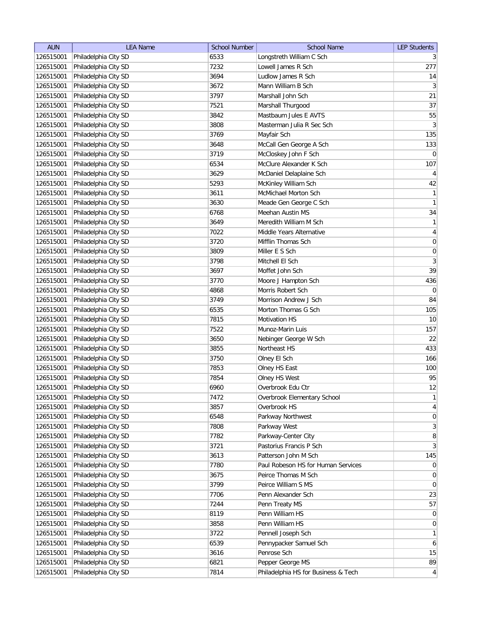| <b>AUN</b> | <b>LEA Name</b>      | <b>School Number</b> | <b>School Name</b>                  | <b>LEP Students</b> |
|------------|----------------------|----------------------|-------------------------------------|---------------------|
| 126515001  | Philadelphia City SD | 6533                 | Longstreth William C Sch            | $\frac{3}{2}$       |
| 126515001  | Philadelphia City SD | 7232                 | Lowell James R Sch                  | 277                 |
| 126515001  | Philadelphia City SD | 3694                 | Ludlow James R Sch                  | 14                  |
| 126515001  | Philadelphia City SD | 3672                 | Mann William B Sch                  | 3                   |
| 126515001  | Philadelphia City SD | 3797                 | Marshall John Sch                   | 21                  |
| 126515001  | Philadelphia City SD | 7521                 | Marshall Thurgood                   | 37                  |
| 126515001  | Philadelphia City SD | 3842                 | Mastbaum Jules E AVTS               | 55                  |
| 126515001  | Philadelphia City SD | 3808                 | Masterman Julia R Sec Sch           | 3                   |
| 126515001  | Philadelphia City SD | 3769                 | Mayfair Sch                         | 135                 |
| 126515001  | Philadelphia City SD | 3648                 | McCall Gen George A Sch             | 133                 |
| 126515001  | Philadelphia City SD | 3719                 | McCloskey John F Sch                | $\overline{0}$      |
| 126515001  | Philadelphia City SD | 6534                 | McClure Alexander K Sch             | 107                 |
| 126515001  | Philadelphia City SD | 3629                 | McDaniel Delaplaine Sch             | $\overline{4}$      |
| 126515001  | Philadelphia City SD | 5293                 | McKinley William Sch                | 42                  |
| 126515001  | Philadelphia City SD | 3611                 | McMichael Morton Sch                | $\mathbf{1}$        |
| 126515001  | Philadelphia City SD | 3630                 | Meade Gen George C Sch              | $\vert$ 1           |
| 126515001  | Philadelphia City SD | 6768                 | Meehan Austin MS                    | 34                  |
| 126515001  | Philadelphia City SD | 3649                 | Meredith William M Sch              | 1                   |
| 126515001  | Philadelphia City SD | 7022                 | Middle Years Alternative            | $\vert 4 \vert$     |
| 126515001  | Philadelphia City SD | 3720                 | Mifflin Thomas Sch                  | 0                   |
| 126515001  | Philadelphia City SD | 3809                 | Miller E S Sch                      | $\boldsymbol{0}$    |
| 126515001  | Philadelphia City SD | 3798                 | Mitchell El Sch                     | $\mathbf{3}$        |
| 126515001  | Philadelphia City SD | 3697                 | Moffet John Sch                     | 39                  |
| 126515001  | Philadelphia City SD | 3770                 | Moore J Hampton Sch                 | 436                 |
| 126515001  | Philadelphia City SD | 4868                 | Morris Robert Sch                   | $\overline{0}$      |
| 126515001  | Philadelphia City SD | 3749                 | Morrison Andrew J Sch               | 84                  |
| 126515001  | Philadelphia City SD | 6535                 | Morton Thomas G Sch                 | 105                 |
| 126515001  | Philadelphia City SD | 7815                 | <b>Motivation HS</b>                | 10                  |
| 126515001  | Philadelphia City SD | 7522                 | Munoz-Marin Luis                    | 157                 |
| 126515001  | Philadelphia City SD | 3650                 | Nebinger George W Sch               | 22                  |
| 126515001  | Philadelphia City SD | 3855                 | Northeast HS                        | 433                 |
| 126515001  | Philadelphia City SD | 3750                 | Olney El Sch                        | 166                 |
| 126515001  | Philadelphia City SD | 7853                 | Olney HS East                       | 100                 |
| 126515001  | Philadelphia City SD | 7854                 | Olney HS West                       | 95                  |
| 126515001  | Philadelphia City SD | 6960                 | Overbrook Edu Ctr                   | 12                  |
| 126515001  | Philadelphia City SD | 7472                 | Overbrook Elementary School         | $\mathbf{1}$        |
| 126515001  | Philadelphia City SD | 3857                 | Overbrook HS                        | $\vert 4 \vert$     |
| 126515001  | Philadelphia City SD | 6548                 | Parkway Northwest                   | 0                   |
| 126515001  | Philadelphia City SD | 7808                 | Parkway West                        | $\overline{3}$      |
| 126515001  | Philadelphia City SD | 7782                 | Parkway-Center City                 | 8                   |
| 126515001  | Philadelphia City SD | 3721                 | Pastorius Francis P Sch             | $\vert 3 \vert$     |
| 126515001  | Philadelphia City SD | 3613                 | Patterson John M Sch                | 145                 |
| 126515001  | Philadelphia City SD | 7780                 | Paul Robeson HS for Human Services  | $\overline{0}$      |
| 126515001  | Philadelphia City SD | 3675                 | Peirce Thomas M Sch                 | 0                   |
| 126515001  | Philadelphia City SD | 3799                 | Peirce William S MS                 | $\overline{0}$      |
| 126515001  | Philadelphia City SD | 7706                 | Penn Alexander Sch                  | 23                  |
| 126515001  | Philadelphia City SD | 7244                 | Penn Treaty MS                      | 57                  |
| 126515001  | Philadelphia City SD | 8119                 | Penn William HS                     | 0                   |
| 126515001  | Philadelphia City SD | 3858                 | Penn William HS                     | 0                   |
| 126515001  | Philadelphia City SD | 3722                 | Pennell Joseph Sch                  | $\mathbf{1}$        |
| 126515001  | Philadelphia City SD | 6539                 | Pennypacker Samuel Sch              | $6 \mid$            |
| 126515001  | Philadelphia City SD | 3616                 | Penrose Sch                         | 15                  |
| 126515001  | Philadelphia City SD | 6821                 | Pepper George MS                    | 89                  |
| 126515001  | Philadelphia City SD | 7814                 | Philadelphia HS for Business & Tech | $\vert 4 \vert$     |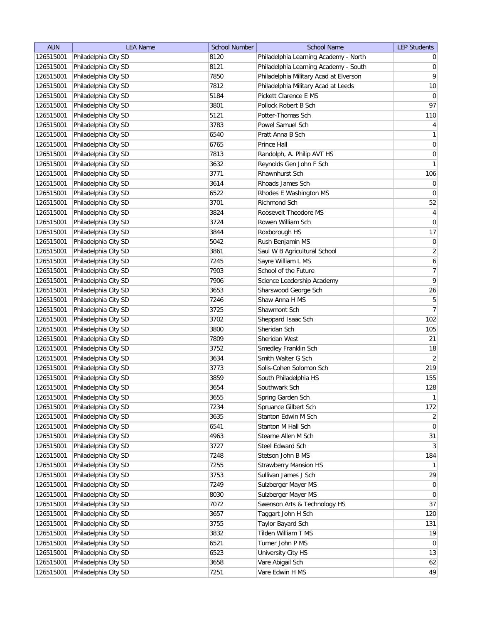| 126515001<br>Philadelphia City SD<br>Philadelphia Learning Academy - North<br>8120<br>$\overline{0}$<br>Philadelphia City SD<br>Philadelphia Learning Academy - South<br> 0 <br>126515001<br>8121<br>Philadelphia Military Acad at Elverson<br>126515001<br>Philadelphia City SD<br>7850<br>126515001<br>7812<br>$10$<br>Philadelphia City SD<br>Philadelphia Military Acad at Leeds<br>126515001<br>Philadelphia City SD<br>5184<br>Pickett Clarence E MS<br>126515001<br>Philadelphia City SD<br>3801<br>Pollock Robert B Sch<br>110<br>126515001<br>Philadelphia City SD<br>5121<br>Potter-Thomas Sch<br>126515001<br>3783<br>Powel Samuel Sch<br>Philadelphia City SD<br>126515001<br>Philadelphia City SD<br>6540<br>Pratt Anna B Sch<br>126515001<br>Philadelphia City SD<br>6765<br>Prince Hall<br>Randolph, A. Philip AVT HS<br>126515001<br>Philadelphia City SD<br>7813<br>126515001<br>Philadelphia City SD<br>3632<br>Reynolds Gen John F Sch<br>106<br>126515001<br>Philadelphia City SD<br>3771<br>Rhawnhurst Sch<br>$\overline{0}$<br>126515001<br>Philadelphia City SD<br>3614<br>Rhoads James Sch<br>$\overline{0}$<br>126515001<br>Philadelphia City SD<br>6522<br>Rhodes E Washington MS<br>126515001<br>Philadelphia City SD<br>3701<br><b>Richmond Sch</b><br>126515001<br>Philadelphia City SD<br>Roosevelt Theodore MS<br>3824<br>126515001<br>Philadelphia City SD<br>3724<br>Rowen William Sch<br>126515001<br>Philadelphia City SD<br>3844<br>Roxborough HS<br>126515001<br>Philadelphia City SD<br>5042<br>Rush Benjamin MS<br>126515001<br>Philadelphia City SD<br>3861<br>Saul W B Agricultural School<br>$\boldsymbol{6}$<br>Sayre William L MS<br>126515001<br>Philadelphia City SD<br>7245<br>School of the Future<br>126515001<br>Philadelphia City SD<br>7903<br>7906<br>126515001<br>Philadelphia City SD<br>Science Leadership Academy<br>126515001<br>3653<br>Sharswood George Sch<br>Philadelphia City SD<br>$\overline{5}$<br>Shaw Anna H MS<br>126515001<br>Philadelphia City SD<br>7246<br>126515001<br>Philadelphia City SD<br>3725<br>Shawmont Sch<br>126515001<br>Philadelphia City SD<br>3702<br>Sheppard Isaac Sch<br>126515001<br>Philadelphia City SD<br>3800<br>Sheridan Sch<br>105<br>126515001<br>Philadelphia City SD<br>7809<br>Sheridan West<br>18<br>126515001<br>Philadelphia City SD<br>3752<br>Smedley Franklin Sch<br>126515001<br>Philadelphia City SD<br>3634<br>Smith Walter G Sch<br>Philadelphia City SD<br>Solis-Cohen Solomon Sch<br>126515001<br>3773<br>155<br>126515001<br>Philadelphia City SD<br>3859<br>South Philadelphia HS<br>126515001<br>Philadelphia City SD<br>128<br>3654<br>Southwark Sch<br>126515001<br>Philadelphia City SD<br>3655<br>Spring Garden Sch<br>Philadelphia City SD<br>Spruance Gilbert Sch<br>126515001<br>7234<br>126515001<br>Philadelphia City SD<br>3635<br>Stanton Edwin M Sch<br>126515001<br>Stanton M Hall Sch<br>Philadelphia City SD<br>6541<br>126515001<br>4963<br>Stearne Allen M Sch<br>Philadelphia City SD<br>126515001<br>Philadelphia City SD<br>Steel Edward Sch<br>3727<br>Philadelphia City SD<br>Stetson John B MS<br>126515001<br>7248<br>126515001<br>Philadelphia City SD<br>7255<br><b>Strawberry Mansion HS</b><br>Philadelphia City SD<br>126515001<br>3753<br>Sullivan James J Sch<br>Philadelphia City SD<br>Sulzberger Mayer MS<br>126515001<br>7249<br>Sulzberger Mayer MS<br>126515001<br>Philadelphia City SD<br>8030<br>$\overline{0}$<br>Philadelphia City SD<br>Swenson Arts & Technology HS<br>126515001<br>7072<br>Philadelphia City SD<br>3657<br>Taggart John H Sch<br>120<br>126515001<br>126515001<br>Philadelphia City SD<br>3755<br>Taylor Bayard Sch<br>Philadelphia City SD<br>126515001<br>3832<br>Tilden William T MS<br>Philadelphia City SD<br>Turner John P MS<br>126515001<br>6521<br>Philadelphia City SD<br>126515001<br>6523<br>University City HS<br>126515001<br>Philadelphia City SD<br>3658<br>Vare Abigail Sch | <b>AUN</b> | <b>LEA Name</b> | <b>School Number</b> | <b>School Name</b> | <b>LEP Students</b> |
|-------------------------------------------------------------------------------------------------------------------------------------------------------------------------------------------------------------------------------------------------------------------------------------------------------------------------------------------------------------------------------------------------------------------------------------------------------------------------------------------------------------------------------------------------------------------------------------------------------------------------------------------------------------------------------------------------------------------------------------------------------------------------------------------------------------------------------------------------------------------------------------------------------------------------------------------------------------------------------------------------------------------------------------------------------------------------------------------------------------------------------------------------------------------------------------------------------------------------------------------------------------------------------------------------------------------------------------------------------------------------------------------------------------------------------------------------------------------------------------------------------------------------------------------------------------------------------------------------------------------------------------------------------------------------------------------------------------------------------------------------------------------------------------------------------------------------------------------------------------------------------------------------------------------------------------------------------------------------------------------------------------------------------------------------------------------------------------------------------------------------------------------------------------------------------------------------------------------------------------------------------------------------------------------------------------------------------------------------------------------------------------------------------------------------------------------------------------------------------------------------------------------------------------------------------------------------------------------------------------------------------------------------------------------------------------------------------------------------------------------------------------------------------------------------------------------------------------------------------------------------------------------------------------------------------------------------------------------------------------------------------------------------------------------------------------------------------------------------------------------------------------------------------------------------------------------------------------------------------------------------------------------------------------------------------------------------------------------------------------------------------------------------------------------------------------------------------------------------------------------------------------------------------------------------------------------------------------------------------------------------------------------------------------------------------------------------------------------------------------------------------------------------------------------------------------------------------------------------------------------------------------------------------------------------------------------------------------------------------|------------|-----------------|----------------------|--------------------|---------------------|
|                                                                                                                                                                                                                                                                                                                                                                                                                                                                                                                                                                                                                                                                                                                                                                                                                                                                                                                                                                                                                                                                                                                                                                                                                                                                                                                                                                                                                                                                                                                                                                                                                                                                                                                                                                                                                                                                                                                                                                                                                                                                                                                                                                                                                                                                                                                                                                                                                                                                                                                                                                                                                                                                                                                                                                                                                                                                                                                                                                                                                                                                                                                                                                                                                                                                                                                                                                                                                                                                                                                                                                                                                                                                                                                                                                                                                                                                                                                                                                               |            |                 |                      |                    |                     |
|                                                                                                                                                                                                                                                                                                                                                                                                                                                                                                                                                                                                                                                                                                                                                                                                                                                                                                                                                                                                                                                                                                                                                                                                                                                                                                                                                                                                                                                                                                                                                                                                                                                                                                                                                                                                                                                                                                                                                                                                                                                                                                                                                                                                                                                                                                                                                                                                                                                                                                                                                                                                                                                                                                                                                                                                                                                                                                                                                                                                                                                                                                                                                                                                                                                                                                                                                                                                                                                                                                                                                                                                                                                                                                                                                                                                                                                                                                                                                                               |            |                 |                      |                    |                     |
| $\overline{0}$<br>97<br>$\vert 4 \vert$<br>1<br>$\vert 0 \vert$<br> 0 <br>1<br>52<br>$\vert 4 \vert$<br>$\overline{0}$<br>17<br>$\vert 0 \vert$<br>$\overline{2}$<br>$\overline{7}$<br>$\overline{9}$<br>26<br>7<br>102<br>21<br>$\left  \right $<br>219<br>1<br>172<br>$\overline{2}$<br>$\overline{0}$<br>31<br>3<br>184<br>1<br>29<br>$\overline{0}$<br>37<br>131<br>19<br>$\overline{0}$<br>13<br>62                                                                                                                                                                                                                                                                                                                                                                                                                                                                                                                                                                                                                                                                                                                                                                                                                                                                                                                                                                                                                                                                                                                                                                                                                                                                                                                                                                                                                                                                                                                                                                                                                                                                                                                                                                                                                                                                                                                                                                                                                                                                                                                                                                                                                                                                                                                                                                                                                                                                                                                                                                                                                                                                                                                                                                                                                                                                                                                                                                                                                                                                                                                                                                                                                                                                                                                                                                                                                                                                                                                                                                      |            |                 |                      |                    | $\vert 9 \vert$     |
|                                                                                                                                                                                                                                                                                                                                                                                                                                                                                                                                                                                                                                                                                                                                                                                                                                                                                                                                                                                                                                                                                                                                                                                                                                                                                                                                                                                                                                                                                                                                                                                                                                                                                                                                                                                                                                                                                                                                                                                                                                                                                                                                                                                                                                                                                                                                                                                                                                                                                                                                                                                                                                                                                                                                                                                                                                                                                                                                                                                                                                                                                                                                                                                                                                                                                                                                                                                                                                                                                                                                                                                                                                                                                                                                                                                                                                                                                                                                                                               |            |                 |                      |                    |                     |
|                                                                                                                                                                                                                                                                                                                                                                                                                                                                                                                                                                                                                                                                                                                                                                                                                                                                                                                                                                                                                                                                                                                                                                                                                                                                                                                                                                                                                                                                                                                                                                                                                                                                                                                                                                                                                                                                                                                                                                                                                                                                                                                                                                                                                                                                                                                                                                                                                                                                                                                                                                                                                                                                                                                                                                                                                                                                                                                                                                                                                                                                                                                                                                                                                                                                                                                                                                                                                                                                                                                                                                                                                                                                                                                                                                                                                                                                                                                                                                               |            |                 |                      |                    |                     |
|                                                                                                                                                                                                                                                                                                                                                                                                                                                                                                                                                                                                                                                                                                                                                                                                                                                                                                                                                                                                                                                                                                                                                                                                                                                                                                                                                                                                                                                                                                                                                                                                                                                                                                                                                                                                                                                                                                                                                                                                                                                                                                                                                                                                                                                                                                                                                                                                                                                                                                                                                                                                                                                                                                                                                                                                                                                                                                                                                                                                                                                                                                                                                                                                                                                                                                                                                                                                                                                                                                                                                                                                                                                                                                                                                                                                                                                                                                                                                                               |            |                 |                      |                    |                     |
|                                                                                                                                                                                                                                                                                                                                                                                                                                                                                                                                                                                                                                                                                                                                                                                                                                                                                                                                                                                                                                                                                                                                                                                                                                                                                                                                                                                                                                                                                                                                                                                                                                                                                                                                                                                                                                                                                                                                                                                                                                                                                                                                                                                                                                                                                                                                                                                                                                                                                                                                                                                                                                                                                                                                                                                                                                                                                                                                                                                                                                                                                                                                                                                                                                                                                                                                                                                                                                                                                                                                                                                                                                                                                                                                                                                                                                                                                                                                                                               |            |                 |                      |                    |                     |
|                                                                                                                                                                                                                                                                                                                                                                                                                                                                                                                                                                                                                                                                                                                                                                                                                                                                                                                                                                                                                                                                                                                                                                                                                                                                                                                                                                                                                                                                                                                                                                                                                                                                                                                                                                                                                                                                                                                                                                                                                                                                                                                                                                                                                                                                                                                                                                                                                                                                                                                                                                                                                                                                                                                                                                                                                                                                                                                                                                                                                                                                                                                                                                                                                                                                                                                                                                                                                                                                                                                                                                                                                                                                                                                                                                                                                                                                                                                                                                               |            |                 |                      |                    |                     |
|                                                                                                                                                                                                                                                                                                                                                                                                                                                                                                                                                                                                                                                                                                                                                                                                                                                                                                                                                                                                                                                                                                                                                                                                                                                                                                                                                                                                                                                                                                                                                                                                                                                                                                                                                                                                                                                                                                                                                                                                                                                                                                                                                                                                                                                                                                                                                                                                                                                                                                                                                                                                                                                                                                                                                                                                                                                                                                                                                                                                                                                                                                                                                                                                                                                                                                                                                                                                                                                                                                                                                                                                                                                                                                                                                                                                                                                                                                                                                                               |            |                 |                      |                    |                     |
|                                                                                                                                                                                                                                                                                                                                                                                                                                                                                                                                                                                                                                                                                                                                                                                                                                                                                                                                                                                                                                                                                                                                                                                                                                                                                                                                                                                                                                                                                                                                                                                                                                                                                                                                                                                                                                                                                                                                                                                                                                                                                                                                                                                                                                                                                                                                                                                                                                                                                                                                                                                                                                                                                                                                                                                                                                                                                                                                                                                                                                                                                                                                                                                                                                                                                                                                                                                                                                                                                                                                                                                                                                                                                                                                                                                                                                                                                                                                                                               |            |                 |                      |                    |                     |
|                                                                                                                                                                                                                                                                                                                                                                                                                                                                                                                                                                                                                                                                                                                                                                                                                                                                                                                                                                                                                                                                                                                                                                                                                                                                                                                                                                                                                                                                                                                                                                                                                                                                                                                                                                                                                                                                                                                                                                                                                                                                                                                                                                                                                                                                                                                                                                                                                                                                                                                                                                                                                                                                                                                                                                                                                                                                                                                                                                                                                                                                                                                                                                                                                                                                                                                                                                                                                                                                                                                                                                                                                                                                                                                                                                                                                                                                                                                                                                               |            |                 |                      |                    |                     |
|                                                                                                                                                                                                                                                                                                                                                                                                                                                                                                                                                                                                                                                                                                                                                                                                                                                                                                                                                                                                                                                                                                                                                                                                                                                                                                                                                                                                                                                                                                                                                                                                                                                                                                                                                                                                                                                                                                                                                                                                                                                                                                                                                                                                                                                                                                                                                                                                                                                                                                                                                                                                                                                                                                                                                                                                                                                                                                                                                                                                                                                                                                                                                                                                                                                                                                                                                                                                                                                                                                                                                                                                                                                                                                                                                                                                                                                                                                                                                                               |            |                 |                      |                    |                     |
|                                                                                                                                                                                                                                                                                                                                                                                                                                                                                                                                                                                                                                                                                                                                                                                                                                                                                                                                                                                                                                                                                                                                                                                                                                                                                                                                                                                                                                                                                                                                                                                                                                                                                                                                                                                                                                                                                                                                                                                                                                                                                                                                                                                                                                                                                                                                                                                                                                                                                                                                                                                                                                                                                                                                                                                                                                                                                                                                                                                                                                                                                                                                                                                                                                                                                                                                                                                                                                                                                                                                                                                                                                                                                                                                                                                                                                                                                                                                                                               |            |                 |                      |                    |                     |
|                                                                                                                                                                                                                                                                                                                                                                                                                                                                                                                                                                                                                                                                                                                                                                                                                                                                                                                                                                                                                                                                                                                                                                                                                                                                                                                                                                                                                                                                                                                                                                                                                                                                                                                                                                                                                                                                                                                                                                                                                                                                                                                                                                                                                                                                                                                                                                                                                                                                                                                                                                                                                                                                                                                                                                                                                                                                                                                                                                                                                                                                                                                                                                                                                                                                                                                                                                                                                                                                                                                                                                                                                                                                                                                                                                                                                                                                                                                                                                               |            |                 |                      |                    |                     |
|                                                                                                                                                                                                                                                                                                                                                                                                                                                                                                                                                                                                                                                                                                                                                                                                                                                                                                                                                                                                                                                                                                                                                                                                                                                                                                                                                                                                                                                                                                                                                                                                                                                                                                                                                                                                                                                                                                                                                                                                                                                                                                                                                                                                                                                                                                                                                                                                                                                                                                                                                                                                                                                                                                                                                                                                                                                                                                                                                                                                                                                                                                                                                                                                                                                                                                                                                                                                                                                                                                                                                                                                                                                                                                                                                                                                                                                                                                                                                                               |            |                 |                      |                    |                     |
|                                                                                                                                                                                                                                                                                                                                                                                                                                                                                                                                                                                                                                                                                                                                                                                                                                                                                                                                                                                                                                                                                                                                                                                                                                                                                                                                                                                                                                                                                                                                                                                                                                                                                                                                                                                                                                                                                                                                                                                                                                                                                                                                                                                                                                                                                                                                                                                                                                                                                                                                                                                                                                                                                                                                                                                                                                                                                                                                                                                                                                                                                                                                                                                                                                                                                                                                                                                                                                                                                                                                                                                                                                                                                                                                                                                                                                                                                                                                                                               |            |                 |                      |                    |                     |
|                                                                                                                                                                                                                                                                                                                                                                                                                                                                                                                                                                                                                                                                                                                                                                                                                                                                                                                                                                                                                                                                                                                                                                                                                                                                                                                                                                                                                                                                                                                                                                                                                                                                                                                                                                                                                                                                                                                                                                                                                                                                                                                                                                                                                                                                                                                                                                                                                                                                                                                                                                                                                                                                                                                                                                                                                                                                                                                                                                                                                                                                                                                                                                                                                                                                                                                                                                                                                                                                                                                                                                                                                                                                                                                                                                                                                                                                                                                                                                               |            |                 |                      |                    |                     |
|                                                                                                                                                                                                                                                                                                                                                                                                                                                                                                                                                                                                                                                                                                                                                                                                                                                                                                                                                                                                                                                                                                                                                                                                                                                                                                                                                                                                                                                                                                                                                                                                                                                                                                                                                                                                                                                                                                                                                                                                                                                                                                                                                                                                                                                                                                                                                                                                                                                                                                                                                                                                                                                                                                                                                                                                                                                                                                                                                                                                                                                                                                                                                                                                                                                                                                                                                                                                                                                                                                                                                                                                                                                                                                                                                                                                                                                                                                                                                                               |            |                 |                      |                    |                     |
|                                                                                                                                                                                                                                                                                                                                                                                                                                                                                                                                                                                                                                                                                                                                                                                                                                                                                                                                                                                                                                                                                                                                                                                                                                                                                                                                                                                                                                                                                                                                                                                                                                                                                                                                                                                                                                                                                                                                                                                                                                                                                                                                                                                                                                                                                                                                                                                                                                                                                                                                                                                                                                                                                                                                                                                                                                                                                                                                                                                                                                                                                                                                                                                                                                                                                                                                                                                                                                                                                                                                                                                                                                                                                                                                                                                                                                                                                                                                                                               |            |                 |                      |                    |                     |
|                                                                                                                                                                                                                                                                                                                                                                                                                                                                                                                                                                                                                                                                                                                                                                                                                                                                                                                                                                                                                                                                                                                                                                                                                                                                                                                                                                                                                                                                                                                                                                                                                                                                                                                                                                                                                                                                                                                                                                                                                                                                                                                                                                                                                                                                                                                                                                                                                                                                                                                                                                                                                                                                                                                                                                                                                                                                                                                                                                                                                                                                                                                                                                                                                                                                                                                                                                                                                                                                                                                                                                                                                                                                                                                                                                                                                                                                                                                                                                               |            |                 |                      |                    |                     |
|                                                                                                                                                                                                                                                                                                                                                                                                                                                                                                                                                                                                                                                                                                                                                                                                                                                                                                                                                                                                                                                                                                                                                                                                                                                                                                                                                                                                                                                                                                                                                                                                                                                                                                                                                                                                                                                                                                                                                                                                                                                                                                                                                                                                                                                                                                                                                                                                                                                                                                                                                                                                                                                                                                                                                                                                                                                                                                                                                                                                                                                                                                                                                                                                                                                                                                                                                                                                                                                                                                                                                                                                                                                                                                                                                                                                                                                                                                                                                                               |            |                 |                      |                    |                     |
|                                                                                                                                                                                                                                                                                                                                                                                                                                                                                                                                                                                                                                                                                                                                                                                                                                                                                                                                                                                                                                                                                                                                                                                                                                                                                                                                                                                                                                                                                                                                                                                                                                                                                                                                                                                                                                                                                                                                                                                                                                                                                                                                                                                                                                                                                                                                                                                                                                                                                                                                                                                                                                                                                                                                                                                                                                                                                                                                                                                                                                                                                                                                                                                                                                                                                                                                                                                                                                                                                                                                                                                                                                                                                                                                                                                                                                                                                                                                                                               |            |                 |                      |                    |                     |
|                                                                                                                                                                                                                                                                                                                                                                                                                                                                                                                                                                                                                                                                                                                                                                                                                                                                                                                                                                                                                                                                                                                                                                                                                                                                                                                                                                                                                                                                                                                                                                                                                                                                                                                                                                                                                                                                                                                                                                                                                                                                                                                                                                                                                                                                                                                                                                                                                                                                                                                                                                                                                                                                                                                                                                                                                                                                                                                                                                                                                                                                                                                                                                                                                                                                                                                                                                                                                                                                                                                                                                                                                                                                                                                                                                                                                                                                                                                                                                               |            |                 |                      |                    |                     |
|                                                                                                                                                                                                                                                                                                                                                                                                                                                                                                                                                                                                                                                                                                                                                                                                                                                                                                                                                                                                                                                                                                                                                                                                                                                                                                                                                                                                                                                                                                                                                                                                                                                                                                                                                                                                                                                                                                                                                                                                                                                                                                                                                                                                                                                                                                                                                                                                                                                                                                                                                                                                                                                                                                                                                                                                                                                                                                                                                                                                                                                                                                                                                                                                                                                                                                                                                                                                                                                                                                                                                                                                                                                                                                                                                                                                                                                                                                                                                                               |            |                 |                      |                    |                     |
|                                                                                                                                                                                                                                                                                                                                                                                                                                                                                                                                                                                                                                                                                                                                                                                                                                                                                                                                                                                                                                                                                                                                                                                                                                                                                                                                                                                                                                                                                                                                                                                                                                                                                                                                                                                                                                                                                                                                                                                                                                                                                                                                                                                                                                                                                                                                                                                                                                                                                                                                                                                                                                                                                                                                                                                                                                                                                                                                                                                                                                                                                                                                                                                                                                                                                                                                                                                                                                                                                                                                                                                                                                                                                                                                                                                                                                                                                                                                                                               |            |                 |                      |                    |                     |
|                                                                                                                                                                                                                                                                                                                                                                                                                                                                                                                                                                                                                                                                                                                                                                                                                                                                                                                                                                                                                                                                                                                                                                                                                                                                                                                                                                                                                                                                                                                                                                                                                                                                                                                                                                                                                                                                                                                                                                                                                                                                                                                                                                                                                                                                                                                                                                                                                                                                                                                                                                                                                                                                                                                                                                                                                                                                                                                                                                                                                                                                                                                                                                                                                                                                                                                                                                                                                                                                                                                                                                                                                                                                                                                                                                                                                                                                                                                                                                               |            |                 |                      |                    |                     |
|                                                                                                                                                                                                                                                                                                                                                                                                                                                                                                                                                                                                                                                                                                                                                                                                                                                                                                                                                                                                                                                                                                                                                                                                                                                                                                                                                                                                                                                                                                                                                                                                                                                                                                                                                                                                                                                                                                                                                                                                                                                                                                                                                                                                                                                                                                                                                                                                                                                                                                                                                                                                                                                                                                                                                                                                                                                                                                                                                                                                                                                                                                                                                                                                                                                                                                                                                                                                                                                                                                                                                                                                                                                                                                                                                                                                                                                                                                                                                                               |            |                 |                      |                    |                     |
|                                                                                                                                                                                                                                                                                                                                                                                                                                                                                                                                                                                                                                                                                                                                                                                                                                                                                                                                                                                                                                                                                                                                                                                                                                                                                                                                                                                                                                                                                                                                                                                                                                                                                                                                                                                                                                                                                                                                                                                                                                                                                                                                                                                                                                                                                                                                                                                                                                                                                                                                                                                                                                                                                                                                                                                                                                                                                                                                                                                                                                                                                                                                                                                                                                                                                                                                                                                                                                                                                                                                                                                                                                                                                                                                                                                                                                                                                                                                                                               |            |                 |                      |                    |                     |
|                                                                                                                                                                                                                                                                                                                                                                                                                                                                                                                                                                                                                                                                                                                                                                                                                                                                                                                                                                                                                                                                                                                                                                                                                                                                                                                                                                                                                                                                                                                                                                                                                                                                                                                                                                                                                                                                                                                                                                                                                                                                                                                                                                                                                                                                                                                                                                                                                                                                                                                                                                                                                                                                                                                                                                                                                                                                                                                                                                                                                                                                                                                                                                                                                                                                                                                                                                                                                                                                                                                                                                                                                                                                                                                                                                                                                                                                                                                                                                               |            |                 |                      |                    |                     |
|                                                                                                                                                                                                                                                                                                                                                                                                                                                                                                                                                                                                                                                                                                                                                                                                                                                                                                                                                                                                                                                                                                                                                                                                                                                                                                                                                                                                                                                                                                                                                                                                                                                                                                                                                                                                                                                                                                                                                                                                                                                                                                                                                                                                                                                                                                                                                                                                                                                                                                                                                                                                                                                                                                                                                                                                                                                                                                                                                                                                                                                                                                                                                                                                                                                                                                                                                                                                                                                                                                                                                                                                                                                                                                                                                                                                                                                                                                                                                                               |            |                 |                      |                    |                     |
|                                                                                                                                                                                                                                                                                                                                                                                                                                                                                                                                                                                                                                                                                                                                                                                                                                                                                                                                                                                                                                                                                                                                                                                                                                                                                                                                                                                                                                                                                                                                                                                                                                                                                                                                                                                                                                                                                                                                                                                                                                                                                                                                                                                                                                                                                                                                                                                                                                                                                                                                                                                                                                                                                                                                                                                                                                                                                                                                                                                                                                                                                                                                                                                                                                                                                                                                                                                                                                                                                                                                                                                                                                                                                                                                                                                                                                                                                                                                                                               |            |                 |                      |                    |                     |
|                                                                                                                                                                                                                                                                                                                                                                                                                                                                                                                                                                                                                                                                                                                                                                                                                                                                                                                                                                                                                                                                                                                                                                                                                                                                                                                                                                                                                                                                                                                                                                                                                                                                                                                                                                                                                                                                                                                                                                                                                                                                                                                                                                                                                                                                                                                                                                                                                                                                                                                                                                                                                                                                                                                                                                                                                                                                                                                                                                                                                                                                                                                                                                                                                                                                                                                                                                                                                                                                                                                                                                                                                                                                                                                                                                                                                                                                                                                                                                               |            |                 |                      |                    |                     |
|                                                                                                                                                                                                                                                                                                                                                                                                                                                                                                                                                                                                                                                                                                                                                                                                                                                                                                                                                                                                                                                                                                                                                                                                                                                                                                                                                                                                                                                                                                                                                                                                                                                                                                                                                                                                                                                                                                                                                                                                                                                                                                                                                                                                                                                                                                                                                                                                                                                                                                                                                                                                                                                                                                                                                                                                                                                                                                                                                                                                                                                                                                                                                                                                                                                                                                                                                                                                                                                                                                                                                                                                                                                                                                                                                                                                                                                                                                                                                                               |            |                 |                      |                    |                     |
|                                                                                                                                                                                                                                                                                                                                                                                                                                                                                                                                                                                                                                                                                                                                                                                                                                                                                                                                                                                                                                                                                                                                                                                                                                                                                                                                                                                                                                                                                                                                                                                                                                                                                                                                                                                                                                                                                                                                                                                                                                                                                                                                                                                                                                                                                                                                                                                                                                                                                                                                                                                                                                                                                                                                                                                                                                                                                                                                                                                                                                                                                                                                                                                                                                                                                                                                                                                                                                                                                                                                                                                                                                                                                                                                                                                                                                                                                                                                                                               |            |                 |                      |                    |                     |
|                                                                                                                                                                                                                                                                                                                                                                                                                                                                                                                                                                                                                                                                                                                                                                                                                                                                                                                                                                                                                                                                                                                                                                                                                                                                                                                                                                                                                                                                                                                                                                                                                                                                                                                                                                                                                                                                                                                                                                                                                                                                                                                                                                                                                                                                                                                                                                                                                                                                                                                                                                                                                                                                                                                                                                                                                                                                                                                                                                                                                                                                                                                                                                                                                                                                                                                                                                                                                                                                                                                                                                                                                                                                                                                                                                                                                                                                                                                                                                               |            |                 |                      |                    |                     |
|                                                                                                                                                                                                                                                                                                                                                                                                                                                                                                                                                                                                                                                                                                                                                                                                                                                                                                                                                                                                                                                                                                                                                                                                                                                                                                                                                                                                                                                                                                                                                                                                                                                                                                                                                                                                                                                                                                                                                                                                                                                                                                                                                                                                                                                                                                                                                                                                                                                                                                                                                                                                                                                                                                                                                                                                                                                                                                                                                                                                                                                                                                                                                                                                                                                                                                                                                                                                                                                                                                                                                                                                                                                                                                                                                                                                                                                                                                                                                                               |            |                 |                      |                    |                     |
|                                                                                                                                                                                                                                                                                                                                                                                                                                                                                                                                                                                                                                                                                                                                                                                                                                                                                                                                                                                                                                                                                                                                                                                                                                                                                                                                                                                                                                                                                                                                                                                                                                                                                                                                                                                                                                                                                                                                                                                                                                                                                                                                                                                                                                                                                                                                                                                                                                                                                                                                                                                                                                                                                                                                                                                                                                                                                                                                                                                                                                                                                                                                                                                                                                                                                                                                                                                                                                                                                                                                                                                                                                                                                                                                                                                                                                                                                                                                                                               |            |                 |                      |                    |                     |
|                                                                                                                                                                                                                                                                                                                                                                                                                                                                                                                                                                                                                                                                                                                                                                                                                                                                                                                                                                                                                                                                                                                                                                                                                                                                                                                                                                                                                                                                                                                                                                                                                                                                                                                                                                                                                                                                                                                                                                                                                                                                                                                                                                                                                                                                                                                                                                                                                                                                                                                                                                                                                                                                                                                                                                                                                                                                                                                                                                                                                                                                                                                                                                                                                                                                                                                                                                                                                                                                                                                                                                                                                                                                                                                                                                                                                                                                                                                                                                               |            |                 |                      |                    |                     |
|                                                                                                                                                                                                                                                                                                                                                                                                                                                                                                                                                                                                                                                                                                                                                                                                                                                                                                                                                                                                                                                                                                                                                                                                                                                                                                                                                                                                                                                                                                                                                                                                                                                                                                                                                                                                                                                                                                                                                                                                                                                                                                                                                                                                                                                                                                                                                                                                                                                                                                                                                                                                                                                                                                                                                                                                                                                                                                                                                                                                                                                                                                                                                                                                                                                                                                                                                                                                                                                                                                                                                                                                                                                                                                                                                                                                                                                                                                                                                                               |            |                 |                      |                    |                     |
|                                                                                                                                                                                                                                                                                                                                                                                                                                                                                                                                                                                                                                                                                                                                                                                                                                                                                                                                                                                                                                                                                                                                                                                                                                                                                                                                                                                                                                                                                                                                                                                                                                                                                                                                                                                                                                                                                                                                                                                                                                                                                                                                                                                                                                                                                                                                                                                                                                                                                                                                                                                                                                                                                                                                                                                                                                                                                                                                                                                                                                                                                                                                                                                                                                                                                                                                                                                                                                                                                                                                                                                                                                                                                                                                                                                                                                                                                                                                                                               |            |                 |                      |                    |                     |
|                                                                                                                                                                                                                                                                                                                                                                                                                                                                                                                                                                                                                                                                                                                                                                                                                                                                                                                                                                                                                                                                                                                                                                                                                                                                                                                                                                                                                                                                                                                                                                                                                                                                                                                                                                                                                                                                                                                                                                                                                                                                                                                                                                                                                                                                                                                                                                                                                                                                                                                                                                                                                                                                                                                                                                                                                                                                                                                                                                                                                                                                                                                                                                                                                                                                                                                                                                                                                                                                                                                                                                                                                                                                                                                                                                                                                                                                                                                                                                               |            |                 |                      |                    |                     |
|                                                                                                                                                                                                                                                                                                                                                                                                                                                                                                                                                                                                                                                                                                                                                                                                                                                                                                                                                                                                                                                                                                                                                                                                                                                                                                                                                                                                                                                                                                                                                                                                                                                                                                                                                                                                                                                                                                                                                                                                                                                                                                                                                                                                                                                                                                                                                                                                                                                                                                                                                                                                                                                                                                                                                                                                                                                                                                                                                                                                                                                                                                                                                                                                                                                                                                                                                                                                                                                                                                                                                                                                                                                                                                                                                                                                                                                                                                                                                                               |            |                 |                      |                    |                     |
|                                                                                                                                                                                                                                                                                                                                                                                                                                                                                                                                                                                                                                                                                                                                                                                                                                                                                                                                                                                                                                                                                                                                                                                                                                                                                                                                                                                                                                                                                                                                                                                                                                                                                                                                                                                                                                                                                                                                                                                                                                                                                                                                                                                                                                                                                                                                                                                                                                                                                                                                                                                                                                                                                                                                                                                                                                                                                                                                                                                                                                                                                                                                                                                                                                                                                                                                                                                                                                                                                                                                                                                                                                                                                                                                                                                                                                                                                                                                                                               |            |                 |                      |                    |                     |
|                                                                                                                                                                                                                                                                                                                                                                                                                                                                                                                                                                                                                                                                                                                                                                                                                                                                                                                                                                                                                                                                                                                                                                                                                                                                                                                                                                                                                                                                                                                                                                                                                                                                                                                                                                                                                                                                                                                                                                                                                                                                                                                                                                                                                                                                                                                                                                                                                                                                                                                                                                                                                                                                                                                                                                                                                                                                                                                                                                                                                                                                                                                                                                                                                                                                                                                                                                                                                                                                                                                                                                                                                                                                                                                                                                                                                                                                                                                                                                               |            |                 |                      |                    |                     |
|                                                                                                                                                                                                                                                                                                                                                                                                                                                                                                                                                                                                                                                                                                                                                                                                                                                                                                                                                                                                                                                                                                                                                                                                                                                                                                                                                                                                                                                                                                                                                                                                                                                                                                                                                                                                                                                                                                                                                                                                                                                                                                                                                                                                                                                                                                                                                                                                                                                                                                                                                                                                                                                                                                                                                                                                                                                                                                                                                                                                                                                                                                                                                                                                                                                                                                                                                                                                                                                                                                                                                                                                                                                                                                                                                                                                                                                                                                                                                                               |            |                 |                      |                    |                     |
|                                                                                                                                                                                                                                                                                                                                                                                                                                                                                                                                                                                                                                                                                                                                                                                                                                                                                                                                                                                                                                                                                                                                                                                                                                                                                                                                                                                                                                                                                                                                                                                                                                                                                                                                                                                                                                                                                                                                                                                                                                                                                                                                                                                                                                                                                                                                                                                                                                                                                                                                                                                                                                                                                                                                                                                                                                                                                                                                                                                                                                                                                                                                                                                                                                                                                                                                                                                                                                                                                                                                                                                                                                                                                                                                                                                                                                                                                                                                                                               |            |                 |                      |                    |                     |
|                                                                                                                                                                                                                                                                                                                                                                                                                                                                                                                                                                                                                                                                                                                                                                                                                                                                                                                                                                                                                                                                                                                                                                                                                                                                                                                                                                                                                                                                                                                                                                                                                                                                                                                                                                                                                                                                                                                                                                                                                                                                                                                                                                                                                                                                                                                                                                                                                                                                                                                                                                                                                                                                                                                                                                                                                                                                                                                                                                                                                                                                                                                                                                                                                                                                                                                                                                                                                                                                                                                                                                                                                                                                                                                                                                                                                                                                                                                                                                               |            |                 |                      |                    |                     |
|                                                                                                                                                                                                                                                                                                                                                                                                                                                                                                                                                                                                                                                                                                                                                                                                                                                                                                                                                                                                                                                                                                                                                                                                                                                                                                                                                                                                                                                                                                                                                                                                                                                                                                                                                                                                                                                                                                                                                                                                                                                                                                                                                                                                                                                                                                                                                                                                                                                                                                                                                                                                                                                                                                                                                                                                                                                                                                                                                                                                                                                                                                                                                                                                                                                                                                                                                                                                                                                                                                                                                                                                                                                                                                                                                                                                                                                                                                                                                                               |            |                 |                      |                    |                     |
|                                                                                                                                                                                                                                                                                                                                                                                                                                                                                                                                                                                                                                                                                                                                                                                                                                                                                                                                                                                                                                                                                                                                                                                                                                                                                                                                                                                                                                                                                                                                                                                                                                                                                                                                                                                                                                                                                                                                                                                                                                                                                                                                                                                                                                                                                                                                                                                                                                                                                                                                                                                                                                                                                                                                                                                                                                                                                                                                                                                                                                                                                                                                                                                                                                                                                                                                                                                                                                                                                                                                                                                                                                                                                                                                                                                                                                                                                                                                                                               |            |                 |                      |                    |                     |
|                                                                                                                                                                                                                                                                                                                                                                                                                                                                                                                                                                                                                                                                                                                                                                                                                                                                                                                                                                                                                                                                                                                                                                                                                                                                                                                                                                                                                                                                                                                                                                                                                                                                                                                                                                                                                                                                                                                                                                                                                                                                                                                                                                                                                                                                                                                                                                                                                                                                                                                                                                                                                                                                                                                                                                                                                                                                                                                                                                                                                                                                                                                                                                                                                                                                                                                                                                                                                                                                                                                                                                                                                                                                                                                                                                                                                                                                                                                                                                               |            |                 |                      |                    |                     |
|                                                                                                                                                                                                                                                                                                                                                                                                                                                                                                                                                                                                                                                                                                                                                                                                                                                                                                                                                                                                                                                                                                                                                                                                                                                                                                                                                                                                                                                                                                                                                                                                                                                                                                                                                                                                                                                                                                                                                                                                                                                                                                                                                                                                                                                                                                                                                                                                                                                                                                                                                                                                                                                                                                                                                                                                                                                                                                                                                                                                                                                                                                                                                                                                                                                                                                                                                                                                                                                                                                                                                                                                                                                                                                                                                                                                                                                                                                                                                                               |            |                 |                      |                    |                     |
|                                                                                                                                                                                                                                                                                                                                                                                                                                                                                                                                                                                                                                                                                                                                                                                                                                                                                                                                                                                                                                                                                                                                                                                                                                                                                                                                                                                                                                                                                                                                                                                                                                                                                                                                                                                                                                                                                                                                                                                                                                                                                                                                                                                                                                                                                                                                                                                                                                                                                                                                                                                                                                                                                                                                                                                                                                                                                                                                                                                                                                                                                                                                                                                                                                                                                                                                                                                                                                                                                                                                                                                                                                                                                                                                                                                                                                                                                                                                                                               |            |                 |                      |                    |                     |
|                                                                                                                                                                                                                                                                                                                                                                                                                                                                                                                                                                                                                                                                                                                                                                                                                                                                                                                                                                                                                                                                                                                                                                                                                                                                                                                                                                                                                                                                                                                                                                                                                                                                                                                                                                                                                                                                                                                                                                                                                                                                                                                                                                                                                                                                                                                                                                                                                                                                                                                                                                                                                                                                                                                                                                                                                                                                                                                                                                                                                                                                                                                                                                                                                                                                                                                                                                                                                                                                                                                                                                                                                                                                                                                                                                                                                                                                                                                                                                               |            |                 |                      |                    |                     |
| 49<br>Philadelphia City SD<br>Vare Edwin H MS<br>126515001<br>7251                                                                                                                                                                                                                                                                                                                                                                                                                                                                                                                                                                                                                                                                                                                                                                                                                                                                                                                                                                                                                                                                                                                                                                                                                                                                                                                                                                                                                                                                                                                                                                                                                                                                                                                                                                                                                                                                                                                                                                                                                                                                                                                                                                                                                                                                                                                                                                                                                                                                                                                                                                                                                                                                                                                                                                                                                                                                                                                                                                                                                                                                                                                                                                                                                                                                                                                                                                                                                                                                                                                                                                                                                                                                                                                                                                                                                                                                                                            |            |                 |                      |                    |                     |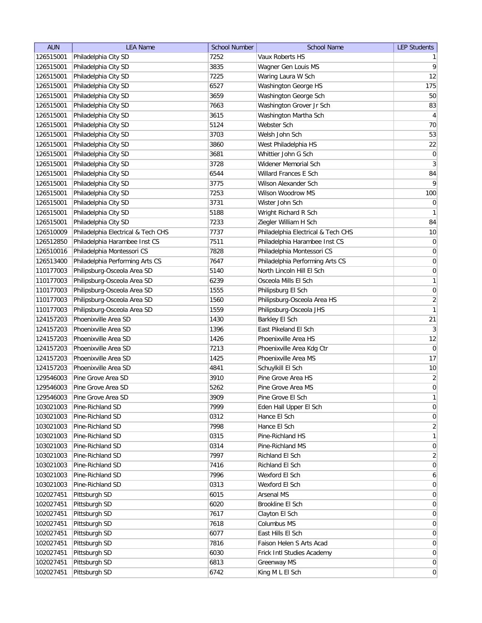| <b>AUN</b> | <b>LEA Name</b>                    | <b>School Number</b> | <b>School Name</b>                 | <b>LEP Students</b> |
|------------|------------------------------------|----------------------|------------------------------------|---------------------|
| 126515001  | Philadelphia City SD               | 7252                 | Vaux Roberts HS                    | 1                   |
| 126515001  | Philadelphia City SD               | 3835                 | Wagner Gen Louis MS                | $\vert 9 \vert$     |
| 126515001  | Philadelphia City SD               | 7225                 | Waring Laura W Sch                 | 12                  |
| 126515001  | Philadelphia City SD               | 6527                 | Washington George HS               | 175                 |
| 126515001  | Philadelphia City SD               | 3659                 | Washington George Sch              | 50                  |
| 126515001  | Philadelphia City SD               | 7663                 | Washington Grover Jr Sch           | 83                  |
| 126515001  | Philadelphia City SD               | 3615                 | Washington Martha Sch              | $\overline{4}$      |
| 126515001  | Philadelphia City SD               | 5124                 | Webster Sch                        | 70                  |
| 126515001  | Philadelphia City SD               | 3703                 | Welsh John Sch                     | 53                  |
| 126515001  | Philadelphia City SD               | 3860                 | West Philadelphia HS               | 22                  |
| 126515001  | Philadelphia City SD               | 3681                 | Whittier John G Sch                | $\overline{0}$      |
| 126515001  | Philadelphia City SD               | 3728                 | Widener Memorial Sch               | $\vert 3 \vert$     |
| 126515001  | Philadelphia City SD               | 6544                 | Willard Frances E Sch              | 84                  |
| 126515001  | Philadelphia City SD               | 3775                 | Wilson Alexander Sch               | $\mathsf{q}$        |
| 126515001  | Philadelphia City SD               | 7253                 | Wilson Woodrow MS                  | 100                 |
| 126515001  | Philadelphia City SD               | 3731                 | Wister John Sch                    | $\pmb{0}$           |
| 126515001  | Philadelphia City SD               | 5188                 | Wright Richard R Sch               | $\mathbf{1}$        |
| 126515001  | Philadelphia City SD               | 7233                 | Ziegler William H Sch              | 84                  |
| 126510009  | Philadelphia Electrical & Tech CHS | 7737                 | Philadelphia Electrical & Tech CHS | 10                  |
| 126512850  | Philadelphia Harambee Inst CS      | 7511                 | Philadelphia Harambee Inst CS      | $\vert 0 \vert$     |
| 126510016  | Philadelphia Montessori CS         | 7828                 | Philadelphia Montessori CS         | 0                   |
| 126513400  | Philadelphia Performing Arts CS    | 7647                 | Philadelphia Performing Arts CS    | $\boldsymbol{0}$    |
| 110177003  | Philipsburg-Osceola Area SD        | 5140                 | North Lincoln Hill El Sch          | $\boldsymbol{0}$    |
| 110177003  | Philipsburg-Osceola Area SD        | 6239                 | Osceola Mills El Sch               | 1                   |
| 110177003  | Philipsburg-Osceola Area SD        | 1555                 | Philipsburg El Sch                 | $\vert 0 \vert$     |
| 110177003  | Philipsburg-Osceola Area SD        | 1560                 | Philipsburg-Osceola Area HS        | $\overline{2}$      |
| 110177003  | Philipsburg-Osceola Area SD        | 1559                 | Philipsburg-Osceola JHS            | 1                   |
| 124157203  | Phoenixville Area SD               | 1430                 | Barkley El Sch                     | 21                  |
| 124157203  | Phoenixville Area SD               | 1396                 | East Pikeland El Sch               | 3                   |
| 124157203  | Phoenixville Area SD               | 1426                 | Phoenixville Area HS               | 12                  |
| 124157203  | Phoenixville Area SD               | 7213                 | Phoenixville Area Kdg Ctr          | $\overline{0}$      |
| 124157203  | Phoenixville Area SD               | 1425                 | Phoenixville Area MS               | 17                  |
| 124157203  | Phoenixville Area SD               | 4841                 | Schuylkill El Sch                  | 10                  |
| 129546003  | Pine Grove Area SD                 | 3910                 | Pine Grove Area HS                 | $\overline{2}$      |
| 129546003  | Pine Grove Area SD                 | 5262                 | Pine Grove Area MS                 | $\overline{0}$      |
| 129546003  | Pine Grove Area SD                 | 3909                 | Pine Grove El Sch                  | $\mathbf{1}$        |
| 103021003  | Pine-Richland SD                   | 7999                 | Eden Hall Upper El Sch             | 0                   |
| 103021003  | Pine-Richland SD                   | 0312                 | Hance El Sch                       | $\vert 0 \vert$     |
| 103021003  | Pine-Richland SD                   | 7998                 | Hance El Sch                       | $\overline{2}$      |
| 103021003  | Pine-Richland SD                   | 0315                 | Pine-Richland HS                   | $\mathbf{1}$        |
| 103021003  | Pine-Richland SD                   | 0314                 | Pine-Richland MS                   | 0                   |
| 103021003  | Pine-Richland SD                   | 7997                 | Richland El Sch                    | $\overline{2}$      |
| 103021003  | Pine-Richland SD                   | 7416                 | Richland El Sch                    | 0                   |
| 103021003  | Pine-Richland SD                   | 7996                 | Wexford El Sch                     | 6                   |
| 103021003  | Pine-Richland SD                   | 0313                 | Wexford El Sch                     | $\overline{0}$      |
| 102027451  | Pittsburgh SD                      | 6015                 | Arsenal MS                         | $\overline{0}$      |
| 102027451  | Pittsburgh SD                      | 6020                 | Brookline El Sch                   | $\overline{0}$      |
| 102027451  | Pittsburgh SD                      | 7617                 | Clayton El Sch                     | $\overline{0}$      |
| 102027451  | Pittsburgh SD                      | 7618                 | Columbus MS                        | $\overline{0}$      |
| 102027451  | Pittsburgh SD                      | 6077                 | East Hills El Sch                  | $\overline{0}$      |
| 102027451  | Pittsburgh SD                      | 7816                 | Faison Helen S Arts Acad           | $\overline{0}$      |
| 102027451  | Pittsburgh SD                      | 6030                 | Frick Intl Studies Academy         | $\overline{0}$      |
| 102027451  | Pittsburgh SD                      | 6813                 | Greenway MS                        | $\overline{0}$      |
| 102027451  | Pittsburgh SD                      | 6742                 | King M L El Sch                    | $\overline{0}$      |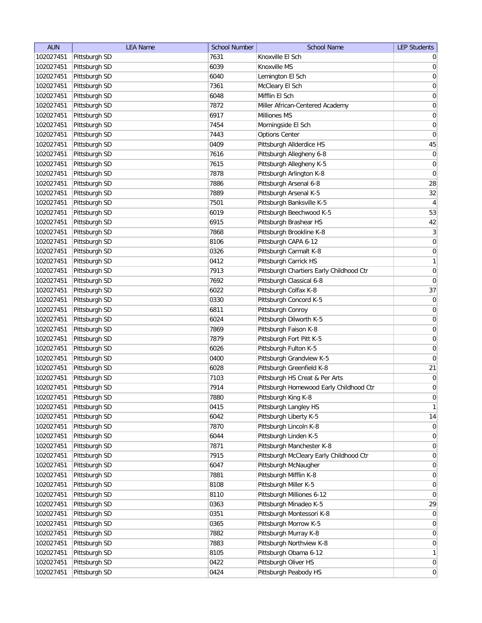| <b>AUN</b> | <b>LEA Name</b> | <b>School Number</b> | <b>School Name</b>                              | <b>LEP Students</b> |
|------------|-----------------|----------------------|-------------------------------------------------|---------------------|
| 102027451  | Pittsburgh SD   | 7631                 | Knoxville El Sch                                | $\overline{0}$      |
| 102027451  | Pittsburgh SD   | 6039                 | Knoxville MS                                    | 0                   |
| 102027451  | Pittsburgh SD   | 6040                 | Lemington El Sch                                | $\overline{0}$      |
| 102027451  | Pittsburgh SD   | 7361                 | McCleary El Sch                                 | 0                   |
| 102027451  | Pittsburgh SD   | 6048                 | Mifflin El Sch                                  | 0                   |
| 102027451  | Pittsburgh SD   | 7872                 | Miller African-Centered Academy                 | $\overline{0}$      |
| 102027451  | Pittsburgh SD   | 6917                 | Milliones MS                                    | 0                   |
| 102027451  | Pittsburgh SD   | 7454                 | Morningside El Sch                              | 0                   |
| 102027451  | Pittsburgh SD   | 7443                 | <b>Options Center</b>                           | $\boldsymbol{0}$    |
| 102027451  | Pittsburgh SD   | 0409                 | Pittsburgh Allderdice HS                        | 45                  |
| 102027451  | Pittsburgh SD   | 7616                 | Pittsburgh Allegheny 6-8                        | 0                   |
| 102027451  | Pittsburgh SD   | 7615                 | Pittsburgh Allegheny K-5                        | 0                   |
| 102027451  | Pittsburgh SD   | 7878                 | Pittsburgh Arlington K-8                        | 0                   |
| 102027451  | Pittsburgh SD   | 7886                 | Pittsburgh Arsenal 6-8                          | 28                  |
| 102027451  | Pittsburgh SD   | 7889                 | Pittsburgh Arsenal K-5                          | 32                  |
| 102027451  | Pittsburgh SD   | 7501                 | Pittsburgh Banksville K-5                       | 4                   |
| 102027451  | Pittsburgh SD   | 6019                 | Pittsburgh Beechwood K-5                        | 53                  |
| 102027451  | Pittsburgh SD   | 6915                 | Pittsburgh Brashear HS                          | 42                  |
| 102027451  | Pittsburgh SD   | 7868                 | Pittsburgh Brookline K-8                        | 3                   |
| 102027451  | Pittsburgh SD   | 8106                 | Pittsburgh CAPA 6-12                            | 0                   |
| 102027451  | Pittsburgh SD   | 0326                 | Pittsburgh Carmalt K-8                          | $\boldsymbol{0}$    |
| 102027451  | Pittsburgh SD   | 0412                 | Pittsburgh Carrick HS                           | $\mathbf{1}$        |
| 102027451  | Pittsburgh SD   | 7913                 | Pittsburgh Chartiers Early Childhood Ctr        | $\boldsymbol{0}$    |
| 102027451  | Pittsburgh SD   | 7692                 | Pittsburgh Classical 6-8                        | $\boldsymbol{0}$    |
| 102027451  | Pittsburgh SD   | 6022                 | Pittsburgh Colfax K-8                           | 37                  |
| 102027451  | Pittsburgh SD   | 0330                 | Pittsburgh Concord K-5                          | $\boldsymbol{0}$    |
| 102027451  | Pittsburgh SD   | 6811                 | Pittsburgh Conroy                               | $\boldsymbol{0}$    |
| 102027451  | Pittsburgh SD   | 6024                 | Pittsburgh Dilworth K-5                         | 0                   |
| 102027451  | Pittsburgh SD   | 7869                 | Pittsburgh Faison K-8                           | 0                   |
| 102027451  | Pittsburgh SD   | 7879                 | Pittsburgh Fort Pitt K-5                        | 0                   |
| 102027451  | Pittsburgh SD   | 6026                 | Pittsburgh Fulton K-5                           | 0                   |
| 102027451  | Pittsburgh SD   | 0400                 | Pittsburgh Grandview K-5                        | 0                   |
| 102027451  | Pittsburgh SD   | 6028                 | Pittsburgh Greenfield K-8                       | 21                  |
| 102027451  | Pittsburgh SD   | 7103                 | Pittsburgh HS Creat & Per Arts                  | $\boldsymbol{0}$    |
| 102027451  | Pittsburgh SD   | 7914                 | Pittsburgh Homewood Early Childhood Ctr         | $\overline{0}$      |
| 102027451  | Pittsburgh SD   | 7880                 | Pittsburgh King K-8                             | 0                   |
| 102027451  | Pittsburgh SD   | 0415                 | Pittsburgh Langley HS                           | 1                   |
| 102027451  | Pittsburgh SD   | 6042                 | Pittsburgh Liberty K-5                          | 14                  |
| 102027451  | Pittsburgh SD   | 7870                 | Pittsburgh Lincoln K-8                          | 0                   |
| 102027451  | Pittsburgh SD   | 6044                 | Pittsburgh Linden K-5                           | $\overline{0}$      |
| 102027451  | Pittsburgh SD   | 7871                 | Pittsburgh Manchester K-8                       | 0                   |
| 102027451  | Pittsburgh SD   | 7915                 | Pittsburgh McCleary Early Childhood Ctr         | 0                   |
| 102027451  | Pittsburgh SD   | 6047                 | Pittsburgh McNaugher                            | 0                   |
| 102027451  | Pittsburgh SD   | 7881                 |                                                 |                     |
|            | Pittsburgh SD   | 8108                 | Pittsburgh Mifflin K-8<br>Pittsburgh Miller K-5 | 0                   |
| 102027451  |                 |                      |                                                 | 0                   |
| 102027451  | Pittsburgh SD   | 8110                 | Pittsburgh Milliones 6-12                       | $\overline{0}$      |
| 102027451  | Pittsburgh SD   | 0363                 | Pittsburgh Minadeo K-5                          | 29                  |
| 102027451  | Pittsburgh SD   | 0351                 | Pittsburgh Montessori K-8                       | 0                   |
| 102027451  | Pittsburgh SD   | 0365                 | Pittsburgh Morrow K-5                           | 0                   |
| 102027451  | Pittsburgh SD   | 7882                 | Pittsburgh Murray K-8                           | $\overline{0}$      |
| 102027451  | Pittsburgh SD   | 7883                 | Pittsburgh Northview K-8                        | $\overline{0}$      |
| 102027451  | Pittsburgh SD   | 8105                 | Pittsburgh Obama 6-12                           | $\mathbf{1}$        |
| 102027451  | Pittsburgh SD   | 0422                 | Pittsburgh Oliver HS                            | $\overline{0}$      |
| 102027451  | Pittsburgh SD   | 0424                 | Pittsburgh Peabody HS                           | 0                   |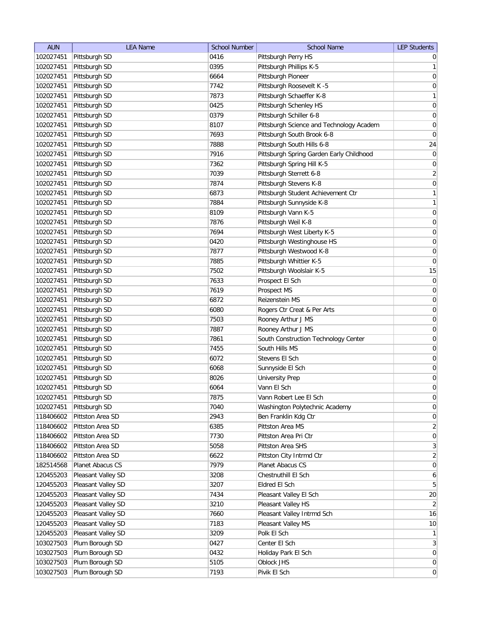| <b>AUN</b> | <b>LEA Name</b>    | <b>School Number</b> | <b>School Name</b>                       | <b>LEP Students</b> |
|------------|--------------------|----------------------|------------------------------------------|---------------------|
| 102027451  | Pittsburgh SD      | 0416                 | Pittsburgh Perry HS                      | $\overline{0}$      |
| 102027451  | Pittsburgh SD      | 0395                 | Pittsburgh Phillips K-5                  | $\mathbf{1}$        |
| 102027451  | Pittsburgh SD      | 6664                 | Pittsburgh Pioneer                       | $\boldsymbol{0}$    |
| 102027451  | Pittsburgh SD      | 7742                 | Pittsburgh Roosevelt K -5                | $\mathsf{O}\xspace$ |
| 102027451  | Pittsburgh SD      | 7873                 | Pittsburgh Schaeffer K-8                 | $\mathbf{1}$        |
| 102027451  | Pittsburgh SD      | 0425                 | Pittsburgh Schenley HS                   | $\boldsymbol{0}$    |
| 102027451  | Pittsburgh SD      | 0379                 | Pittsburgh Schiller 6-8                  | $\mathsf{O}\xspace$ |
| 102027451  | Pittsburgh SD      | 8107                 | Pittsburgh Science and Technology Academ | $\boldsymbol{0}$    |
| 102027451  | Pittsburgh SD      | 7693                 | Pittsburgh South Brook 6-8               | $\pmb{0}$           |
| 102027451  | Pittsburgh SD      | 7888                 | Pittsburgh South Hills 6-8               | 24                  |
| 102027451  | Pittsburgh SD      | 7916                 | Pittsburgh Spring Garden Early Childhood | $\pmb{0}$           |
| 102027451  | Pittsburgh SD      | 7362                 | Pittsburgh Spring Hill K-5               | 0                   |
| 102027451  | Pittsburgh SD      | 7039                 | Pittsburgh Sterrett 6-8                  | $\overline{2}$      |
| 102027451  | Pittsburgh SD      | 7874                 | Pittsburgh Stevens K-8                   | 0                   |
| 102027451  | Pittsburgh SD      | 6873                 | Pittsburgh Student Achievement Ctr       | $\mathbf{1}$        |
| 102027451  | Pittsburgh SD      | 7884                 | Pittsburgh Sunnyside K-8                 | $\mathbf{1}$        |
| 102027451  | Pittsburgh SD      | 8109                 | Pittsburgh Vann K-5                      | $\boldsymbol{0}$    |
| 102027451  | Pittsburgh SD      | 7876                 | Pittsburgh Weil K-8                      | $\boldsymbol{0}$    |
| 102027451  | Pittsburgh SD      | 7694                 | Pittsburgh West Liberty K-5              | $\boldsymbol{0}$    |
| 102027451  | Pittsburgh SD      | 0420                 | Pittsburgh Westinghouse HS               | $\boldsymbol{0}$    |
| 102027451  | Pittsburgh SD      | 7877                 | Pittsburgh Westwood K-8                  | $\boldsymbol{0}$    |
| 102027451  | Pittsburgh SD      | 7885                 | Pittsburgh Whittier K-5                  | $\boldsymbol{0}$    |
| 102027451  | Pittsburgh SD      | 7502                 | Pittsburgh Woolslair K-5                 | 15                  |
| 102027451  | Pittsburgh SD      | 7633                 | Prospect El Sch                          | $\mathsf{O}\xspace$ |
| 102027451  | Pittsburgh SD      | 7619                 | Prospect MS                              | $\boldsymbol{0}$    |
| 102027451  | Pittsburgh SD      | 6872                 | Reizenstein MS                           | $\boldsymbol{0}$    |
| 102027451  | Pittsburgh SD      | 6080                 | Rogers Ctr Creat & Per Arts              | $\boldsymbol{0}$    |
| 102027451  | Pittsburgh SD      | 7503                 | Rooney Arthur J MS                       | 0                   |
| 102027451  | Pittsburgh SD      | 7887                 | Rooney Arthur J MS                       | 0                   |
| 102027451  | Pittsburgh SD      | 7861                 | South Construction Technology Center     | 0                   |
| 102027451  | Pittsburgh SD      | 7455                 | South Hills MS                           | 0                   |
| 102027451  | Pittsburgh SD      | 6072                 | Stevens El Sch                           | 0                   |
| 102027451  | Pittsburgh SD      | 6068                 | Sunnyside El Sch                         | $\boldsymbol{0}$    |
| 102027451  | Pittsburgh SD      | 8026                 | <b>University Prep</b>                   | $\boldsymbol{0}$    |
| 102027451  | Pittsburgh SD      | 6064                 | Vann El Sch                              | $\overline{0}$      |
| 102027451  | Pittsburgh SD      | 7875                 | Vann Robert Lee El Sch                   | $\pmb{0}$           |
| 102027451  | Pittsburgh SD      | 7040                 | Washington Polytechnic Academy           | $\mathsf{O}\xspace$ |
| 118406602  | Pittston Area SD   | 2943                 | Ben Franklin Kdg Ctr                     | $\mathsf{O}\xspace$ |
| 118406602  | Pittston Area SD   | 6385                 | Pittston Area MS                         | $\overline{2}$      |
| 118406602  | Pittston Area SD   | 7730                 | Pittston Area Pri Ctr                    | $\mathsf{O}\xspace$ |
| 118406602  | Pittston Area SD   | 5058                 | Pittston Area SHS                        | $\mathbf{3}$        |
| 118406602  | Pittston Area SD   | 6622                 | Pittston City Intrmd Ctr                 | $\overline{2}$      |
| 182514568  | Planet Abacus CS   | 7979                 | Planet Abacus CS                         | $\overline{0}$      |
| 120455203  | Pleasant Valley SD | 3208                 | Chestnuthill El Sch                      | 6                   |
| 120455203  | Pleasant Valley SD | 3207                 | Eldred El Sch                            | $5\overline{)}$     |
| 120455203  | Pleasant Valley SD | 7434                 | Pleasant Valley El Sch                   | 20                  |
| 120455203  | Pleasant Valley SD | 3210                 | Pleasant Valley HS                       | $\overline{2}$      |
| 120455203  | Pleasant Valley SD | 7660                 | Pleasant Valley Intrmd Sch               | 16                  |
| 120455203  | Pleasant Valley SD | 7183                 | Pleasant Valley MS                       | 10                  |
| 120455203  | Pleasant Valley SD | 3209                 | Polk El Sch                              | $\mathbf{1}$        |
| 103027503  | Plum Borough SD    | 0427                 | Center El Sch                            | $\mathbf{3}$        |
| 103027503  | Plum Borough SD    | 0432                 | Holiday Park El Sch                      | $\mathsf{O}\xspace$ |
| 103027503  | Plum Borough SD    | 5105                 | Oblock JHS                               | $\boldsymbol{0}$    |
| 103027503  | Plum Borough SD    | 7193                 | Pivik El Sch                             | $\overline{0}$      |
|            |                    |                      |                                          |                     |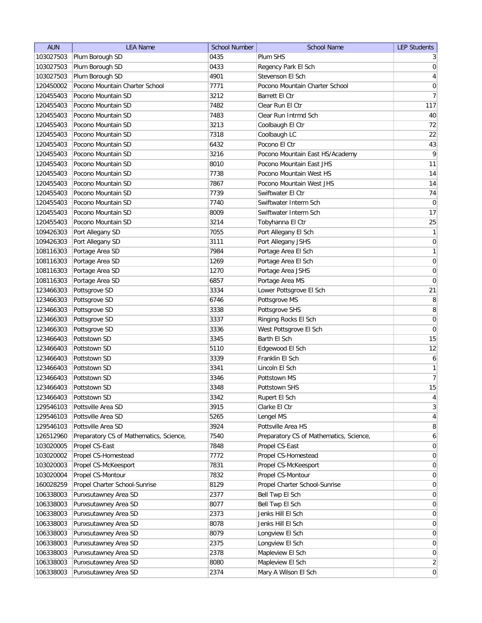| Plum SHS<br>Plum Borough SD<br>0435<br>103027503<br>$\frac{3}{2}$<br>103027503<br>Plum Borough SD<br>0433<br>Regency Park El Sch<br>Plum Borough SD<br>4901<br>Stevenson El Sch<br>103027503<br>Pocono Mountain Charter School<br>7771<br>120450002<br>Pocono Mountain Charter School<br>Pocono Mountain SD<br>120455403<br>3212<br>Barrett El Ctr<br>Pocono Mountain SD<br>120455403<br>7482<br>Clear Run El Ctr<br>120455403<br>Pocono Mountain SD<br>7483<br>Clear Run Intrmd Sch<br>Pocono Mountain SD<br>120455403<br>3213<br>Coolbaugh El Ctr<br>120455403<br>Pocono Mountain SD<br>7318<br>Coolbaugh LC<br>Pocono El Ctr<br>120455403<br>Pocono Mountain SD<br>6432<br>120455403<br>Pocono Mountain SD<br>3216<br>Pocono Mountain East HS/Academy<br>120455403<br>Pocono Mountain SD<br>8010<br>Pocono Mountain East JHS<br>14<br>Pocono Mountain SD<br>7738<br>Pocono Mountain West HS<br>120455403<br>14<br>120455403<br>Pocono Mountain SD<br>7867<br>Pocono Mountain West JHS<br>74<br>120455403<br>Pocono Mountain SD<br>7739<br>Swiftwater El Ctr<br>$\pmb{0}$<br>120455403<br>Pocono Mountain SD<br>7740<br>Swiftwater Interm Sch<br>Pocono Mountain SD<br>120455403<br>8009<br>Swiftwater Interm Sch<br>120455403<br>Pocono Mountain SD<br>3214<br>Tobyhanna El Ctr<br>109426303<br>Port Allegany SD<br>7055<br>Port Allegany El Sch<br>109426303<br>Port Allegany SD<br>3111<br>Port Allegany JSHS<br>108116303<br>Portage Area SD<br>7984<br>Portage Area El Sch<br>108116303<br>Portage Area SD<br>1269<br>Portage Area El Sch<br>108116303<br>Portage Area SD<br>1270<br>Portage Area JSHS<br>108116303<br>Portage Area SD<br>6857<br>Portage Area MS<br>123466303<br>Pottsgrove SD<br>3334<br>Lower Pottsgrove El Sch<br>8<br>123466303<br>Pottsgrove MS<br>Pottsgrove SD<br>6746<br>8<br>123466303<br>Pottsgrove SD<br>3338<br>Pottsgrove SHS<br>123466303<br>Pottsgrove SD<br>3337<br>Ringing Rocks El Sch<br>0<br>123466303<br>Pottsgrove SD<br>3336<br>West Pottsgrove El Sch<br>15<br>Pottstown SD<br>3345<br>Barth El Sch<br>123466403<br>123466403<br>Pottstown SD<br>Edgewood El Sch<br>5110<br>Franklin El Sch<br>Pottstown SD<br>3339<br>6<br>123466403<br>123466403<br>Pottstown SD<br>3341<br>Lincoln El Sch<br>123466403<br>Pottstown SD<br>3346<br>Pottstown MS<br>123466403<br>Pottstown SD<br>3348<br>Pottstown SHS<br>123466403<br>Pottstown SD<br>3342<br>Rupert El Sch<br>129546103<br>Pottsville Area SD<br>3915<br>Clarke El Ctr<br>129546103<br>Pottsville Area SD<br>5265<br>Lengel MS<br>Pottsville Area SD<br>129546103<br>3924<br>Pottsville Area HS<br>126512960<br>Preparatory CS of Mathematics, Science,<br>7540<br>Preparatory CS of Mathematics, Science,<br>103020005<br>Propel CS-East<br>Propel CS-East<br>7848<br>Propel CS-Homestead<br>Propel CS-Homestead<br>103020002<br>7772<br>103020003<br>Propel CS-McKeesport<br>7831<br>Propel CS-McKeesport<br>Propel CS-Montour<br>Propel CS-Montour<br>103020004<br>7832<br>160028259<br>Propel Charter School-Sunrise<br>Propel Charter School-Sunrise<br>8129<br>106338003<br>Punxsutawney Area SD<br>Bell Twp El Sch<br>2377<br>106338003<br>Punxsutawney Area SD<br>8077<br>Bell Twp El Sch<br>106338003<br>Punxsutawney Area SD<br>2373<br>Jenks Hill El Sch<br>106338003<br>Punxsutawney Area SD<br>8078<br>Jenks Hill El Sch<br>106338003<br>Punxsutawney Area SD<br>8079<br>Longview El Sch<br>106338003<br>Punxsutawney Area SD<br>2375<br>Longview El Sch<br>106338003<br>Punxsutawney Area SD<br>2378<br>Mapleview El Sch<br>106338003<br>Punxsutawney Area SD<br>8080<br>Mapleview El Sch | <b>AUN</b> | <b>LEA Name</b>      | <b>School Number</b> | <b>School Name</b>   | <b>LEP Students</b> |
|------------------------------------------------------------------------------------------------------------------------------------------------------------------------------------------------------------------------------------------------------------------------------------------------------------------------------------------------------------------------------------------------------------------------------------------------------------------------------------------------------------------------------------------------------------------------------------------------------------------------------------------------------------------------------------------------------------------------------------------------------------------------------------------------------------------------------------------------------------------------------------------------------------------------------------------------------------------------------------------------------------------------------------------------------------------------------------------------------------------------------------------------------------------------------------------------------------------------------------------------------------------------------------------------------------------------------------------------------------------------------------------------------------------------------------------------------------------------------------------------------------------------------------------------------------------------------------------------------------------------------------------------------------------------------------------------------------------------------------------------------------------------------------------------------------------------------------------------------------------------------------------------------------------------------------------------------------------------------------------------------------------------------------------------------------------------------------------------------------------------------------------------------------------------------------------------------------------------------------------------------------------------------------------------------------------------------------------------------------------------------------------------------------------------------------------------------------------------------------------------------------------------------------------------------------------------------------------------------------------------------------------------------------------------------------------------------------------------------------------------------------------------------------------------------------------------------------------------------------------------------------------------------------------------------------------------------------------------------------------------------------------------------------------------------------------------------------------------------------------------------------------------------------------------------------------------------------------------------------------------------------------------------------------------------------------------------------------------------------------------------------------------------------------------------------------------------------------------------------------------------------------------------------------------------------------------------------------------------------|------------|----------------------|----------------------|----------------------|---------------------|
|                                                                                                                                                                                                                                                                                                                                                                                                                                                                                                                                                                                                                                                                                                                                                                                                                                                                                                                                                                                                                                                                                                                                                                                                                                                                                                                                                                                                                                                                                                                                                                                                                                                                                                                                                                                                                                                                                                                                                                                                                                                                                                                                                                                                                                                                                                                                                                                                                                                                                                                                                                                                                                                                                                                                                                                                                                                                                                                                                                                                                                                                                                                                                                                                                                                                                                                                                                                                                                                                                                                                                                                                            |            |                      |                      |                      |                     |
| $\overline{4}$<br>0<br>40<br>43<br>25<br>$\boldsymbol{0}$<br>$\boldsymbol{0}$<br>$\boldsymbol{0}$<br>15<br>$\overline{4}$<br>8<br>$\mathbf{6}$<br>0<br>0<br>0<br>$\overline{0}$<br>$\overline{0}$<br>0                                                                                                                                                                                                                                                                                                                                                                                                                                                                                                                                                                                                                                                                                                                                                                                                                                                                                                                                                                                                                                                                                                                                                                                                                                                                                                                                                                                                                                                                                                                                                                                                                                                                                                                                                                                                                                                                                                                                                                                                                                                                                                                                                                                                                                                                                                                                                                                                                                                                                                                                                                                                                                                                                                                                                                                                                                                                                                                                                                                                                                                                                                                                                                                                                                                                                                                                                                                                     |            |                      |                      |                      | 0                   |
| $\overline{7}$<br>117<br>72<br>22<br>$\overline{9}$<br>11<br>17<br>1<br> 0 <br>1<br> 0 <br>21<br>12<br>$\mathbf{1}$<br>$\overline{7}$<br>3<br>$\vert 4 \vert$<br>0<br>0<br>$\overline{0}$<br>$\overline{0}$<br>$\overline{0}$<br> 0 <br>$\overline{2}$                                                                                                                                                                                                                                                                                                                                                                                                                                                                                                                                                                                                                                                                                                                                                                                                                                                                                                                                                                                                                                                                                                                                                                                                                                                                                                                                                                                                                                                                                                                                                                                                                                                                                                                                                                                                                                                                                                                                                                                                                                                                                                                                                                                                                                                                                                                                                                                                                                                                                                                                                                                                                                                                                                                                                                                                                                                                                                                                                                                                                                                                                                                                                                                                                                                                                                                                                     |            |                      |                      |                      |                     |
|                                                                                                                                                                                                                                                                                                                                                                                                                                                                                                                                                                                                                                                                                                                                                                                                                                                                                                                                                                                                                                                                                                                                                                                                                                                                                                                                                                                                                                                                                                                                                                                                                                                                                                                                                                                                                                                                                                                                                                                                                                                                                                                                                                                                                                                                                                                                                                                                                                                                                                                                                                                                                                                                                                                                                                                                                                                                                                                                                                                                                                                                                                                                                                                                                                                                                                                                                                                                                                                                                                                                                                                                            |            |                      |                      |                      |                     |
|                                                                                                                                                                                                                                                                                                                                                                                                                                                                                                                                                                                                                                                                                                                                                                                                                                                                                                                                                                                                                                                                                                                                                                                                                                                                                                                                                                                                                                                                                                                                                                                                                                                                                                                                                                                                                                                                                                                                                                                                                                                                                                                                                                                                                                                                                                                                                                                                                                                                                                                                                                                                                                                                                                                                                                                                                                                                                                                                                                                                                                                                                                                                                                                                                                                                                                                                                                                                                                                                                                                                                                                                            |            |                      |                      |                      |                     |
|                                                                                                                                                                                                                                                                                                                                                                                                                                                                                                                                                                                                                                                                                                                                                                                                                                                                                                                                                                                                                                                                                                                                                                                                                                                                                                                                                                                                                                                                                                                                                                                                                                                                                                                                                                                                                                                                                                                                                                                                                                                                                                                                                                                                                                                                                                                                                                                                                                                                                                                                                                                                                                                                                                                                                                                                                                                                                                                                                                                                                                                                                                                                                                                                                                                                                                                                                                                                                                                                                                                                                                                                            |            |                      |                      |                      |                     |
|                                                                                                                                                                                                                                                                                                                                                                                                                                                                                                                                                                                                                                                                                                                                                                                                                                                                                                                                                                                                                                                                                                                                                                                                                                                                                                                                                                                                                                                                                                                                                                                                                                                                                                                                                                                                                                                                                                                                                                                                                                                                                                                                                                                                                                                                                                                                                                                                                                                                                                                                                                                                                                                                                                                                                                                                                                                                                                                                                                                                                                                                                                                                                                                                                                                                                                                                                                                                                                                                                                                                                                                                            |            |                      |                      |                      |                     |
|                                                                                                                                                                                                                                                                                                                                                                                                                                                                                                                                                                                                                                                                                                                                                                                                                                                                                                                                                                                                                                                                                                                                                                                                                                                                                                                                                                                                                                                                                                                                                                                                                                                                                                                                                                                                                                                                                                                                                                                                                                                                                                                                                                                                                                                                                                                                                                                                                                                                                                                                                                                                                                                                                                                                                                                                                                                                                                                                                                                                                                                                                                                                                                                                                                                                                                                                                                                                                                                                                                                                                                                                            |            |                      |                      |                      |                     |
|                                                                                                                                                                                                                                                                                                                                                                                                                                                                                                                                                                                                                                                                                                                                                                                                                                                                                                                                                                                                                                                                                                                                                                                                                                                                                                                                                                                                                                                                                                                                                                                                                                                                                                                                                                                                                                                                                                                                                                                                                                                                                                                                                                                                                                                                                                                                                                                                                                                                                                                                                                                                                                                                                                                                                                                                                                                                                                                                                                                                                                                                                                                                                                                                                                                                                                                                                                                                                                                                                                                                                                                                            |            |                      |                      |                      |                     |
|                                                                                                                                                                                                                                                                                                                                                                                                                                                                                                                                                                                                                                                                                                                                                                                                                                                                                                                                                                                                                                                                                                                                                                                                                                                                                                                                                                                                                                                                                                                                                                                                                                                                                                                                                                                                                                                                                                                                                                                                                                                                                                                                                                                                                                                                                                                                                                                                                                                                                                                                                                                                                                                                                                                                                                                                                                                                                                                                                                                                                                                                                                                                                                                                                                                                                                                                                                                                                                                                                                                                                                                                            |            |                      |                      |                      |                     |
|                                                                                                                                                                                                                                                                                                                                                                                                                                                                                                                                                                                                                                                                                                                                                                                                                                                                                                                                                                                                                                                                                                                                                                                                                                                                                                                                                                                                                                                                                                                                                                                                                                                                                                                                                                                                                                                                                                                                                                                                                                                                                                                                                                                                                                                                                                                                                                                                                                                                                                                                                                                                                                                                                                                                                                                                                                                                                                                                                                                                                                                                                                                                                                                                                                                                                                                                                                                                                                                                                                                                                                                                            |            |                      |                      |                      |                     |
|                                                                                                                                                                                                                                                                                                                                                                                                                                                                                                                                                                                                                                                                                                                                                                                                                                                                                                                                                                                                                                                                                                                                                                                                                                                                                                                                                                                                                                                                                                                                                                                                                                                                                                                                                                                                                                                                                                                                                                                                                                                                                                                                                                                                                                                                                                                                                                                                                                                                                                                                                                                                                                                                                                                                                                                                                                                                                                                                                                                                                                                                                                                                                                                                                                                                                                                                                                                                                                                                                                                                                                                                            |            |                      |                      |                      |                     |
|                                                                                                                                                                                                                                                                                                                                                                                                                                                                                                                                                                                                                                                                                                                                                                                                                                                                                                                                                                                                                                                                                                                                                                                                                                                                                                                                                                                                                                                                                                                                                                                                                                                                                                                                                                                                                                                                                                                                                                                                                                                                                                                                                                                                                                                                                                                                                                                                                                                                                                                                                                                                                                                                                                                                                                                                                                                                                                                                                                                                                                                                                                                                                                                                                                                                                                                                                                                                                                                                                                                                                                                                            |            |                      |                      |                      |                     |
|                                                                                                                                                                                                                                                                                                                                                                                                                                                                                                                                                                                                                                                                                                                                                                                                                                                                                                                                                                                                                                                                                                                                                                                                                                                                                                                                                                                                                                                                                                                                                                                                                                                                                                                                                                                                                                                                                                                                                                                                                                                                                                                                                                                                                                                                                                                                                                                                                                                                                                                                                                                                                                                                                                                                                                                                                                                                                                                                                                                                                                                                                                                                                                                                                                                                                                                                                                                                                                                                                                                                                                                                            |            |                      |                      |                      |                     |
|                                                                                                                                                                                                                                                                                                                                                                                                                                                                                                                                                                                                                                                                                                                                                                                                                                                                                                                                                                                                                                                                                                                                                                                                                                                                                                                                                                                                                                                                                                                                                                                                                                                                                                                                                                                                                                                                                                                                                                                                                                                                                                                                                                                                                                                                                                                                                                                                                                                                                                                                                                                                                                                                                                                                                                                                                                                                                                                                                                                                                                                                                                                                                                                                                                                                                                                                                                                                                                                                                                                                                                                                            |            |                      |                      |                      |                     |
|                                                                                                                                                                                                                                                                                                                                                                                                                                                                                                                                                                                                                                                                                                                                                                                                                                                                                                                                                                                                                                                                                                                                                                                                                                                                                                                                                                                                                                                                                                                                                                                                                                                                                                                                                                                                                                                                                                                                                                                                                                                                                                                                                                                                                                                                                                                                                                                                                                                                                                                                                                                                                                                                                                                                                                                                                                                                                                                                                                                                                                                                                                                                                                                                                                                                                                                                                                                                                                                                                                                                                                                                            |            |                      |                      |                      |                     |
|                                                                                                                                                                                                                                                                                                                                                                                                                                                                                                                                                                                                                                                                                                                                                                                                                                                                                                                                                                                                                                                                                                                                                                                                                                                                                                                                                                                                                                                                                                                                                                                                                                                                                                                                                                                                                                                                                                                                                                                                                                                                                                                                                                                                                                                                                                                                                                                                                                                                                                                                                                                                                                                                                                                                                                                                                                                                                                                                                                                                                                                                                                                                                                                                                                                                                                                                                                                                                                                                                                                                                                                                            |            |                      |                      |                      |                     |
|                                                                                                                                                                                                                                                                                                                                                                                                                                                                                                                                                                                                                                                                                                                                                                                                                                                                                                                                                                                                                                                                                                                                                                                                                                                                                                                                                                                                                                                                                                                                                                                                                                                                                                                                                                                                                                                                                                                                                                                                                                                                                                                                                                                                                                                                                                                                                                                                                                                                                                                                                                                                                                                                                                                                                                                                                                                                                                                                                                                                                                                                                                                                                                                                                                                                                                                                                                                                                                                                                                                                                                                                            |            |                      |                      |                      |                     |
|                                                                                                                                                                                                                                                                                                                                                                                                                                                                                                                                                                                                                                                                                                                                                                                                                                                                                                                                                                                                                                                                                                                                                                                                                                                                                                                                                                                                                                                                                                                                                                                                                                                                                                                                                                                                                                                                                                                                                                                                                                                                                                                                                                                                                                                                                                                                                                                                                                                                                                                                                                                                                                                                                                                                                                                                                                                                                                                                                                                                                                                                                                                                                                                                                                                                                                                                                                                                                                                                                                                                                                                                            |            |                      |                      |                      |                     |
|                                                                                                                                                                                                                                                                                                                                                                                                                                                                                                                                                                                                                                                                                                                                                                                                                                                                                                                                                                                                                                                                                                                                                                                                                                                                                                                                                                                                                                                                                                                                                                                                                                                                                                                                                                                                                                                                                                                                                                                                                                                                                                                                                                                                                                                                                                                                                                                                                                                                                                                                                                                                                                                                                                                                                                                                                                                                                                                                                                                                                                                                                                                                                                                                                                                                                                                                                                                                                                                                                                                                                                                                            |            |                      |                      |                      |                     |
|                                                                                                                                                                                                                                                                                                                                                                                                                                                                                                                                                                                                                                                                                                                                                                                                                                                                                                                                                                                                                                                                                                                                                                                                                                                                                                                                                                                                                                                                                                                                                                                                                                                                                                                                                                                                                                                                                                                                                                                                                                                                                                                                                                                                                                                                                                                                                                                                                                                                                                                                                                                                                                                                                                                                                                                                                                                                                                                                                                                                                                                                                                                                                                                                                                                                                                                                                                                                                                                                                                                                                                                                            |            |                      |                      |                      |                     |
|                                                                                                                                                                                                                                                                                                                                                                                                                                                                                                                                                                                                                                                                                                                                                                                                                                                                                                                                                                                                                                                                                                                                                                                                                                                                                                                                                                                                                                                                                                                                                                                                                                                                                                                                                                                                                                                                                                                                                                                                                                                                                                                                                                                                                                                                                                                                                                                                                                                                                                                                                                                                                                                                                                                                                                                                                                                                                                                                                                                                                                                                                                                                                                                                                                                                                                                                                                                                                                                                                                                                                                                                            |            |                      |                      |                      |                     |
|                                                                                                                                                                                                                                                                                                                                                                                                                                                                                                                                                                                                                                                                                                                                                                                                                                                                                                                                                                                                                                                                                                                                                                                                                                                                                                                                                                                                                                                                                                                                                                                                                                                                                                                                                                                                                                                                                                                                                                                                                                                                                                                                                                                                                                                                                                                                                                                                                                                                                                                                                                                                                                                                                                                                                                                                                                                                                                                                                                                                                                                                                                                                                                                                                                                                                                                                                                                                                                                                                                                                                                                                            |            |                      |                      |                      |                     |
|                                                                                                                                                                                                                                                                                                                                                                                                                                                                                                                                                                                                                                                                                                                                                                                                                                                                                                                                                                                                                                                                                                                                                                                                                                                                                                                                                                                                                                                                                                                                                                                                                                                                                                                                                                                                                                                                                                                                                                                                                                                                                                                                                                                                                                                                                                                                                                                                                                                                                                                                                                                                                                                                                                                                                                                                                                                                                                                                                                                                                                                                                                                                                                                                                                                                                                                                                                                                                                                                                                                                                                                                            |            |                      |                      |                      |                     |
|                                                                                                                                                                                                                                                                                                                                                                                                                                                                                                                                                                                                                                                                                                                                                                                                                                                                                                                                                                                                                                                                                                                                                                                                                                                                                                                                                                                                                                                                                                                                                                                                                                                                                                                                                                                                                                                                                                                                                                                                                                                                                                                                                                                                                                                                                                                                                                                                                                                                                                                                                                                                                                                                                                                                                                                                                                                                                                                                                                                                                                                                                                                                                                                                                                                                                                                                                                                                                                                                                                                                                                                                            |            |                      |                      |                      |                     |
|                                                                                                                                                                                                                                                                                                                                                                                                                                                                                                                                                                                                                                                                                                                                                                                                                                                                                                                                                                                                                                                                                                                                                                                                                                                                                                                                                                                                                                                                                                                                                                                                                                                                                                                                                                                                                                                                                                                                                                                                                                                                                                                                                                                                                                                                                                                                                                                                                                                                                                                                                                                                                                                                                                                                                                                                                                                                                                                                                                                                                                                                                                                                                                                                                                                                                                                                                                                                                                                                                                                                                                                                            |            |                      |                      |                      |                     |
|                                                                                                                                                                                                                                                                                                                                                                                                                                                                                                                                                                                                                                                                                                                                                                                                                                                                                                                                                                                                                                                                                                                                                                                                                                                                                                                                                                                                                                                                                                                                                                                                                                                                                                                                                                                                                                                                                                                                                                                                                                                                                                                                                                                                                                                                                                                                                                                                                                                                                                                                                                                                                                                                                                                                                                                                                                                                                                                                                                                                                                                                                                                                                                                                                                                                                                                                                                                                                                                                                                                                                                                                            |            |                      |                      |                      |                     |
|                                                                                                                                                                                                                                                                                                                                                                                                                                                                                                                                                                                                                                                                                                                                                                                                                                                                                                                                                                                                                                                                                                                                                                                                                                                                                                                                                                                                                                                                                                                                                                                                                                                                                                                                                                                                                                                                                                                                                                                                                                                                                                                                                                                                                                                                                                                                                                                                                                                                                                                                                                                                                                                                                                                                                                                                                                                                                                                                                                                                                                                                                                                                                                                                                                                                                                                                                                                                                                                                                                                                                                                                            |            |                      |                      |                      |                     |
|                                                                                                                                                                                                                                                                                                                                                                                                                                                                                                                                                                                                                                                                                                                                                                                                                                                                                                                                                                                                                                                                                                                                                                                                                                                                                                                                                                                                                                                                                                                                                                                                                                                                                                                                                                                                                                                                                                                                                                                                                                                                                                                                                                                                                                                                                                                                                                                                                                                                                                                                                                                                                                                                                                                                                                                                                                                                                                                                                                                                                                                                                                                                                                                                                                                                                                                                                                                                                                                                                                                                                                                                            |            |                      |                      |                      |                     |
|                                                                                                                                                                                                                                                                                                                                                                                                                                                                                                                                                                                                                                                                                                                                                                                                                                                                                                                                                                                                                                                                                                                                                                                                                                                                                                                                                                                                                                                                                                                                                                                                                                                                                                                                                                                                                                                                                                                                                                                                                                                                                                                                                                                                                                                                                                                                                                                                                                                                                                                                                                                                                                                                                                                                                                                                                                                                                                                                                                                                                                                                                                                                                                                                                                                                                                                                                                                                                                                                                                                                                                                                            |            |                      |                      |                      |                     |
|                                                                                                                                                                                                                                                                                                                                                                                                                                                                                                                                                                                                                                                                                                                                                                                                                                                                                                                                                                                                                                                                                                                                                                                                                                                                                                                                                                                                                                                                                                                                                                                                                                                                                                                                                                                                                                                                                                                                                                                                                                                                                                                                                                                                                                                                                                                                                                                                                                                                                                                                                                                                                                                                                                                                                                                                                                                                                                                                                                                                                                                                                                                                                                                                                                                                                                                                                                                                                                                                                                                                                                                                            |            |                      |                      |                      |                     |
|                                                                                                                                                                                                                                                                                                                                                                                                                                                                                                                                                                                                                                                                                                                                                                                                                                                                                                                                                                                                                                                                                                                                                                                                                                                                                                                                                                                                                                                                                                                                                                                                                                                                                                                                                                                                                                                                                                                                                                                                                                                                                                                                                                                                                                                                                                                                                                                                                                                                                                                                                                                                                                                                                                                                                                                                                                                                                                                                                                                                                                                                                                                                                                                                                                                                                                                                                                                                                                                                                                                                                                                                            |            |                      |                      |                      |                     |
|                                                                                                                                                                                                                                                                                                                                                                                                                                                                                                                                                                                                                                                                                                                                                                                                                                                                                                                                                                                                                                                                                                                                                                                                                                                                                                                                                                                                                                                                                                                                                                                                                                                                                                                                                                                                                                                                                                                                                                                                                                                                                                                                                                                                                                                                                                                                                                                                                                                                                                                                                                                                                                                                                                                                                                                                                                                                                                                                                                                                                                                                                                                                                                                                                                                                                                                                                                                                                                                                                                                                                                                                            |            |                      |                      |                      |                     |
|                                                                                                                                                                                                                                                                                                                                                                                                                                                                                                                                                                                                                                                                                                                                                                                                                                                                                                                                                                                                                                                                                                                                                                                                                                                                                                                                                                                                                                                                                                                                                                                                                                                                                                                                                                                                                                                                                                                                                                                                                                                                                                                                                                                                                                                                                                                                                                                                                                                                                                                                                                                                                                                                                                                                                                                                                                                                                                                                                                                                                                                                                                                                                                                                                                                                                                                                                                                                                                                                                                                                                                                                            |            |                      |                      |                      |                     |
|                                                                                                                                                                                                                                                                                                                                                                                                                                                                                                                                                                                                                                                                                                                                                                                                                                                                                                                                                                                                                                                                                                                                                                                                                                                                                                                                                                                                                                                                                                                                                                                                                                                                                                                                                                                                                                                                                                                                                                                                                                                                                                                                                                                                                                                                                                                                                                                                                                                                                                                                                                                                                                                                                                                                                                                                                                                                                                                                                                                                                                                                                                                                                                                                                                                                                                                                                                                                                                                                                                                                                                                                            |            |                      |                      |                      |                     |
|                                                                                                                                                                                                                                                                                                                                                                                                                                                                                                                                                                                                                                                                                                                                                                                                                                                                                                                                                                                                                                                                                                                                                                                                                                                                                                                                                                                                                                                                                                                                                                                                                                                                                                                                                                                                                                                                                                                                                                                                                                                                                                                                                                                                                                                                                                                                                                                                                                                                                                                                                                                                                                                                                                                                                                                                                                                                                                                                                                                                                                                                                                                                                                                                                                                                                                                                                                                                                                                                                                                                                                                                            |            |                      |                      |                      |                     |
|                                                                                                                                                                                                                                                                                                                                                                                                                                                                                                                                                                                                                                                                                                                                                                                                                                                                                                                                                                                                                                                                                                                                                                                                                                                                                                                                                                                                                                                                                                                                                                                                                                                                                                                                                                                                                                                                                                                                                                                                                                                                                                                                                                                                                                                                                                                                                                                                                                                                                                                                                                                                                                                                                                                                                                                                                                                                                                                                                                                                                                                                                                                                                                                                                                                                                                                                                                                                                                                                                                                                                                                                            |            |                      |                      |                      |                     |
|                                                                                                                                                                                                                                                                                                                                                                                                                                                                                                                                                                                                                                                                                                                                                                                                                                                                                                                                                                                                                                                                                                                                                                                                                                                                                                                                                                                                                                                                                                                                                                                                                                                                                                                                                                                                                                                                                                                                                                                                                                                                                                                                                                                                                                                                                                                                                                                                                                                                                                                                                                                                                                                                                                                                                                                                                                                                                                                                                                                                                                                                                                                                                                                                                                                                                                                                                                                                                                                                                                                                                                                                            |            |                      |                      |                      |                     |
|                                                                                                                                                                                                                                                                                                                                                                                                                                                                                                                                                                                                                                                                                                                                                                                                                                                                                                                                                                                                                                                                                                                                                                                                                                                                                                                                                                                                                                                                                                                                                                                                                                                                                                                                                                                                                                                                                                                                                                                                                                                                                                                                                                                                                                                                                                                                                                                                                                                                                                                                                                                                                                                                                                                                                                                                                                                                                                                                                                                                                                                                                                                                                                                                                                                                                                                                                                                                                                                                                                                                                                                                            |            |                      |                      |                      |                     |
|                                                                                                                                                                                                                                                                                                                                                                                                                                                                                                                                                                                                                                                                                                                                                                                                                                                                                                                                                                                                                                                                                                                                                                                                                                                                                                                                                                                                                                                                                                                                                                                                                                                                                                                                                                                                                                                                                                                                                                                                                                                                                                                                                                                                                                                                                                                                                                                                                                                                                                                                                                                                                                                                                                                                                                                                                                                                                                                                                                                                                                                                                                                                                                                                                                                                                                                                                                                                                                                                                                                                                                                                            |            |                      |                      |                      |                     |
|                                                                                                                                                                                                                                                                                                                                                                                                                                                                                                                                                                                                                                                                                                                                                                                                                                                                                                                                                                                                                                                                                                                                                                                                                                                                                                                                                                                                                                                                                                                                                                                                                                                                                                                                                                                                                                                                                                                                                                                                                                                                                                                                                                                                                                                                                                                                                                                                                                                                                                                                                                                                                                                                                                                                                                                                                                                                                                                                                                                                                                                                                                                                                                                                                                                                                                                                                                                                                                                                                                                                                                                                            |            |                      |                      |                      |                     |
|                                                                                                                                                                                                                                                                                                                                                                                                                                                                                                                                                                                                                                                                                                                                                                                                                                                                                                                                                                                                                                                                                                                                                                                                                                                                                                                                                                                                                                                                                                                                                                                                                                                                                                                                                                                                                                                                                                                                                                                                                                                                                                                                                                                                                                                                                                                                                                                                                                                                                                                                                                                                                                                                                                                                                                                                                                                                                                                                                                                                                                                                                                                                                                                                                                                                                                                                                                                                                                                                                                                                                                                                            |            |                      |                      |                      |                     |
|                                                                                                                                                                                                                                                                                                                                                                                                                                                                                                                                                                                                                                                                                                                                                                                                                                                                                                                                                                                                                                                                                                                                                                                                                                                                                                                                                                                                                                                                                                                                                                                                                                                                                                                                                                                                                                                                                                                                                                                                                                                                                                                                                                                                                                                                                                                                                                                                                                                                                                                                                                                                                                                                                                                                                                                                                                                                                                                                                                                                                                                                                                                                                                                                                                                                                                                                                                                                                                                                                                                                                                                                            |            |                      |                      |                      |                     |
|                                                                                                                                                                                                                                                                                                                                                                                                                                                                                                                                                                                                                                                                                                                                                                                                                                                                                                                                                                                                                                                                                                                                                                                                                                                                                                                                                                                                                                                                                                                                                                                                                                                                                                                                                                                                                                                                                                                                                                                                                                                                                                                                                                                                                                                                                                                                                                                                                                                                                                                                                                                                                                                                                                                                                                                                                                                                                                                                                                                                                                                                                                                                                                                                                                                                                                                                                                                                                                                                                                                                                                                                            |            |                      |                      |                      |                     |
|                                                                                                                                                                                                                                                                                                                                                                                                                                                                                                                                                                                                                                                                                                                                                                                                                                                                                                                                                                                                                                                                                                                                                                                                                                                                                                                                                                                                                                                                                                                                                                                                                                                                                                                                                                                                                                                                                                                                                                                                                                                                                                                                                                                                                                                                                                                                                                                                                                                                                                                                                                                                                                                                                                                                                                                                                                                                                                                                                                                                                                                                                                                                                                                                                                                                                                                                                                                                                                                                                                                                                                                                            |            |                      |                      |                      |                     |
|                                                                                                                                                                                                                                                                                                                                                                                                                                                                                                                                                                                                                                                                                                                                                                                                                                                                                                                                                                                                                                                                                                                                                                                                                                                                                                                                                                                                                                                                                                                                                                                                                                                                                                                                                                                                                                                                                                                                                                                                                                                                                                                                                                                                                                                                                                                                                                                                                                                                                                                                                                                                                                                                                                                                                                                                                                                                                                                                                                                                                                                                                                                                                                                                                                                                                                                                                                                                                                                                                                                                                                                                            |            |                      |                      |                      |                     |
|                                                                                                                                                                                                                                                                                                                                                                                                                                                                                                                                                                                                                                                                                                                                                                                                                                                                                                                                                                                                                                                                                                                                                                                                                                                                                                                                                                                                                                                                                                                                                                                                                                                                                                                                                                                                                                                                                                                                                                                                                                                                                                                                                                                                                                                                                                                                                                                                                                                                                                                                                                                                                                                                                                                                                                                                                                                                                                                                                                                                                                                                                                                                                                                                                                                                                                                                                                                                                                                                                                                                                                                                            |            |                      |                      |                      |                     |
|                                                                                                                                                                                                                                                                                                                                                                                                                                                                                                                                                                                                                                                                                                                                                                                                                                                                                                                                                                                                                                                                                                                                                                                                                                                                                                                                                                                                                                                                                                                                                                                                                                                                                                                                                                                                                                                                                                                                                                                                                                                                                                                                                                                                                                                                                                                                                                                                                                                                                                                                                                                                                                                                                                                                                                                                                                                                                                                                                                                                                                                                                                                                                                                                                                                                                                                                                                                                                                                                                                                                                                                                            |            |                      |                      |                      |                     |
|                                                                                                                                                                                                                                                                                                                                                                                                                                                                                                                                                                                                                                                                                                                                                                                                                                                                                                                                                                                                                                                                                                                                                                                                                                                                                                                                                                                                                                                                                                                                                                                                                                                                                                                                                                                                                                                                                                                                                                                                                                                                                                                                                                                                                                                                                                                                                                                                                                                                                                                                                                                                                                                                                                                                                                                                                                                                                                                                                                                                                                                                                                                                                                                                                                                                                                                                                                                                                                                                                                                                                                                                            |            |                      |                      |                      |                     |
|                                                                                                                                                                                                                                                                                                                                                                                                                                                                                                                                                                                                                                                                                                                                                                                                                                                                                                                                                                                                                                                                                                                                                                                                                                                                                                                                                                                                                                                                                                                                                                                                                                                                                                                                                                                                                                                                                                                                                                                                                                                                                                                                                                                                                                                                                                                                                                                                                                                                                                                                                                                                                                                                                                                                                                                                                                                                                                                                                                                                                                                                                                                                                                                                                                                                                                                                                                                                                                                                                                                                                                                                            |            |                      |                      |                      |                     |
|                                                                                                                                                                                                                                                                                                                                                                                                                                                                                                                                                                                                                                                                                                                                                                                                                                                                                                                                                                                                                                                                                                                                                                                                                                                                                                                                                                                                                                                                                                                                                                                                                                                                                                                                                                                                                                                                                                                                                                                                                                                                                                                                                                                                                                                                                                                                                                                                                                                                                                                                                                                                                                                                                                                                                                                                                                                                                                                                                                                                                                                                                                                                                                                                                                                                                                                                                                                                                                                                                                                                                                                                            |            |                      |                      |                      |                     |
|                                                                                                                                                                                                                                                                                                                                                                                                                                                                                                                                                                                                                                                                                                                                                                                                                                                                                                                                                                                                                                                                                                                                                                                                                                                                                                                                                                                                                                                                                                                                                                                                                                                                                                                                                                                                                                                                                                                                                                                                                                                                                                                                                                                                                                                                                                                                                                                                                                                                                                                                                                                                                                                                                                                                                                                                                                                                                                                                                                                                                                                                                                                                                                                                                                                                                                                                                                                                                                                                                                                                                                                                            |            |                      |                      |                      |                     |
|                                                                                                                                                                                                                                                                                                                                                                                                                                                                                                                                                                                                                                                                                                                                                                                                                                                                                                                                                                                                                                                                                                                                                                                                                                                                                                                                                                                                                                                                                                                                                                                                                                                                                                                                                                                                                                                                                                                                                                                                                                                                                                                                                                                                                                                                                                                                                                                                                                                                                                                                                                                                                                                                                                                                                                                                                                                                                                                                                                                                                                                                                                                                                                                                                                                                                                                                                                                                                                                                                                                                                                                                            |            |                      |                      |                      |                     |
|                                                                                                                                                                                                                                                                                                                                                                                                                                                                                                                                                                                                                                                                                                                                                                                                                                                                                                                                                                                                                                                                                                                                                                                                                                                                                                                                                                                                                                                                                                                                                                                                                                                                                                                                                                                                                                                                                                                                                                                                                                                                                                                                                                                                                                                                                                                                                                                                                                                                                                                                                                                                                                                                                                                                                                                                                                                                                                                                                                                                                                                                                                                                                                                                                                                                                                                                                                                                                                                                                                                                                                                                            | 106338003  | Punxsutawney Area SD | 2374                 | Mary A Wilson El Sch | 0                   |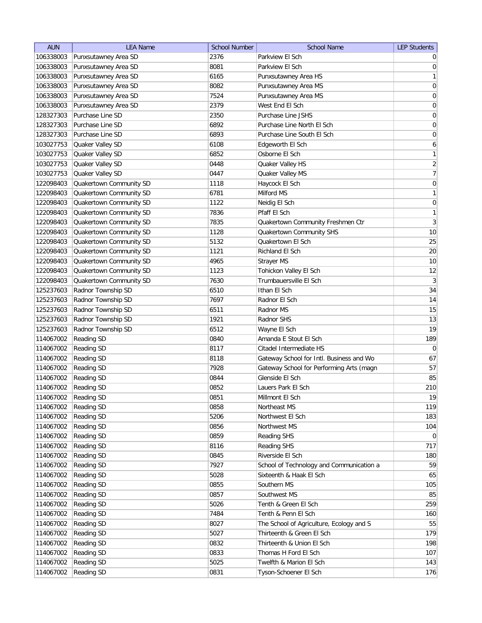| Parkview El Sch<br>2376<br>106338003<br>Punxsutawney Area SD<br>$\overline{0}$<br>106338003<br>Punxsutawney Area SD<br>8081<br>Parkview El Sch<br>106338003<br>Punxsutawney Area SD<br>6165<br>Punxsutawney Area HS<br>8082<br>106338003<br>Punxsutawney Area SD<br>Punxsutawney Area MS<br>$\boldsymbol{0}$<br>106338003<br>Punxsutawney Area SD<br>7524<br>Punxsutawney Area MS<br>$\overline{0}$<br>106338003<br>Punxsutawney Area SD<br>2379<br>West End El Sch<br>128327303<br>Purchase Line SD<br>2350<br>Purchase Line JSHS<br>0<br>6892<br>$\boldsymbol{0}$<br>128327303<br>Purchase Line SD<br>Purchase Line North El Sch<br>$\boldsymbol{0}$<br>128327303<br>Purchase Line SD<br>6893<br>Purchase Line South El Sch<br>6<br>103027753<br>Quaker Valley SD<br>6108<br>Edgeworth El Sch<br>103027753<br>Quaker Valley SD<br>6852<br>Osborne El Sch<br>103027753<br>Quaker Valley SD<br>0448<br>Quaker Valley HS<br>Quaker Valley SD<br>0447<br>103027753<br>Quaker Valley MS<br>$\boldsymbol{0}$<br>Quakertown Community SD<br>1118<br>Haycock El Sch<br>122098403<br>Quakertown Community SD<br>6781<br>Milford MS<br>122098403<br>Quakertown Community SD<br>$\overline{0}$<br>1122<br>122098403<br>Neidig El Sch<br>Quakertown Community SD<br>7836<br>Pfaff El Sch<br>122098403<br>$\overline{3}$<br>122098403<br>Quakertown Community SD<br>7835<br>Quakertown Community Freshmen Ctr<br>Quakertown Community SD<br>10<br>122098403<br>1128<br>Quakertown Community SHS<br>25<br>Quakertown Community SD<br>122098403<br>5132<br>Quakertown El Sch<br>20<br>Quakertown Community SD<br>122098403<br>1121<br>Richland El Sch<br>10<br>Quakertown Community SD<br>122098403<br>4965<br>Strayer MS<br>Quakertown Community SD<br>Tohickon Valley El Sch<br>12<br>122098403<br>1123<br>$\mathbf{3}$<br>Quakertown Community SD<br>Trumbauersville El Sch<br>122098403<br>7630<br>34<br>Radnor Township SD<br>Ithan El Sch<br>125237603<br>6510<br>Radnor Township SD<br>14<br>125237603<br>7697<br>Radnor El Sch<br>Radnor Township SD<br>15<br>125237603<br>Radnor MS<br>6511<br>Radnor Township SD<br>13<br>125237603<br>1921<br>Radnor SHS<br>Radnor Township SD<br>125237603<br>6512<br>Wayne El Sch<br>189<br>114067002<br><b>Reading SD</b><br>Amanda E Stout El Sch<br>0840<br>114067002<br><b>Reading SD</b><br>Citadel Intermediate HS<br>$\overline{0}$<br>8117<br>114067002<br><b>Reading SD</b><br>Gateway School for Intl. Business and Wo<br>8118<br>114067002<br>Reading SD<br>7928<br>Gateway School for Performing Arts (magn<br>85<br>114067002<br>Reading SD<br>Glenside El Sch<br>0844<br>114067002<br><b>Reading SD</b><br>0852<br>Lauers Park El Sch<br>114067002<br><b>Reading SD</b><br>0851<br>Millmont El Sch<br>0858<br>114067002<br><b>Reading SD</b><br>Northeast MS<br>5206<br>183<br>114067002<br>Reading SD<br>Northwest El Sch<br>114067002<br>Reading SD<br>0856<br>Northwest MS<br>104<br>114067002<br>Reading SD<br>0859<br>$\overline{0}$<br>Reading SHS<br>114067002<br>Reading SD<br>8116<br>Reading SHS<br>Riverside El Sch<br>114067002<br><b>Reading SD</b><br>0845<br>180<br>59<br>114067002<br>Reading SD<br>7927<br>School of Technology and Communication a<br>65<br>114067002<br><b>Reading SD</b><br>5028<br>Sixteenth & Haak El Sch<br>105<br>114067002<br>Reading SD<br>0855<br>Southern MS<br>85<br>114067002<br>Reading SD<br>0857<br>Southwest MS<br>Reading SD<br>259<br>114067002<br>5026<br>Tenth & Green El Sch<br>Reading SD<br>7484<br>Tenth & Penn El Sch<br>114067002<br>160<br>55<br>114067002<br>Reading SD<br>8027<br>The School of Agriculture, Ecology and S<br>Thirteenth & Green El Sch<br>179<br>114067002<br>Reading SD<br>5027<br>Reading SD<br>Thirteenth & Union El Sch<br>198<br>114067002<br>0832<br>0833<br>114067002<br><b>Reading SD</b><br>Thomas H Ford El Sch | <b>AUN</b> | <b>LEA Name</b> | <b>School Number</b> | <b>School Name</b>      | <b>LEP Students</b> |
|---------------------------------------------------------------------------------------------------------------------------------------------------------------------------------------------------------------------------------------------------------------------------------------------------------------------------------------------------------------------------------------------------------------------------------------------------------------------------------------------------------------------------------------------------------------------------------------------------------------------------------------------------------------------------------------------------------------------------------------------------------------------------------------------------------------------------------------------------------------------------------------------------------------------------------------------------------------------------------------------------------------------------------------------------------------------------------------------------------------------------------------------------------------------------------------------------------------------------------------------------------------------------------------------------------------------------------------------------------------------------------------------------------------------------------------------------------------------------------------------------------------------------------------------------------------------------------------------------------------------------------------------------------------------------------------------------------------------------------------------------------------------------------------------------------------------------------------------------------------------------------------------------------------------------------------------------------------------------------------------------------------------------------------------------------------------------------------------------------------------------------------------------------------------------------------------------------------------------------------------------------------------------------------------------------------------------------------------------------------------------------------------------------------------------------------------------------------------------------------------------------------------------------------------------------------------------------------------------------------------------------------------------------------------------------------------------------------------------------------------------------------------------------------------------------------------------------------------------------------------------------------------------------------------------------------------------------------------------------------------------------------------------------------------------------------------------------------------------------------------------------------------------------------------------------------------------------------------------------------------------------------------------------------------------------------------------------------------------------------------------------------------------------------------------------------------------------------------------------------------------------------------------------------------------------------------------------------------------------------------------------------------------------------------------------------------------------------------------------------------------------------------------------------------------------------------------------------------------------|------------|-----------------|----------------------|-------------------------|---------------------|
|                                                                                                                                                                                                                                                                                                                                                                                                                                                                                                                                                                                                                                                                                                                                                                                                                                                                                                                                                                                                                                                                                                                                                                                                                                                                                                                                                                                                                                                                                                                                                                                                                                                                                                                                                                                                                                                                                                                                                                                                                                                                                                                                                                                                                                                                                                                                                                                                                                                                                                                                                                                                                                                                                                                                                                                                                                                                                                                                                                                                                                                                                                                                                                                                                                                                                                                                                                                                                                                                                                                                                                                                                                                                                                                                                                                                                                                         |            |                 |                      |                         |                     |
| 1<br> 0 <br>$\mathbf{1}$<br>$\overline{2}$<br>$\overline{7}$<br>$\mathbf{1}$<br>1<br>19<br>67<br>57<br>210<br>19<br>119<br>717<br>107                                                                                                                                                                                                                                                                                                                                                                                                                                                                                                                                                                                                                                                                                                                                                                                                                                                                                                                                                                                                                                                                                                                                                                                                                                                                                                                                                                                                                                                                                                                                                                                                                                                                                                                                                                                                                                                                                                                                                                                                                                                                                                                                                                                                                                                                                                                                                                                                                                                                                                                                                                                                                                                                                                                                                                                                                                                                                                                                                                                                                                                                                                                                                                                                                                                                                                                                                                                                                                                                                                                                                                                                                                                                                                                   |            |                 |                      |                         | 0                   |
|                                                                                                                                                                                                                                                                                                                                                                                                                                                                                                                                                                                                                                                                                                                                                                                                                                                                                                                                                                                                                                                                                                                                                                                                                                                                                                                                                                                                                                                                                                                                                                                                                                                                                                                                                                                                                                                                                                                                                                                                                                                                                                                                                                                                                                                                                                                                                                                                                                                                                                                                                                                                                                                                                                                                                                                                                                                                                                                                                                                                                                                                                                                                                                                                                                                                                                                                                                                                                                                                                                                                                                                                                                                                                                                                                                                                                                                         |            |                 |                      |                         |                     |
|                                                                                                                                                                                                                                                                                                                                                                                                                                                                                                                                                                                                                                                                                                                                                                                                                                                                                                                                                                                                                                                                                                                                                                                                                                                                                                                                                                                                                                                                                                                                                                                                                                                                                                                                                                                                                                                                                                                                                                                                                                                                                                                                                                                                                                                                                                                                                                                                                                                                                                                                                                                                                                                                                                                                                                                                                                                                                                                                                                                                                                                                                                                                                                                                                                                                                                                                                                                                                                                                                                                                                                                                                                                                                                                                                                                                                                                         |            |                 |                      |                         |                     |
|                                                                                                                                                                                                                                                                                                                                                                                                                                                                                                                                                                                                                                                                                                                                                                                                                                                                                                                                                                                                                                                                                                                                                                                                                                                                                                                                                                                                                                                                                                                                                                                                                                                                                                                                                                                                                                                                                                                                                                                                                                                                                                                                                                                                                                                                                                                                                                                                                                                                                                                                                                                                                                                                                                                                                                                                                                                                                                                                                                                                                                                                                                                                                                                                                                                                                                                                                                                                                                                                                                                                                                                                                                                                                                                                                                                                                                                         |            |                 |                      |                         |                     |
|                                                                                                                                                                                                                                                                                                                                                                                                                                                                                                                                                                                                                                                                                                                                                                                                                                                                                                                                                                                                                                                                                                                                                                                                                                                                                                                                                                                                                                                                                                                                                                                                                                                                                                                                                                                                                                                                                                                                                                                                                                                                                                                                                                                                                                                                                                                                                                                                                                                                                                                                                                                                                                                                                                                                                                                                                                                                                                                                                                                                                                                                                                                                                                                                                                                                                                                                                                                                                                                                                                                                                                                                                                                                                                                                                                                                                                                         |            |                 |                      |                         |                     |
|                                                                                                                                                                                                                                                                                                                                                                                                                                                                                                                                                                                                                                                                                                                                                                                                                                                                                                                                                                                                                                                                                                                                                                                                                                                                                                                                                                                                                                                                                                                                                                                                                                                                                                                                                                                                                                                                                                                                                                                                                                                                                                                                                                                                                                                                                                                                                                                                                                                                                                                                                                                                                                                                                                                                                                                                                                                                                                                                                                                                                                                                                                                                                                                                                                                                                                                                                                                                                                                                                                                                                                                                                                                                                                                                                                                                                                                         |            |                 |                      |                         |                     |
|                                                                                                                                                                                                                                                                                                                                                                                                                                                                                                                                                                                                                                                                                                                                                                                                                                                                                                                                                                                                                                                                                                                                                                                                                                                                                                                                                                                                                                                                                                                                                                                                                                                                                                                                                                                                                                                                                                                                                                                                                                                                                                                                                                                                                                                                                                                                                                                                                                                                                                                                                                                                                                                                                                                                                                                                                                                                                                                                                                                                                                                                                                                                                                                                                                                                                                                                                                                                                                                                                                                                                                                                                                                                                                                                                                                                                                                         |            |                 |                      |                         |                     |
|                                                                                                                                                                                                                                                                                                                                                                                                                                                                                                                                                                                                                                                                                                                                                                                                                                                                                                                                                                                                                                                                                                                                                                                                                                                                                                                                                                                                                                                                                                                                                                                                                                                                                                                                                                                                                                                                                                                                                                                                                                                                                                                                                                                                                                                                                                                                                                                                                                                                                                                                                                                                                                                                                                                                                                                                                                                                                                                                                                                                                                                                                                                                                                                                                                                                                                                                                                                                                                                                                                                                                                                                                                                                                                                                                                                                                                                         |            |                 |                      |                         |                     |
|                                                                                                                                                                                                                                                                                                                                                                                                                                                                                                                                                                                                                                                                                                                                                                                                                                                                                                                                                                                                                                                                                                                                                                                                                                                                                                                                                                                                                                                                                                                                                                                                                                                                                                                                                                                                                                                                                                                                                                                                                                                                                                                                                                                                                                                                                                                                                                                                                                                                                                                                                                                                                                                                                                                                                                                                                                                                                                                                                                                                                                                                                                                                                                                                                                                                                                                                                                                                                                                                                                                                                                                                                                                                                                                                                                                                                                                         |            |                 |                      |                         |                     |
|                                                                                                                                                                                                                                                                                                                                                                                                                                                                                                                                                                                                                                                                                                                                                                                                                                                                                                                                                                                                                                                                                                                                                                                                                                                                                                                                                                                                                                                                                                                                                                                                                                                                                                                                                                                                                                                                                                                                                                                                                                                                                                                                                                                                                                                                                                                                                                                                                                                                                                                                                                                                                                                                                                                                                                                                                                                                                                                                                                                                                                                                                                                                                                                                                                                                                                                                                                                                                                                                                                                                                                                                                                                                                                                                                                                                                                                         |            |                 |                      |                         |                     |
|                                                                                                                                                                                                                                                                                                                                                                                                                                                                                                                                                                                                                                                                                                                                                                                                                                                                                                                                                                                                                                                                                                                                                                                                                                                                                                                                                                                                                                                                                                                                                                                                                                                                                                                                                                                                                                                                                                                                                                                                                                                                                                                                                                                                                                                                                                                                                                                                                                                                                                                                                                                                                                                                                                                                                                                                                                                                                                                                                                                                                                                                                                                                                                                                                                                                                                                                                                                                                                                                                                                                                                                                                                                                                                                                                                                                                                                         |            |                 |                      |                         |                     |
|                                                                                                                                                                                                                                                                                                                                                                                                                                                                                                                                                                                                                                                                                                                                                                                                                                                                                                                                                                                                                                                                                                                                                                                                                                                                                                                                                                                                                                                                                                                                                                                                                                                                                                                                                                                                                                                                                                                                                                                                                                                                                                                                                                                                                                                                                                                                                                                                                                                                                                                                                                                                                                                                                                                                                                                                                                                                                                                                                                                                                                                                                                                                                                                                                                                                                                                                                                                                                                                                                                                                                                                                                                                                                                                                                                                                                                                         |            |                 |                      |                         |                     |
|                                                                                                                                                                                                                                                                                                                                                                                                                                                                                                                                                                                                                                                                                                                                                                                                                                                                                                                                                                                                                                                                                                                                                                                                                                                                                                                                                                                                                                                                                                                                                                                                                                                                                                                                                                                                                                                                                                                                                                                                                                                                                                                                                                                                                                                                                                                                                                                                                                                                                                                                                                                                                                                                                                                                                                                                                                                                                                                                                                                                                                                                                                                                                                                                                                                                                                                                                                                                                                                                                                                                                                                                                                                                                                                                                                                                                                                         |            |                 |                      |                         |                     |
|                                                                                                                                                                                                                                                                                                                                                                                                                                                                                                                                                                                                                                                                                                                                                                                                                                                                                                                                                                                                                                                                                                                                                                                                                                                                                                                                                                                                                                                                                                                                                                                                                                                                                                                                                                                                                                                                                                                                                                                                                                                                                                                                                                                                                                                                                                                                                                                                                                                                                                                                                                                                                                                                                                                                                                                                                                                                                                                                                                                                                                                                                                                                                                                                                                                                                                                                                                                                                                                                                                                                                                                                                                                                                                                                                                                                                                                         |            |                 |                      |                         |                     |
|                                                                                                                                                                                                                                                                                                                                                                                                                                                                                                                                                                                                                                                                                                                                                                                                                                                                                                                                                                                                                                                                                                                                                                                                                                                                                                                                                                                                                                                                                                                                                                                                                                                                                                                                                                                                                                                                                                                                                                                                                                                                                                                                                                                                                                                                                                                                                                                                                                                                                                                                                                                                                                                                                                                                                                                                                                                                                                                                                                                                                                                                                                                                                                                                                                                                                                                                                                                                                                                                                                                                                                                                                                                                                                                                                                                                                                                         |            |                 |                      |                         |                     |
|                                                                                                                                                                                                                                                                                                                                                                                                                                                                                                                                                                                                                                                                                                                                                                                                                                                                                                                                                                                                                                                                                                                                                                                                                                                                                                                                                                                                                                                                                                                                                                                                                                                                                                                                                                                                                                                                                                                                                                                                                                                                                                                                                                                                                                                                                                                                                                                                                                                                                                                                                                                                                                                                                                                                                                                                                                                                                                                                                                                                                                                                                                                                                                                                                                                                                                                                                                                                                                                                                                                                                                                                                                                                                                                                                                                                                                                         |            |                 |                      |                         |                     |
|                                                                                                                                                                                                                                                                                                                                                                                                                                                                                                                                                                                                                                                                                                                                                                                                                                                                                                                                                                                                                                                                                                                                                                                                                                                                                                                                                                                                                                                                                                                                                                                                                                                                                                                                                                                                                                                                                                                                                                                                                                                                                                                                                                                                                                                                                                                                                                                                                                                                                                                                                                                                                                                                                                                                                                                                                                                                                                                                                                                                                                                                                                                                                                                                                                                                                                                                                                                                                                                                                                                                                                                                                                                                                                                                                                                                                                                         |            |                 |                      |                         |                     |
|                                                                                                                                                                                                                                                                                                                                                                                                                                                                                                                                                                                                                                                                                                                                                                                                                                                                                                                                                                                                                                                                                                                                                                                                                                                                                                                                                                                                                                                                                                                                                                                                                                                                                                                                                                                                                                                                                                                                                                                                                                                                                                                                                                                                                                                                                                                                                                                                                                                                                                                                                                                                                                                                                                                                                                                                                                                                                                                                                                                                                                                                                                                                                                                                                                                                                                                                                                                                                                                                                                                                                                                                                                                                                                                                                                                                                                                         |            |                 |                      |                         |                     |
|                                                                                                                                                                                                                                                                                                                                                                                                                                                                                                                                                                                                                                                                                                                                                                                                                                                                                                                                                                                                                                                                                                                                                                                                                                                                                                                                                                                                                                                                                                                                                                                                                                                                                                                                                                                                                                                                                                                                                                                                                                                                                                                                                                                                                                                                                                                                                                                                                                                                                                                                                                                                                                                                                                                                                                                                                                                                                                                                                                                                                                                                                                                                                                                                                                                                                                                                                                                                                                                                                                                                                                                                                                                                                                                                                                                                                                                         |            |                 |                      |                         |                     |
|                                                                                                                                                                                                                                                                                                                                                                                                                                                                                                                                                                                                                                                                                                                                                                                                                                                                                                                                                                                                                                                                                                                                                                                                                                                                                                                                                                                                                                                                                                                                                                                                                                                                                                                                                                                                                                                                                                                                                                                                                                                                                                                                                                                                                                                                                                                                                                                                                                                                                                                                                                                                                                                                                                                                                                                                                                                                                                                                                                                                                                                                                                                                                                                                                                                                                                                                                                                                                                                                                                                                                                                                                                                                                                                                                                                                                                                         |            |                 |                      |                         |                     |
|                                                                                                                                                                                                                                                                                                                                                                                                                                                                                                                                                                                                                                                                                                                                                                                                                                                                                                                                                                                                                                                                                                                                                                                                                                                                                                                                                                                                                                                                                                                                                                                                                                                                                                                                                                                                                                                                                                                                                                                                                                                                                                                                                                                                                                                                                                                                                                                                                                                                                                                                                                                                                                                                                                                                                                                                                                                                                                                                                                                                                                                                                                                                                                                                                                                                                                                                                                                                                                                                                                                                                                                                                                                                                                                                                                                                                                                         |            |                 |                      |                         |                     |
|                                                                                                                                                                                                                                                                                                                                                                                                                                                                                                                                                                                                                                                                                                                                                                                                                                                                                                                                                                                                                                                                                                                                                                                                                                                                                                                                                                                                                                                                                                                                                                                                                                                                                                                                                                                                                                                                                                                                                                                                                                                                                                                                                                                                                                                                                                                                                                                                                                                                                                                                                                                                                                                                                                                                                                                                                                                                                                                                                                                                                                                                                                                                                                                                                                                                                                                                                                                                                                                                                                                                                                                                                                                                                                                                                                                                                                                         |            |                 |                      |                         |                     |
|                                                                                                                                                                                                                                                                                                                                                                                                                                                                                                                                                                                                                                                                                                                                                                                                                                                                                                                                                                                                                                                                                                                                                                                                                                                                                                                                                                                                                                                                                                                                                                                                                                                                                                                                                                                                                                                                                                                                                                                                                                                                                                                                                                                                                                                                                                                                                                                                                                                                                                                                                                                                                                                                                                                                                                                                                                                                                                                                                                                                                                                                                                                                                                                                                                                                                                                                                                                                                                                                                                                                                                                                                                                                                                                                                                                                                                                         |            |                 |                      |                         |                     |
|                                                                                                                                                                                                                                                                                                                                                                                                                                                                                                                                                                                                                                                                                                                                                                                                                                                                                                                                                                                                                                                                                                                                                                                                                                                                                                                                                                                                                                                                                                                                                                                                                                                                                                                                                                                                                                                                                                                                                                                                                                                                                                                                                                                                                                                                                                                                                                                                                                                                                                                                                                                                                                                                                                                                                                                                                                                                                                                                                                                                                                                                                                                                                                                                                                                                                                                                                                                                                                                                                                                                                                                                                                                                                                                                                                                                                                                         |            |                 |                      |                         |                     |
|                                                                                                                                                                                                                                                                                                                                                                                                                                                                                                                                                                                                                                                                                                                                                                                                                                                                                                                                                                                                                                                                                                                                                                                                                                                                                                                                                                                                                                                                                                                                                                                                                                                                                                                                                                                                                                                                                                                                                                                                                                                                                                                                                                                                                                                                                                                                                                                                                                                                                                                                                                                                                                                                                                                                                                                                                                                                                                                                                                                                                                                                                                                                                                                                                                                                                                                                                                                                                                                                                                                                                                                                                                                                                                                                                                                                                                                         |            |                 |                      |                         |                     |
|                                                                                                                                                                                                                                                                                                                                                                                                                                                                                                                                                                                                                                                                                                                                                                                                                                                                                                                                                                                                                                                                                                                                                                                                                                                                                                                                                                                                                                                                                                                                                                                                                                                                                                                                                                                                                                                                                                                                                                                                                                                                                                                                                                                                                                                                                                                                                                                                                                                                                                                                                                                                                                                                                                                                                                                                                                                                                                                                                                                                                                                                                                                                                                                                                                                                                                                                                                                                                                                                                                                                                                                                                                                                                                                                                                                                                                                         |            |                 |                      |                         |                     |
|                                                                                                                                                                                                                                                                                                                                                                                                                                                                                                                                                                                                                                                                                                                                                                                                                                                                                                                                                                                                                                                                                                                                                                                                                                                                                                                                                                                                                                                                                                                                                                                                                                                                                                                                                                                                                                                                                                                                                                                                                                                                                                                                                                                                                                                                                                                                                                                                                                                                                                                                                                                                                                                                                                                                                                                                                                                                                                                                                                                                                                                                                                                                                                                                                                                                                                                                                                                                                                                                                                                                                                                                                                                                                                                                                                                                                                                         |            |                 |                      |                         |                     |
|                                                                                                                                                                                                                                                                                                                                                                                                                                                                                                                                                                                                                                                                                                                                                                                                                                                                                                                                                                                                                                                                                                                                                                                                                                                                                                                                                                                                                                                                                                                                                                                                                                                                                                                                                                                                                                                                                                                                                                                                                                                                                                                                                                                                                                                                                                                                                                                                                                                                                                                                                                                                                                                                                                                                                                                                                                                                                                                                                                                                                                                                                                                                                                                                                                                                                                                                                                                                                                                                                                                                                                                                                                                                                                                                                                                                                                                         |            |                 |                      |                         |                     |
|                                                                                                                                                                                                                                                                                                                                                                                                                                                                                                                                                                                                                                                                                                                                                                                                                                                                                                                                                                                                                                                                                                                                                                                                                                                                                                                                                                                                                                                                                                                                                                                                                                                                                                                                                                                                                                                                                                                                                                                                                                                                                                                                                                                                                                                                                                                                                                                                                                                                                                                                                                                                                                                                                                                                                                                                                                                                                                                                                                                                                                                                                                                                                                                                                                                                                                                                                                                                                                                                                                                                                                                                                                                                                                                                                                                                                                                         |            |                 |                      |                         |                     |
|                                                                                                                                                                                                                                                                                                                                                                                                                                                                                                                                                                                                                                                                                                                                                                                                                                                                                                                                                                                                                                                                                                                                                                                                                                                                                                                                                                                                                                                                                                                                                                                                                                                                                                                                                                                                                                                                                                                                                                                                                                                                                                                                                                                                                                                                                                                                                                                                                                                                                                                                                                                                                                                                                                                                                                                                                                                                                                                                                                                                                                                                                                                                                                                                                                                                                                                                                                                                                                                                                                                                                                                                                                                                                                                                                                                                                                                         |            |                 |                      |                         |                     |
|                                                                                                                                                                                                                                                                                                                                                                                                                                                                                                                                                                                                                                                                                                                                                                                                                                                                                                                                                                                                                                                                                                                                                                                                                                                                                                                                                                                                                                                                                                                                                                                                                                                                                                                                                                                                                                                                                                                                                                                                                                                                                                                                                                                                                                                                                                                                                                                                                                                                                                                                                                                                                                                                                                                                                                                                                                                                                                                                                                                                                                                                                                                                                                                                                                                                                                                                                                                                                                                                                                                                                                                                                                                                                                                                                                                                                                                         |            |                 |                      |                         |                     |
|                                                                                                                                                                                                                                                                                                                                                                                                                                                                                                                                                                                                                                                                                                                                                                                                                                                                                                                                                                                                                                                                                                                                                                                                                                                                                                                                                                                                                                                                                                                                                                                                                                                                                                                                                                                                                                                                                                                                                                                                                                                                                                                                                                                                                                                                                                                                                                                                                                                                                                                                                                                                                                                                                                                                                                                                                                                                                                                                                                                                                                                                                                                                                                                                                                                                                                                                                                                                                                                                                                                                                                                                                                                                                                                                                                                                                                                         |            |                 |                      |                         |                     |
|                                                                                                                                                                                                                                                                                                                                                                                                                                                                                                                                                                                                                                                                                                                                                                                                                                                                                                                                                                                                                                                                                                                                                                                                                                                                                                                                                                                                                                                                                                                                                                                                                                                                                                                                                                                                                                                                                                                                                                                                                                                                                                                                                                                                                                                                                                                                                                                                                                                                                                                                                                                                                                                                                                                                                                                                                                                                                                                                                                                                                                                                                                                                                                                                                                                                                                                                                                                                                                                                                                                                                                                                                                                                                                                                                                                                                                                         |            |                 |                      |                         |                     |
|                                                                                                                                                                                                                                                                                                                                                                                                                                                                                                                                                                                                                                                                                                                                                                                                                                                                                                                                                                                                                                                                                                                                                                                                                                                                                                                                                                                                                                                                                                                                                                                                                                                                                                                                                                                                                                                                                                                                                                                                                                                                                                                                                                                                                                                                                                                                                                                                                                                                                                                                                                                                                                                                                                                                                                                                                                                                                                                                                                                                                                                                                                                                                                                                                                                                                                                                                                                                                                                                                                                                                                                                                                                                                                                                                                                                                                                         |            |                 |                      |                         |                     |
|                                                                                                                                                                                                                                                                                                                                                                                                                                                                                                                                                                                                                                                                                                                                                                                                                                                                                                                                                                                                                                                                                                                                                                                                                                                                                                                                                                                                                                                                                                                                                                                                                                                                                                                                                                                                                                                                                                                                                                                                                                                                                                                                                                                                                                                                                                                                                                                                                                                                                                                                                                                                                                                                                                                                                                                                                                                                                                                                                                                                                                                                                                                                                                                                                                                                                                                                                                                                                                                                                                                                                                                                                                                                                                                                                                                                                                                         |            |                 |                      |                         |                     |
|                                                                                                                                                                                                                                                                                                                                                                                                                                                                                                                                                                                                                                                                                                                                                                                                                                                                                                                                                                                                                                                                                                                                                                                                                                                                                                                                                                                                                                                                                                                                                                                                                                                                                                                                                                                                                                                                                                                                                                                                                                                                                                                                                                                                                                                                                                                                                                                                                                                                                                                                                                                                                                                                                                                                                                                                                                                                                                                                                                                                                                                                                                                                                                                                                                                                                                                                                                                                                                                                                                                                                                                                                                                                                                                                                                                                                                                         |            |                 |                      |                         |                     |
|                                                                                                                                                                                                                                                                                                                                                                                                                                                                                                                                                                                                                                                                                                                                                                                                                                                                                                                                                                                                                                                                                                                                                                                                                                                                                                                                                                                                                                                                                                                                                                                                                                                                                                                                                                                                                                                                                                                                                                                                                                                                                                                                                                                                                                                                                                                                                                                                                                                                                                                                                                                                                                                                                                                                                                                                                                                                                                                                                                                                                                                                                                                                                                                                                                                                                                                                                                                                                                                                                                                                                                                                                                                                                                                                                                                                                                                         |            |                 |                      |                         |                     |
|                                                                                                                                                                                                                                                                                                                                                                                                                                                                                                                                                                                                                                                                                                                                                                                                                                                                                                                                                                                                                                                                                                                                                                                                                                                                                                                                                                                                                                                                                                                                                                                                                                                                                                                                                                                                                                                                                                                                                                                                                                                                                                                                                                                                                                                                                                                                                                                                                                                                                                                                                                                                                                                                                                                                                                                                                                                                                                                                                                                                                                                                                                                                                                                                                                                                                                                                                                                                                                                                                                                                                                                                                                                                                                                                                                                                                                                         |            |                 |                      |                         |                     |
|                                                                                                                                                                                                                                                                                                                                                                                                                                                                                                                                                                                                                                                                                                                                                                                                                                                                                                                                                                                                                                                                                                                                                                                                                                                                                                                                                                                                                                                                                                                                                                                                                                                                                                                                                                                                                                                                                                                                                                                                                                                                                                                                                                                                                                                                                                                                                                                                                                                                                                                                                                                                                                                                                                                                                                                                                                                                                                                                                                                                                                                                                                                                                                                                                                                                                                                                                                                                                                                                                                                                                                                                                                                                                                                                                                                                                                                         |            |                 |                      |                         |                     |
|                                                                                                                                                                                                                                                                                                                                                                                                                                                                                                                                                                                                                                                                                                                                                                                                                                                                                                                                                                                                                                                                                                                                                                                                                                                                                                                                                                                                                                                                                                                                                                                                                                                                                                                                                                                                                                                                                                                                                                                                                                                                                                                                                                                                                                                                                                                                                                                                                                                                                                                                                                                                                                                                                                                                                                                                                                                                                                                                                                                                                                                                                                                                                                                                                                                                                                                                                                                                                                                                                                                                                                                                                                                                                                                                                                                                                                                         |            |                 |                      |                         |                     |
|                                                                                                                                                                                                                                                                                                                                                                                                                                                                                                                                                                                                                                                                                                                                                                                                                                                                                                                                                                                                                                                                                                                                                                                                                                                                                                                                                                                                                                                                                                                                                                                                                                                                                                                                                                                                                                                                                                                                                                                                                                                                                                                                                                                                                                                                                                                                                                                                                                                                                                                                                                                                                                                                                                                                                                                                                                                                                                                                                                                                                                                                                                                                                                                                                                                                                                                                                                                                                                                                                                                                                                                                                                                                                                                                                                                                                                                         |            |                 |                      |                         |                     |
|                                                                                                                                                                                                                                                                                                                                                                                                                                                                                                                                                                                                                                                                                                                                                                                                                                                                                                                                                                                                                                                                                                                                                                                                                                                                                                                                                                                                                                                                                                                                                                                                                                                                                                                                                                                                                                                                                                                                                                                                                                                                                                                                                                                                                                                                                                                                                                                                                                                                                                                                                                                                                                                                                                                                                                                                                                                                                                                                                                                                                                                                                                                                                                                                                                                                                                                                                                                                                                                                                                                                                                                                                                                                                                                                                                                                                                                         |            |                 |                      |                         |                     |
|                                                                                                                                                                                                                                                                                                                                                                                                                                                                                                                                                                                                                                                                                                                                                                                                                                                                                                                                                                                                                                                                                                                                                                                                                                                                                                                                                                                                                                                                                                                                                                                                                                                                                                                                                                                                                                                                                                                                                                                                                                                                                                                                                                                                                                                                                                                                                                                                                                                                                                                                                                                                                                                                                                                                                                                                                                                                                                                                                                                                                                                                                                                                                                                                                                                                                                                                                                                                                                                                                                                                                                                                                                                                                                                                                                                                                                                         |            |                 |                      |                         |                     |
|                                                                                                                                                                                                                                                                                                                                                                                                                                                                                                                                                                                                                                                                                                                                                                                                                                                                                                                                                                                                                                                                                                                                                                                                                                                                                                                                                                                                                                                                                                                                                                                                                                                                                                                                                                                                                                                                                                                                                                                                                                                                                                                                                                                                                                                                                                                                                                                                                                                                                                                                                                                                                                                                                                                                                                                                                                                                                                                                                                                                                                                                                                                                                                                                                                                                                                                                                                                                                                                                                                                                                                                                                                                                                                                                                                                                                                                         |            |                 |                      |                         |                     |
|                                                                                                                                                                                                                                                                                                                                                                                                                                                                                                                                                                                                                                                                                                                                                                                                                                                                                                                                                                                                                                                                                                                                                                                                                                                                                                                                                                                                                                                                                                                                                                                                                                                                                                                                                                                                                                                                                                                                                                                                                                                                                                                                                                                                                                                                                                                                                                                                                                                                                                                                                                                                                                                                                                                                                                                                                                                                                                                                                                                                                                                                                                                                                                                                                                                                                                                                                                                                                                                                                                                                                                                                                                                                                                                                                                                                                                                         |            |                 |                      |                         |                     |
|                                                                                                                                                                                                                                                                                                                                                                                                                                                                                                                                                                                                                                                                                                                                                                                                                                                                                                                                                                                                                                                                                                                                                                                                                                                                                                                                                                                                                                                                                                                                                                                                                                                                                                                                                                                                                                                                                                                                                                                                                                                                                                                                                                                                                                                                                                                                                                                                                                                                                                                                                                                                                                                                                                                                                                                                                                                                                                                                                                                                                                                                                                                                                                                                                                                                                                                                                                                                                                                                                                                                                                                                                                                                                                                                                                                                                                                         |            |                 |                      |                         |                     |
|                                                                                                                                                                                                                                                                                                                                                                                                                                                                                                                                                                                                                                                                                                                                                                                                                                                                                                                                                                                                                                                                                                                                                                                                                                                                                                                                                                                                                                                                                                                                                                                                                                                                                                                                                                                                                                                                                                                                                                                                                                                                                                                                                                                                                                                                                                                                                                                                                                                                                                                                                                                                                                                                                                                                                                                                                                                                                                                                                                                                                                                                                                                                                                                                                                                                                                                                                                                                                                                                                                                                                                                                                                                                                                                                                                                                                                                         |            |                 |                      |                         |                     |
|                                                                                                                                                                                                                                                                                                                                                                                                                                                                                                                                                                                                                                                                                                                                                                                                                                                                                                                                                                                                                                                                                                                                                                                                                                                                                                                                                                                                                                                                                                                                                                                                                                                                                                                                                                                                                                                                                                                                                                                                                                                                                                                                                                                                                                                                                                                                                                                                                                                                                                                                                                                                                                                                                                                                                                                                                                                                                                                                                                                                                                                                                                                                                                                                                                                                                                                                                                                                                                                                                                                                                                                                                                                                                                                                                                                                                                                         |            |                 |                      |                         |                     |
|                                                                                                                                                                                                                                                                                                                                                                                                                                                                                                                                                                                                                                                                                                                                                                                                                                                                                                                                                                                                                                                                                                                                                                                                                                                                                                                                                                                                                                                                                                                                                                                                                                                                                                                                                                                                                                                                                                                                                                                                                                                                                                                                                                                                                                                                                                                                                                                                                                                                                                                                                                                                                                                                                                                                                                                                                                                                                                                                                                                                                                                                                                                                                                                                                                                                                                                                                                                                                                                                                                                                                                                                                                                                                                                                                                                                                                                         |            |                 |                      |                         |                     |
|                                                                                                                                                                                                                                                                                                                                                                                                                                                                                                                                                                                                                                                                                                                                                                                                                                                                                                                                                                                                                                                                                                                                                                                                                                                                                                                                                                                                                                                                                                                                                                                                                                                                                                                                                                                                                                                                                                                                                                                                                                                                                                                                                                                                                                                                                                                                                                                                                                                                                                                                                                                                                                                                                                                                                                                                                                                                                                                                                                                                                                                                                                                                                                                                                                                                                                                                                                                                                                                                                                                                                                                                                                                                                                                                                                                                                                                         |            |                 |                      |                         |                     |
|                                                                                                                                                                                                                                                                                                                                                                                                                                                                                                                                                                                                                                                                                                                                                                                                                                                                                                                                                                                                                                                                                                                                                                                                                                                                                                                                                                                                                                                                                                                                                                                                                                                                                                                                                                                                                                                                                                                                                                                                                                                                                                                                                                                                                                                                                                                                                                                                                                                                                                                                                                                                                                                                                                                                                                                                                                                                                                                                                                                                                                                                                                                                                                                                                                                                                                                                                                                                                                                                                                                                                                                                                                                                                                                                                                                                                                                         |            |                 |                      |                         |                     |
|                                                                                                                                                                                                                                                                                                                                                                                                                                                                                                                                                                                                                                                                                                                                                                                                                                                                                                                                                                                                                                                                                                                                                                                                                                                                                                                                                                                                                                                                                                                                                                                                                                                                                                                                                                                                                                                                                                                                                                                                                                                                                                                                                                                                                                                                                                                                                                                                                                                                                                                                                                                                                                                                                                                                                                                                                                                                                                                                                                                                                                                                                                                                                                                                                                                                                                                                                                                                                                                                                                                                                                                                                                                                                                                                                                                                                                                         | 114067002  | Reading SD      | 5025                 | Twelfth & Marion El Sch | 143                 |
| 0831<br>176<br>114067002<br><b>Reading SD</b><br>Tyson-Schoener El Sch                                                                                                                                                                                                                                                                                                                                                                                                                                                                                                                                                                                                                                                                                                                                                                                                                                                                                                                                                                                                                                                                                                                                                                                                                                                                                                                                                                                                                                                                                                                                                                                                                                                                                                                                                                                                                                                                                                                                                                                                                                                                                                                                                                                                                                                                                                                                                                                                                                                                                                                                                                                                                                                                                                                                                                                                                                                                                                                                                                                                                                                                                                                                                                                                                                                                                                                                                                                                                                                                                                                                                                                                                                                                                                                                                                                  |            |                 |                      |                         |                     |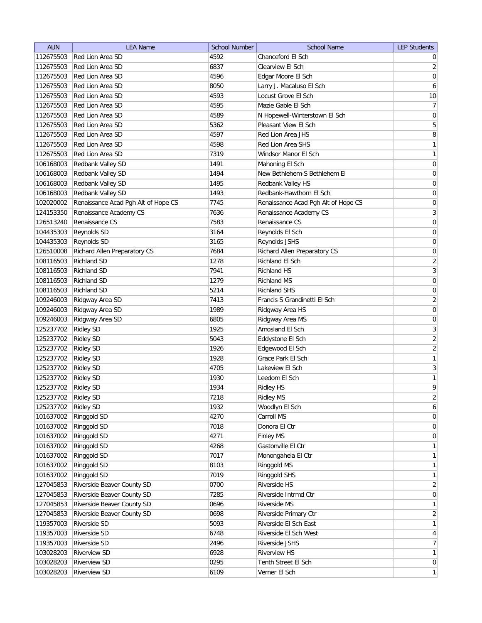| <b>AUN</b> | <b>LEA Name</b>                     | <b>School Number</b> | <b>School Name</b>                  | <b>LEP Students</b> |
|------------|-------------------------------------|----------------------|-------------------------------------|---------------------|
| 112675503  | Red Lion Area SD                    | 4592                 | Chanceford El Sch                   | $\overline{0}$      |
| 112675503  | Red Lion Area SD                    | 6837                 | Clearview El Sch                    | $\overline{2}$      |
| 112675503  | Red Lion Area SD                    | 4596                 | Edgar Moore El Sch                  | $\boldsymbol{0}$    |
| 112675503  | Red Lion Area SD                    | 8050                 | Larry J. Macaluso El Sch            | $\boldsymbol{6}$    |
| 112675503  | Red Lion Area SD                    | 4593                 | Locust Grove El Sch                 | 10                  |
| 112675503  | Red Lion Area SD                    | 4595                 | Mazie Gable El Sch                  | $\overline{7}$      |
| 112675503  | Red Lion Area SD                    | 4589                 | N Hopewell-Winterstown El Sch       | 0                   |
| 112675503  | Red Lion Area SD                    | 5362                 | Pleasant View El Sch                | $\overline{5}$      |
| 112675503  | Red Lion Area SD                    | 4597                 | Red Lion Area JHS                   | 8                   |
| 112675503  | Red Lion Area SD                    | 4598                 | Red Lion Area SHS                   | $\mathbf{1}$        |
| 112675503  | Red Lion Area SD                    | 7319                 | Windsor Manor El Sch                | $\mathbf{1}$        |
| 106168003  | Redbank Valley SD                   | 1491                 | Mahoning El Sch                     | 0                   |
| 106168003  | Redbank Valley SD                   | 1494                 | New Bethlehem-S Bethlehem El        | 0                   |
| 106168003  | Redbank Valley SD                   | 1495                 | Redbank Valley HS                   | 0                   |
| 106168003  | Redbank Valley SD                   | 1493                 | Redbank-Hawthorn El Sch             | 0                   |
| 102020002  | Renaissance Acad Pgh Alt of Hope CS | 7745                 | Renaissance Acad Pgh Alt of Hope CS | 0                   |
| 124153350  | Renaissance Academy CS              | 7636                 | Renaissance Academy CS              | $\overline{3}$      |
| 126513240  | Renaissance CS                      | 7583                 | Renaissance CS                      | $\mathsf{O}\xspace$ |
| 104435303  | Reynolds SD                         | 3164                 | Reynolds El Sch                     | $\mathsf{O}\xspace$ |
| 104435303  |                                     | 3165                 |                                     | $\boldsymbol{0}$    |
|            | Reynolds SD                         |                      | Reynolds JSHS                       |                     |
| 126510008  | Richard Allen Preparatory CS        | 7684                 | Richard Allen Preparatory CS        | 0                   |
| 108116503  | <b>Richland SD</b>                  | 1278                 | Richland El Sch                     | $\overline{2}$      |
| 108116503  | <b>Richland SD</b>                  | 7941                 | <b>Richland HS</b>                  | $\mathbf{3}$        |
| 108116503  | <b>Richland SD</b>                  | 1279                 | <b>Richland MS</b>                  | $\boldsymbol{0}$    |
| 108116503  | <b>Richland SD</b>                  | 5214                 | <b>Richland SHS</b>                 | $\overline{0}$      |
| 109246003  | Ridgway Area SD                     | 7413                 | Francis S Grandinetti El Sch        | $\overline{2}$      |
| 109246003  | Ridgway Area SD                     | 1989                 | Ridgway Area HS                     | 0                   |
| 109246003  | Ridgway Area SD                     | 6805                 | Ridgway Area MS                     | 0                   |
| 125237702  | <b>Ridley SD</b>                    | 1925                 | Amosland El Sch                     | 3                   |
| 125237702  | <b>Ridley SD</b>                    | 5043                 | Eddystone El Sch                    | $\overline{2}$      |
| 125237702  | <b>Ridley SD</b>                    | 1926                 | Edgewood El Sch                     | $\overline{2}$      |
| 125237702  | <b>Ridley SD</b>                    | 1928                 | Grace Park El Sch                   | $\mathbf{1}$        |
| 125237702  | <b>Ridley SD</b>                    | 4705                 | Lakeview El Sch                     | $\mathbf{3}$        |
| 125237702  | <b>Ridley SD</b>                    | 1930                 | Leedom El Sch                       | $\mathbf{1}$        |
| 125237702  | <b>Ridley SD</b>                    | 1934                 | <b>Ridley HS</b>                    | 9                   |
| 125237702  | <b>Ridley SD</b>                    | 7218                 | <b>Ridley MS</b>                    | $\overline{2}$      |
| 125237702  | <b>Ridley SD</b>                    | 1932                 | Woodlyn El Sch                      | $\boldsymbol{6}$    |
| 101637002  | Ringgold SD                         | 4270                 | Carroll MS                          | $\boldsymbol{0}$    |
| 101637002  | Ringgold SD                         | 7018                 | Donora El Ctr                       | $\boldsymbol{0}$    |
| 101637002  | Ringgold SD                         | 4271                 | Finley MS                           | $\boldsymbol{0}$    |
| 101637002  | Ringgold SD                         | 4268                 | Gastonville El Ctr                  | $\mathbf{1}$        |
| 101637002  | Ringgold SD                         | 7017                 | Monongahela El Ctr                  | $\mathbf{1}$        |
| 101637002  | Ringgold SD                         | 8103                 | Ringgold MS                         | $\mathbf{1}$        |
| 101637002  | Ringgold SD                         | 7019                 | Ringgold SHS                        | $\mathbf{1}$        |
| 127045853  | Riverside Beaver County SD          | 0700                 | Riverside HS                        | $\overline{2}$      |
| 127045853  | Riverside Beaver County SD          | 7285                 | Riverside Intrmd Ctr                | $\overline{0}$      |
| 127045853  | Riverside Beaver County SD          | 0696                 | Riverside MS                        | $\mathbf{1}$        |
| 127045853  | Riverside Beaver County SD          | 0698                 | Riverside Primary Ctr               | $\overline{2}$      |
| 119357003  | Riverside SD                        | 5093                 | Riverside El Sch East               | $\mathbf{1}$        |
| 119357003  | Riverside SD                        | 6748                 | Riverside El Sch West               | $\overline{4}$      |
| 119357003  | Riverside SD                        | 2496                 | Riverside JSHS                      | $\overline{7}$      |
| 103028203  | <b>Riverview SD</b>                 | 6928                 | <b>Riverview HS</b>                 | $\mathbf{1}$        |
| 103028203  | <b>Riverview SD</b>                 | 0295                 | Tenth Street El Sch                 | $\overline{0}$      |
| 103028203  | <b>Riverview SD</b>                 | 6109                 | Verner El Sch                       | $\mathbf{1}$        |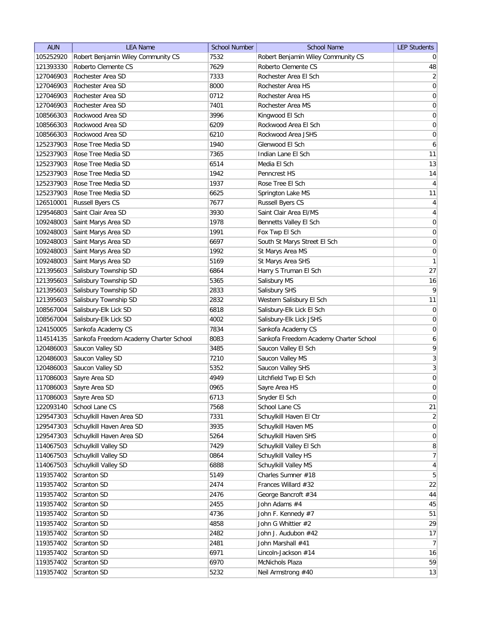| <b>AUN</b> | <b>LEA Name</b>                        | <b>School Number</b> | <b>School Name</b>                     | <b>LEP Students</b> |
|------------|----------------------------------------|----------------------|----------------------------------------|---------------------|
| 105252920  | Robert Benjamin Wiley Community CS     | 7532                 | Robert Benjamin Wiley Community CS     | $\overline{0}$      |
| 121393330  | Roberto Clemente CS                    | 7629                 | Roberto Clemente CS                    | 48                  |
| 127046903  | Rochester Area SD                      | 7333                 | Rochester Area El Sch                  | $\overline{2}$      |
| 127046903  | Rochester Area SD                      | 8000                 | Rochester Area HS                      | 0                   |
| 127046903  | Rochester Area SD                      | 0712                 | Rochester Area HS                      | $\overline{0}$      |
| 127046903  | Rochester Area SD                      | 7401                 | Rochester Area MS                      | 0                   |
| 108566303  | Rockwood Area SD                       | 3996                 | Kingwood El Sch                        | 0                   |
| 108566303  | Rockwood Area SD                       | 6209                 | Rockwood Area El Sch                   | $\boldsymbol{0}$    |
| 108566303  | Rockwood Area SD                       | 6210                 | Rockwood Area JSHS                     | $\boldsymbol{0}$    |
| 125237903  | Rose Tree Media SD                     | 1940                 | Glenwood El Sch                        | 6                   |
| 125237903  | Rose Tree Media SD                     | 7365                 | Indian Lane El Sch                     | 11                  |
| 125237903  | Rose Tree Media SD                     | 6514                 | Media El Sch                           | 13                  |
| 125237903  | Rose Tree Media SD                     | 1942                 | Penncrest HS                           | 14                  |
| 125237903  | Rose Tree Media SD                     | 1937                 | Rose Tree El Sch                       | 4                   |
| 125237903  | Rose Tree Media SD                     | 6625                 | Springton Lake MS                      | 11                  |
| 126510001  | <b>Russell Byers CS</b>                | 7677                 | <b>Russell Byers CS</b>                | $\vert 4 \vert$     |
| 129546803  | Saint Clair Area SD                    | 3930                 | Saint Clair Area El/MS                 | $\vert 4 \vert$     |
| 109248003  | Saint Marys Area SD                    | 1978                 | Bennetts Valley El Sch                 | 0                   |
| 109248003  | Saint Marys Area SD                    | 1991                 | Fox Twp El Sch                         | $\vert 0 \vert$     |
| 109248003  | Saint Marys Area SD                    | 6697                 | South St Marys Street El Sch           | 0                   |
| 109248003  | Saint Marys Area SD                    | 1992                 | St Marys Area MS                       | 0                   |
| 109248003  | Saint Marys Area SD                    | 5169                 | St Marys Area SHS                      | $\mathbf{1}$        |
| 121395603  | Salisbury Township SD                  | 6864                 | Harry S Truman El Sch                  | 27                  |
| 121395603  | Salisbury Township SD                  | 5365                 | Salisbury MS                           | 16                  |
| 121395603  | Salisbury Township SD                  | 2833                 | Salisbury SHS                          | 9                   |
| 121395603  | Salisbury Township SD                  | 2832                 | Western Salisbury El Sch               | 11                  |
| 108567004  | Salisbury-Elk Lick SD                  | 6818                 | Salisbury-Elk Lick El Sch              | 0                   |
| 108567004  | Salisbury-Elk Lick SD                  | 4002                 | Salisbury-Elk Lick JSHS                | 0                   |
| 124150005  | Sankofa Academy CS                     | 7834                 | Sankofa Academy CS                     | 0                   |
| 114514135  | Sankofa Freedom Academy Charter School | 8083                 | Sankofa Freedom Academy Charter School | 6                   |
| 120486003  | Saucon Valley SD                       | 3485                 | Saucon Valley El Sch                   | 9                   |
| 120486003  | Saucon Valley SD                       | 7210                 | Saucon Valley MS                       | $\overline{3}$      |
| 120486003  | Saucon Valley SD                       | 5352                 | Saucon Valley SHS                      | $\overline{3}$      |
| 117086003  | Sayre Area SD                          | 4949                 | Litchfield Twp El Sch                  | $\boldsymbol{0}$    |
| 117086003  | Sayre Area SD                          | 0965                 | Sayre Area HS                          | $\overline{0}$      |
| 117086003  | Sayre Area SD                          | 6713                 | Snyder El Sch                          | $\vert 0 \vert$     |
| 122093140  | School Lane CS                         | 7568                 | School Lane CS                         | 21                  |
| 129547303  | Schuylkill Haven Area SD               | 7331                 | Schuylkill Haven El Ctr                | $\overline{2}$      |
| 129547303  | Schuylkill Haven Area SD               | 3935                 | Schuylkill Haven MS                    | 0                   |
| 129547303  | Schuylkill Haven Area SD               | 5264                 | Schuylkill Haven SHS                   | 0                   |
| 114067503  | Schuylkill Valley SD                   | 7429                 | Schuylkill Valley El Sch               | 8                   |
| 114067503  | Schuylkill Valley SD                   | 0864                 | Schuylkill Valley HS                   | 7                   |
| 114067503  | Schuylkill Valley SD                   | 6888                 | Schuylkill Valley MS                   | $\vert 4 \vert$     |
| 119357402  | Scranton SD                            | 5149                 | Charles Sumner #18                     | 5 <sup>2</sup>      |
| 119357402  | Scranton SD                            | 2474                 | Frances Willard #32                    | 22                  |
| 119357402  | Scranton SD                            | 2476                 | George Bancroft #34                    | 44                  |
| 119357402  | Scranton SD                            | 2455                 | John Adams #4                          | 45                  |
| 119357402  | Scranton SD                            | 4736                 | John F. Kennedy #7                     | 51                  |
| 119357402  | Scranton SD                            | 4858                 | John G Whittier #2                     | 29                  |
| 119357402  | Scranton SD                            | 2482                 | John J. Audubon #42                    | 17                  |
| 119357402  | Scranton SD                            | 2481                 | John Marshall #41                      | 7                   |
| 119357402  | Scranton SD                            | 6971                 | Lincoln-Jackson #14                    | 16                  |
| 119357402  | Scranton SD                            | 6970                 | McNichols Plaza                        | 59                  |
| 119357402  | Scranton SD                            | 5232                 | Neil Armstrong #40                     | 13                  |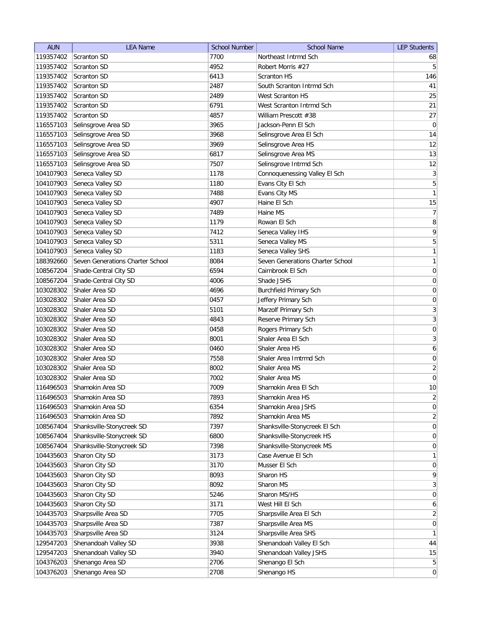| <b>AUN</b> | <b>LEA Name</b>                  | <b>School Number</b> | <b>School Name</b>               | <b>LEP Students</b> |
|------------|----------------------------------|----------------------|----------------------------------|---------------------|
| 119357402  | Scranton SD                      | 7700                 | Northeast Intrmd Sch             | 68                  |
| 119357402  | Scranton SD                      | 4952                 | Robert Morris #27                | 5 <sup>1</sup>      |
| 119357402  | <b>Scranton SD</b>               | 6413                 | <b>Scranton HS</b>               | 146                 |
| 119357402  | Scranton SD                      | 2487                 | South Scranton Intrmd Sch        | 41                  |
| 119357402  | <b>Scranton SD</b>               | 2489                 | West Scranton HS                 | 25                  |
| 119357402  | <b>Scranton SD</b>               | 6791                 | West Scranton Intrmd Sch         | 21                  |
| 119357402  | <b>Scranton SD</b>               | 4857                 | William Prescott #38             | 27                  |
| 116557103  | Selinsgrove Area SD              | 3965                 | Jackson-Penn El Sch              | $\overline{0}$      |
| 116557103  | Selinsgrove Area SD              | 3968                 | Selinsgrove Area El Sch          | 14                  |
| 116557103  | Selinsgrove Area SD              | 3969                 | Selinsgrove Area HS              | 12                  |
| 116557103  | Selinsgrove Area SD              | 6817                 | Selinsgrove Area MS              | 13                  |
| 116557103  | Selinsgrove Area SD              | 7507                 | Selinsgrove Intrmd Sch           | 12                  |
| 104107903  | Seneca Valley SD                 | 1178                 | Connoquenessing Valley El Sch    | $\overline{3}$      |
| 104107903  | Seneca Valley SD                 | 1180                 | Evans City El Sch                | 5                   |
| 104107903  | Seneca Valley SD                 | 7488                 | Evans City MS                    | 1                   |
| 104107903  | Seneca Valley SD                 | 4907                 | Haine El Sch                     | 15                  |
| 104107903  | Seneca Valley SD                 | 7489                 | Haine MS                         | 7                   |
| 104107903  | Seneca Valley SD                 | 1179                 | Rowan El Sch                     | $\bf 8$             |
| 104107903  | Seneca Valley SD                 | 7412                 | Seneca Valley IHS                | $\overline{9}$      |
| 104107903  | Seneca Valley SD                 | 5311                 | Seneca Valley MS                 | $\overline{5}$      |
| 104107903  | Seneca Valley SD                 | 1183                 | Seneca Valley SHS                | 1                   |
| 188392660  | Seven Generations Charter School | 8084                 | Seven Generations Charter School | 1                   |
| 108567204  | Shade-Central City SD            | 6594                 | Cairnbrook El Sch                | 0                   |
| 108567204  | Shade-Central City SD            | 4006                 | Shade JSHS                       | $\boldsymbol{0}$    |
| 103028302  | Shaler Area SD                   | 4696                 | <b>Burchfield Primary Sch</b>    | $\boldsymbol{0}$    |
| 103028302  | Shaler Area SD                   | 0457                 | Jeffery Primary Sch              | 0                   |
| 103028302  | Shaler Area SD                   | 5101                 | Marzolf Primary Sch              | 3                   |
| 103028302  | Shaler Area SD                   | 4843                 | Reserve Primary Sch              | $\overline{3}$      |
| 103028302  | Shaler Area SD                   | 0458                 | Rogers Primary Sch               | 0                   |
| 103028302  | Shaler Area SD                   | 8001                 | Shaler Area El Sch               | 3                   |
| 103028302  | Shaler Area SD                   | 0460                 | Shaler Area HS                   | 6                   |
| 103028302  | Shaler Area SD                   | 7558                 | Shaler Area Imtrmd Sch           | 0                   |
| 103028302  | Shaler Area SD                   | 8002                 | Shaler Area MS                   | $\overline{2}$      |
| 103028302  | Shaler Area SD                   | 7002                 | Shaler Area MS                   | $\pmb{0}$           |
| 116496503  | Shamokin Area SD                 | 7009                 | Shamokin Area El Sch             | 10                  |
| 116496503  | Shamokin Area SD                 | 7893                 | Shamokin Area HS                 | $\overline{2}$      |
| 116496503  | Shamokin Area SD                 | 6354                 | Shamokin Area JSHS               | 0                   |
| 116496503  | Shamokin Area SD                 | 7892                 | Shamokin Area MS                 | $\overline{2}$      |
| 108567404  | Shanksville-Stonycreek SD        | 7397                 | Shanksville-Stonycreek El Sch    | 0                   |
| 108567404  | Shanksville-Stonycreek SD        | 6800                 | Shanksville-Stonycreek HS        | $\overline{0}$      |
| 108567404  | Shanksville-Stonycreek SD        | 7398                 | Shanksville-Stonycreek MS        | $\overline{0}$      |
| 104435603  | Sharon City SD                   | 3173                 | Case Avenue El Sch               | $\mathbf{1}$        |
| 104435603  | Sharon City SD                   | 3170                 | Musser El Sch                    | 0                   |
| 104435603  | Sharon City SD                   | 8093                 | Sharon HS                        | $\mathsf{q}$        |
| 104435603  | Sharon City SD                   | 8092                 | Sharon MS                        | 3                   |
| 104435603  | Sharon City SD                   | 5246                 | Sharon MS/HS                     | $\overline{0}$      |
| 104435603  | Sharon City SD                   | 3171                 | West Hill El Sch                 | 6                   |
| 104435703  | Sharpsville Area SD              | 7705                 | Sharpsville Area El Sch          | $\overline{2}$      |
| 104435703  | Sharpsville Area SD              | 7387                 | Sharpsville Area MS              | 0                   |
| 104435703  | Sharpsville Area SD              | 3124                 | Sharpsville Area SHS             | $\mathbf{1}$        |
| 129547203  | Shenandoah Valley SD             | 3938                 | Shenandoah Valley El Sch         | 44                  |
| 129547203  | Shenandoah Valley SD             | 3940                 | Shenandoah Valley JSHS           | 15                  |
| 104376203  | Shenango Area SD                 | 2706                 | Shenango El Sch                  | 5 <sup>2</sup>      |
| 104376203  | Shenango Area SD                 | 2708                 | Shenango HS                      | $\vert 0 \vert$     |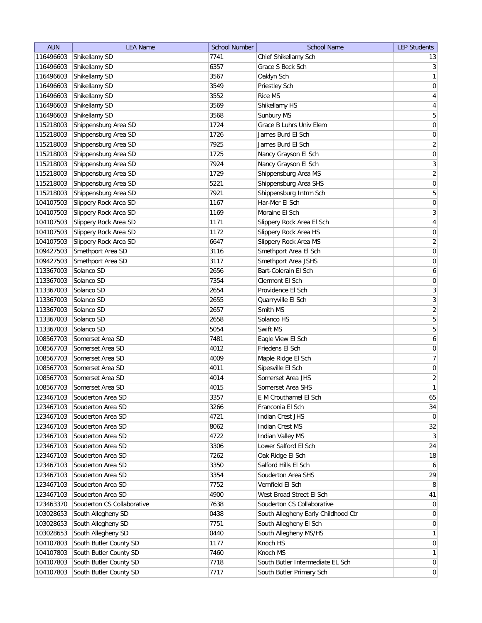| <b>AUN</b> | <b>LEA Name</b>            | <b>School Number</b> | <b>School Name</b>                  | <b>LEP Students</b>     |
|------------|----------------------------|----------------------|-------------------------------------|-------------------------|
| 116496603  | Shikellamy SD              | 7741                 | Chief Shikellamy Sch                | 13                      |
| 116496603  | Shikellamy SD              | 6357                 | Grace S Beck Sch                    | 3                       |
| 116496603  | Shikellamy SD              | 3567                 | Oaklyn Sch                          | $\mathbf{1}$            |
| 116496603  | Shikellamy SD              | 3549                 | Priestley Sch                       | 0                       |
| 116496603  | Shikellamy SD              | 3552                 | <b>Rice MS</b>                      | $\overline{4}$          |
| 116496603  | Shikellamy SD              | 3569                 | Shikellamy HS                       | $\overline{\mathbf{r}}$ |
| 116496603  | Shikellamy SD              | 3568                 | Sunbury MS                          | 5                       |
| 115218003  | Shippensburg Area SD       | 1724                 | Grace B Luhrs Univ Elem             | $\boldsymbol{0}$        |
| 115218003  | Shippensburg Area SD       | 1726                 | James Burd El Sch                   | $\boldsymbol{0}$        |
| 115218003  | Shippensburg Area SD       | 7925                 | James Burd El Sch                   | $\overline{2}$          |
| 115218003  | Shippensburg Area SD       | 1725                 | Nancy Grayson El Sch                | $\boldsymbol{0}$        |
| 115218003  | Shippensburg Area SD       | 7924                 | Nancy Grayson El Sch                | $\overline{3}$          |
| 115218003  | Shippensburg Area SD       | 1729                 | Shippensburg Area MS                | $\overline{2}$          |
| 115218003  | Shippensburg Area SD       | 5221                 | Shippensburg Area SHS               | $\boldsymbol{0}$        |
| 115218003  | Shippensburg Area SD       | 7921                 | Shippensburg Intrm Sch              | 5                       |
| 104107503  | Slippery Rock Area SD      | 1167                 | Har-Mer El Sch                      | 0                       |
| 104107503  | Slippery Rock Area SD      | 1169                 | Moraine El Sch                      | $\overline{3}$          |
| 104107503  | Slippery Rock Area SD      | 1171                 | Slippery Rock Area El Sch           | $\vert 4 \vert$         |
| 104107503  | Slippery Rock Area SD      | 1172                 | Slippery Rock Area HS               | $\mathsf{O}\xspace$     |
| 104107503  | Slippery Rock Area SD      | 6647                 | Slippery Rock Area MS               | $\overline{2}$          |
| 109427503  | Smethport Area SD          | 3116                 | Smethport Area El Sch               | 0                       |
| 109427503  | Smethport Area SD          | 3117                 | Smethport Area JSHS                 | $\mathsf{O}\xspace$     |
| 113367003  | Solanco SD                 | 2656                 | Bart-Colerain El Sch                | $\boldsymbol{6}$        |
| 113367003  | Solanco SD                 | 7354                 | Clermont El Sch                     | $\boldsymbol{0}$        |
| 113367003  | Solanco SD                 | 2654                 | Providence El Sch                   | $\overline{3}$          |
| 113367003  | Solanco SD                 | 2655                 | Quarryville El Sch                  | $\overline{3}$          |
| 113367003  | Solanco SD                 | 2657                 | Smith MS                            | $\overline{2}$          |
| 113367003  | Solanco SD                 | 2658                 | Solanco HS                          | 5                       |
| 113367003  | Solanco SD                 | 5054                 | Swift MS                            | 5                       |
| 108567703  | Somerset Area SD           | 7481                 | Eagle View El Sch                   | 6                       |
| 108567703  | Somerset Area SD           | 4012                 | Friedens El Sch                     | 0                       |
| 108567703  | Somerset Area SD           | 4009                 | Maple Ridge El Sch                  | 7                       |
| 108567703  | Somerset Area SD           | 4011                 | Sipesville El Sch                   | $\boldsymbol{0}$        |
| 108567703  | Somerset Area SD           | 4014                 | Somerset Area JHS                   | $\overline{2}$          |
| 108567703  | Somerset Area SD           | 4015                 | Somerset Area SHS                   | 1                       |
| 123467103  | Souderton Area SD          | 3357                 | E M Crouthamel El Sch               | 65                      |
| 123467103  | Souderton Area SD          | 3266                 | Franconia El Sch                    | 34                      |
| 123467103  | Souderton Area SD          | 4721                 | Indian Crest JHS                    | $\overline{0}$          |
| 123467103  | Souderton Area SD          | 8062                 | <b>Indian Crest MS</b>              | 32                      |
| 123467103  | Souderton Area SD          | 4722                 | Indian Valley MS                    | 3                       |
| 123467103  | Souderton Area SD          | 3306                 | Lower Salford El Sch                | 24                      |
| 123467103  | Souderton Area SD          | 7262                 | Oak Ridge El Sch                    | 18                      |
| 123467103  | Souderton Area SD          | 3350                 | Salford Hills El Sch                | $6 \mid$                |
| 123467103  | Souderton Area SD          | 3354                 | Souderton Area SHS                  | 29                      |
| 123467103  | Souderton Area SD          | 7752                 | Vernfield El Sch                    | 8 <sup>1</sup>          |
| 123467103  | Souderton Area SD          | 4900                 | West Broad Street El Sch            | 41                      |
| 123463370  | Souderton CS Collaborative | 7638                 | Souderton CS Collaborative          | $\overline{0}$          |
| 103028653  | South Allegheny SD         | 0438                 | South Allegheny Early Childhood Ctr | $\overline{0}$          |
| 103028653  | South Allegheny SD         | 7751                 | South Allegheny El Sch              | $\overline{0}$          |
| 103028653  | South Allegheny SD         | 0440                 | South Allegheny MS/HS               | $\mathbf{1}$            |
| 104107803  | South Butler County SD     | 1177                 | Knoch HS                            | $\overline{0}$          |
| 104107803  | South Butler County SD     | 7460                 | Knoch MS                            | 1                       |
| 104107803  | South Butler County SD     | 7718                 | South Butler Intermediate EL Sch    | $\overline{0}$          |
| 104107803  | South Butler County SD     | 7717                 | South Butler Primary Sch            | $\overline{0}$          |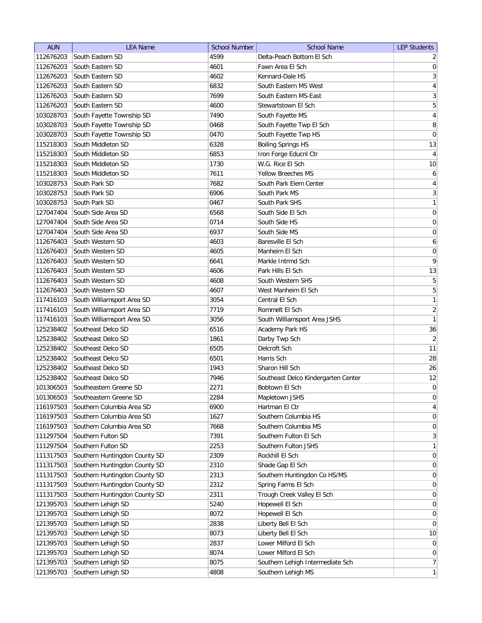| South Eastern SD<br>4599<br>Delta-Peach Bottom El Sch<br>112676203<br>112676203<br>South Eastern SD<br>4601<br>Fawn Area El Sch<br>4602<br>112676203<br>South Eastern SD<br>Kennard-Dale HS<br>6832<br>112676203<br>South Eastern SD<br>South Eastern MS West<br>7699<br>112676203<br>South Eastern SD<br>South Eastern MS-East<br>112676203<br>South Eastern SD<br>4600<br>Stewartstown El Sch<br>7490<br>103028703<br>South Fayette Township SD<br>South Fayette MS<br>South Fayette Township SD<br>103028703<br>0468<br>South Fayette Twp El Sch<br>South Fayette Township SD<br>103028703<br>0470<br>South Fayette Twp HS<br><b>Boiling Springs HS</b><br>115218303<br>South Middleton SD<br>6328<br>South Middleton SD<br>6853<br>Iron Forge Educnl Ctr<br>115218303<br>W.G. Rice El Sch<br>South Middleton SD<br>1730<br>115218303<br>South Middleton SD<br>7611<br><b>Yellow Breeches MS</b><br>115218303<br>103028753<br>South Park SD<br>7682<br>South Park Elem Center<br>103028753<br>South Park SD<br>6906<br>South Park MS<br>103028753<br>South Park SD<br>0467<br>South Park SHS<br>South Side Area SD<br>6568<br>South Side El Sch<br>127047404<br>127047404<br>South Side Area SD<br>0714<br>South Side HS | <b>AUN</b> | <b>LEA Name</b>    | <b>School Number</b> | <b>School Name</b> | <b>LEP Students</b> |
|-----------------------------------------------------------------------------------------------------------------------------------------------------------------------------------------------------------------------------------------------------------------------------------------------------------------------------------------------------------------------------------------------------------------------------------------------------------------------------------------------------------------------------------------------------------------------------------------------------------------------------------------------------------------------------------------------------------------------------------------------------------------------------------------------------------------------------------------------------------------------------------------------------------------------------------------------------------------------------------------------------------------------------------------------------------------------------------------------------------------------------------------------------------------------------------------------------------------------------|------------|--------------------|----------------------|--------------------|---------------------|
|                                                                                                                                                                                                                                                                                                                                                                                                                                                                                                                                                                                                                                                                                                                                                                                                                                                                                                                                                                                                                                                                                                                                                                                                                             |            |                    |                      |                    | $\overline{2}$      |
|                                                                                                                                                                                                                                                                                                                                                                                                                                                                                                                                                                                                                                                                                                                                                                                                                                                                                                                                                                                                                                                                                                                                                                                                                             |            |                    |                      |                    | $\mathbf 0$         |
|                                                                                                                                                                                                                                                                                                                                                                                                                                                                                                                                                                                                                                                                                                                                                                                                                                                                                                                                                                                                                                                                                                                                                                                                                             |            |                    |                      |                    | $\mathbf{3}$        |
|                                                                                                                                                                                                                                                                                                                                                                                                                                                                                                                                                                                                                                                                                                                                                                                                                                                                                                                                                                                                                                                                                                                                                                                                                             |            |                    |                      |                    | $\overline{4}$      |
|                                                                                                                                                                                                                                                                                                                                                                                                                                                                                                                                                                                                                                                                                                                                                                                                                                                                                                                                                                                                                                                                                                                                                                                                                             |            |                    |                      |                    | $\overline{3}$      |
|                                                                                                                                                                                                                                                                                                                                                                                                                                                                                                                                                                                                                                                                                                                                                                                                                                                                                                                                                                                                                                                                                                                                                                                                                             |            |                    |                      |                    | 5                   |
|                                                                                                                                                                                                                                                                                                                                                                                                                                                                                                                                                                                                                                                                                                                                                                                                                                                                                                                                                                                                                                                                                                                                                                                                                             |            |                    |                      |                    | $\overline{4}$      |
|                                                                                                                                                                                                                                                                                                                                                                                                                                                                                                                                                                                                                                                                                                                                                                                                                                                                                                                                                                                                                                                                                                                                                                                                                             |            |                    |                      |                    | 8                   |
|                                                                                                                                                                                                                                                                                                                                                                                                                                                                                                                                                                                                                                                                                                                                                                                                                                                                                                                                                                                                                                                                                                                                                                                                                             |            |                    |                      |                    | $\mathsf{O}\xspace$ |
|                                                                                                                                                                                                                                                                                                                                                                                                                                                                                                                                                                                                                                                                                                                                                                                                                                                                                                                                                                                                                                                                                                                                                                                                                             |            |                    |                      |                    | 13                  |
|                                                                                                                                                                                                                                                                                                                                                                                                                                                                                                                                                                                                                                                                                                                                                                                                                                                                                                                                                                                                                                                                                                                                                                                                                             |            |                    |                      |                    | $\overline{4}$      |
|                                                                                                                                                                                                                                                                                                                                                                                                                                                                                                                                                                                                                                                                                                                                                                                                                                                                                                                                                                                                                                                                                                                                                                                                                             |            |                    |                      |                    | 10                  |
|                                                                                                                                                                                                                                                                                                                                                                                                                                                                                                                                                                                                                                                                                                                                                                                                                                                                                                                                                                                                                                                                                                                                                                                                                             |            |                    |                      |                    | 6                   |
|                                                                                                                                                                                                                                                                                                                                                                                                                                                                                                                                                                                                                                                                                                                                                                                                                                                                                                                                                                                                                                                                                                                                                                                                                             |            |                    |                      |                    | $\overline{4}$      |
|                                                                                                                                                                                                                                                                                                                                                                                                                                                                                                                                                                                                                                                                                                                                                                                                                                                                                                                                                                                                                                                                                                                                                                                                                             |            |                    |                      |                    | $\mathbf{3}$        |
|                                                                                                                                                                                                                                                                                                                                                                                                                                                                                                                                                                                                                                                                                                                                                                                                                                                                                                                                                                                                                                                                                                                                                                                                                             |            |                    |                      |                    | $\mathbf{1}$        |
|                                                                                                                                                                                                                                                                                                                                                                                                                                                                                                                                                                                                                                                                                                                                                                                                                                                                                                                                                                                                                                                                                                                                                                                                                             |            |                    |                      |                    | $\boldsymbol{0}$    |
|                                                                                                                                                                                                                                                                                                                                                                                                                                                                                                                                                                                                                                                                                                                                                                                                                                                                                                                                                                                                                                                                                                                                                                                                                             |            |                    |                      |                    | $\mathsf{O}\xspace$ |
|                                                                                                                                                                                                                                                                                                                                                                                                                                                                                                                                                                                                                                                                                                                                                                                                                                                                                                                                                                                                                                                                                                                                                                                                                             | 127047404  | South Side Area SD | 6937                 | South Side MS      | $\boldsymbol{0}$    |
| Baresville El Sch<br>112676403<br>South Western SD<br>4603                                                                                                                                                                                                                                                                                                                                                                                                                                                                                                                                                                                                                                                                                                                                                                                                                                                                                                                                                                                                                                                                                                                                                                  |            |                    |                      |                    | $\boldsymbol{6}$    |
| 112676403<br>South Western SD<br>4605<br>Manheim El Sch                                                                                                                                                                                                                                                                                                                                                                                                                                                                                                                                                                                                                                                                                                                                                                                                                                                                                                                                                                                                                                                                                                                                                                     |            |                    |                      |                    | $\mathsf{O}\xspace$ |
| 112676403<br>South Western SD<br>6641<br>Markle Intrmd Sch                                                                                                                                                                                                                                                                                                                                                                                                                                                                                                                                                                                                                                                                                                                                                                                                                                                                                                                                                                                                                                                                                                                                                                  |            |                    |                      |                    | $\boldsymbol{9}$    |
| 112676403<br>South Western SD<br>4606<br>Park Hills El Sch                                                                                                                                                                                                                                                                                                                                                                                                                                                                                                                                                                                                                                                                                                                                                                                                                                                                                                                                                                                                                                                                                                                                                                  |            |                    |                      |                    | 13                  |
| South Western SD<br>South Western SHS<br>112676403<br>4608                                                                                                                                                                                                                                                                                                                                                                                                                                                                                                                                                                                                                                                                                                                                                                                                                                                                                                                                                                                                                                                                                                                                                                  |            |                    |                      |                    | $\sqrt{5}$          |
| South Western SD<br>112676403<br>4607<br>West Manheim El Sch                                                                                                                                                                                                                                                                                                                                                                                                                                                                                                                                                                                                                                                                                                                                                                                                                                                                                                                                                                                                                                                                                                                                                                |            |                    |                      |                    | $\overline{5}$      |
| Central El Sch<br>117416103<br>South Williamsport Area SD<br>3054                                                                                                                                                                                                                                                                                                                                                                                                                                                                                                                                                                                                                                                                                                                                                                                                                                                                                                                                                                                                                                                                                                                                                           |            |                    |                      |                    | $\mathbf{1}$        |
| South Williamsport Area SD<br>Rommelt El Sch<br>117416103<br>7719                                                                                                                                                                                                                                                                                                                                                                                                                                                                                                                                                                                                                                                                                                                                                                                                                                                                                                                                                                                                                                                                                                                                                           |            |                    |                      |                    | $\overline{2}$      |
| 117416103<br>South Williamsport Area SD<br>3056<br>South Williamsport Area JSHS                                                                                                                                                                                                                                                                                                                                                                                                                                                                                                                                                                                                                                                                                                                                                                                                                                                                                                                                                                                                                                                                                                                                             |            |                    |                      |                    | $\mathbf{1}$        |
| 125238402<br>Southeast Delco SD<br>6516<br>Academy Park HS                                                                                                                                                                                                                                                                                                                                                                                                                                                                                                                                                                                                                                                                                                                                                                                                                                                                                                                                                                                                                                                                                                                                                                  |            |                    |                      |                    | 36                  |
| Southeast Delco SD<br>1861<br>Darby Twp Sch<br>125238402                                                                                                                                                                                                                                                                                                                                                                                                                                                                                                                                                                                                                                                                                                                                                                                                                                                                                                                                                                                                                                                                                                                                                                    |            |                    |                      |                    | $\overline{2}$      |
| Southeast Delco SD<br>6505<br>Delcroft Sch<br>125238402                                                                                                                                                                                                                                                                                                                                                                                                                                                                                                                                                                                                                                                                                                                                                                                                                                                                                                                                                                                                                                                                                                                                                                     |            |                    |                      |                    | 11                  |
| 125238402<br>Southeast Delco SD<br>6501<br>Harris Sch                                                                                                                                                                                                                                                                                                                                                                                                                                                                                                                                                                                                                                                                                                                                                                                                                                                                                                                                                                                                                                                                                                                                                                       |            |                    |                      |                    | 28                  |
| 125238402<br>Southeast Delco SD<br>1943<br>Sharon Hill Sch                                                                                                                                                                                                                                                                                                                                                                                                                                                                                                                                                                                                                                                                                                                                                                                                                                                                                                                                                                                                                                                                                                                                                                  |            |                    |                      |                    | 26                  |
| 125238402<br>Southeast Delco SD<br>7946<br>Southeast Delco Kindergarten Center                                                                                                                                                                                                                                                                                                                                                                                                                                                                                                                                                                                                                                                                                                                                                                                                                                                                                                                                                                                                                                                                                                                                              |            |                    |                      |                    | 12                  |
| 101306503<br>Southeastern Greene SD<br>2271<br>Bobtown El Sch                                                                                                                                                                                                                                                                                                                                                                                                                                                                                                                                                                                                                                                                                                                                                                                                                                                                                                                                                                                                                                                                                                                                                               |            |                    |                      |                    | $\boldsymbol{0}$    |
| 101306503<br>Southeastern Greene SD<br>2284<br>Mapletown JSHS                                                                                                                                                                                                                                                                                                                                                                                                                                                                                                                                                                                                                                                                                                                                                                                                                                                                                                                                                                                                                                                                                                                                                               |            |                    |                      |                    | $\pmb{0}$           |
| Southern Columbia Area SD<br>Hartman El Ctr<br>116197503<br>6900                                                                                                                                                                                                                                                                                                                                                                                                                                                                                                                                                                                                                                                                                                                                                                                                                                                                                                                                                                                                                                                                                                                                                            |            |                    |                      |                    | $\overline{4}$      |
| Southern Columbia Area SD<br>1627<br>Southern Columbia HS<br>116197503                                                                                                                                                                                                                                                                                                                                                                                                                                                                                                                                                                                                                                                                                                                                                                                                                                                                                                                                                                                                                                                                                                                                                      |            |                    |                      |                    | $\pmb{0}$           |
| Southern Columbia Area SD<br>7668<br>Southern Columbia MS<br>116197503                                                                                                                                                                                                                                                                                                                                                                                                                                                                                                                                                                                                                                                                                                                                                                                                                                                                                                                                                                                                                                                                                                                                                      |            |                    |                      |                    | $\boldsymbol{0}$    |
| 111297504<br>Southern Fulton SD<br>7391<br>Southern Fulton El Sch                                                                                                                                                                                                                                                                                                                                                                                                                                                                                                                                                                                                                                                                                                                                                                                                                                                                                                                                                                                                                                                                                                                                                           |            |                    |                      |                    | $\mathbf{3}$        |
| 111297504<br>Southern Fulton SD<br>2253<br>Southern Fulton JSHS                                                                                                                                                                                                                                                                                                                                                                                                                                                                                                                                                                                                                                                                                                                                                                                                                                                                                                                                                                                                                                                                                                                                                             |            |                    |                      |                    | $\mathbf{1}$        |
| Rockhill El Sch<br>111317503<br>Southern Huntingdon County SD<br>2309                                                                                                                                                                                                                                                                                                                                                                                                                                                                                                                                                                                                                                                                                                                                                                                                                                                                                                                                                                                                                                                                                                                                                       |            |                    |                      |                    | $\boldsymbol{0}$    |
| Southern Huntingdon County SD<br>Shade Gap El Sch<br>111317503<br>2310                                                                                                                                                                                                                                                                                                                                                                                                                                                                                                                                                                                                                                                                                                                                                                                                                                                                                                                                                                                                                                                                                                                                                      |            |                    |                      |                    | $\boldsymbol{0}$    |
| Southern Huntingdon County SD<br>Southern Huntingdon Co HS/MS<br>111317503<br>2313                                                                                                                                                                                                                                                                                                                                                                                                                                                                                                                                                                                                                                                                                                                                                                                                                                                                                                                                                                                                                                                                                                                                          |            |                    |                      |                    | $\overline{0}$      |
| Southern Huntingdon County SD<br>Spring Farms El Sch<br>111317503<br>2312                                                                                                                                                                                                                                                                                                                                                                                                                                                                                                                                                                                                                                                                                                                                                                                                                                                                                                                                                                                                                                                                                                                                                   |            |                    |                      |                    | $\overline{0}$      |
| Southern Huntingdon County SD<br>111317503<br>2311<br>Trough Creek Valley El Sch                                                                                                                                                                                                                                                                                                                                                                                                                                                                                                                                                                                                                                                                                                                                                                                                                                                                                                                                                                                                                                                                                                                                            |            |                    |                      |                    | 0                   |
| Southern Lehigh SD<br>Hopewell El Sch<br>121395703<br>5240                                                                                                                                                                                                                                                                                                                                                                                                                                                                                                                                                                                                                                                                                                                                                                                                                                                                                                                                                                                                                                                                                                                                                                  |            |                    |                      |                    | 0                   |
| Southern Lehigh SD<br>8072<br>Hopewell El Sch<br>121395703                                                                                                                                                                                                                                                                                                                                                                                                                                                                                                                                                                                                                                                                                                                                                                                                                                                                                                                                                                                                                                                                                                                                                                  |            |                    |                      |                    | $\mathbf 0$         |
| Southern Lehigh SD<br>2838<br>121395703<br>Liberty Bell El Sch                                                                                                                                                                                                                                                                                                                                                                                                                                                                                                                                                                                                                                                                                                                                                                                                                                                                                                                                                                                                                                                                                                                                                              |            |                    |                      |                    | $\pmb{0}$           |
| Southern Lehigh SD<br>121395703<br>8073<br>Liberty Bell El Sch                                                                                                                                                                                                                                                                                                                                                                                                                                                                                                                                                                                                                                                                                                                                                                                                                                                                                                                                                                                                                                                                                                                                                              |            |                    |                      |                    | 10                  |
| Southern Lehigh SD<br>Lower Milford El Sch<br>121395703<br>2837                                                                                                                                                                                                                                                                                                                                                                                                                                                                                                                                                                                                                                                                                                                                                                                                                                                                                                                                                                                                                                                                                                                                                             |            |                    |                      |                    | $\overline{0}$      |
| Southern Lehigh SD<br>Lower Milford El Sch<br>121395703<br>8074                                                                                                                                                                                                                                                                                                                                                                                                                                                                                                                                                                                                                                                                                                                                                                                                                                                                                                                                                                                                                                                                                                                                                             |            |                    |                      |                    | $\overline{0}$      |
| 121395703<br>Southern Lehigh SD<br>8075<br>Southern Lehigh Intermediate Sch                                                                                                                                                                                                                                                                                                                                                                                                                                                                                                                                                                                                                                                                                                                                                                                                                                                                                                                                                                                                                                                                                                                                                 |            |                    |                      |                    | $\overline{7}$      |
| Southern Lehigh SD<br>4808<br>Southern Lehigh MS<br>121395703                                                                                                                                                                                                                                                                                                                                                                                                                                                                                                                                                                                                                                                                                                                                                                                                                                                                                                                                                                                                                                                                                                                                                               |            |                    |                      |                    | $\mathbf{1}$        |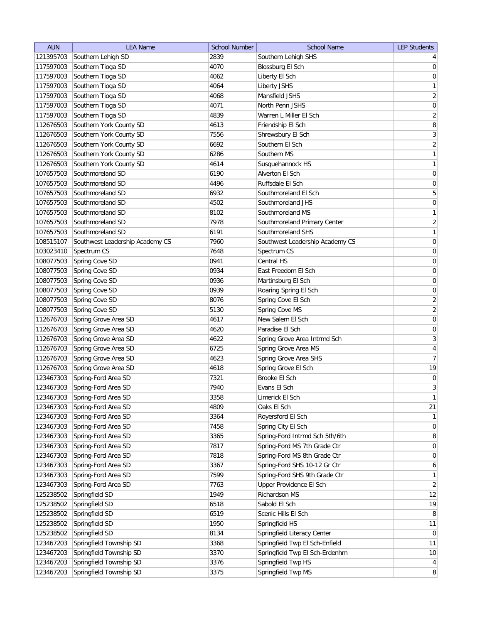| <b>AUN</b>             | <b>LEA Name</b>                 | <b>School Number</b> | <b>School Name</b>              | <b>LEP Students</b>                  |
|------------------------|---------------------------------|----------------------|---------------------------------|--------------------------------------|
| 121395703              | Southern Lehigh SD              | 2839                 | Southern Lehigh SHS             | 4 <sup>1</sup>                       |
| 117597003              | Southern Tioga SD               | 4070                 | Blossburg El Sch                | 0                                    |
| 117597003              | Southern Tioga SD               | 4062                 | Liberty El Sch                  | 0                                    |
| 117597003              | Southern Tioga SD               | 4064                 | Liberty JSHS                    | 1                                    |
| 117597003              | Southern Tioga SD               | 4068                 | Mansfield JSHS                  | $\overline{2}$                       |
| 117597003              | Southern Tioga SD               | 4071                 | North Penn JSHS                 | 0                                    |
| 117597003              | Southern Tioga SD               | 4839                 | Warren L Miller El Sch          | $\overline{2}$                       |
| 112676503              | Southern York County SD         | 4613                 | Friendship El Sch               | 8                                    |
| 112676503              | Southern York County SD         | 7556                 | Shrewsbury El Sch               | 3                                    |
| 112676503              | Southern York County SD         | 6692                 | Southern El Sch                 | $\overline{2}$                       |
| 112676503              | Southern York County SD         | 6286                 | Southern MS                     | $\mathbf{1}$                         |
| 112676503              | Southern York County SD         | 4614                 | Susquehannock HS                | $\mathbf{1}$                         |
| 107657503              | Southmoreland SD                | 6190                 | Alverton El Sch                 | $\overline{0}$                       |
| 107657503              | Southmoreland SD                | 4496                 | Ruffsdale El Sch                | 0                                    |
| 107657503              | Southmoreland SD                | 6932                 | Southmoreland El Sch            | 5                                    |
| 107657503              | Southmoreland SD                | 4502                 | Southmoreland JHS               | $\overline{0}$                       |
| 107657503              | Southmoreland SD                | 8102                 | Southmoreland MS                | $\mathbf{1}$                         |
| 107657503              | Southmoreland SD                | 7978                 | Southmoreland Primary Center    | $\overline{2}$                       |
| 107657503              | Southmoreland SD                | 6191                 | Southmoreland SHS               | $\overline{1}$                       |
| 108515107              | Southwest Leadership Academy CS | 7960                 | Southwest Leadership Academy CS | 0                                    |
| 103023410              | Spectrum CS                     | 7648                 | Spectrum CS                     | 0                                    |
| 108077503              | Spring Cove SD                  | 0941                 | Central HS                      | $\overline{0}$                       |
| 108077503              | Spring Cove SD                  | 0934                 | East Freedom El Sch             | $\boldsymbol{0}$                     |
| 108077503              | Spring Cove SD                  | 0936                 | Martinsburg El Sch              | $\boldsymbol{0}$                     |
| 108077503              | Spring Cove SD                  | 0939                 | Roaring Spring El Sch           | $\boldsymbol{0}$                     |
| 108077503              | Spring Cove SD                  | 8076                 | Spring Cove El Sch              | $\overline{2}$                       |
| 108077503              | Spring Cove SD                  | 5130                 | Spring Cove MS                  | $\overline{2}$                       |
| 112676703              | Spring Grove Area SD            | 4617                 | New Salem El Sch                | $\boldsymbol{0}$                     |
| 112676703              | Spring Grove Area SD            | 4620                 | Paradise El Sch                 | $\boldsymbol{0}$                     |
| 112676703              | Spring Grove Area SD            | 4622                 | Spring Grove Area Intrmd Sch    | $\overline{3}$                       |
| 112676703              | Spring Grove Area SD            | 6725                 | Spring Grove Area MS            | 4                                    |
| 112676703              | Spring Grove Area SD            | 4623                 | Spring Grove Area SHS           | 7                                    |
| 112676703              | Spring Grove Area SD            | 4618                 | Spring Grove El Sch             | 19                                   |
| 123467303              | Spring-Ford Area SD             | 7321                 | Brooke El Sch                   | $\vert 0 \vert$                      |
| 123467303              | Spring-Ford Area SD             | 7940                 | Evans El Sch                    | 3                                    |
| 123467303              | Spring-Ford Area SD             | 3358                 | Limerick El Sch                 | 1                                    |
| 123467303              | Spring-Ford Area SD             | 4809                 | Oaks El Sch                     | 21                                   |
| 123467303              | Spring-Ford Area SD             | 3364                 | Royersford El Sch               | 1                                    |
| 123467303              | Spring-Ford Area SD             | 7458                 | Spring City El Sch              | 0                                    |
| 123467303              | Spring-Ford Area SD             | 3365                 | Spring-Ford Intrmd Sch 5th/6th  | 8                                    |
| 123467303              | Spring-Ford Area SD             | 7817                 | Spring-Ford MS 7th Grade Ctr    | 0                                    |
| 123467303              | Spring-Ford Area SD             | 7818                 | Spring-Ford MS 8th Grade Ctr    | 0                                    |
| 123467303              | Spring-Ford Area SD             | 3367                 | Spring-Ford SHS 10-12 Gr Ctr    | 6                                    |
| 123467303              | Spring-Ford Area SD             | 7599                 | Spring-Ford SHS 9th Grade Ctr   | 1                                    |
| 123467303              | Spring-Ford Area SD             | 7763                 | Upper Providence El Sch         | $\overline{2}$                       |
| 125238502              | Springfield SD                  | 1949                 | Richardson MS                   | 12                                   |
| 125238502              | Springfield SD                  | 6518                 | Sabold El Sch                   | 19                                   |
| 125238502              | Springfield SD                  | 6519                 | Scenic Hills El Sch             | 8 <sup>°</sup>                       |
| 125238502              | Springfield SD                  | 1950                 | Springfield HS                  | 11                                   |
| 125238502              | Springfield SD                  | 8134                 | Springfield Literacy Center     | $\overline{0}$                       |
| 123467203              | Springfield Township SD         | 3368                 | Springfield Twp El Sch-Enfield  | 11                                   |
|                        | Springfield Township SD         | 3370                 | Springfield Twp El Sch-Erdenhm  |                                      |
| 123467203<br>123467203 | Springfield Township SD         | 3376                 | Springfield Twp HS              | 10                                   |
| 123467203              | Springfield Township SD         | 3375                 | Springfield Twp MS              | $\vert 4 \vert$<br>$\lvert 8 \rvert$ |
|                        |                                 |                      |                                 |                                      |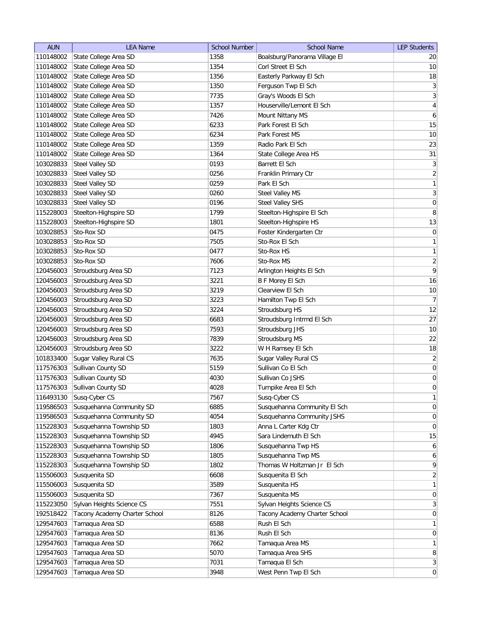| <b>AUN</b> | <b>LEA Name</b>               | <b>School Number</b> | School Name                   | <b>LEP Students</b> |
|------------|-------------------------------|----------------------|-------------------------------|---------------------|
| 110148002  | State College Area SD         | 1358                 | Boalsburg/Panorama Village El | 20                  |
| 110148002  | State College Area SD         | 1354                 | Corl Street El Sch            | 10                  |
| 110148002  | State College Area SD         | 1356                 | Easterly Parkway El Sch       | 18                  |
| 110148002  | State College Area SD         | 1350                 | Ferguson Twp El Sch           | $\mathbf{3}$        |
| 110148002  | State College Area SD         | 7735                 | Gray's Woods El Sch           | $\sqrt{3}$          |
| 110148002  | State College Area SD         | 1357                 | Houserville/Lemont El Sch     | $\overline{4}$      |
| 110148002  | State College Area SD         | 7426                 | Mount Nittany MS              | $\boldsymbol{6}$    |
| 110148002  | State College Area SD         | 6233                 | Park Forest El Sch            | 15                  |
| 110148002  | State College Area SD         | 6234                 | Park Forest MS                | 10                  |
| 110148002  | State College Area SD         | 1359                 | Radio Park El Sch             | 23                  |
| 110148002  | State College Area SD         | 1364                 | State College Area HS         | 31                  |
| 103028833  | Steel Valley SD               | 0193                 | Barrett El Sch                | $\mathbf{3}$        |
| 103028833  | <b>Steel Valley SD</b>        | 0256                 | Franklin Primary Ctr          | $\overline{2}$      |
| 103028833  | Steel Valley SD               | 0259                 | Park El Sch                   | $\mathbf{1}$        |
| 103028833  | Steel Valley SD               | 0260                 | Steel Valley MS               | $\mathbf{3}$        |
| 103028833  | Steel Valley SD               | 0196                 | Steel Valley SHS              | $\overline{0}$      |
| 115228003  | Steelton-Highspire SD         | 1799                 | Steelton-Highspire El Sch     | $\, 8$              |
| 115228003  | Steelton-Highspire SD         | 1801                 | Steelton-Highspire HS         | 13                  |
| 103028853  | Sto-Rox SD                    | 0475                 | Foster Kindergarten Ctr       | $\mathsf{O}\xspace$ |
| 103028853  | Sto-Rox SD                    | 7505                 | Sto-Rox El Sch                | $\mathbf{1}$        |
| 103028853  | Sto-Rox SD                    | 0477                 | Sto-Rox HS                    | $\mathbf{1}$        |
| 103028853  | Sto-Rox SD                    | 7606                 | Sto-Rox MS                    | $\overline{2}$      |
| 120456003  | Stroudsburg Area SD           | 7123                 | Arlington Heights El Sch      | $\mathsf q$         |
| 120456003  | Stroudsburg Area SD           | 3221                 | <b>B F Morey El Sch</b>       | 16                  |
| 120456003  | Stroudsburg Area SD           | 3219                 | Clearview El Sch              | 10                  |
| 120456003  | Stroudsburg Area SD           | 3223                 | Hamilton Twp El Sch           | $\overline{7}$      |
| 120456003  | Stroudsburg Area SD           | 3224                 | Stroudsburg HS                | 12                  |
| 120456003  | Stroudsburg Area SD           | 6683                 | Stroudsburg Intrmd El Sch     | $27\,$              |
| 120456003  | Stroudsburg Area SD           | 7593                 | Stroudsburg JHS               | $10$                |
| 120456003  | Stroudsburg Area SD           | 7839                 | Stroudsburg MS                | 22                  |
| 120456003  | Stroudsburg Area SD           | 3222                 | W H Ramsey El Sch             | 18                  |
| 101833400  | Sugar Valley Rural CS         | 7635                 | Sugar Valley Rural CS         | $\overline{2}$      |
| 117576303  | Sullivan County SD            | 5159                 | Sullivan Co El Sch            | $\pmb{0}$           |
| 117576303  | Sullivan County SD            | 4030                 | Sullivan Co JSHS              | $\pmb{0}$           |
| 117576303  | Sullivan County SD            | 4028                 | Turnpike Area El Sch          | $\boldsymbol{0}$    |
| 116493130  | Susq-Cyber CS                 | 7567                 | Susq-Cyber CS                 | $\mathbf{1}$        |
| 119586503  | Susquehanna Community SD      | 6885                 | Susquehanna Community El Sch  | $\boldsymbol{0}$    |
| 119586503  | Susquehanna Community SD      | 4054                 | Susquehanna Community JSHS    | $\boldsymbol{0}$    |
| 115228303  | Susquehanna Township SD       | 1803                 | Anna L Carter Kdg Ctr         | $\boldsymbol{0}$    |
| 115228303  | Susquehanna Township SD       | 4945                 | Sara Lindemuth El Sch         | 15                  |
| 115228303  | Susquehanna Township SD       | 1806                 | Susquehanna Twp HS            | $\boldsymbol{6}$    |
| 115228303  | Susquehanna Township SD       | 1805                 | Susquehanna Twp MS            | $\overline{6}$      |
| 115228303  | Susquehanna Township SD       | 1802                 | Thomas W Holtzman Jr El Sch   | 9                   |
| 115506003  | Susquenita SD                 | 6608                 | Susquenita El Sch             | $\overline{2}$      |
| 115506003  | Susquenita SD                 | 3589                 | Susquenita HS                 | $\mathbf{1}$        |
| 115506003  | Susquenita SD                 | 7367                 | Susquenita MS                 | $\boldsymbol{0}$    |
| 115223050  | Sylvan Heights Science CS     | 7551                 | Sylvan Heights Science CS     | $\mathbf{3}$        |
| 192518422  | Tacony Academy Charter School | 8126                 | Tacony Academy Charter School | $\overline{0}$      |
| 129547603  | Tamaqua Area SD               | 6588                 | Rush El Sch                   | $\mathbf{1}$        |
| 129547603  | Tamaqua Area SD               | 8136                 | Rush El Sch                   | $\overline{0}$      |
| 129547603  | Tamaqua Area SD               | 7662                 | Tamaqua Area MS               | $\mathbf{1}$        |
| 129547603  | Tamaqua Area SD               | 5070                 | Tamaqua Area SHS              | $\, 8$              |
| 129547603  | Tamaqua Area SD               | 7031                 | Tamaqua El Sch                | $\mathbf{3}$        |
| 129547603  | Tamaqua Area SD               | 3948                 | West Penn Twp El Sch          | $\boldsymbol{0}$    |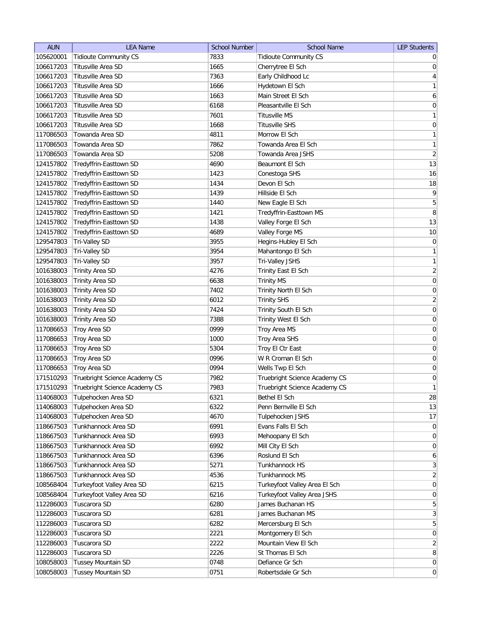| <b>AUN</b> | <b>LEA Name</b>               | <b>School Number</b> | <b>School Name</b>            | <b>LEP Students</b> |
|------------|-------------------------------|----------------------|-------------------------------|---------------------|
| 105620001  | <b>Tidioute Community CS</b>  | 7833                 | <b>Tidioute Community CS</b>  | $\overline{0}$      |
| 106617203  | Titusville Area SD            | 1665                 | Cherrytree El Sch             | 0                   |
| 106617203  | Titusville Area SD            | 7363                 | Early Childhood Lc            | $\vert 4 \vert$     |
| 106617203  | Titusville Area SD            | 1666                 | Hydetown El Sch               | 1                   |
| 106617203  | Titusville Area SD            | 1663                 | Main Street El Sch            | 6                   |
| 106617203  | Titusville Area SD            | 6168                 | Pleasantville El Sch          | 0                   |
| 106617203  | Titusville Area SD            | 7601                 | Titusville MS                 | 1                   |
| 106617203  | Titusville Area SD            | 1668                 | <b>Titusville SHS</b>         | 0                   |
| 117086503  | Towanda Area SD               | 4811                 | Morrow El Sch                 | $\mathbf{1}$        |
| 117086503  | Towanda Area SD               | 7862                 | Towanda Area El Sch           | $\mathbf{1}$        |
| 117086503  | Towanda Area SD               | 5208                 | Towanda Area JSHS             | $\overline{2}$      |
| 124157802  | Tredyffrin-Easttown SD        | 4690                 | Beaumont El Sch               | 13                  |
| 124157802  | Tredyffrin-Easttown SD        | 1423                 | Conestoga SHS                 | 16                  |
| 124157802  | Tredyffrin-Easttown SD        | 1434                 | Devon El Sch                  | 18                  |
| 124157802  | Tredyffrin-Easttown SD        | 1439                 | Hillside El Sch               | $\vert 9 \vert$     |
| 124157802  | Tredyffrin-Easttown SD        | 1440                 | New Eagle El Sch              | 5                   |
| 124157802  | Tredyffrin-Easttown SD        | 1421                 | Tredyffrin-Easttown MS        | 8                   |
| 124157802  | Tredyffrin-Easttown SD        | 1438                 | Valley Forge El Sch           | 13                  |
| 124157802  | Tredyffrin-Easttown SD        | 4689                 | Valley Forge MS               | 10                  |
| 129547803  | Tri-Valley SD                 | 3955                 | Hegins-Hubley El Sch          | 0                   |
| 129547803  | Tri-Valley SD                 | 3954                 | Mahantongo El Sch             | $\mathbf{1}$        |
| 129547803  | Tri-Valley SD                 | 3957                 | Tri-Valley JSHS               | 1                   |
| 101638003  | Trinity Area SD               | 4276                 | Trinity East El Sch           | $\overline{2}$      |
| 101638003  | <b>Trinity Area SD</b>        | 6638                 | <b>Trinity MS</b>             | 0                   |
| 101638003  | <b>Trinity Area SD</b>        | 7402                 | Trinity North El Sch          | $\boldsymbol{0}$    |
| 101638003  | <b>Trinity Area SD</b>        | 6012                 | <b>Trinity SHS</b>            | $\overline{2}$      |
| 101638003  | <b>Trinity Area SD</b>        | 7424                 | Trinity South El Sch          | 0                   |
| 101638003  | <b>Trinity Area SD</b>        | 7388                 | <b>Trinity West El Sch</b>    | 0                   |
| 117086653  | Troy Area SD                  | 0999                 | Troy Area MS                  | $\boldsymbol{0}$    |
| 117086653  | Troy Area SD                  | 1000                 | Troy Area SHS                 | 0                   |
| 117086653  | Troy Area SD                  | 5304                 | Troy El Ctr East              | 0                   |
| 117086653  | Troy Area SD                  | 0996                 | W R Croman El Sch             | 0                   |
| 117086653  | Troy Area SD                  | 0994                 | Wells Twp El Sch              | 0                   |
| 171510293  | Truebright Science Academy CS | 7982                 | Truebright Science Academy CS | $\boldsymbol{0}$    |
| 171510293  | Truebright Science Academy CS | 7983                 | Truebright Science Academy CS | 1                   |
| 114068003  | Tulpehocken Area SD           | 6321                 | Bethel El Sch                 | 28                  |
| 114068003  | Tulpehocken Area SD           | 6322                 | Penn Bernville El Sch         | 13                  |
| 114068003  | Tulpehocken Area SD           | 4670                 | Tulpehocken JSHS              | 17                  |
| 118667503  | Tunkhannock Area SD           | 6991                 | Evans Falls El Sch            | $\overline{0}$      |
| 118667503  | Tunkhannock Area SD           | 6993                 | Mehoopany El Sch              | $\overline{0}$      |
| 118667503  | Tunkhannock Area SD           | 6992                 | Mill City El Sch              | $\overline{0}$      |
| 118667503  | Tunkhannock Area SD           | 6396                 | Roslund El Sch                | $6 \mid$            |
| 118667503  | Tunkhannock Area SD           | 5271                 | Tunkhannock HS                | 3                   |
| 118667503  | Tunkhannock Area SD           | 4536                 | Tunkhannock MS                | $\overline{2}$      |
| 108568404  | Turkeyfoot Valley Area SD     | 6215                 | Turkeyfoot Valley Area El Sch | 0                   |
| 108568404  | Turkeyfoot Valley Area SD     | 6216                 | Turkeyfoot Valley Area JSHS   | 0                   |
| 112286003  | Tuscarora SD                  | 6280                 | James Buchanan HS             | 5                   |
| 112286003  | Tuscarora SD                  | 6281                 | James Buchanan MS             | $\vert 3 \vert$     |
| 112286003  | Tuscarora SD                  | 6282                 | Mercersburg El Sch            | $\overline{5}$      |
| 112286003  | Tuscarora SD                  | 2221                 | Montgomery El Sch             | 0                   |
| 112286003  | Tuscarora SD                  | 2222                 | Mountain View El Sch          | $\overline{2}$      |
| 112286003  | Tuscarora SD                  | 2226                 | St Thomas El Sch              | $\lvert 8 \rvert$   |
| 108058003  | <b>Tussey Mountain SD</b>     | 0748                 | Defiance Gr Sch               | 0                   |
|            |                               | 0751                 |                               | 0                   |
| 108058003  | <b>Tussey Mountain SD</b>     |                      | Robertsdale Gr Sch            |                     |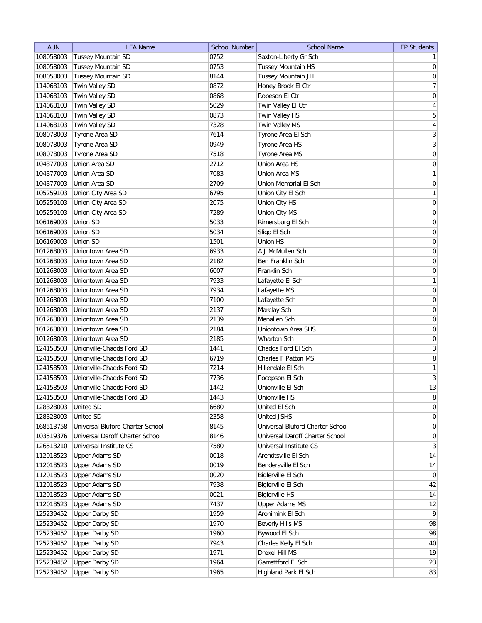| <b>AUN</b> | <b>LEA Name</b>                  | <b>School Number</b> | <b>School Name</b>               | <b>LEP Students</b> |
|------------|----------------------------------|----------------------|----------------------------------|---------------------|
| 108058003  | <b>Tussey Mountain SD</b>        | 0752                 | Saxton-Liberty Gr Sch            | 1                   |
| 108058003  | <b>Tussey Mountain SD</b>        | 0753                 | Tussey Mountain HS               | $\boldsymbol{0}$    |
| 108058003  | Tussey Mountain SD               | 8144                 | Tussey Mountain JH               | $\boldsymbol{0}$    |
| 114068103  | Twin Valley SD                   | 0872                 | Honey Brook El Ctr               | $\boldsymbol{7}$    |
| 114068103  | Twin Valley SD                   | 0868                 | Robeson El Ctr                   | $\mathbf 0$         |
| 114068103  | Twin Valley SD                   | 5029                 | Twin Valley El Ctr               | $\sqrt{4}$          |
| 114068103  | Twin Valley SD                   | 0873                 | Twin Valley HS                   | $\mathbf 5$         |
| 114068103  | Twin Valley SD                   | 7328                 | Twin Valley MS                   | 4                   |
| 108078003  | Tyrone Area SD                   | 7614                 | Tyrone Area El Sch               | 3                   |
| 108078003  | Tyrone Area SD                   | 0949                 | Tyrone Area HS                   | 3                   |
| 108078003  | Tyrone Area SD                   | 7518                 | Tyrone Area MS                   | $\boldsymbol{0}$    |
| 104377003  | Union Area SD                    | 2712                 | Union Area HS                    | $\boldsymbol{0}$    |
| 104377003  | Union Area SD                    | 7083                 | Union Area MS                    | $\mathbf{1}$        |
| 104377003  | Union Area SD                    | 2709                 | Union Memorial El Sch            | $\boldsymbol{0}$    |
| 105259103  | Union City Area SD               | 6795                 | Union City El Sch                | $\mathbf{1}$        |
| 105259103  | Union City Area SD               | 2075                 | Union City HS                    | $\boldsymbol{0}$    |
| 105259103  | Union City Area SD               | 7289                 | Union City MS                    | $\boldsymbol{0}$    |
| 106169003  | Union SD                         | 5033                 | Rimersburg El Sch                | $\boldsymbol{0}$    |
| 106169003  | Union SD                         | 5034                 |                                  | $\boldsymbol{0}$    |
|            |                                  |                      | Sligo El Sch                     |                     |
| 106169003  | Union SD                         | 1501                 | Union HS                         | $\mathbf 0$         |
| 101268003  | Uniontown Area SD                | 6933                 | A J McMullen Sch                 | $\mathbf 0$         |
| 101268003  | Uniontown Area SD                | 2182                 | Ben Franklin Sch                 | $\mathbf 0$         |
| 101268003  | Uniontown Area SD                | 6007                 | Franklin Sch                     | $\mathbf 0$         |
| 101268003  | Uniontown Area SD                | 7933                 | Lafayette El Sch                 | $\mathbf{1}$        |
| 101268003  | Uniontown Area SD                | 7934                 | Lafayette MS                     | $\boldsymbol{0}$    |
| 101268003  | Uniontown Area SD                | 7100                 | Lafayette Sch                    | $\boldsymbol{0}$    |
| 101268003  | Uniontown Area SD                | 2137                 | Marclay Sch                      | $\boldsymbol{0}$    |
| 101268003  | Uniontown Area SD                | 2139                 | Menallen Sch                     | $\boldsymbol{0}$    |
| 101268003  | Uniontown Area SD                | 2184                 | Uniontown Area SHS               | $\boldsymbol{0}$    |
| 101268003  | Uniontown Area SD                | 2185                 | Wharton Sch                      | $\boldsymbol{0}$    |
| 124158503  | Unionville-Chadds Ford SD        | 1441                 | Chadds Ford El Sch               | 3                   |
| 124158503  | Unionville-Chadds Ford SD        | 6719                 | Charles F Patton MS              | 8                   |
| 124158503  | Unionville-Chadds Ford SD        | 7214                 | Hillendale El Sch                | $\mathbf{1}$        |
| 124158503  | Unionville-Chadds Ford SD        | 7736                 | Pocopson El Sch                  | $\sqrt{3}$          |
| 124158503  | Unionville-Chadds Ford SD        | 1442                 | Unionville El Sch                | 13                  |
| 124158503  | Unionville-Chadds Ford SD        | 1443                 | Unionville HS                    | 8                   |
| 128328003  | United SD                        | 6680                 | United El Sch                    | $\boldsymbol{0}$    |
| 128328003  | United SD                        | 2358                 | United JSHS                      | $\boldsymbol{0}$    |
| 168513758  | Universal Bluford Charter School | 8145                 | Universal Bluford Charter School | $\boldsymbol{0}$    |
| 103519376  | Universal Daroff Charter School  | 8146                 | Universal Daroff Charter School  | $\pmb{0}$           |
| 126513210  | Universal Institute CS           | 7580                 | Universal Institute CS           | $\sqrt{3}$          |
| 112018523  | Upper Adams SD                   | 0018                 | Arendtsville El Sch              | 14                  |
| 112018523  | <b>Upper Adams SD</b>            | 0019                 | Bendersville El Sch              | 14                  |
| 112018523  | Upper Adams SD                   | 0020                 | Biglerville El Sch               | 0                   |
| 112018523  | <b>Upper Adams SD</b>            | 7938                 | Biglerville El Sch               | 42                  |
| 112018523  | <b>Upper Adams SD</b>            | 0021                 | <b>Biglerville HS</b>            | 14                  |
| 112018523  | <b>Upper Adams SD</b>            | 7437                 | <b>Upper Adams MS</b>            | 12                  |
| 125239452  | <b>Upper Darby SD</b>            | 1959                 | Aronimink El Sch                 | 9                   |
| 125239452  | <b>Upper Darby SD</b>            | 1970                 | Beverly Hills MS                 | 98                  |
| 125239452  | <b>Upper Darby SD</b>            | 1960                 | Bywood El Sch                    | 98                  |
| 125239452  | <b>Upper Darby SD</b>            | 7943                 | Charles Kelly El Sch             | 40                  |
| 125239452  | <b>Upper Darby SD</b>            | 1971                 | Drexel Hill MS                   | 19                  |
| 125239452  | <b>Upper Darby SD</b>            | 1964                 | Garrettford El Sch               | 23                  |
| 125239452  | <b>Upper Darby SD</b>            | 1965                 | Highland Park El Sch             | 83                  |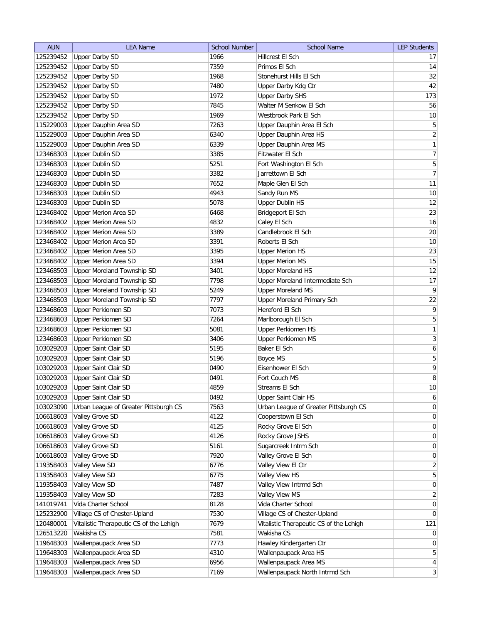| <b>AUN</b> | <b>LEA Name</b>                         | <b>School Number</b> | <b>School Name</b>                      | <b>LEP Students</b> |
|------------|-----------------------------------------|----------------------|-----------------------------------------|---------------------|
| 125239452  | <b>Upper Darby SD</b>                   | 1966                 | Hillcrest El Sch                        | 17                  |
| 125239452  | <b>Upper Darby SD</b>                   | 7359                 | Primos El Sch                           | 14                  |
| 125239452  | <b>Upper Darby SD</b>                   | 1968                 | Stonehurst Hills El Sch                 | 32                  |
| 125239452  | <b>Upper Darby SD</b>                   | 7480                 | Upper Darby Kdg Ctr                     | 42                  |
| 125239452  | <b>Upper Darby SD</b>                   | 1972                 | <b>Upper Darby SHS</b>                  | 173                 |
| 125239452  | <b>Upper Darby SD</b>                   | 7845                 | Walter M Senkow El Sch                  | 56                  |
| 125239452  | <b>Upper Darby SD</b>                   | 1969                 | Westbrook Park El Sch                   | 10                  |
| 115229003  | Upper Dauphin Area SD                   | 7263                 | Upper Dauphin Area El Sch               | $\overline{5}$      |
| 115229003  | Upper Dauphin Area SD                   | 6340                 | Upper Dauphin Area HS                   | $\overline{2}$      |
| 115229003  | Upper Dauphin Area SD                   | 6339                 | Upper Dauphin Area MS                   | 1                   |
| 123468303  | <b>Upper Dublin SD</b>                  | 3385                 | Fitzwater El Sch                        | 7                   |
| 123468303  | <b>Upper Dublin SD</b>                  | 5251                 | Fort Washington El Sch                  | 5                   |
| 123468303  | <b>Upper Dublin SD</b>                  | 3382                 | Jarrettown El Sch                       | $\overline{7}$      |
| 123468303  | <b>Upper Dublin SD</b>                  | 7652                 | Maple Glen El Sch                       | 11                  |
| 123468303  | <b>Upper Dublin SD</b>                  | 4943                 | Sandy Run MS                            | 10                  |
| 123468303  | <b>Upper Dublin SD</b>                  | 5078                 | <b>Upper Dublin HS</b>                  | 12                  |
| 123468402  | Upper Merion Area SD                    | 6468                 | Bridgeport El Sch                       | 23                  |
| 123468402  | <b>Upper Merion Area SD</b>             | 4832                 | Caley El Sch                            | 16                  |
| 123468402  | <b>Upper Merion Area SD</b>             | 3389                 | Candlebrook El Sch                      | 20                  |
| 123468402  | Upper Merion Area SD                    | 3391                 | Roberts El Sch                          | 10                  |
| 123468402  | Upper Merion Area SD                    | 3395                 | <b>Upper Merion HS</b>                  | 23                  |
| 123468402  | <b>Upper Merion Area SD</b>             | 3394                 | <b>Upper Merion MS</b>                  | 15                  |
| 123468503  | Upper Moreland Township SD              | 3401                 | <b>Upper Moreland HS</b>                | 12                  |
| 123468503  | Upper Moreland Township SD              | 7798                 | Upper Moreland Intermediate Sch         | 17                  |
| 123468503  | Upper Moreland Township SD              | 5249                 | <b>Upper Moreland MS</b>                | $\overline{9}$      |
| 123468503  | Upper Moreland Township SD              | 7797                 | Upper Moreland Primary Sch              | 22                  |
| 123468603  | <b>Upper Perkiomen SD</b>               | 7073                 | Hereford El Sch                         | 9                   |
| 123468603  | <b>Upper Perkiomen SD</b>               | 7264                 | Marlborough El Sch                      | 5                   |
| 123468603  | <b>Upper Perkiomen SD</b>               | 5081                 | Upper Perkiomen HS                      | 1                   |
| 123468603  | <b>Upper Perkiomen SD</b>               | 3406                 | Upper Perkiomen MS                      | $\vert 3 \vert$     |
| 103029203  | <b>Upper Saint Clair SD</b>             | 5195                 | Baker El Sch                            | $\boldsymbol{6}$    |
| 103029203  | Upper Saint Clair SD                    | 5196                 | Boyce MS                                | 5                   |
| 103029203  | Upper Saint Clair SD                    | 0490                 | Eisenhower El Sch                       | $\overline{9}$      |
| 103029203  | Upper Saint Clair SD                    | 0491                 | Fort Couch MS                           | 8                   |
| 103029203  | Upper Saint Clair SD                    | 4859                 | Streams El Sch                          | 10                  |
| 103029203  | Upper Saint Clair SD                    | 0492                 | Upper Saint Clair HS                    | $6 \mid$            |
| 103023090  | Urban League of Greater Pittsburgh CS   | 7563                 | Urban League of Greater Pittsburgh CS   | 0                   |
| 106618603  | Valley Grove SD                         | 4122                 | Cooperstown El Sch                      | 0                   |
| 106618603  | Valley Grove SD                         | 4125                 | Rocky Grove El Sch                      | $\vert 0 \vert$     |
| 106618603  | Valley Grove SD                         | 4126                 | Rocky Grove JSHS                        | $\overline{0}$      |
| 106618603  | Valley Grove SD                         | 5161                 | Sugarcreek Intrm Sch                    | $\overline{0}$      |
| 106618603  | Valley Grove SD                         | 7920                 | Valley Grove El Sch                     | 0                   |
| 119358403  | Valley View SD                          | 6776                 | Valley View El Ctr                      | $\overline{2}$      |
| 119358403  | Valley View SD                          | 6775                 | Valley View HS                          | $\overline{5}$      |
| 119358403  | Valley View SD                          | 7487                 | Valley View Intrmd Sch                  | 0                   |
| 119358403  | Valley View SD                          | 7283                 | Valley View MS                          | $\overline{2}$      |
| 141019741  | Vida Charter School                     | 8128                 | Vida Charter School                     | $\overline{0}$      |
| 125232900  | Village CS of Chester-Upland            | 7530                 | Village CS of Chester-Upland            | $\overline{0}$      |
| 120480001  | Vitalistic Therapeutic CS of the Lehigh | 7679                 | Vitalistic Therapeutic CS of the Lehigh | 121                 |
| 126513220  | Wakisha CS                              | 7581                 | Wakisha CS                              | $\overline{0}$      |
| 119648303  | Wallenpaupack Area SD                   | 7773                 | Hawley Kindergarten Ctr                 | $\overline{0}$      |
| 119648303  | Wallenpaupack Area SD                   | 4310                 | Wallenpaupack Area HS                   | $5\vert$            |
| 119648303  | Wallenpaupack Area SD                   | 6956                 | Wallenpaupack Area MS                   | $\vert 4 \vert$     |
| 119648303  | Wallenpaupack Area SD                   | 7169                 | Wallenpaupack North Intrmd Sch          | 3                   |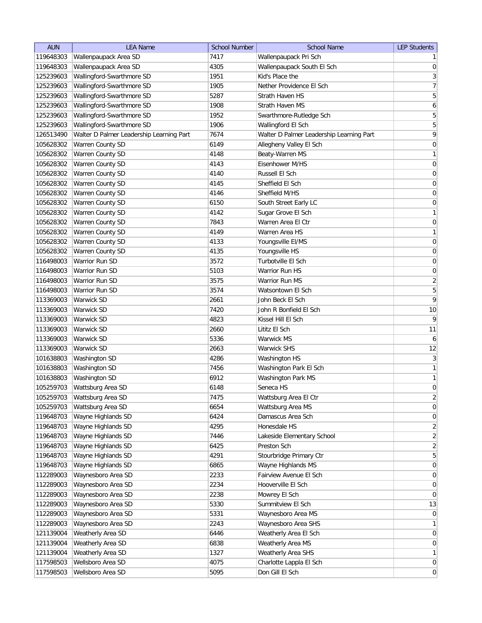| <b>AUN</b>             | <b>LEA Name</b>                          | <b>School Number</b> | <b>School Name</b>                       | <b>LEP Students</b>             |
|------------------------|------------------------------------------|----------------------|------------------------------------------|---------------------------------|
| 119648303              | Wallenpaupack Area SD                    | 7417                 | Wallenpaupack Pri Sch                    | 1                               |
| 119648303              | Wallenpaupack Area SD                    | 4305                 | Wallenpaupack South El Sch               | $\boldsymbol{0}$                |
| 125239603              | Wallingford-Swarthmore SD                | 1951                 | Kid's Place the                          | $\sqrt{3}$                      |
| 125239603              | Wallingford-Swarthmore SD                | 1905                 | Nether Providence El Sch                 | $\boldsymbol{7}$                |
| 125239603              | Wallingford-Swarthmore SD                | 5287                 | <b>Strath Haven HS</b>                   | 5                               |
| 125239603              | Wallingford-Swarthmore SD                | 1908                 | Strath Haven MS                          | 6                               |
| 125239603              | Wallingford-Swarthmore SD                | 1952                 | Swarthmore-Rutledge Sch                  | $\mathbf 5$                     |
| 125239603              | Wallingford-Swarthmore SD                | 1906                 | Wallingford El Sch                       | $\mathbf 5$                     |
| 126513490              | Walter D Palmer Leadership Learning Part | 7674                 | Walter D Palmer Leadership Learning Part | 9                               |
| 105628302              | Warren County SD                         | 6149                 | Allegheny Valley El Sch                  | $\pmb{0}$                       |
| 105628302              | Warren County SD                         | 4148                 | Beaty-Warren MS                          | $\mathbf{1}$                    |
| 105628302              | Warren County SD                         | 4143                 | Eisenhower M/HS                          | $\boldsymbol{0}$                |
| 105628302              | <b>Warren County SD</b>                  | 4140                 | Russell El Sch                           | $\boldsymbol{0}$                |
| 105628302              | Warren County SD                         | 4145                 | Sheffield El Sch                         | $\pmb{0}$                       |
| 105628302              | Warren County SD                         | 4146                 | Sheffield M/HS                           | $\pmb{0}$                       |
| 105628302              | Warren County SD                         | 6150                 | South Street Early LC                    | $\pmb{0}$                       |
| 105628302              | Warren County SD                         | 4142                 | Sugar Grove El Sch                       | $\mathbf{1}$                    |
| 105628302              | Warren County SD                         | 7843                 | Warren Area El Ctr                       | $\mathbf 0$                     |
| 105628302              | Warren County SD                         | 4149                 | Warren Area HS                           | $\mathbf{1}$                    |
| 105628302              | Warren County SD                         | 4133                 | Youngsville EI/MS                        | $\mathbf 0$                     |
| 105628302              | Warren County SD                         | 4135                 |                                          | $\mathbf 0$                     |
|                        | Warrior Run SD                           |                      | Youngsville HS<br>Turbotville El Sch     |                                 |
| 116498003<br>116498003 | Warrior Run SD                           | 3572<br>5103         | Warrior Run HS                           | $\boldsymbol{0}$<br>$\mathbf 0$ |
|                        |                                          |                      | Warrior Run MS                           |                                 |
| 116498003              | Warrior Run SD                           | 3575                 |                                          | $\overline{2}$                  |
| 116498003              | Warrior Run SD                           | 3574                 | Watsontown El Sch                        | $\mathbf 5$                     |
| 113369003              | Warwick SD                               | 2661                 | John Beck El Sch                         | 9                               |
| 113369003              | Warwick SD                               | 7420                 | John R Bonfield El Sch                   | 10                              |
| 113369003              | <b>Warwick SD</b>                        | 4823                 | Kissel Hill El Sch                       | 9                               |
| 113369003              | Warwick SD                               | 2660                 | Lititz El Sch                            | 11                              |
| 113369003              | Warwick SD                               | 5336                 | Warwick MS                               | 6                               |
| 113369003              | Warwick SD                               | 2663                 | Warwick SHS                              | 12                              |
| 101638803              | Washington SD                            | 4286                 | Washington HS                            | $\sqrt{3}$                      |
| 101638803              | Washington SD                            | 7456                 | Washington Park El Sch                   | $\mathbf{1}$                    |
| 101638803              | Washington SD                            | 6912                 | Washington Park MS                       | $\mathbf{1}$                    |
| 105259703              | Wattsburg Area SD                        | 6148                 | Seneca HS                                | $\boldsymbol{0}$                |
| 105259703              | Wattsburg Area SD                        | 7475                 | Wattsburg Area El Ctr                    | 2                               |
| 105259703              | Wattsburg Area SD                        | 6654                 | Wattsburg Area MS                        | $\boldsymbol{0}$                |
| 119648703              | Wayne Highlands SD                       | 6424                 | Damascus Area Sch                        | $\mathbf 0$                     |
| 119648703              | Wayne Highlands SD                       | 4295                 | Honesdale HS                             | $\sqrt{2}$                      |
| 119648703              | Wayne Highlands SD                       | 7446                 | Lakeside Elementary School               | $\sqrt{2}$                      |
| 119648703              | Wayne Highlands SD                       | 6425                 | Preston Sch                              | $\sqrt{2}$                      |
| 119648703              | Wayne Highlands SD                       | 4291                 | Stourbridge Primary Ctr                  | $\mathbf 5$                     |
| 119648703              | Wayne Highlands SD                       | 6865                 | Wayne Highlands MS                       | $\pmb{0}$                       |
| 112289003              | Waynesboro Area SD                       | 2233                 | Fairview Avenue El Sch                   | $\pmb{0}$                       |
| 112289003              | Waynesboro Area SD                       | 2234                 | Hooverville El Sch                       | $\pmb{0}$                       |
| 112289003              | Waynesboro Area SD                       | 2238                 | Mowrey El Sch                            | $\boldsymbol{0}$                |
| 112289003              | Waynesboro Area SD                       | 5330                 | Summitview El Sch                        | 13                              |
| 112289003              | Waynesboro Area SD                       | 5331                 | Waynesboro Area MS                       | $\mathbf 0$                     |
| 112289003              | Waynesboro Area SD                       | 2243                 | Waynesboro Area SHS                      | $\mathbf{1}$                    |
| 121139004              | Weatherly Area SD                        | 6446                 | Weatherly Area El Sch                    | $\boldsymbol{0}$                |
| 121139004              | Weatherly Area SD                        | 6838                 | Weatherly Area MS                        | $\pmb{0}$                       |
| 121139004              | Weatherly Area SD                        | 1327                 | Weatherly Area SHS                       | $\mathbf{1}$                    |
| 117598503              | Wellsboro Area SD                        | 4075                 | Charlotte Lappla El Sch                  | $\pmb{0}$                       |
| 117598503              | Wellsboro Area SD                        | 5095                 | Don Gill El Sch                          | $\boldsymbol{0}$                |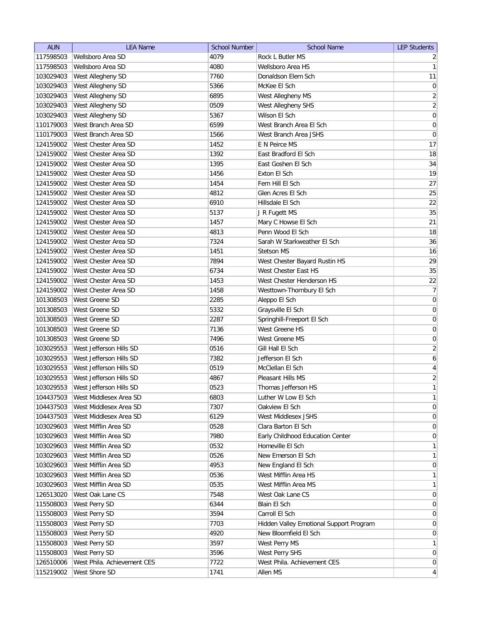| <b>AUN</b> | <b>LEA Name</b>             | School Number | <b>School Name</b>                      | <b>LEP Students</b> |
|------------|-----------------------------|---------------|-----------------------------------------|---------------------|
| 117598503  | Wellsboro Area SD           | 4079          | Rock L Butler MS                        | $\overline{2}$      |
| 117598503  | Wellsboro Area SD           | 4080          | Wellsboro Area HS                       | 1                   |
| 103029403  | West Allegheny SD           | 7760          | Donaldson Elem Sch                      | 11                  |
| 103029403  | West Allegheny SD           | 5366          | McKee El Sch                            | 0                   |
| 103029403  | West Allegheny SD           | 6895          | West Allegheny MS                       | $\overline{2}$      |
| 103029403  | West Allegheny SD           | 0509          | West Allegheny SHS                      | $\overline{2}$      |
| 103029403  | West Allegheny SD           | 5367          | Wilson El Sch                           | 0                   |
| 110179003  | West Branch Area SD         | 6599          | West Branch Area El Sch                 | $\boldsymbol{0}$    |
| 110179003  | West Branch Area SD         | 1566          | West Branch Area JSHS                   | $\boldsymbol{0}$    |
| 124159002  | West Chester Area SD        | 1452          | E N Peirce MS                           | 17                  |
| 124159002  | West Chester Area SD        | 1392          | East Bradford El Sch                    | 18                  |
| 124159002  | West Chester Area SD        | 1395          | East Goshen El Sch                      | 34                  |
| 124159002  | West Chester Area SD        | 1456          | Exton El Sch                            | 19                  |
| 124159002  | West Chester Area SD        | 1454          | Fern Hill El Sch                        | 27                  |
| 124159002  | West Chester Area SD        | 4812          | Glen Acres El Sch                       | 25                  |
| 124159002  | West Chester Area SD        | 6910          | Hillsdale El Sch                        | 22                  |
| 124159002  | West Chester Area SD        | 5137          | J R Fugett MS                           | 35                  |
| 124159002  | West Chester Area SD        | 1457          | Mary C Howse El Sch                     | 21                  |
| 124159002  | West Chester Area SD        | 4813          | Penn Wood El Sch                        | 18                  |
| 124159002  | West Chester Area SD        | 7324          | Sarah W Starkweather El Sch             | 36                  |
| 124159002  | West Chester Area SD        | 1451          | <b>Stetson MS</b>                       | 16                  |
| 124159002  | West Chester Area SD        | 7894          | West Chester Bayard Rustin HS           | 29                  |
| 124159002  | West Chester Area SD        | 6734          | West Chester East HS                    | 35                  |
| 124159002  | West Chester Area SD        | 1453          | West Chester Henderson HS               | 22                  |
| 124159002  | West Chester Area SD        | 1458          | Westtown-Thornbury El Sch               | $\overline{7}$      |
| 101308503  | West Greene SD              | 2285          | Aleppo El Sch                           | $\boldsymbol{0}$    |
| 101308503  | West Greene SD              | 5332          | Graysville El Sch                       | $\boldsymbol{0}$    |
| 101308503  | West Greene SD              | 2287          | Springhill-Freeport El Sch              | $\boldsymbol{0}$    |
| 101308503  | West Greene SD              | 7136          | West Greene HS                          | 0                   |
| 101308503  | West Greene SD              | 7496          | West Greene MS                          | 0                   |
| 103029553  | West Jefferson Hills SD     | 0516          | Gill Hall El Sch                        | $\overline{2}$      |
| 103029553  | West Jefferson Hills SD     | 7382          | Jefferson El Sch                        | 6                   |
| 103029553  | West Jefferson Hills SD     | 0519          | McClellan El Sch                        | $\overline{4}$      |
| 103029553  | West Jefferson Hills SD     | 4867          | Pleasant Hills MS                       | $\overline{2}$      |
| 103029553  | West Jefferson Hills SD     | 0523          | Thomas Jefferson HS                     | 1                   |
| 104437503  | West Middlesex Area SD      | 6803          | Luther W Low El Sch                     | $\mathbf{1}$        |
| 104437503  | West Middlesex Area SD      | 7307          | Oakview El Sch                          | $\overline{0}$      |
| 104437503  | West Middlesex Area SD      | 6129          | West Middlesex JSHS                     | $\vert 0 \vert$     |
| 103029603  | West Mifflin Area SD        | 0528          | Clara Barton El Sch                     | 0                   |
| 103029603  | West Mifflin Area SD        | 7980          | Early Childhood Education Center        | 0                   |
| 103029603  | West Mifflin Area SD        | 0532          | Homeville El Sch                        | $\mathbf{1}$        |
| 103029603  | West Mifflin Area SD        | 0526          | New Emerson El Sch                      | $\mathbf{1}$        |
| 103029603  | West Mifflin Area SD        | 4953          | New England El Sch                      | 0                   |
| 103029603  | West Mifflin Area SD        | 0536          | West Mifflin Area HS                    | $\mathbf{1}$        |
| 103029603  | West Mifflin Area SD        | 0535          | West Mifflin Area MS                    | $\mathbf{1}$        |
| 126513020  | West Oak Lane CS            | 7548          | West Oak Lane CS                        | $\overline{0}$      |
| 115508003  | West Perry SD               | 6344          | Blain El Sch                            | $\overline{0}$      |
| 115508003  | West Perry SD               | 3594          | Carroll El Sch                          | 0                   |
| 115508003  | West Perry SD               | 7703          | Hidden Valley Emotional Support Program | $\overline{0}$      |
| 115508003  | West Perry SD               | 4920          | New Bloomfield El Sch                   | $\overline{0}$      |
| 115508003  | West Perry SD               | 3597          | West Perry MS                           | 1                   |
| 115508003  | West Perry SD               | 3596          | West Perry SHS                          | $\overline{0}$      |
| 126510006  | West Phila. Achievement CES | 7722          | West Phila. Achievement CES             | $\overline{0}$      |
| 115219002  | West Shore SD               | 1741          | Allen MS                                | $\vert$             |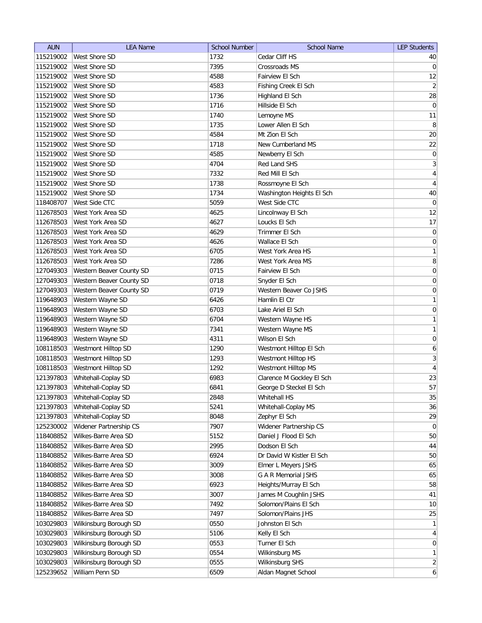| <b>AUN</b> | <b>LEA Name</b>          | <b>School Number</b> | <b>School Name</b>        | <b>LEP Students</b>          |
|------------|--------------------------|----------------------|---------------------------|------------------------------|
| 115219002  | West Shore SD            | 1732                 | Cedar Cliff HS            | 40                           |
| 115219002  | West Shore SD            | 7395                 | <b>Crossroads MS</b>      | 0                            |
| 115219002  | West Shore SD            | 4588                 | Fairview El Sch           | 12                           |
| 115219002  | West Shore SD            | 4583                 | Fishing Creek El Sch      | $\left  \frac{2}{2} \right $ |
| 115219002  | <b>West Shore SD</b>     | 1736                 | Highland El Sch           | 28                           |
| 115219002  | West Shore SD            | 1716                 | Hillside El Sch           | $\overline{0}$               |
| 115219002  | West Shore SD            | 1740                 | Lemoyne MS                | 11                           |
| 115219002  | West Shore SD            | 1735                 | Lower Allen El Sch        | $\, 8$                       |
| 115219002  | West Shore SD            | 4584                 | Mt Zion El Sch            | 20                           |
| 115219002  | <b>West Shore SD</b>     | 1718                 | New Cumberland MS         | 22                           |
| 115219002  | <b>West Shore SD</b>     | 4585                 | Newberry El Sch           | $\overline{0}$               |
| 115219002  | West Shore SD            | 4704                 | Red Land SHS              | $\mathbf{3}$                 |
| 115219002  | <b>West Shore SD</b>     | 7332                 | Red Mill El Sch           | 4                            |
| 115219002  | <b>West Shore SD</b>     | 1738                 | Rossmoyne El Sch          | 4                            |
| 115219002  | West Shore SD            | 1734                 | Washington Heights El Sch | 40                           |
| 118408707  | West Side CTC            | 5059                 | West Side CTC             | $\overline{0}$               |
| 112678503  | West York Area SD        | 4625                 | Lincolnway El Sch         | 12                           |
| 112678503  | West York Area SD        | 4627                 | Loucks El Sch             | 17                           |
| 112678503  | West York Area SD        | 4629                 | Trimmer El Sch            | 0                            |
| 112678503  | West York Area SD        | 4626                 | Wallace El Sch            | $\vert 0 \vert$              |
| 112678503  | West York Area SD        | 6705                 | West York Area HS         | 1                            |
| 112678503  | West York Area SD        | 7286                 | West York Area MS         | $\bf 8$                      |
| 127049303  | Western Beaver County SD | 0715                 | Fairview El Sch           | 0                            |
| 127049303  | Western Beaver County SD | 0718                 | Snyder El Sch             | $\boldsymbol{0}$             |
| 127049303  | Western Beaver County SD | 0719                 | Western Beaver Co JSHS    | $\boldsymbol{0}$             |
| 119648903  | Western Wayne SD         | 6426                 | Hamlin El Ctr             | 1                            |
| 119648903  | Western Wayne SD         | 6703                 | Lake Ariel El Sch         | 0                            |
| 119648903  | Western Wayne SD         | 6704                 | Western Wayne HS          | 1                            |
| 119648903  | Western Wayne SD         | 7341                 | Western Wayne MS          | 1                            |
| 119648903  | Western Wayne SD         | 4311                 | Wilson El Sch             | $\boldsymbol{0}$             |
| 108118503  | Westmont Hilltop SD      | 1290                 | Westmont Hilltop El Sch   | 6                            |
| 108118503  | Westmont Hilltop SD      | 1293                 | Westmont Hilltop HS       | 3                            |
| 108118503  | Westmont Hilltop SD      | 1292                 | Westmont Hilltop MS       | $\overline{4}$               |
| 121397803  | Whitehall-Coplay SD      | 6983                 | Clarence M Gockley El Sch | 23                           |
| 121397803  | Whitehall-Coplay SD      | 6841                 | George D Steckel El Sch   | 57                           |
| 121397803  | Whitehall-Coplay SD      | 2848                 | Whitehall HS              | 35                           |
| 121397803  | Whitehall-Coplay SD      | 5241                 | Whitehall-Coplay MS       | 36                           |
| 121397803  | Whitehall-Coplay SD      | 8048                 | Zephyr El Sch             | 29                           |
| 125230002  | Widener Partnership CS   | 7907                 | Widener Partnership CS    | $\overline{0}$               |
| 118408852  | Wilkes-Barre Area SD     | 5152                 | Daniel J Flood El Sch     | 50                           |
| 118408852  | Wilkes-Barre Area SD     | 2995                 | Dodson El Sch             | 44                           |
| 118408852  | Wilkes-Barre Area SD     | 6924                 | Dr David W Kistler El Sch | 50                           |
| 118408852  | Wilkes-Barre Area SD     | 3009                 | Elmer L Meyers JSHS       | 65                           |
| 118408852  | Wilkes-Barre Area SD     | 3008                 | G A R Memorial JSHS       | 65                           |
| 118408852  | Wilkes-Barre Area SD     | 6923                 | Heights/Murray El Sch     | 58                           |
| 118408852  | Wilkes-Barre Area SD     | 3007                 | James M Coughlin JSHS     | 41                           |
| 118408852  | Wilkes-Barre Area SD     | 7492                 | Solomon/Plains El Sch     | 10                           |
| 118408852  | Wilkes-Barre Area SD     | 7497                 | Solomon/Plains JHS        | 25                           |
| 103029803  | Wilkinsburg Borough SD   | 0550                 | Johnston El Sch           | $\mathbf{1}$                 |
| 103029803  | Wilkinsburg Borough SD   | 5106                 | Kelly El Sch              | $\vert 4 \vert$              |
| 103029803  | Wilkinsburg Borough SD   | 0553                 | Turner El Sch             | 0                            |
| 103029803  | Wilkinsburg Borough SD   | 0554                 | Wilkinsburg MS            | 1                            |
| 103029803  | Wilkinsburg Borough SD   | 0555                 | Wilkinsburg SHS           | $\left  \frac{2}{2} \right $ |
| 125239652  | William Penn SD          | 6509                 | Aldan Magnet School       | $6 \mid$                     |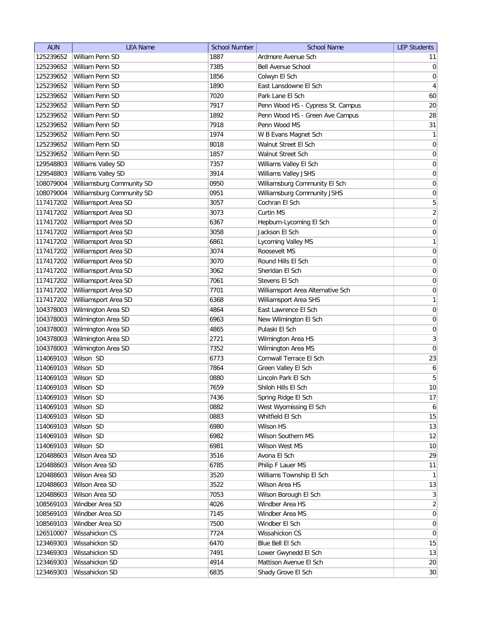| <b>AUN</b> | <b>LEA Name</b>           | <b>School Number</b> | <b>School Name</b>                | <b>LEP Students</b> |
|------------|---------------------------|----------------------|-----------------------------------|---------------------|
| 125239652  | William Penn SD           | 1887                 | Ardmore Avenue Sch                | 11                  |
| 125239652  | William Penn SD           | 7385                 | Bell Avenue School                | $\overline{0}$      |
| 125239652  | William Penn SD           | 1856                 | Colwyn El Sch                     | 0                   |
| 125239652  | William Penn SD           | 1890                 | East Lansdowne El Sch             | $\overline{4}$      |
| 125239652  | William Penn SD           | 7020                 | Park Lane El Sch                  | 60                  |
| 125239652  | William Penn SD           | 7917                 | Penn Wood HS - Cypress St. Campus | 20                  |
| 125239652  | William Penn SD           | 1892                 | Penn Wood HS - Green Ave Campus   | 28                  |
| 125239652  | William Penn SD           | 7918                 | Penn Wood MS                      | 31                  |
| 125239652  | William Penn SD           | 1974                 | W B Evans Magnet Sch              | 1                   |
| 125239652  | William Penn SD           | 8018                 | Walnut Street El Sch              | $\boldsymbol{0}$    |
| 125239652  | William Penn SD           | 1857                 | Walnut Street Sch                 | 0                   |
| 129548803  | Williams Valley SD        | 7357                 | Williams Valley El Sch            | 0                   |
| 129548803  | Williams Valley SD        | 3914                 | Williams Valley JSHS              | $\boldsymbol{0}$    |
| 108079004  | Williamsburg Community SD | 0950                 | Williamsburg Community El Sch     | 0                   |
| 108079004  | Williamsburg Community SD | 0951                 | Williamsburg Community JSHS       | 0                   |
| 117417202  | Williamsport Area SD      | 3057                 | Cochran El Sch                    | 5                   |
| 117417202  | Williamsport Area SD      | 3073                 | Curtin MS                         | $\overline{2}$      |
| 117417202  | Williamsport Area SD      | 6367                 | Hepburn-Lycoming El Sch           | 0                   |
| 117417202  | Williamsport Area SD      | 3058                 | Jackson El Sch                    | $\vert 0 \vert$     |
| 117417202  | Williamsport Area SD      | 6861                 | Lycoming Valley MS                | 1                   |
| 117417202  | Williamsport Area SD      | 3074                 | Roosevelt MS                      | 0                   |
| 117417202  | Williamsport Area SD      | 3070                 | Round Hills El Sch                | $\boldsymbol{0}$    |
| 117417202  | Williamsport Area SD      | 3062                 | Sheridan El Sch                   | $\boldsymbol{0}$    |
| 117417202  | Williamsport Area SD      | 7061                 | Stevens El Sch                    | $\boldsymbol{0}$    |
| 117417202  | Williamsport Area SD      | 7701                 | Williamsport Area Alternative Sch | $\boldsymbol{0}$    |
| 117417202  | Williamsport Area SD      | 6368                 | Williamsport Area SHS             | 1                   |
| 104378003  | Wilmington Area SD        | 4864                 | East Lawrence El Sch              | $\boldsymbol{0}$    |
| 104378003  | Wilmington Area SD        | 6963                 | New Wilmington El Sch             | $\boldsymbol{0}$    |
| 104378003  | Wilmington Area SD        | 4865                 | Pulaski El Sch                    | 0                   |
| 104378003  | Wilmington Area SD        | 2721                 | Wilmington Area HS                | $\mathbf{3}$        |
| 104378003  | Wilmington Area SD        | 7352                 | Wilmington Area MS                | $\overline{0}$      |
| 114069103  | Wilson SD                 | 6773                 | Cornwall Terrace El Sch           | 23                  |
| 114069103  | Wilson SD                 | 7864                 | Green Valley El Sch               | 6                   |
| 114069103  | Wilson SD                 | 0880                 | Lincoln Park El Sch               | 5                   |
| 114069103  | Wilson SD                 | 7659                 | Shiloh Hills El Sch               | 10                  |
| 114069103  | Wilson SD                 | 7436                 | Spring Ridge El Sch               | 17                  |
| 114069103  | Wilson SD                 | 0882                 | West Wyomissing El Sch            | $\overline{6}$      |
| 114069103  | Wilson SD                 | 0883                 | Whitfield El Sch                  | 15                  |
| 114069103  | Wilson SD                 | 6980                 | Wilson HS                         | 13                  |
| 114069103  | Wilson SD                 | 6982                 | Wilson Southern MS                | 12                  |
| 114069103  | Wilson SD                 | 6981                 | <b>Wilson West MS</b>             | 10                  |
| 120488603  | Wilson Area SD            | 3516                 | Avona El Sch                      | 29                  |
| 120488603  | Wilson Area SD            | 6785                 | Philip F Lauer MS                 | 11                  |
| 120488603  | Wilson Area SD            | 3520                 | Williams Township El Sch          | 1                   |
| 120488603  | Wilson Area SD            | 3522                 | Wilson Area HS                    | 13                  |
| 120488603  | Wilson Area SD            | 7053                 | Wilson Borough El Sch             | 3                   |
| 108569103  | Windber Area SD           | 4026                 | Windber Area HS                   | $\overline{2}$      |
| 108569103  | Windber Area SD           | 7145                 | Windber Area MS                   | 0                   |
| 108569103  | Windber Area SD           | 7500                 | Windber El Sch                    | 0                   |
| 126510007  | Wissahickon CS            | 7724                 | Wissahickon CS                    | $\overline{0}$      |
| 123469303  | Wissahickon SD            | 6470                 | Blue Bell El Sch                  | 15                  |
| 123469303  | Wissahickon SD            | 7491                 | Lower Gwynedd El Sch              | 13                  |
| 123469303  | Wissahickon SD            | 4914                 | Mattison Avenue El Sch            | 20                  |
| 123469303  | Wissahickon SD            | 6835                 |                                   | 30                  |
|            |                           |                      | Shady Grove El Sch                |                     |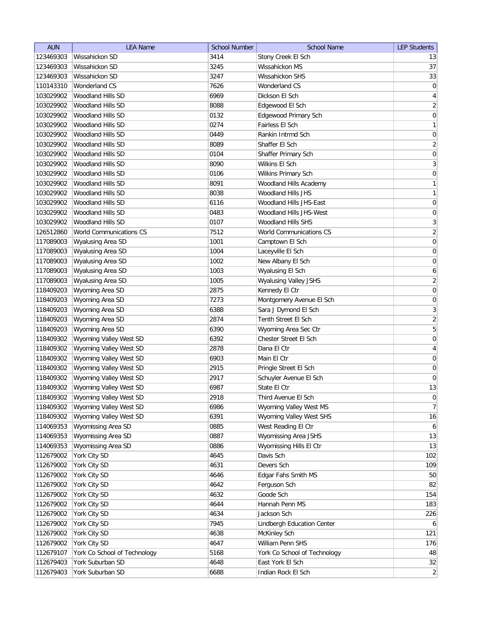| <b>AUN</b> | <b>LEA Name</b>              | <b>School Number</b> | <b>School Name</b>           | <b>LEP Students</b> |
|------------|------------------------------|----------------------|------------------------------|---------------------|
| 123469303  | Wissahickon SD               | 3414                 | Stony Creek El Sch           | 13                  |
| 123469303  | Wissahickon SD               | 3245                 | Wissahickon MS               | 37                  |
| 123469303  | Wissahickon SD               | 3247                 | Wissahickon SHS              | 33                  |
| 110143310  | <b>Wonderland CS</b>         | 7626                 | Wonderland CS                | $\boldsymbol{0}$    |
| 103029902  | Woodland Hills SD            | 6969                 | Dickson El Sch               | 4                   |
| 103029902  | Woodland Hills SD            | 8088                 | Edgewood El Sch              | $\overline{2}$      |
| 103029902  | Woodland Hills SD            | 0132                 | Edgewood Primary Sch         | 0                   |
| 103029902  | Woodland Hills SD            | 0274                 | Fairless El Sch              | $\mathbf{1}$        |
| 103029902  | Woodland Hills SD            | 0449                 | Rankin Intrmd Sch            | $\boldsymbol{0}$    |
| 103029902  | <b>Woodland Hills SD</b>     | 8089                 | Shaffer El Sch               | $\overline{2}$      |
| 103029902  | <b>Woodland Hills SD</b>     | 0104                 | Shaffer Primary Sch          | $\boldsymbol{0}$    |
| 103029902  | Woodland Hills SD            | 8090                 | Wilkins El Sch               | $\overline{3}$      |
| 103029902  | Woodland Hills SD            | 0106                 | Wilkins Primary Sch          | $\boldsymbol{0}$    |
| 103029902  | <b>Woodland Hills SD</b>     | 8091                 | Woodland Hills Academy       | $\mathbf{1}$        |
| 103029902  | Woodland Hills SD            | 8038                 | Woodland Hills JHS           | $\mathbf{1}$        |
| 103029902  | Woodland Hills SD            | 6116                 | Woodland Hills JHS-East      | $\boldsymbol{0}$    |
| 103029902  | Woodland Hills SD            | 0483                 | Woodland Hills JHS-West      | $\boldsymbol{0}$    |
| 103029902  | <b>Woodland Hills SD</b>     | 0107                 | <b>Woodland Hills SHS</b>    | $\overline{3}$      |
| 126512860  | World Communications CS      | 7512                 | World Communications CS      | $\overline{2}$      |
| 117089003  | Wyalusing Area SD            | 1001                 | Camptown El Sch              | 0                   |
| 117089003  | Wyalusing Area SD            | 1004                 | Laceyville El Sch            | $\boldsymbol{0}$    |
| 117089003  | Wyalusing Area SD            | 1002                 | New Albany El Sch            | $\boldsymbol{0}$    |
| 117089003  | Wyalusing Area SD            | 1003                 | Wyalusing El Sch             | 6                   |
| 117089003  | Wyalusing Area SD            | 1005                 | <b>Wyalusing Valley JSHS</b> | $\overline{2}$      |
| 118409203  | Wyoming Area SD              | 2875                 | Kennedy El Ctr               | $\boldsymbol{0}$    |
| 118409203  | Wyoming Area SD              | 7273                 | Montgomery Avenue El Sch     | $\boldsymbol{0}$    |
| 118409203  | Wyoming Area SD              | 6388                 | Sara J Dymond El Sch         | $\overline{3}$      |
| 118409203  | Wyoming Area SD              | 2874                 | Tenth Street El Sch          | $\overline{2}$      |
| 118409203  | Wyoming Area SD              | 6390                 | Wyoming Area Sec Ctr         | 5                   |
| 118409302  | Wyoming Valley West SD       | 6392                 | Chester Street El Sch        | 0                   |
| 118409302  | Wyoming Valley West SD       | 2878                 | Dana El Ctr                  | 4                   |
| 118409302  | Wyoming Valley West SD       | 6903                 | Main El Ctr                  | 0                   |
| 118409302  | Wyoming Valley West SD       | 2915                 | Pringle Street El Sch        | $\boldsymbol{0}$    |
| 118409302  | Wyoming Valley West SD       | 2917                 | Schuyler Avenue El Sch       | $\overline{0}$      |
| 118409302  | Wyoming Valley West SD       | 6987                 | State El Ctr                 | 13                  |
| 118409302  | Wyoming Valley West SD       | 2918                 | Third Avenue El Sch          | 0                   |
| 118409302  | Wyoming Valley West SD       | 6986                 | Wyoming Valley West MS       | 7                   |
| 118409302  | Wyoming Valley West SD       | 6391                 | Wyoming Valley West SHS      | 16                  |
| 114069353  | Wyomissing Area SD           | 0885                 | West Reading El Ctr          | 6                   |
| 114069353  | Wyomissing Area SD           | 0887                 | Wyomissing Area JSHS         | 13                  |
| 114069353  | Wyomissing Area SD           | 0886                 | Wyomissing Hills El Ctr      | 13                  |
| 112679002  | York City SD                 | 4645                 | Davis Sch                    | 102                 |
| 112679002  | York City SD                 | 4631                 | Devers Sch                   | 109                 |
| 112679002  | York City SD                 | 4646                 | Edgar Fahs Smith MS          | 50                  |
| 112679002  | York City SD                 | 4642                 | Ferguson Sch                 | 82                  |
| 112679002  | York City SD                 | 4632                 | Goode Sch                    | 154                 |
| 112679002  | York City SD                 | 4644                 | Hannah Penn MS               | 183                 |
| 112679002  | York City SD                 | 4634                 | Jackson Sch                  | 226                 |
| 112679002  | York City SD                 | 7945                 | Lindbergh Education Center   | 6                   |
| 112679002  | York City SD                 | 4638                 | McKinley Sch                 | 121                 |
| 112679002  | York City SD                 | 4647                 | William Penn SHS             | 176                 |
| 112679107  | York Co School of Technology | 5168                 | York Co School of Technology | 48                  |
| 112679403  | York Suburban SD             | 4648                 | East York El Sch             | 32                  |
| 112679403  | York Suburban SD             | 6688                 | Indian Rock El Sch           | $\overline{2}$      |